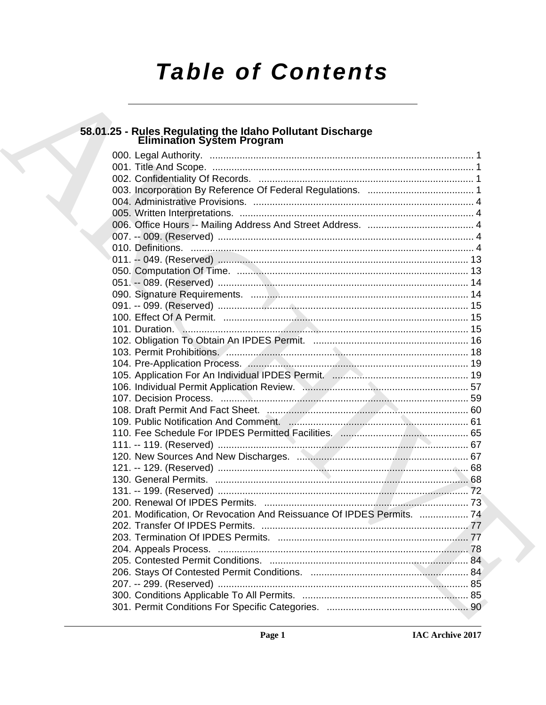# **Table of Contents**

## 58.01.25 - Rules Regulating the Idaho Pollutant Discharge<br>Elimination System Program

|  | 201. Modification, Or Revocation And Reissuance Of IPDES Permits.  74 |     |
|--|-----------------------------------------------------------------------|-----|
|  |                                                                       |     |
|  |                                                                       |     |
|  |                                                                       | .78 |
|  |                                                                       |     |
|  |                                                                       |     |
|  |                                                                       |     |
|  |                                                                       |     |
|  |                                                                       |     |
|  |                                                                       |     |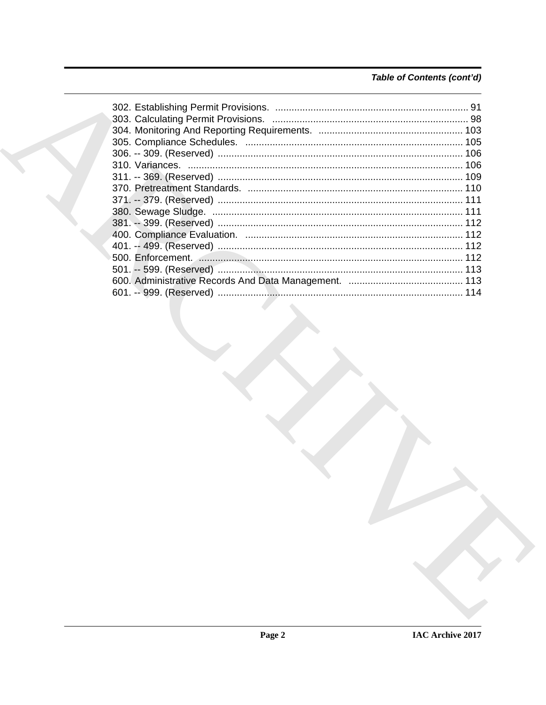### Table of Contents (cont'd)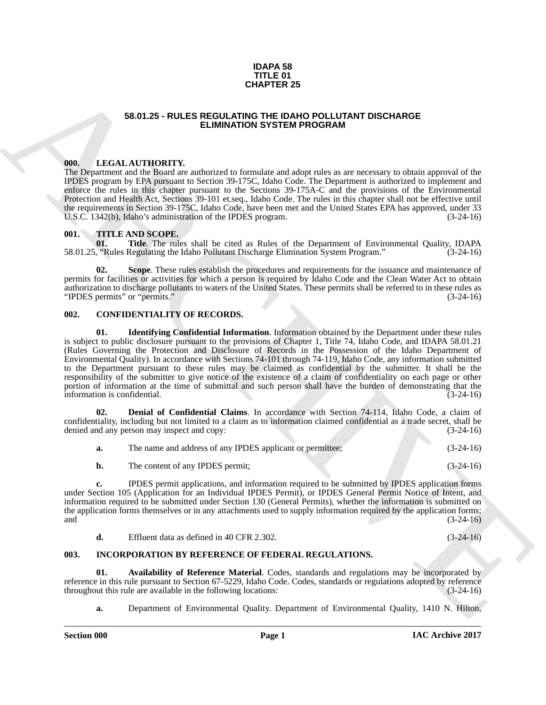#### **IDAPA 58 TITLE 01 CHAPTER 25**

### **58.01.25 - RULES REGULATING THE IDAHO POLLUTANT DISCHARGE ELIMINATION SYSTEM PROGRAM**

### <span id="page-2-1"></span><span id="page-2-0"></span>**000. LEGAL AUTHORITY.**

The Department and the Board are authorized to formulate and adopt rules as are necessary to obtain approval of the IPDES program by EPA pursuant to Section 39-175C, Idaho Code. The Department is authorized to implement and enforce the rules in this chapter pursuant to the Sections 39-175A-C and the provisions of the Environmental Protection and Health Act, Sections 39-101 et.seq., Idaho Code. The rules in this chapter shall not be effective until the requirements in Section 39-175C, Idaho Code, have been met and the United States EPA has approved, under 33<br>U.S.C. 1342(b). Idaho's administration of the IPDES program. (3-24-16) U.S.C. 1342(b), Idaho's administration of the IPDES program.

## <span id="page-2-2"></span>001. **TITLE AND SCOPE.**<br>01. **Title**. The rul

**Title**. The rules shall be cited as Rules of the Department of Environmental Quality, IDAPA Regulating the Idaho Pollutant Discharge Elimination System Program." (3-24-16) 58.01.25, "Rules Regulating the Idaho Pollutant Discharge Elimination System Program."

**02. Scope**. These rules establish the procedures and requirements for the issuance and maintenance of permits for facilities or activities for which a person is required by Idaho Code and the Clean Water Act to obtain authorization to discharge pollutants to waters of the United States. These permits shall be referred to in these rules as "IPDES permits" or "permits." (3-24-16)

#### <span id="page-2-3"></span>**002. CONFIDENTIALITY OF RECORDS.**

**SB.01.25 - ROLES REGULARATE 25<br>
SB.01.25 - ROLES REGULARATE OR EVAPORATION CHEMICAL STREAT CONTINUES INTERFERICANT DISCRIMENTS IN CONTINUES IN THE CONTINUES IN THE CONTINUES IN THE CONTINUES INTO A REPORT OF THE CONTINUE 01. Identifying Confidential Information**. Information obtained by the Department under these rules is subject to public disclosure pursuant to the provisions of Chapter 1, Title 74, Idaho Code, and IDAPA 58.01.21 (Rules Governing the Protection and Disclosure of Records in the Possession of the Idaho Department of Environmental Quality). In accordance with Sections 74-101 through 74-119, Idaho Code, any information submitted to the Department pursuant to these rules may be claimed as confidential by the submitter. It shall be the responsibility of the submitter to give notice of the existence of a claim of confidentiality on each page or other portion of information at the time of submittal and such person shall have the burden of demonstrating that the information is confidential. (3-24-16) information is confidential.

**02. Denial of Confidential Claims**. In accordance with Section 74-114, Idaho Code, a claim of confidentiality, including but not limited to a claim as to information claimed confidential as a trade secret, shall be denied and any person may inspect and copy:

| a. | The name and address of any IPDES applicant or permittee; | $(3-24-16)$ |
|----|-----------------------------------------------------------|-------------|
|    | The content of any IPDES permit;                          | $(3-24-16)$ |

**c.** IPDES permit applications, and information required to be submitted by IPDES application forms under Section 105 (Application for an Individual IPDES Permit), or IPDES General Permit Notice of Intent, and information required to be submitted under Section 130 (General Permits), whether the information is submitted on the application forms themselves or in any attachments used to supply information required by the application forms; and  $(3-24-16)$ 

**d.** Effluent data as defined in 40 CFR 2.302. (3-24-16)

#### <span id="page-2-4"></span>**003. INCORPORATION BY REFERENCE OF FEDERAL REGULATIONS.**

**01. Availability of Reference Material**. Codes, standards and regulations may be incorporated by reference in this rule pursuant to Section 67-5229, Idaho Code. Codes, standards or regulations adopted by reference throughout this rule are available in the following locations: (3-24-16)

**a.** Department of Environmental Quality. Department of Environmental Quality, 1410 N. Hilton,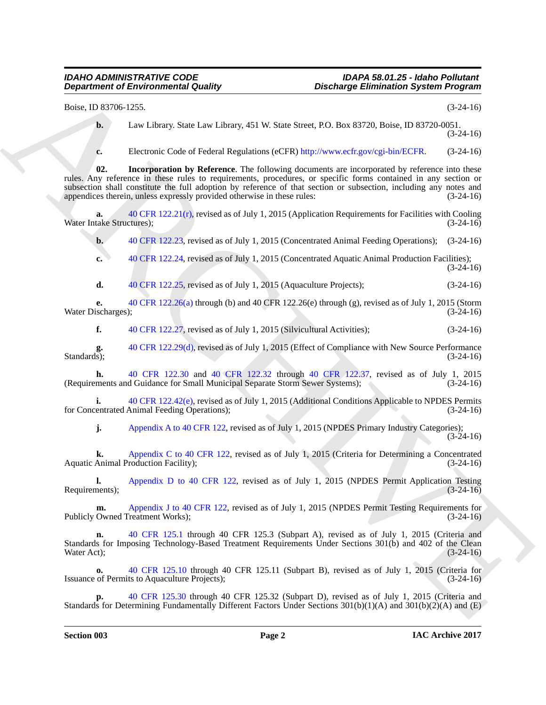Boise, ID 83706-1255. (3-24-16)

**b.** Law Library. State Law Library, 451 W. State Street, P.O. Box 83720, Boise, ID 83720-0051. (3-24-16)

**c.** Electronic Code of Federal Regulations (eCFR) http://www.ecfr.gov/cgi-bin/ECFR. (3-24-16)

**Department of Environmental Quality Burning Environmental System Programs<br>
Burning Start Law Law Law 24 VW. Stars Street, P.O. Rev. N. 2003, 100 (1942)<br>
A. The Hirace Cole of Section 4.5 Stars Street, P.O. Rev. N. Rev. D 02. Incorporation by Reference**. The following documents are incorporated by reference into these rules. Any reference in these rules to requirements, procedures, or specific forms contained in any section or subsection shall constitute the full adoption by reference of that section or subsection, including any notes and appendices therein, unless expressly provided otherwise in these rules:  $(3-24-16)$ appendices therein, unless expressly provided otherwise in these rules:

**a.** 40 CFR 122.21(r), revised as of July 1, 2015 (Application Requirements for Facilities with Cooling take Structures); (3-24-16) Water Intake Structures);

**b.** 40 CFR 122.23, revised as of July 1, 2015 (Concentrated Animal Feeding Operations); (3-24-16)

**c.** 40 CFR 122.24, revised as of July 1, 2015 (Concentrated Aquatic Animal Production Facilities); (3-24-16)

**d.** 40 CFR 122.25, revised as of July 1, 2015 (Aquaculture Projects); (3-24-16)

**e.** 40 CFR 122.26(a) through (b) and 40 CFR 122.26(e) through (g), revised as of July 1, 2015 (Storm ischarges); (3-24-16) Water Discharges);

**f.** 40 CFR 122.27, revised as of July 1, 2015 (Silvicultural Activities); (3-24-16)

**g.** 40 CFR 122.29(d), revised as of July 1, 2015 (Effect of Compliance with New Source Performance Standards); (3-24-16) Standards);  $(3-24-16)$ 

**h.** 40 CFR 122.30 and 40 CFR 122.32 through 40 CFR 122.37, revised as of July 1, 2015 ments and Guidance for Small Municipal Separate Storm Sewer Systems); (3-24-16) (Requirements and Guidance for Small Municipal Separate Storm Sewer Systems); (3-24-16)

**i.** 40 CFR 122.42(e), revised as of July 1, 2015 (Additional Conditions Applicable to NPDES Permits entrated Animal Feeding Operations); (3-24-16) for Concentrated Animal Feeding Operations);

**j.** Appendix A to 40 CFR 122, revised as of July 1, 2015 (NPDES Primary Industry Categories); (3-24-16)

**k.** Appendix C to 40 CFR 122, revised as of July 1, 2015 (Criteria for Determining a Concentrated Animal Production Facility): (3-24-16) Aquatic Animal Production Facility);

**l.** Appendix D to 40 CFR 122, revised as of July 1, 2015 (NPDES Permit Application Testing (3-24-16) Requirements);

**m.** Appendix J to 40 CFR 122, revised as of July 1, 2015 (NPDES Permit Testing Requirements for Owned Treatment Works): (3-24-16) Publicly Owned Treatment Works);

**n.** 40 CFR 125.1 through 40 CFR 125.3 (Subpart A), revised as of July 1, 2015 (Criteria and Standards for Imposing Technology-Based Treatment Requirements Under Sections 301(b) and 402 of the Clean Water Act);<br>(3-24-16) Water Act);  $(3-24-16)$ 

**o.** 40 CFR 125.10 through 40 CFR 125.11 (Subpart B), revised as of July 1, 2015 (Criteria for of Permits to Aquaculture Projects): (3-24-16) Issuance of Permits to Aquaculture Projects);

**p.** 40 CFR 125.30 through 40 CFR 125.32 (Subpart D), revised as of July 1, 2015 (Criteria and Standards for Determining Fundamentally Different Factors Under Sections 301(b)(1)(A) and 301(b)(2)(A) and (E)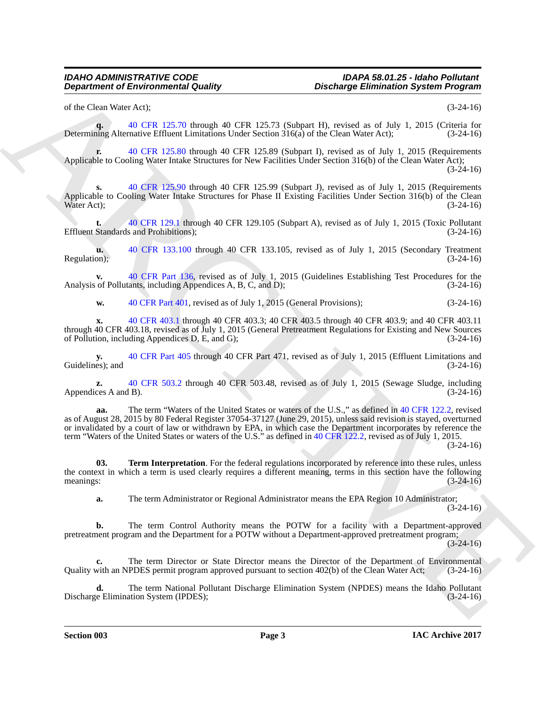of the Clean Water Act); (3-24-16)

**q.** 40 CFR 125.70 through 40 CFR 125.73 (Subpart H), revised as of July 1, 2015 (Criteria for Determining Alternative Effluent Limitations Under Section 316(a) of the Clean Water Act); (3-24-16)

**r.** 40 CFR 125.80 through 40 CFR 125.89 (Subpart I), revised as of July 1, 2015 (Requirements Applicable to Cooling Water Intake Structures for New Facilities Under Section 316(b) of the Clean Water Act);  $(3-24-16)$ 

**s.** 40 CFR 125.90 through 40 CFR 125.99 (Subpart J), revised as of July 1, 2015 (Requirements Applicable to Cooling Water Intake Structures for Phase II Existing Facilities Under Section 316(b) of the Clean Water Act);<br>(3-24-16) Water Act);  $(3-24-16)$ 

**t.** 40 CFR 129.1 through 40 CFR 129.105 (Subpart A), revised as of July 1, 2015 (Toxic Pollutant Effluent Standards and Prohibitions); (3-24-16)

**u.** 40 CFR 133.100 through 40 CFR 133.105, revised as of July 1, 2015 (Secondary Treatment on); Regulation);

**v.** 40 CFR Part 136, revised as of July 1, 2015 (Guidelines Establishing Test Procedures for the Analysis of Pollutants, including Appendices A, B, C, and D);

**w.** 40 CFR Part 401, revised as of July 1, 2015 (General Provisions); (3-24-16)

**x.** 40 CFR 403.1 through 40 CFR 403.3; 40 CFR 403.5 through 40 CFR 403.9; and 40 CFR 403.11 through 40 CFR 403.18, revised as of July 1, 2015 (General Pretreatment Regulations for Existing and New Sources of Pollution, including Appendices D, E, and G); (3-24-16) of Pollution, including Appendices  $D$ , E, and G);

**y.** 40 CFR Part 405 through 40 CFR Part 471, revised as of July 1, 2015 (Effluent Limitations and es); and  $(3-24-16)$ Guidelines); and

**z.** 40 CFR 503.2 through 40 CFR 503.48, revised as of July 1, 2015 (Sewage Sludge, including ces A and B). (3-24-16) Appendices  $A$  and  $B$ ).

**Department of Environmental Guality (a)**<br>
(a) the charge Eliministics System Program)<br>
(a) the characteristics of the characteristic of the characteristic of the characteristic of the characteristic of the characteristic **aa.** The term "Waters of the United States or waters of the U.S.," as defined in 40 CFR 122.2, revised as of August 28, 2015 by 80 Federal Register 37054-37127 (June 29, 2015), unless said revision is stayed, overturned or invalidated by a court of law or withdrawn by EPA, in which case the Department incorporates by reference the term "Waters of the United States or waters of the U.S." as defined in 40 CFR 122.2, revised as of July 1, 2015.

(3-24-16)

**03. Term Interpretation**. For the federal regulations incorporated by reference into these rules, unless the context in which a term is used clearly requires a different meaning, terms in this section have the following meanings:  $(3-24-16)$ 

**a.** The term Administrator or Regional Administrator means the EPA Region 10 Administrator;  $(3-24-16)$ 

**b.** The term Control Authority means the POTW for a facility with a Department-approved pretreatment program and the Department for a POTW without a Department-approved pretreatment program;

 $(3-24-16)$ 

The term Director or State Director means the Director of the Department of Environmental<br>IPDES permit program approved pursuant to section 402(b) of the Clean Water Act; (3-24-16) Quality with an NPDES permit program approved pursuant to section 402(b) of the Clean Water Act;

**d.** The term National Pollutant Discharge Elimination System (NPDES) means the Idaho Pollutant re Elimination System (IPDES);<br>(3-24-16) Discharge Elimination System (IPDES);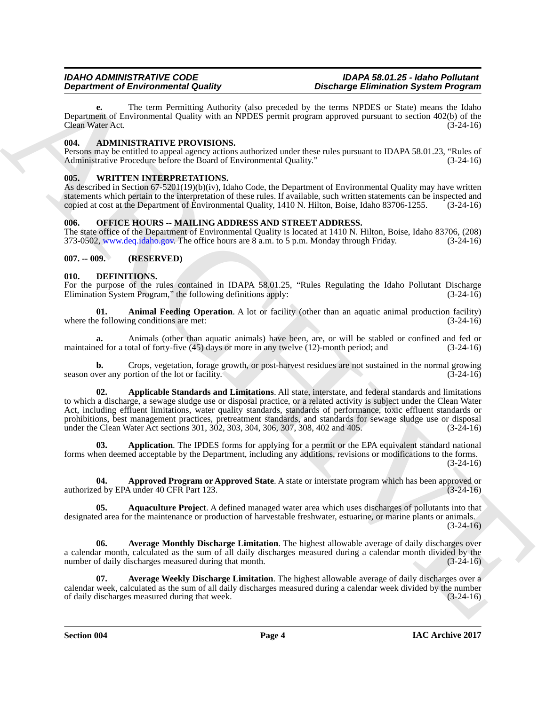**e.** The term Permitting Authority (also preceded by the terms NPDES or State) means the Idaho Department of Environmental Quality with an NPDES permit program approved pursuant to section 402(b) of the Clean Water Act. (3-24-16) Clean Water Act.

### <span id="page-5-0"></span>**004. ADMINISTRATIVE PROVISIONS.**

Persons may be entitled to appeal agency actions authorized under these rules pursuant to IDAPA 58.01.23, "Rules of Administrative Procedure before the Board of Environmental Quality."

### <span id="page-5-1"></span>**005. WRITTEN INTERPRETATIONS.**

As described in Section 67-5201(19)(b)(iv), Idaho Code, the Department of Environmental Quality may have written statements which pertain to the interpretation of these rules. If available, such written statements can be inspected and copied at cost at the Department of Environmental Quality, 1410 N. Hilton, Boise, Idaho 83706-1255. copied at cost at the Department of Environmental Quality, 1410 N. Hilton, Boise, Idaho 83706-1255.

### <span id="page-5-2"></span>**006. OFFICE HOURS -- MAILING ADDRESS AND STREET ADDRESS.**

The state office of the Department of Environmental Quality is located at 1410 N. Hilton, Boise, Idaho 83706, (208) 373-0502, www.deq.idaho.gov. The office hours are 8 a.m. to 5 p.m. Monday through Friday. (3-24-16)

### <span id="page-5-3"></span>**007. -- 009. (RESERVED)**

### <span id="page-5-4"></span>**010. DEFINITIONS.**

For the purpose of the rules contained in IDAPA 58.01.25, "Rules Regulating the Idaho Pollutant Discharge Elimination System Program." the following definitions apply: (3-24-16) Elimination System Program," the following definitions apply:

**01. Animal Feeding Operation**. A lot or facility (other than an aquatic animal production facility) where the following conditions are met: (3-24-16)

**a.** Animals (other than aquatic animals) have been, are, or will be stabled or confined and fed or ed for a total of forty-five (45) days or more in any twelve (12)-month period; and (3-24-16) maintained for a total of forty-five  $(45)$  days or more in any twelve  $(12)$ -month period; and

**b.** Crops, vegetation, forage growth, or post-harvest residues are not sustained in the normal growing ver any portion of the lot or facility. (3-24-16) season over any portion of the lot or facility.

**Department of Environmental Confer weakends** the official positive of the interesting the studies proposed to the Conference Changes and the Conference Changes and the Conference Changes and the Conference Changes and th **02. Applicable Standards and Limitations**. All state, interstate, and federal standards and limitations to which a discharge, a sewage sludge use or disposal practice, or a related activity is subject under the Clean Water Act, including effluent limitations, water quality standards, standards of performance, toxic effluent standards or prohibitions, best management practices, pretreatment standards, and standards for sewage sludge use or disposal under the Clean Water Act sections 301, 302, 303, 304, 306, 307, 308, 402 and 405. (3-24-16)

**03. Application**. The IPDES forms for applying for a permit or the EPA equivalent standard national forms when deemed acceptable by the Department, including any additions, revisions or modifications to the forms.  $(3-24-16)$ 

**04. Approved Program or Approved State**. A state or interstate program which has been approved or authorized by EPA under 40 CFR Part 123.

**05. Aquaculture Project**. A defined managed water area which uses discharges of pollutants into that designated area for the maintenance or production of harvestable freshwater, estuarine, or marine plants or animals.  $(3-24-16)$ 

**06. Average Monthly Discharge Limitation**. The highest allowable average of daily discharges over a calendar month, calculated as the sum of all daily discharges measured during a calendar month divided by the number of daily discharges measured during that month. (3-24-16) (3-24-16)

**07. Average Weekly Discharge Limitation**. The highest allowable average of daily discharges over a calendar week, calculated as the sum of all daily discharges measured during a calendar week divided by the number<br>of daily discharges measured during that week. (3-24-16) of daily discharges measured during that week.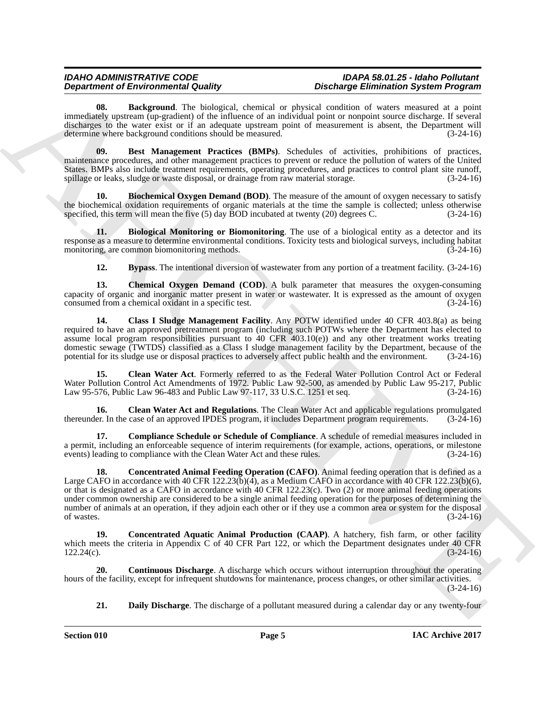**08. Background**. The biological, chemical or physical condition of waters measured at a point immediately upstream (up-gradient) of the influence of an individual point or nonpoint source discharge. If several discharges to the water exist or if an adequate upstream point of measurement is absent, the Department will determine where background conditions should be measured. (3-24-16)

**09. Best Management Practices (BMPs)**. Schedules of activities, prohibitions of practices, maintenance procedures, and other management practices to prevent or reduce the pollution of waters of the United States. BMPs also include treatment requirements, operating procedures, and practices to control plant site runoff, spillage or leaks, sludge or waste disposal, or drainage from raw material storage. (3-24-16)

**10.** Biochemical Oxygen Demand (BOD). The measure of the amount of oxygen necessary to satisfy the biochemical oxidation requirements of organic materials at the time the sample is collected; unless otherwise<br>specified, this term will mean the five (5) day BOD incubated at twenty (20) degrees C.  $(3-24-16)$ specified, this term will mean the five  $(5)$  day BOD incubated at twenty  $(20)$  degrees C.

**11. Biological Monitoring or Biomonitoring**. The use of a biological entity as a detector and its response as a measure to determine environmental conditions. Toxicity tests and biological surveys, including habitat monitoring, are common biomonitoring methods. (3-24-16) monitoring, are common biomonitoring methods.

**12. Bypass**. The intentional diversion of wastewater from any portion of a treatment facility. (3-24-16)

**13. Chemical Oxygen Demand (COD)**. A bulk parameter that measures the oxygen-consuming capacity of organic and inorganic matter present in water or wastewater. It is expressed as the amount of oxygen consumed from a chemical oxidant in a specific test. (3-24-16) consumed from a chemical oxidant in a specific test.

**14. Class I Sludge Management Facility**. Any POTW identified under 40 CFR 403.8(a) as being required to have an approved pretreatment program (including such POTWs where the Department has elected to assume local program responsibilities pursuant to 40 CFR 403.10(e)) and any other treatment works treating domestic sewage (TWTDS) classified as a Class I sludge management facility by the Department, because of the potential for its sludge use or disposal practices to adversely affect public health and the environment. (3-24-1 potential for its sludge use or disposal practices to adversely affect public health and the environment.

**15. Clean Water Act**. Formerly referred to as the Federal Water Pollution Control Act or Federal Water Pollution Control Act Amendments of 1972. Public Law 92-500, as amended by Public Law 95-217, Public Law 95-576, Public Law 96-483 and Public Law 97-117, 33 U.S.C. 1251 et seq. (3-24-16)

**16. Clean Water Act and Regulations**. The Clean Water Act and applicable regulations promulgated thereunder. In the case of an approved IPDES program, it includes Department program requirements. (3-24-16)

**17. Compliance Schedule or Schedule of Compliance**. A schedule of remedial measures included in a permit, including an enforceable sequence of interim requirements (for example, actions, operations, or milestone events) leading to compliance with the Clean Water Act and these rules. (3-24-16) events) leading to compliance with the Clean Water Act and these rules.

**Department of Entropological studies** on the<br>signature and the studies of the studies of a studies of a studies of a<br>studies of the studies of a studies of a studies of a studies of a studies of<br>studies of a studies of a **18. Concentrated Animal Feeding Operation (CAFO)**. Animal feeding operation that is defined as a Large CAFO in accordance with 40 CFR 122.23(b)(4), as a Medium CAFO in accordance with 40 CFR 122.23(b)(6), or that is designated as a CAFO in accordance with 40 CFR 122.23(c). Two (2) or more animal feeding operations under common ownership are considered to be a single animal feeding operation for the purposes of determining the number of animals at an operation, if they adjoin each other or if they use a common area or system for the disposal of wastes.  $(3-24-16)$ 

**19. Concentrated Aquatic Animal Production (CAAP)**. A hatchery, fish farm, or other facility which meets the criteria in Appendix C of 40 CFR Part 122, or which the Department designates under 40 CFR 122.24(c).<br>(3-24-16)  $122.24(c)$ .  $(3-24-16)$ 

**20. Continuous Discharge**. A discharge which occurs without interruption throughout the operating hours of the facility, except for infrequent shutdowns for maintenance, process changes, or other similar activities. (3-24-16)

**21. Daily Discharge**. The discharge of a pollutant measured during a calendar day or any twenty-four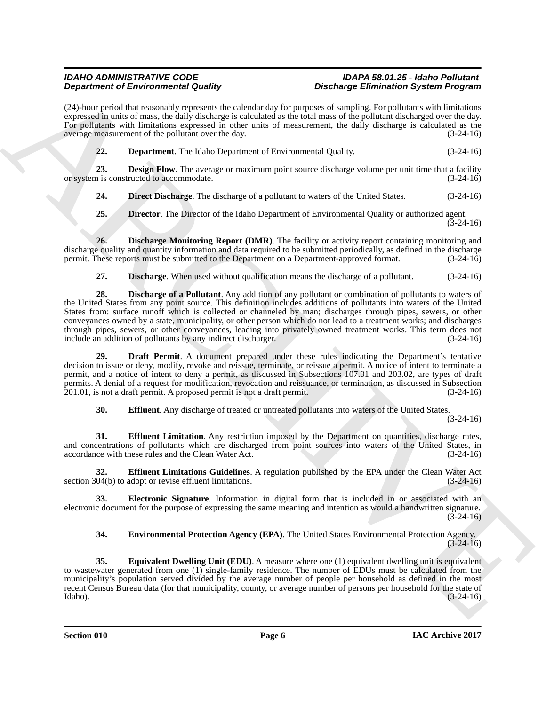(24)-hour period that reasonably represents the calendar day for purposes of sampling. For pollutants with limitations expressed in units of mass, the daily discharge is calculated as the total mass of the pollutant discharged over the day. For pollutants with limitations expressed in other units of measurement, the daily discharge is calculated as the average measurement of the pollutant over the day. (3-24-16) average measurement of the pollutant over the day.

**22. Department**. The Idaho Department of Environmental Quality. (3-24-16)

**23. Design Flow**. The average or maximum point source discharge volume per unit time that a facility is constructed to accommodate. (3-24-16) or system is constructed to accommodate.

**24. Direct Discharge**. The discharge of a pollutant to waters of the United States. (3-24-16)

**25. Director**. The Director of the Idaho Department of Environmental Quality or authorized agent. (3-24-16)

**26. Discharge Monitoring Report (DMR)**. The facility or activity report containing monitoring and discharge quality and quantity information and data required to be submitted periodically, as defined in the discharge permit. These reports must be submitted to the Department on a Department-approved format. (3-24-16) permit. These reports must be submitted to the Department on a Department-approved format.

**27. Discharge**. When used without qualification means the discharge of a pollutant. (3-24-16)

**Dependent of Environmental Conditions of the state of the state of the Environmental Conditions System Properties are also the state of the state of the state of the state of the state of the state of the state of the st 28. Discharge of a Pollutant**. Any addition of any pollutant or combination of pollutants to waters of the United States from any point source. This definition includes additions of pollutants into waters of the United States from: surface runoff which is collected or channeled by man; discharges through pipes, sewers, or other conveyances owned by a state, municipality, or other person which do not lead to a treatment works; and discharges through pipes, sewers, or other conveyances, leading into privately owned treatment works. This term does not include an addition of pollutants by any indirect discharger. (3-24-16) include an addition of pollutants by any indirect discharger.

**29. Draft Permit**. A document prepared under these rules indicating the Department's tentative decision to issue or deny, modify, revoke and reissue, terminate, or reissue a permit. A notice of intent to terminate a permit, and a notice of intent to deny a permit, as discussed in Subsections 107.01 and 203.02, are types of draft permits. A denial of a request for modification, revocation and reissuance, or termination, as discussed in Subsection 201.01, is not a draft permit. A proposed permit is not a draft permit. (3-24-16)

**30. Effluent**. Any discharge of treated or untreated pollutants into waters of the United States.

(3-24-16)

**31. Effluent Limitation**. Any restriction imposed by the Department on quantities, discharge rates, and concentrations of pollutants which are discharged from point sources into waters of the United States, in accordance with these rules and the Clean Water Act. (3-24-16) accordance with these rules and the Clean Water Act.

**32. Effluent Limitations Guidelines**. A regulation published by the EPA under the Clean Water Act section 304(b) to adopt or revise effluent limitations. (3-24-16)

**33. Electronic Signature**. Information in digital form that is included in or associated with an electronic document for the purpose of expressing the same meaning and intention as would a handwritten signature.  $(3-24-16)$ 

**34. Environmental Protection Agency (EPA)**. The United States Environmental Protection Agency.  $(3 - 24 - 16)$ 

**35. Equivalent Dwelling Unit (EDU)**. A measure where one (1) equivalent dwelling unit is equivalent to wastewater generated from one (1) single-family residence. The number of EDUs must be calculated from the municipality's population served divided by the average number of people per household as defined in the most recent Census Bureau data (for that municipality, county, or average number of persons per household for the state of Idaho). (3-24-16) Idaho). (3-24-16)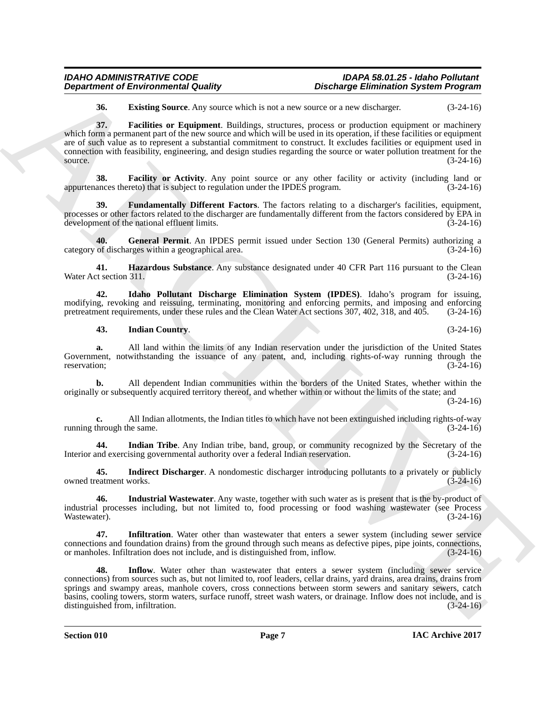**36. Existing Source**. Any source which is not a new source or a new discharger. (3-24-16)

**Department of Environmental Country.**<br> **Considers the main of the search of the search of the search of the search of the search of the search of the search of the search of the search of the search of the search of the 37. Facilities or Equipment**. Buildings, structures, process or production equipment or machinery which form a permanent part of the new source and which will be used in its operation, if these facilities or equipment are of such value as to represent a substantial commitment to construct. It excludes facilities or equipment used in connection with feasibility, engineering, and design studies regarding the source or water pollution treatment for the source.  $(3-24-16)$ 

**38. Facility or Activity**. Any point source or any other facility or activity (including land or appurtenances thereto) that is subject to regulation under the IPDES program. (3-24-16)

**39. Fundamentally Different Factors**. The factors relating to a discharger's facilities, equipment, processes or other factors related to the discharger are fundamentally different from the factors considered by EPA in development of the national effluent limits. (3-24-16)

**40.** General Permit. An IPDES permit issued under Section 130 (General Permits) authorizing a of discharges within a geographical area. (3-24-16) category of discharges within a geographical area.

**41. Hazardous Substance**. Any substance designated under 40 CFR Part 116 pursuant to the Clean t section 311. (3-24-16) Water Act section 311.

**42. Idaho Pollutant Discharge Elimination System (IPDES)**. Idaho's program for issuing, modifying, revoking and reissuing, terminating, monitoring and enforcing permits, and imposing and enforcing pretreatment requirements, under these rules and the Clean Water Act sections 307, 402, 318, and 405. (3-24-16) pretreatment requirements, under these rules and the Clean Water Act sections 307, 402, 318, and 405.

#### **43. Indian Country**. (3-24-16)

**a.** All land within the limits of any Indian reservation under the jurisdiction of the United States Government, notwithstanding the issuance of any patent, and, including rights-of-way running through the reservation; (3-24-16) reservation; (3-24-16)

**b.** All dependent Indian communities within the borders of the United States, whether within the originally or subsequently acquired territory thereof, and whether within or without the limits of the state; and

(3-24-16)

**c.** All Indian allotments, the Indian titles to which have not been extinguished including rights-of-way through the same.  $(3-24-16)$ running through the same.

**44.** Indian Tribe. Any Indian tribe, band, group, or community recognized by the Secretary of the md exercising governmental authority over a federal Indian reservation. (3-24-16) Interior and exercising governmental authority over a federal Indian reservation.

**45.** Indirect Discharger. A nondomestic discharger introducing pollutants to a privately or publicly eatment works.  $(3-24-16)$ owned treatment works.

**46. Industrial Wastewater**. Any waste, together with such water as is present that is the by-product of industrial processes including, but not limited to, food processing or food washing wastewater (see Process Wastewater).  $(3-24-16)$ 

**47. Infiltration**. Water other than wastewater that enters a sewer system (including sewer service connections and foundation drains) from the ground through such means as defective pipes, pipe joints, connections, or manholes. Infiltration does not include, and is distinguished from, inflow. (3-24-16) or manholes. Infiltration does not include, and is distinguished from, inflow.

**48.** Inflow. Water other than wastewater that enters a sewer system (including sewer service connections) from sources such as, but not limited to, roof leaders, cellar drains, yard drains, area drains, drains from springs and swampy areas, manhole covers, cross connections between storm sewers and sanitary sewers, catch basins, cooling towers, storm waters, surface runoff, street wash waters, or drainage. Inflow does not include, and is distinguished from, infiltration. (3-24-16) distinguished from, infiltration.

**Section 010 Page 7**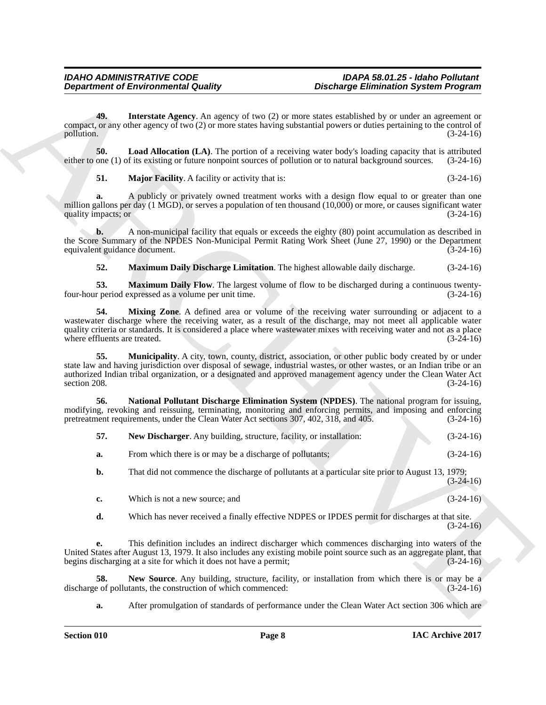**49. Interstate Agency**. An agency of two (2) or more states established by or under an agreement or compact, or any other agency of two (2) or more states having substantial powers or duties pertaining to the control of pollution. (3-24-16)

**50.** Load Allocation (LA). The portion of a receiving water body's loading capacity that is attributed one (1) of its existing or future nonpoint sources of pollution or to natural background sources. (3-24-16) either to one (1) of its existing or future nonpoint sources of pollution or to natural background sources.

**51. Major Facility**. A facility or activity that is:  $(3-24-16)$ 

**a.** A publicly or privately owned treatment works with a design flow equal to or greater than one million gallons per day (1 MGD), or serves a population of ten thousand (10,000) or more, or causes significant water<br>quality impacts: or (3-24-16) quality impacts; or (3-24-16)

**b.** A non-municipal facility that equals or exceeds the eighty (80) point accumulation as described in the Score Summary of the NPDES Non-Municipal Permit Rating Work Sheet (June 27, 1990) or the Department equivalent guidance document. (3-24-16) equivalent guidance document.

**52. Maximum Daily Discharge Limitation**. The highest allowable daily discharge. (3-24-16)

**53. Maximum Daily Flow**. The largest volume of flow to be discharged during a continuous twenty-<br>r period expressed as a volume per unit time. (3-24-16) four-hour period expressed as a volume per unit time.

**54.** Mixing Zone. A defined area or volume of the receiving water surrounding or adjacent to a wastewater discharge where the receiving water, as a result of the discharge, may not meet all applicable water quality criteria or standards. It is considered a place where wastewater mixes with receiving water and not as a place<br>(3-24-16) (3-24-16) where effluents are treated.

**Department of Environmental Quality**<br> **Considered to the Construction of the Construction Construction Construction Construction Construction Construction Construction Construction Construction Construction Construction Municipality**. A city, town, county, district, association, or other public body created by or under state law and having jurisdiction over disposal of sewage, industrial wastes, or other wastes, or an Indian tribe or an authorized Indian tribal organization, or a designated and approved management agency under the Clean Water Act section 208.  $(3-24-16)$ 

**56. National Pollutant Discharge Elimination System (NPDES)**. The national program for issuing, modifying, revoking and reissuing, terminating, monitoring and enforcing permits, and imposing and enforcing pretreatment requirements, under the Clean Water Act sections 307, 402, 318, and 405. (3-24-16) pretreatment requirements, under the Clean Water Act sections 307, 402, 318, and 405.

| -57. | New Discharger. Any building, structure, facility, or installation: | $(3-24-16)$ |
|------|---------------------------------------------------------------------|-------------|
| а.   | From which there is or may be a discharge of pollutants;            | $(3-24-16)$ |

**b.** That did not commence the discharge of pollutants at a particular site prior to August 13, 1979;  $(3-24-16)$ 

**c.** Which is not a new source; and (3-24-16)

**d.** Which has never received a finally effective NDPES or IPDES permit for discharges at that site.  $(3-24-16)$ 

**e.** This definition includes an indirect discharger which commences discharging into waters of the United States after August 13, 1979. It also includes any existing mobile point source such as an aggregate plant, that begins discharging at a site for which it does not have a permit; (3-24-16)

**58.** New Source. Any building, structure, facility, or installation from which there is or may be a e of pollutants, the construction of which commenced:  $(3-24-16)$ discharge of pollutants, the construction of which commenced:

**a.** After promulgation of standards of performance under the Clean Water Act section 306 which are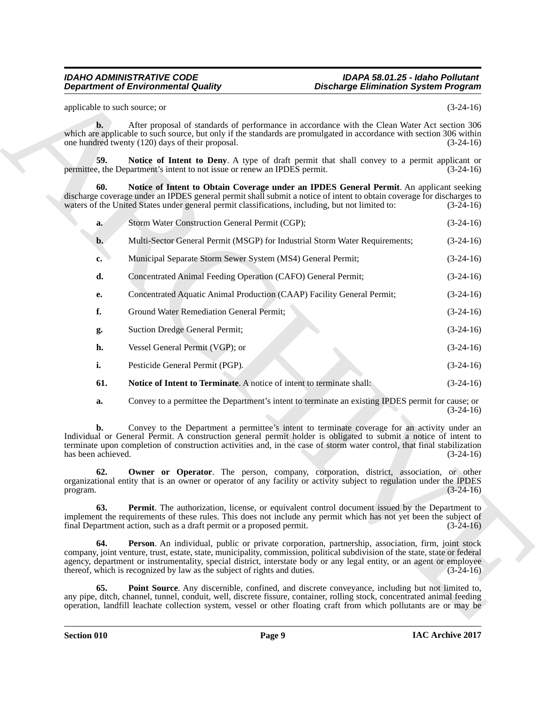| applicable to such source; or<br>$\mathbf{b}$ .<br>After proposal of standards of performance in accordance with the Clean Water Act section 306<br>which are applicable to such source, but only if the standards are promulgated in accordance with section 306 within<br>one hundred twenty (120) days of their proposal.<br>59.<br>Notice of Intent to Deny. A type of draft permit that shall convey to a permit applicant or<br>permittee, the Department's intent to not issue or renew an IPDES permit.<br>60.<br>Notice of Intent to Obtain Coverage under an IPDES General Permit. An applicant seeking<br>discharge coverage under an IPDES general permit shall submit a notice of intent to obtain coverage for discharges to<br>waters of the United States under general permit classifications, including, but not limited to:<br>Storm Water Construction General Permit (CGP);<br>a.<br>Multi-Sector General Permit (MSGP) for Industrial Storm Water Requirements;<br>b.<br>Municipal Separate Storm Sewer System (MS4) General Permit;<br>$c_{\bullet}$<br>d.<br>Concentrated Animal Feeding Operation (CAFO) General Permit;<br>Concentrated Aquatic Animal Production (CAAP) Facility General Permit;<br>е.<br>f.<br>Ground Water Remediation General Permit;<br><b>Suction Dredge General Permit;</b><br>g.<br>h.<br>Vessel General Permit (VGP); or<br>i.<br>Pesticide General Permit (PGP).<br>61.<br>Notice of Intent to Terminate. A notice of intent to terminate shall:<br>Convey to a permittee the Department's intent to terminate an existing IPDES permit for cause; or<br>a. | <b>Discharge Elimination System Program</b> |
|-----------------------------------------------------------------------------------------------------------------------------------------------------------------------------------------------------------------------------------------------------------------------------------------------------------------------------------------------------------------------------------------------------------------------------------------------------------------------------------------------------------------------------------------------------------------------------------------------------------------------------------------------------------------------------------------------------------------------------------------------------------------------------------------------------------------------------------------------------------------------------------------------------------------------------------------------------------------------------------------------------------------------------------------------------------------------------------------------------------------------------------------------------------------------------------------------------------------------------------------------------------------------------------------------------------------------------------------------------------------------------------------------------------------------------------------------------------------------------------------------------------------------------------------------------------------------------------------------------------------|---------------------------------------------|
|                                                                                                                                                                                                                                                                                                                                                                                                                                                                                                                                                                                                                                                                                                                                                                                                                                                                                                                                                                                                                                                                                                                                                                                                                                                                                                                                                                                                                                                                                                                                                                                                                 | $(3-24-16)$                                 |
|                                                                                                                                                                                                                                                                                                                                                                                                                                                                                                                                                                                                                                                                                                                                                                                                                                                                                                                                                                                                                                                                                                                                                                                                                                                                                                                                                                                                                                                                                                                                                                                                                 | $(3-24-16)$                                 |
|                                                                                                                                                                                                                                                                                                                                                                                                                                                                                                                                                                                                                                                                                                                                                                                                                                                                                                                                                                                                                                                                                                                                                                                                                                                                                                                                                                                                                                                                                                                                                                                                                 | $(3-24-16)$                                 |
|                                                                                                                                                                                                                                                                                                                                                                                                                                                                                                                                                                                                                                                                                                                                                                                                                                                                                                                                                                                                                                                                                                                                                                                                                                                                                                                                                                                                                                                                                                                                                                                                                 | $(3-24-16)$                                 |
|                                                                                                                                                                                                                                                                                                                                                                                                                                                                                                                                                                                                                                                                                                                                                                                                                                                                                                                                                                                                                                                                                                                                                                                                                                                                                                                                                                                                                                                                                                                                                                                                                 | $(3-24-16)$                                 |
|                                                                                                                                                                                                                                                                                                                                                                                                                                                                                                                                                                                                                                                                                                                                                                                                                                                                                                                                                                                                                                                                                                                                                                                                                                                                                                                                                                                                                                                                                                                                                                                                                 | $(3-24-16)$                                 |
|                                                                                                                                                                                                                                                                                                                                                                                                                                                                                                                                                                                                                                                                                                                                                                                                                                                                                                                                                                                                                                                                                                                                                                                                                                                                                                                                                                                                                                                                                                                                                                                                                 | $(3-24-16)$                                 |
|                                                                                                                                                                                                                                                                                                                                                                                                                                                                                                                                                                                                                                                                                                                                                                                                                                                                                                                                                                                                                                                                                                                                                                                                                                                                                                                                                                                                                                                                                                                                                                                                                 | $(3-24-16)$                                 |
|                                                                                                                                                                                                                                                                                                                                                                                                                                                                                                                                                                                                                                                                                                                                                                                                                                                                                                                                                                                                                                                                                                                                                                                                                                                                                                                                                                                                                                                                                                                                                                                                                 | $(3-24-16)$                                 |
|                                                                                                                                                                                                                                                                                                                                                                                                                                                                                                                                                                                                                                                                                                                                                                                                                                                                                                                                                                                                                                                                                                                                                                                                                                                                                                                                                                                                                                                                                                                                                                                                                 | $(3-24-16)$                                 |
|                                                                                                                                                                                                                                                                                                                                                                                                                                                                                                                                                                                                                                                                                                                                                                                                                                                                                                                                                                                                                                                                                                                                                                                                                                                                                                                                                                                                                                                                                                                                                                                                                 | $(3-24-16)$                                 |
|                                                                                                                                                                                                                                                                                                                                                                                                                                                                                                                                                                                                                                                                                                                                                                                                                                                                                                                                                                                                                                                                                                                                                                                                                                                                                                                                                                                                                                                                                                                                                                                                                 | $(3-24-16)$                                 |
|                                                                                                                                                                                                                                                                                                                                                                                                                                                                                                                                                                                                                                                                                                                                                                                                                                                                                                                                                                                                                                                                                                                                                                                                                                                                                                                                                                                                                                                                                                                                                                                                                 | $(3-24-16)$                                 |
|                                                                                                                                                                                                                                                                                                                                                                                                                                                                                                                                                                                                                                                                                                                                                                                                                                                                                                                                                                                                                                                                                                                                                                                                                                                                                                                                                                                                                                                                                                                                                                                                                 | $(3-24-16)$                                 |
|                                                                                                                                                                                                                                                                                                                                                                                                                                                                                                                                                                                                                                                                                                                                                                                                                                                                                                                                                                                                                                                                                                                                                                                                                                                                                                                                                                                                                                                                                                                                                                                                                 | $(3-24-16)$                                 |
| Convey to the Department a permittee's intent to terminate coverage for an activity under an<br>b.<br>Individual or General Permit. A construction general permit holder is obligated to submit a notice of intent to<br>terminate upon completion of construction activities and, in the case of storm water control, that final stabilization<br>has been achieved.                                                                                                                                                                                                                                                                                                                                                                                                                                                                                                                                                                                                                                                                                                                                                                                                                                                                                                                                                                                                                                                                                                                                                                                                                                           | $(3-24-16)$                                 |
| <b>Owner or Operator</b> . The person, company, corporation, district, association, or other<br>62.<br>organizational entity that is an owner or operator of any facility or activity subject to regulation under the IPDES<br>program.                                                                                                                                                                                                                                                                                                                                                                                                                                                                                                                                                                                                                                                                                                                                                                                                                                                                                                                                                                                                                                                                                                                                                                                                                                                                                                                                                                         | $(3-24-16)$                                 |
| 63.<br><b>Permit</b> . The authorization, license, or equivalent control document issued by the Department to<br>implement the requirements of these rules. This does not include any permit which has not yet been the subject of<br>final Department action, such as a draft permit or a proposed permit.                                                                                                                                                                                                                                                                                                                                                                                                                                                                                                                                                                                                                                                                                                                                                                                                                                                                                                                                                                                                                                                                                                                                                                                                                                                                                                     | $(3-24-16)$                                 |
| Person. An individual, public or private corporation, partnership, association, firm, joint stock<br>64.<br>company, joint venture, trust, estate, state, municipality, commission, political subdivision of the state, state or federal<br>agency, department or instrumentality, special district, interstate body or any legal entity, or an agent or employee<br>thereof, which is recognized by law as the subject of rights and duties.                                                                                                                                                                                                                                                                                                                                                                                                                                                                                                                                                                                                                                                                                                                                                                                                                                                                                                                                                                                                                                                                                                                                                                   | $(3-24-16)$                                 |
| 65.<br>Point Source. Any discernible, confined, and discrete conveyance, including but not limited to,<br>any pipe, ditch, channel, tunnel, conduit, well, discrete fissure, container, rolling stock, concentrated animal feeding<br>operation, landfill leachate collection system, vessel or other floating craft from which pollutants are or may be                                                                                                                                                                                                                                                                                                                                                                                                                                                                                                                                                                                                                                                                                                                                                                                                                                                                                                                                                                                                                                                                                                                                                                                                                                                        |                                             |

**Section 010 Page 9**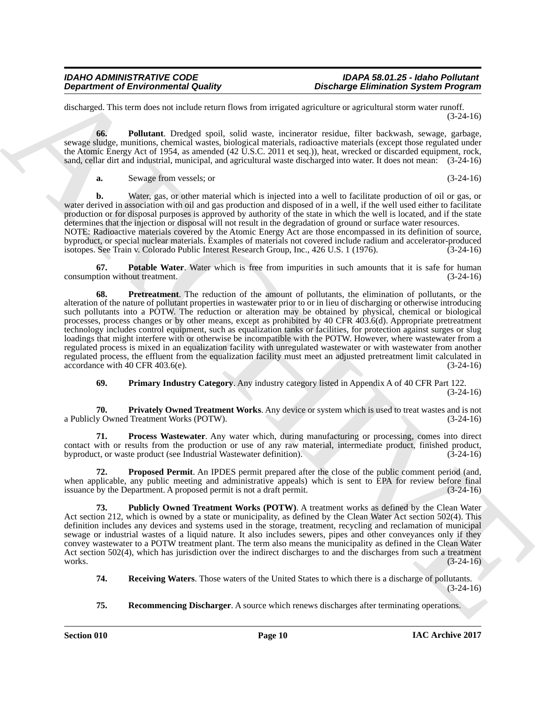discharged. This term does not include return flows from irrigated agriculture or agricultural storm water runoff. (3-24-16)

**66. Pollutant**. Dredged spoil, solid waste, incinerator residue, filter backwash, sewage, garbage, sewage sludge, munitions, chemical wastes, biological materials, radioactive materials (except those regulated under the Atomic Energy Act of 1954, as amended (42 U.S.C. 2011 et seq.)), heat, wrecked or discarded equipment, rock, sand, cellar dirt and industrial, municipal, and agricultural waste discharged into water. It does not mean: (3-24-16)

**a.** Sewage from vessels; or (3-24-16)

**b.** Water, gas, or other material which is injected into a well to facilitate production of oil or gas, or water derived in association with oil and gas production and disposed of in a well, if the well used either to facilitate production or for disposal purposes is approved by authority of the state in which the well is located, and if the state determines that the injection or disposal will not result in the degradation of ground or surface water resources.

NOTE: Radioactive materials covered by the Atomic Energy Act are those encompassed in its definition of source, byproduct, or special nuclear materials. Examples of materials not covered include radium and accelerator-produced isotopes. See Train v. Colorado Public Interest Research Group, Inc., 426 U.S. 1 (1976).

**67. Potable Water**. Water which is free from impurities in such amounts that it is safe for human tion without treatment. (3-24-16) consumption without treatment.

**Department of Environmental Oustity**<br>
distances of Environmental Oustity control and the showing Environmental System Program<br>
distances of Eq. Publisher Archives and the showing experimental state state of the system of **68. Pretreatment**. The reduction of the amount of pollutants, the elimination of pollutants, or the alteration of the nature of pollutant properties in wastewater prior to or in lieu of discharging or otherwise introducing such pollutants into a POTW. The reduction or alteration may be obtained by physical, chemical or biological processes, process changes or by other means, except as prohibited by 40 CFR 403.6(d). Appropriate pretreatment technology includes control equipment, such as equalization tanks or facilities, for protection against surges or slug loadings that might interfere with or otherwise be incompatible with the POTW. However, where wastewater from a regulated process is mixed in an equalization facility with unregulated wastewater or with wastewater from another regulated process, the effluent from the equalization facility must meet an adjusted pretreatment limit calculated in  $\alpha$  accordance with 40 CFR 403.6(e). (3-24-16)

**69. Primary Industry Category**. Any industry category listed in Appendix A of 40 CFR Part 122. (3-24-16)

**70. Privately Owned Treatment Works**. Any device or system which is used to treat wastes and is not a Publicly Owned Treatment Works (POTW).

**71. Process Wastewater**. Any water which, during manufacturing or processing, comes into direct contact with or results from the production or use of any raw material, intermediate product, finished product, by product, or waste product (see Industrial Wastewater definition). (3-24-16) byproduct, or waste product (see Industrial Wastewater definition).

**72. Proposed Permit**. An IPDES permit prepared after the close of the public comment period (and, when applicable, any public meeting and administrative appeals) which is sent to EPA for review before final issuance by the Department. A proposed permit is not a draft permit. (3-24-16) issuance by the Department. A proposed permit is not a draft permit.

**73. Publicly Owned Treatment Works (POTW)**. A treatment works as defined by the Clean Water Act section 212, which is owned by a state or municipality, as defined by the Clean Water Act section 502(4). This definition includes any devices and systems used in the storage, treatment, recycling and reclamation of municipal sewage or industrial wastes of a liquid nature. It also includes sewers, pipes and other conveyances only if they convey wastewater to a POTW treatment plant. The term also means the municipality as defined in the Clean Water Act section 502(4), which has jurisdiction over the indirect discharges to and the discharges from such a treatment works.  $(3-24-16)$ 

- **74. Receiving Waters**. Those waters of the United States to which there is a discharge of pollutants. (3-24-16)
- **75. Recommencing Discharger**. A source which renews discharges after terminating operations.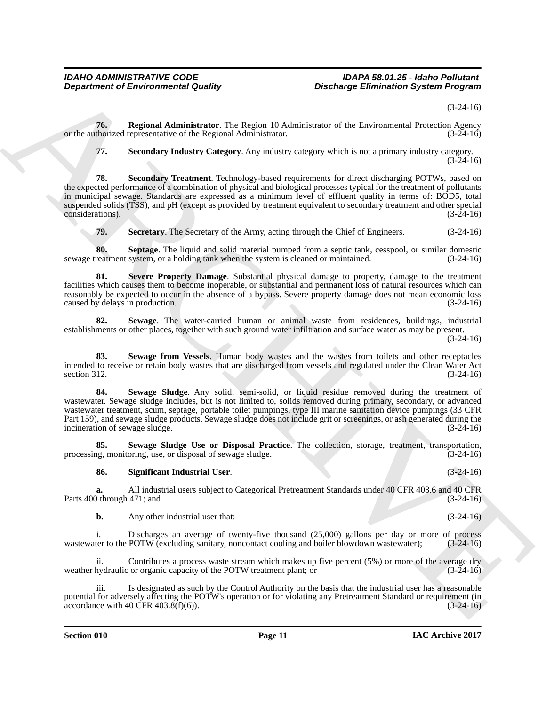(3-24-16)

**76. Regional Administrator**. The Region 10 Administrator of the Environmental Protection Agency thorized representative of the Regional Administrator. (3-24-16) or the authorized representative of the Regional Administrator.

**77. Secondary Industry Category**. Any industry category which is not a primary industry category.  $(3-24-16)$ 

**Department of Environmental Guality ... Discharge Environmental System Programs**<br>
The Regional Administration The Regional Distributions of the Financial Distribution (3-24-16)<br>
The Secondary Industry Campany, Any incl **78. Secondary Treatment**. Technology-based requirements for direct discharging POTWs, based on the expected performance of a combination of physical and biological processes typical for the treatment of pollutants in municipal sewage. Standards are expressed as a minimum level of effluent quality in terms of: BOD5, total suspended solids (TSS), and pH (except as provided by treatment equivalent to secondary treatment and other special considerations). (3-24-16) considerations).

**79.** Secretary. The Secretary of the Army, acting through the Chief of Engineers. (3-24-16)

**80. Septage**. The liquid and solid material pumped from a septic tank, cesspool, or similar domestic reatment system, or a holding tank when the system is cleaned or maintained. (3-24-16) sewage treatment system, or a holding tank when the system is cleaned or maintained.

**81. Severe Property Damage**. Substantial physical damage to property, damage to the treatment facilities which causes them to become inoperable, or substantial and permanent loss of natural resources which can reasonably be expected to occur in the absence of a bypass. Severe property damage does not mean economic loss caused by delays in production. (3-24-16) caused by delays in production.

**82. Sewage**. The water-carried human or animal waste from residences, buildings, industrial establishments or other places, together with such ground water infiltration and surface water as may be present.

(3-24-16)

**83. Sewage from Vessels**. Human body wastes and the wastes from toilets and other receptacles intended to receive or retain body wastes that are discharged from vessels and regulated under the Clean Water Act section 312.  $(3-24-16)$ 

**84. Sewage Sludge**. Any solid, semi-solid, or liquid residue removed during the treatment of wastewater. Sewage sludge includes, but is not limited to, solids removed during primary, secondary, or advanced wastewater treatment, scum, septage, portable toilet pumpings, type III marine sanitation device pumpings (33 CFR Part 159), and sewage sludge products. Sewage sludge does not include grit or screenings, or ash generated during the incineration of sewage sludge. (3-24-16) incineration of sewage sludge.

**85. Sewage Sludge Use or Disposal Practice**. The collection, storage, treatment, transportation,  $gg$ , monitoring, use, or disposal of sewage sludge. (3-24-16) processing, monitoring, use, or disposal of sewage sludge.

#### **86. Significant Industrial User**. (3-24-16)

**a.** All industrial users subject to Categorical Pretreatment Standards under 40 CFR 403.6 and 40 CFR Parts 400 through 471; and

**b.** Any other industrial user that: (3-24-16)

i. Discharges an average of twenty-five thousand (25,000) gallons per day or more of process ter to the POTW (excluding sanitary, noncontact cooling and boiler blowdown wastewater); (3-24-16) wastewater to the POTW (excluding sanitary, noncontact cooling and boiler blowdown wastewater);

Contributes a process waste stream which makes up five percent  $(5%)$  or more of the average dry weather hydraulic or organic capacity of the POTW treatment plant; or (3-24-16)

iii. Is designated as such by the Control Authority on the basis that the industrial user has a reasonable potential for adversely affecting the POTW's operation or for violating any Pretreatment Standard or requirement (in accordance with 40 CFR 403.8(f)(6)). (3-24-16) accordance with 40 CFR  $403.8(f)(6)$ ).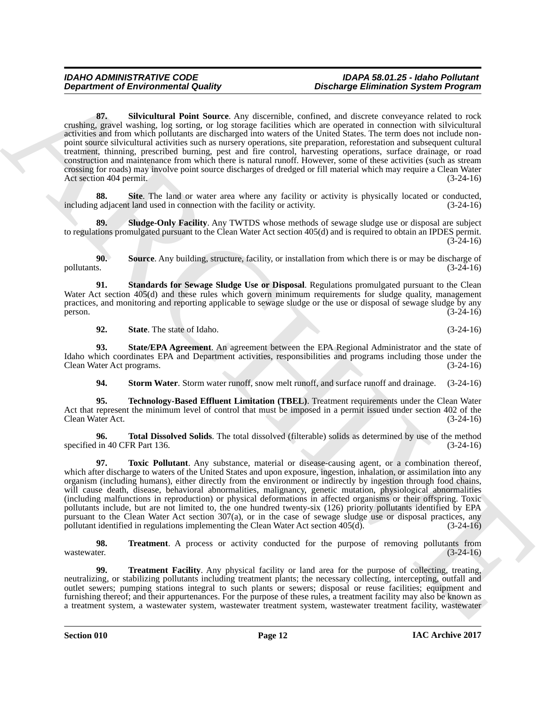**Department of Environmental Guality**<br>
Space through the same of the same of the same of the same of the same of the same of the same of the same of the same of the same of the same of the same of the same of the same of **87. Silvicultural Point Source**. Any discernible, confined, and discrete conveyance related to rock crushing, gravel washing, log sorting, or log storage facilities which are operated in connection with silvicultural activities and from which pollutants are discharged into waters of the United States. The term does not include nonpoint source silvicultural activities such as nursery operations, site preparation, reforestation and subsequent cultural treatment, thinning, prescribed burning, pest and fire control, harvesting operations, surface drainage, or road construction and maintenance from which there is natural runoff. However, some of these activities (such as stream crossing for roads) may involve point source discharges of dredged or fill material which may require a Clean Water Act section 404 permit. (3-24-16)

**88.** Site. The land or water area where any facility or activity is physically located or conducted, g adjacent land used in connection with the facility or activity. (3-24-16) including adjacent land used in connection with the facility or activity.

**80. Sludge-Only Facility.** Any TWTDS whose methods of sewage sludge use or disposal are subject to regulations promulgated pursuant to the Clean Water Act section 405(d) and is required to obtain an IPDES permit.  $(3-24-16)$ 

**90. Source**. Any building, structure, facility, or installation from which there is or may be discharge of pollutants. (3-24-16)

**91. Standards for Sewage Sludge Use or Disposal**. Regulations promulgated pursuant to the Clean Water Act section 405(d) and these rules which govern minimum requirements for sludge quality, management practices, and monitoring and reporting applicable to sewage sludge or the use or disposal of sewage sludge by any<br>(3-24-16) person.  $(3-24-16)$ 

**92.** State. The state of Idaho. (3-24-16)

**93. State/EPA Agreement**. An agreement between the EPA Regional Administrator and the state of Idaho which coordinates EPA and Department activities, responsibilities and programs including those under the Clean Water Act programs. (3-24-16) Clean Water Act programs.

**94. Storm Water**. Storm water runoff, snow melt runoff, and surface runoff and drainage. (3-24-16)

**95. Technology-Based Effluent Limitation (TBEL)**. Treatment requirements under the Clean Water Act that represent the minimum level of control that must be imposed in a permit issued under section 402 of the Clean Water Act. (3-24-16) Clean Water Act.

**96. Total Dissolved Solids**. The total dissolved (filterable) solids as determined by use of the method specified in 40 CFR Part 136. (3-24-16)

**97. Toxic Pollutant**. Any substance, material or disease-causing agent, or a combination thereof, which after discharge to waters of the United States and upon exposure, ingestion, inhalation, or assimilation into any organism (including humans), either directly from the environment or indirectly by ingestion through food chains, will cause death, disease, behavioral abnormalities, malignancy, genetic mutation, physiological abnormalities (including malfunctions in reproduction) or physical deformations in affected organisms or their offspring. Toxic pollutants include, but are not limited to, the one hundred twenty-six (126) priority pollutants identified by EPA pursuant to the Clean Water Act section 307(a), or in the case of sewage sludge use or disposal practices, any pollutant identified in regulations implementing the Clean Water Act section 405(d). (3-24-16)

**98.** Treatment. A process or activity conducted for the purpose of removing pollutants from wastewater.  $(3-24-16)$ wastewater.  $(3-24-16)$ 

**99. Treatment Facility**. Any physical facility or land area for the purpose of collecting, treating, neutralizing, or stabilizing pollutants including treatment plants; the necessary collecting, intercepting, outfall and outlet sewers; pumping stations integral to such plants or sewers; disposal or reuse facilities; equipment and furnishing thereof; and their appurtenances. For the purpose of these rules, a treatment facility may also be known as a treatment system, a wastewater system, wastewater treatment system, wastewater treatment facility, wastewater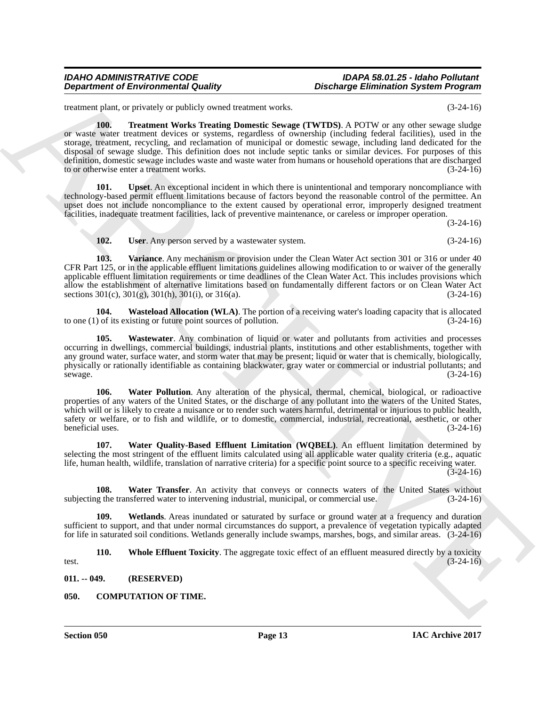treatment plant, or privately or publicly owned treatment works. (3-24-16)

**Department of Environmental Country.**<br>
Bestimating Environmental Country and the same of the properties of the country of the same of the country of the country of the same of the country of the country of the country of **100. Treatment Works Treating Domestic Sewage (TWTDS)**. A POTW or any other sewage sludge or waste water treatment devices or systems, regardless of ownership (including federal facilities), used in the storage, treatment, recycling, and reclamation of municipal or domestic sewage, including land dedicated for the disposal of sewage sludge. This definition does not include septic tanks or similar devices. For purposes of this definition, domestic sewage includes waste and waste water from humans or household operations that are discharged to or otherwise enter a treatment works. (3-24-16)

**101. Upset**. An exceptional incident in which there is unintentional and temporary noncompliance with technology-based permit effluent limitations because of factors beyond the reasonable control of the permittee. An upset does not include noncompliance to the extent caused by operational error, improperly designed treatment facilities, inadequate treatment facilities, lack of preventive maintenance, or careless or improper operation.

(3-24-16)

**102. User**. Any person served by a wastewater system. (3-24-16)

**103. Variance**. Any mechanism or provision under the Clean Water Act section 301 or 316 or under 40 CFR Part 125, or in the applicable effluent limitations guidelines allowing modification to or waiver of the generally applicable effluent limitation requirements or time deadlines of the Clean Water Act. This includes provisions which allow the establishment of alternative limitations based on fundamentally different factors or on Clean Water Act sections  $301(c)$ ,  $301(g)$ ,  $301(h)$ ,  $301(i)$ , or  $316(a)$ .  $(3-24-16)$ sections  $301(c)$ ,  $301(g)$ ,  $301(h)$ ,  $301(i)$ , or  $316(a)$ .

**104. Wasteload Allocation (WLA)**. The portion of a receiving water's loading capacity that is allocated to one (1) of its existing or future point sources of pollution. (3-24-16)

**105. Wastewater**. Any combination of liquid or water and pollutants from activities and processes occurring in dwellings, commercial buildings, industrial plants, institutions and other establishments, together with any ground water, surface water, and storm water that may be present; liquid or water that is chemically, biologically, physically or rationally identifiable as containing blackwater, gray water or commercial or industrial pollutants; and sewage. (3-24-16) sewage. (3-24-16)

**106. Water Pollution**. Any alteration of the physical, thermal, chemical, biological, or radioactive properties of any waters of the United States, or the discharge of any pollutant into the waters of the United States, which will or is likely to create a nuisance or to render such waters harmful, detrimental or injurious to public health, safety or welfare, or to fish and wildlife, or to domestic, commercial, industrial, recreational, aesthetic, or other beneficial uses. (3-24-16)

**107. Water Quality-Based Effluent Limitation (WQBEL)**. An effluent limitation determined by selecting the most stringent of the effluent limits calculated using all applicable water quality criteria (e.g., aquatic life, human health, wildlife, translation of narrative criteria) for a specific point source to a specific receiving water. (3-24-16)

**108.** Water Transfer. An activity that conveys or connects waters of the United States without g the transferred water to intervening industrial, municipal, or commercial use. (3-24-16) subjecting the transferred water to intervening industrial, municipal, or commercial use.

**109. Wetlands**. Areas inundated or saturated by surface or ground water at a frequency and duration sufficient to support, and that under normal circumstances do support, a prevalence of vegetation typically adapted for life in saturated soil conditions. Wetlands generally include swamps, marshes, bogs, and similar areas. (3-24-16)

**110.** Whole Effluent Toxicity. The aggregate toxic effect of an effluent measured directly by a toxicity test.  $(3-24-16)$ 

<span id="page-14-0"></span>**011. -- 049. (RESERVED)**

<span id="page-14-1"></span>**050. COMPUTATION OF TIME.**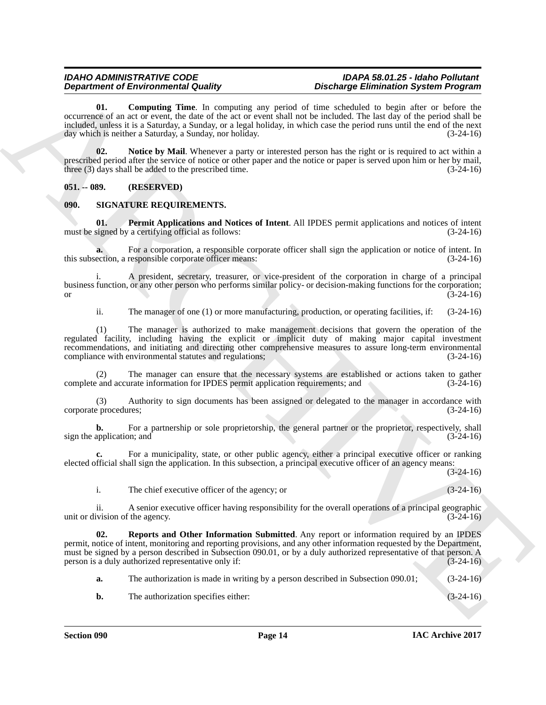**01. Computing Time**. In computing any period of time scheduled to begin after or before the occurrence of an act or event, the date of the act or event shall not be included. The last day of the period shall be included, unless it is a Saturday, a Sunday, or a legal holiday, in which case the period runs until the end of the next day which is neither a Saturday, a Sunday, nor holiday. (3-24-16)

**02. Notice by Mail**. Whenever a party or interested person has the right or is required to act within a prescribed period after the service of notice or other paper and the notice or paper is served upon him or her by mail, three (3) days shall be added to the prescribed time.  $(3-24-16)$ 

### <span id="page-15-0"></span>**051. -- 089. (RESERVED)**

### <span id="page-15-1"></span>**090. SIGNATURE REQUIREMENTS.**

**01. Permit Applications and Notices of Intent**. All IPDES permit applications and notices of intent must be signed by a certifying official as follows: (3-24-16)

**a.** For a corporation, a responsible corporate officer shall sign the application or notice of intent. In ection, a responsible corporate officer means:  $(3-24-16)$ this subsection, a responsible corporate officer means:

i. A president, secretary, treasurer, or vice-president of the corporation in charge of a principal business function, or any other person who performs similar policy- or decision-making functions for the corporation; or  $(3-24-16)$ 

ii. The manager of one (1) or more manufacturing, production, or operating facilities, if: (3-24-16)

**Department of Environmental Data of the system and probability for the system of the system of the system of the system of the system of the system of the system of the system of the system of the system of the system of** (1) The manager is authorized to make management decisions that govern the operation of the regulated facility, including having the explicit or implicit duty of making major capital investment recommendations, and initiating and directing other comprehensive measures to assure long-term environmental compliance with environmental statutes and regulations; (3-24-16)

(2) The manager can ensure that the necessary systems are established or actions taken to gather complete and accurate information for IPDES permit application requirements; and (3-24-16)

(3) Authority to sign documents has been assigned or delegated to the manager in accordance with eprocedures;<br>(3-24-16) corporate procedures;

**b.** For a partnership or sole proprietorship, the general partner or the proprietor, respectively, shall application; and (3-24-16) sign the application; and

**c.** For a municipality, state, or other public agency, either a principal executive officer or ranking elected official shall sign the application. In this subsection, a principal executive officer of an agency means:

 $(3-24-16)$ 

i. The chief executive officer of the agency; or (3-24-16)

ii. A senior executive officer having responsibility for the overall operations of a principal geographic unit or division of the agency. (3-24-16)

**02. Reports and Other Information Submitted**. Any report or information required by an IPDES permit, notice of intent, monitoring and reporting provisions, and any other information requested by the Department, must be signed by a person described in Subsection 090.01, or by a duly authorized representative of that person. A person is a duly authorized representative only if: (3-24-16)

**a.** The authorization is made in writing by a person described in Subsection 090.01; (3-24-16)

**b.** The authorization specifies either: (3-24-16)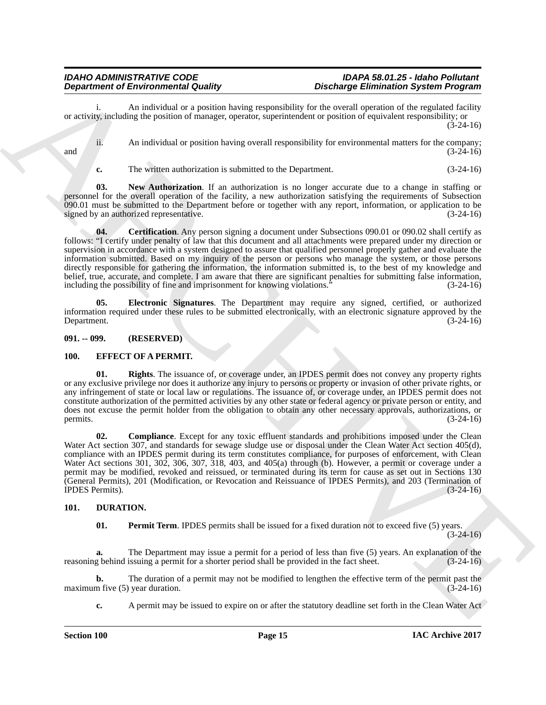An individual or a position having responsibility for the overall operation of the regulated facility or activity, including the position of manager, operator, superintendent or position of equivalent responsibility; or  $(3-24-16)$ 

ii. An individual or position having overall responsibility for environmental matters for the company; and  $(3-24-16)$ 

**c.** The written authorization is submitted to the Department. (3-24-16)

**03. New Authorization**. If an authorization is no longer accurate due to a change in staffing or personnel for the overall operation of the facility, a new authorization satisfying the requirements of Subsection 090.01 must be submitted to the Department before or together with any report, information, or application to be signed by an authorized representative.  $(3-24-16)$ signed by an authorized representative.

**Department of Environmental Conduction**:  $\mathbf{r}_1 = \mathbf{r}_2 = \mathbf{r}_3 = \mathbf{r}_4 = \mathbf{r}_5 = \mathbf{r}_5 = \mathbf{r}_6 = \mathbf{r}_6 = \mathbf{r}_6 = \mathbf{r}_6 = \mathbf{r}_6 = \mathbf{r}_6 = \mathbf{r}_6 = \mathbf{r}_6 = \mathbf{r}_6 = \mathbf{r}_6 = \mathbf{r}_6 = \mathbf{r}_6 = \mathbf{r}_6 = \mathbf{r}_6 = \mathbf{r}_6 = \mathbf{r}_6 = \math$ **04.** Certification. Any person signing a document under Subsections 090.01 or 090.02 shall certify as follows: "I certify under penalty of law that this document and all attachments were prepared under my direction or supervision in accordance with a system designed to assure that qualified personnel properly gather and evaluate the information submitted. Based on my inquiry of the person or persons who manage the system, or those persons directly responsible for gathering the information, the information submitted is, to the best of my knowledge and belief, true, accurate, and complete. I am aware that there are significant penalties for submitting false information, including the possibility of fine and imprisonment for knowing violations." (3-24-16) including the possibility of fine and imprisonment for knowing violations.'

**05. Electronic Signatures**. The Department may require any signed, certified, or authorized information required under these rules to be submitted electronically, with an electronic signature approved by the Department. (3-24-16)

<span id="page-16-0"></span>**091. -- 099. (RESERVED)**

### <span id="page-16-1"></span>**100. EFFECT OF A PERMIT.**

**01. Rights**. The issuance of, or coverage under, an IPDES permit does not convey any property rights or any exclusive privilege nor does it authorize any injury to persons or property or invasion of other private rights, or any infringement of state or local law or regulations. The issuance of, or coverage under, an IPDES permit does not constitute authorization of the permitted activities by any other state or federal agency or private person or entity, and does not excuse the permit holder from the obligation to obtain any other necessary approvals, authorizations, or permits. (3-24-16) permits.  $(3-24-16)$ 

**02. Compliance**. Except for any toxic effluent standards and prohibitions imposed under the Clean Water Act section 307, and standards for sewage sludge use or disposal under the Clean Water Act section 405(d), compliance with an IPDES permit during its term constitutes compliance, for purposes of enforcement, with Clean Water Act sections 301, 302, 306, 307, 318, 403, and 405(a) through (b). However, a permit or coverage under a permit may be modified, revoked and reissued, or terminated during its term for cause as set out in Sections 130 (General Permits), 201 (Modification, or Revocation and Reissuance of IPDES Permits), and 203 (Termination of IPDES Permits).

### <span id="page-16-2"></span>**101. DURATION.**

**01.** Permit Term. IPDES permits shall be issued for a fixed duration not to exceed five (5) years.

 $(3-24-16)$ 

**a.** The Department may issue a permit for a period of less than five (5) years. An explanation of the reasoning behind issuing a permit for a shorter period shall be provided in the fact sheet. (3-24-16)

**b.** The duration of a permit may not be modified to lengthen the effective term of the permit past the m five (5) year duration. (3-24-16) maximum five  $(5)$  year duration.

**c.** A permit may be issued to expire on or after the statutory deadline set forth in the Clean Water Act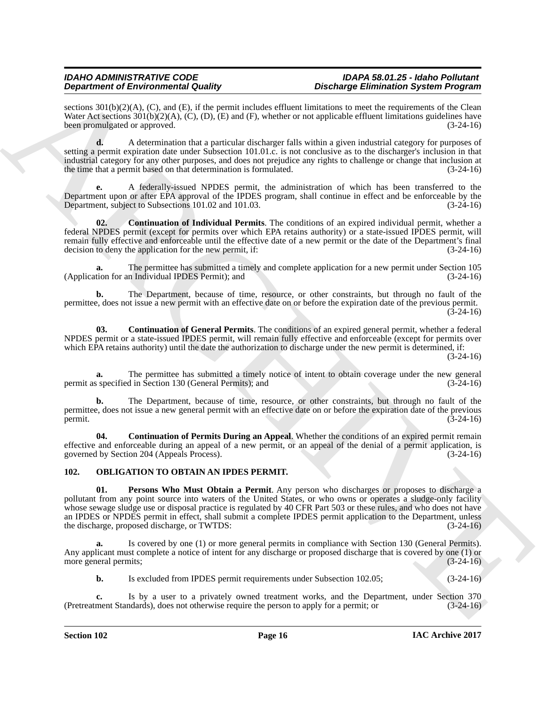sections 301(b)(2)(A), (C), and (E), if the permit includes effluent limitations to meet the requirements of the Clean Water Act sections  $301(b)(2)(A)$ , (C), (D), (E) and (F), whether or not applicable effluent limitations guidelines have been promulgated or approved. (3-24-16) been promulgated or approved.

**d.** A determination that a particular discharger falls within a given industrial category for purposes of setting a permit expiration date under Subsection 101.01.c. is not conclusive as to the discharger's inclusion in that industrial category for any other purposes, and does not prejudice any rights to challenge or change that inclusion at the time that a permit based on that determination is formulated. (3-24-16)

**e.** A federally-issued NPDES permit, the administration of which has been transferred to the Department upon or after EPA approval of the IPDES program, shall continue in effect and be enforceable by the Department, subject to Subsections 101.02 and 101.03. (3-24-16) Department, subject to Subsections 101.02 and 101.03.

**02. Continuation of Individual Permits**. The conditions of an expired individual permit, whether a federal NPDES permit (except for permits over which EPA retains authority) or a state-issued IPDES permit, will remain fully effective and enforceable until the effective date of a new permit or the date of the Department's final decision to deny the application for the new permit, if: (3-24-16) decision to deny the application for the new permit, if:

**a.** The permittee has submitted a timely and complete application for a new permit under Section 105 (Application for an Individual IPDES Permit); and

**b.** The Department, because of time, resource, or other constraints, but through no fault of the permittee, does not issue a new permit with an effective date on or before the expiration date of the previous permit.  $(3-24-16)$ 

**03. Continuation of General Permits**. The conditions of an expired general permit, whether a federal NPDES permit or a state-issued IPDES permit, will remain fully effective and enforceable (except for permits over which EPA retains authority) until the date the authorization to discharge under the new permit is determined, if:

(3-24-16)

**a.** The permittee has submitted a timely notice of intent to obtain coverage under the new general specified in Section 130 (General Permits); and (3-24-16) permit as specified in Section 130 (General Permits); and

**b.** The Department, because of time, resource, or other constraints, but through no fault of the permittee, does not issue a new general permit with an effective date on or before the expiration date of the previous permit. (3-24-16) permit.  $(3-24-16)$ 

**04. Continuation of Permits During an Appeal**. Whether the conditions of an expired permit remain effective and enforceable during an appeal of a new permit, or an appeal of the denial of a permit application, is governed by Section 204 (Appeals Process).  $(3-24-16)$ governed by Section 204 (Appeals Process).

### <span id="page-17-0"></span>**102. OBLIGATION TO OBTAIN AN IPDES PERMIT.**

**Dependent of Entropological Studies (2002)**<br>
Solven the Characteristic studies (2003) and the specific studies in the characteristic studies (2003) and the characteristic studies (2003) and the characteristic studies (20 **01. Persons Who Must Obtain a Permit**. Any person who discharges or proposes to discharge a pollutant from any point source into waters of the United States, or who owns or operates a sludge-only facility whose sewage sludge use or disposal practice is regulated by 40 CFR Part 503 or these rules, and who does not have an IPDES or NPDES permit in effect, shall submit a complete IPDES permit application to the Department, unless the discharge, proposed discharge, or TWTDS: (3-24-16)

**a.** Is covered by one (1) or more general permits in compliance with Section 130 (General Permits). Any applicant must complete a notice of intent for any discharge or proposed discharge that is covered by one (1) or more general permits;  $(3-24-16)$ 

**b.** Is excluded from IPDES permit requirements under Subsection 102.05; (3-24-16)

Is by a user to a privately owned treatment works, and the Department, under Section 370 ndards), does not otherwise require the person to apply for a permit; or  $(3-24-16)$ (Pretreatment Standards), does not otherwise require the person to apply for a permit; or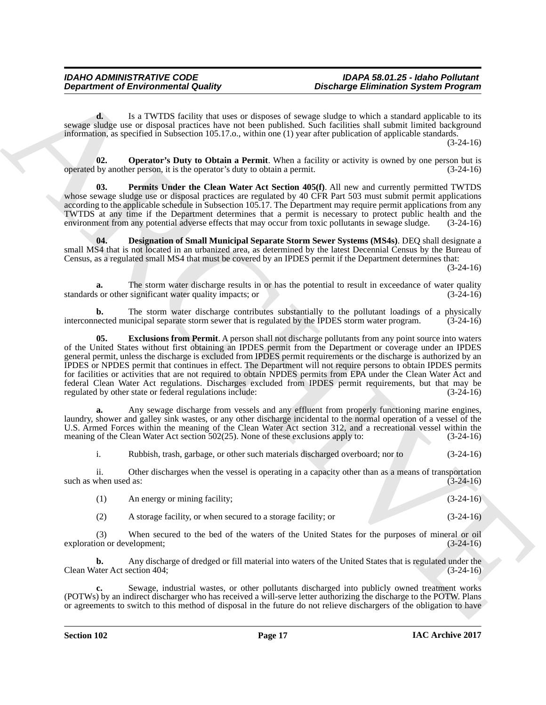**d.** Is a TWTDS facility that uses or disposes of sewage sludge to which a standard applicable to its sewage sludge use or disposal practices have not been published. Such facilities shall submit limited background information, as specified in Subsection 105.17.o., within one (1) year after publication of applicable standards. (3-24-16)

**02. Operator's Duty to Obtain a Permit**. When a facility or activity is owned by one person but is by another person, it is the operator's duty to obtain a permit. operated by another person, it is the operator's duty to obtain a permit.

**Permits Under the Clean Water Act Section 405(f)**. All new and currently permitted TWTDS whose sewage sludge use or disposal practices are regulated by 40 CFR Part 503 must submit permit applications according to the applicable schedule in Subsection 105.17. The Department may require permit applications from any TWTDS at any time if the Department determines that a permit is necessary to protect public health and the environment from any potential adverse effects that may occur from toxic pollutants in sewage sludge. (3-24-16)

**04. Designation of Small Municipal Separate Storm Sewer Systems (MS4s)**. DEQ shall designate a small MS4 that is not located in an urbanized area, as determined by the latest Decennial Census by the Bureau of Census, as a regulated small MS4 that must be covered by an IPDES permit if the Department determines that:

(3-24-16)

**a.** The storm water discharge results in or has the potential to result in exceedance of water quality is or other significant water quality impacts; or standards or other significant water quality impacts; or

**b.** The storm water discharge contributes substantially to the pollutant loadings of a physically interconnected municipal separate storm sewer that is regulated by the IPDES storm water program. (3-24-16)

**Department of Environmental Guality<br>
Consider Environmental Guality<br>
Les TVVICS duality that are transported to exact add as the state of the state of the state of the state of the state of the state of the state of the 05. Exclusions from Permit**. A person shall not discharge pollutants from any point source into waters of the United States without first obtaining an IPDES permit from the Department or coverage under an IPDES general permit, unless the discharge is excluded from IPDES permit requirements or the discharge is authorized by an IPDES or NPDES permit that continues in effect. The Department will not require persons to obtain IPDES permits for facilities or activities that are not required to obtain NPDES permits from EPA under the Clean Water Act and federal Clean Water Act regulations. Discharges excluded from IPDES permit requirements, but that may be regulated by other state or federal regulations include:

**a.** Any sewage discharge from vessels and any effluent from properly functioning marine engines, laundry, shower and galley sink wastes, or any other discharge incidental to the normal operation of a vessel of the U.S. Armed Forces within the meaning of the Clean Water Act section 312, and a recreational vessel within the meaning of the Clean Water Act section 502(25). None of these exclusions apply to: (3-24-16)

i. Rubbish, trash, garbage, or other such materials discharged overboard; nor to (3-24-16)

ii. Other discharges when the vessel is operating in a capacity other than as a means of transportation such as when used as:  $(3-24-16)$ 

|     | An energy or mining facility;                                 | $(3-24-16)$ |
|-----|---------------------------------------------------------------|-------------|
| (2) | A storage facility, or when secured to a storage facility; or | $(3-24-16)$ |

(3) When secured to the bed of the waters of the United States for the purposes of mineral or oil exploration or development;

**b.** Any discharge of dredged or fill material into waters of the United States that is regulated under the dater Act section 404; Clean Water Act section 404;

**c.** Sewage, industrial wastes, or other pollutants discharged into publicly owned treatment works (POTWs) by an indirect discharger who has received a will-serve letter authorizing the discharge to the POTW. Plans or agreements to switch to this method of disposal in the future do not relieve dischargers of the obligation to have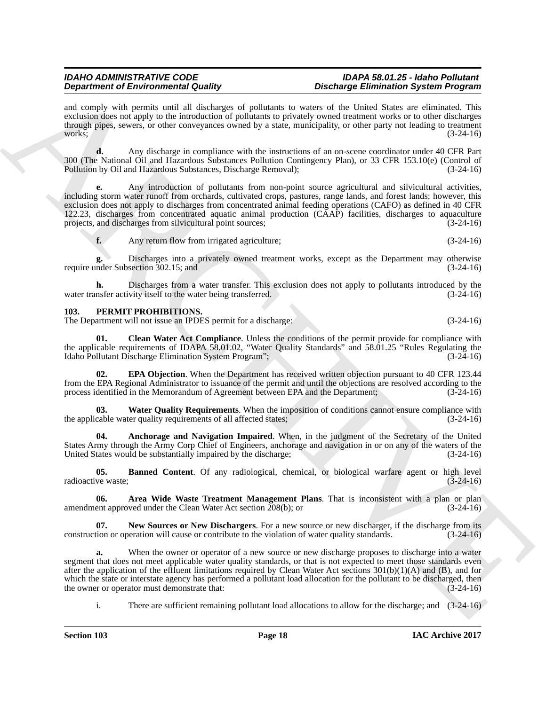and comply with permits until all discharges of pollutants to waters of the United States are eliminated. This exclusion does not apply to the introduction of pollutants to privately owned treatment works or to other discharges through pipes, sewers, or other conveyances owned by a state, municipality, or other party not leading to treatment works;  $(3-24-16)$ 

**d.** Any discharge in compliance with the instructions of an on-scene coordinator under 40 CFR Part 300 (The National Oil and Hazardous Substances Pollution Contingency Plan), or 33 CFR 153.10(e) (Control of Pollution by Oil and Hazardous Substances, Discharge Removal); (3-24-16)

**e.** Any introduction of pollutants from non-point source agricultural and silvicultural activities, including storm water runoff from orchards, cultivated crops, pastures, range lands, and forest lands; however, this exclusion does not apply to discharges from concentrated animal feeding operations (CAFO) as defined in 40 CFR 122.23, discharges from concentrated aquatic animal production (CAAP) facilities, discharges to aquaculture projects, and discharges from silvicultural point sources; (3-24-16)

**f.** Any return flow from irrigated agriculture; (3-24-16)

**g.** Discharges into a privately owned treatment works, except as the Department may otherwise require under Subsection 302.15; and (3-24-16)

**h.** Discharges from a water transfer. This exclusion does not apply to pollutants introduced by the nsfer activity itself to the water being transferred.  $(3-24-16)$ water transfer activity itself to the water being transferred.

### <span id="page-19-0"></span>**103. PERMIT PROHIBITIONS.**

The Department will not issue an IPDES permit for a discharge: (3-24-16)

**01. Clean Water Act Compliance**. Unless the conditions of the permit provide for compliance with the applicable requirements of IDAPA 58.01.02, "Water Quality Standards" and 58.01.25 "Rules Regulating the Idaho Pollutant Discharge Elimination System Program"; (3-24-16)

**02. EPA Objection**. When the Department has received written objection pursuant to 40 CFR 123.44 from the EPA Regional Administrator to issuance of the permit and until the objections are resolved according to the process identified in the Memorandum of Agreement between EPA and the Department; (3-24-16)

**03.** Water Quality Requirements. When the imposition of conditions cannot ensure compliance with cable water quality requirements of all affected states; (3-24-16) the applicable water quality requirements of all affected states;

**04. Anchorage and Navigation Impaired**. When, in the judgment of the Secretary of the United States Army through the Army Corp Chief of Engineers, anchorage and navigation in or on any of the waters of the United States would be substantially impaired by the discharge; (3-24-16) United States would be substantially impaired by the discharge;

**05. Banned Content**. Of any radiological, chemical, or biological warfare agent or high level radioactive waste; (3-24-16)

**06.** Area Wide Waste Treatment Management Plans. That is inconsistent with a plan or plan ent approved under the Clean Water Act section 208(b); or (3-24-16) amendment approved under the Clean Water Act section  $208(b)$ ; or

**07.** New Sources or New Dischargers. For a new source or new discharger, if the discharge from its construction or operation will cause or contribute to the violation of water quality standards. (3-24-16)

**Dependent of Environmental Country of Equivariants be easily defined as a specific measurement of Equivariants and the specific measurement of the specific measurement of the specific measurement of the specific measurem a.** When the owner or operator of a new source or new discharge proposes to discharge into a water segment that does not meet applicable water quality standards, or that is not expected to meet those standards even after the application of the effluent limitations required by Clean Water Act sections  $301(b)(1)(A)$  and (B), and for which the state or interstate agency has performed a pollutant load allocation for the pollutant to be discharged, then<br>the owner or operator must demonstrate that:<br>(3-24-16) the owner or operator must demonstrate that:

i. There are sufficient remaining pollutant load allocations to allow for the discharge; and (3-24-16)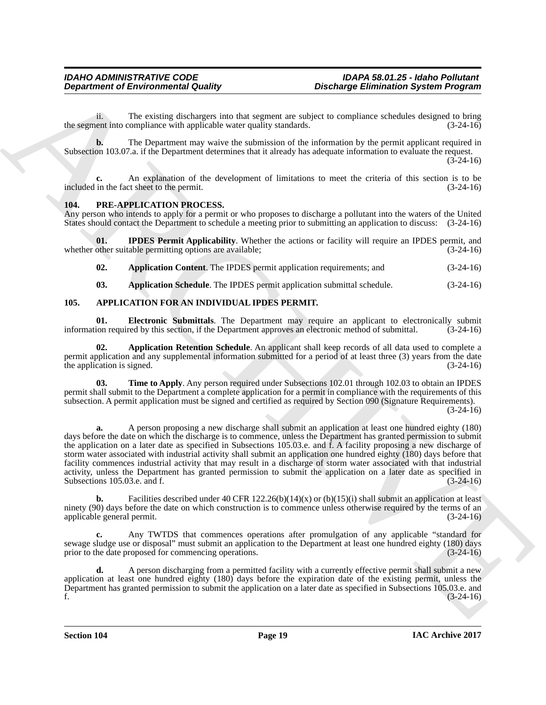ii. The existing dischargers into that segment are subject to compliance schedules designed to bring<br>ent into compliance with applicable water quality standards. (3-24-16) the segment into compliance with applicable water quality standards.

**b.** The Department may waive the submission of the information by the permit applicant required in Subsection 103.07.a. if the Department determines that it already has adequate information to evaluate the request.

 $(3-24-16)$ 

**c.** An explanation of the development of limitations to meet the criteria of this section is to be included in the fact sheet to the permit. (3-24-16)

### <span id="page-20-0"></span>**104. PRE-APPLICATION PROCESS.**

Any person who intends to apply for a permit or who proposes to discharge a pollutant into the waters of the United States should contact the Department to schedule a meeting prior to submitting an application to discuss: (3-24-16)

**01. IPDES Permit Applicability**. Whether the actions or facility will require an IPDES permit, and other suitable permitting options are available; (3-24-16) whether other suitable permitting options are available;

**02. Application Content**. The IPDES permit application requirements; and (3-24-16)

**03. Application Schedule**. The IPDES permit application submittal schedule. (3-24-16)

### <span id="page-20-1"></span>**105. APPLICATION FOR AN INDIVIDUAL IPDES PERMIT.**

**01. Electronic Submittals**. The Department may require an applicant to electronically submit<br>ion required by this section, if the Department approves an electronic method of submittal. (3-24-16) information required by this section, if the Department approves an electronic method of submittal.

**02. Application Retention Schedule**. An applicant shall keep records of all data used to complete a permit application and any supplemental information submitted for a period of at least three (3) years from the date the application is signed.  $(3-24-16)$ 

**03. Time to Apply**. Any person required under Subsections 102.01 through 102.03 to obtain an IPDES permit shall submit to the Department a complete application for a permit in compliance with the requirements of this subsection. A permit application must be signed and certified as required by Section 090 (Signature Requirements).  $(3-24-16)$ 

**Department of Environmental Guality**<br>
The solution of the solution of the solution of the solution of the solution of the solution of the solution of the solution of the solution of the solution of the solution of the so **a.** A person proposing a new discharge shall submit an application at least one hundred eighty (180) days before the date on which the discharge is to commence, unless the Department has granted permission to submit the application on a later date as specified in Subsections 105.03.e. and f. A facility proposing a new discharge of storm water associated with industrial activity shall submit an application one hundred eighty (180) days before that facility commences industrial activity that may result in a discharge of storm water associated with that industrial activity, unless the Department has granted permission to submit the application on a later date as specified in Subsections 105.03.e. and f. (3-24-16)

**b.** Facilities described under 40 CFR  $122.26(b)(14)(x)$  or  $(b)(15)(i)$  shall submit an application at least ninety (90) days before the date on which construction is to commence unless otherwise required by the terms of an applicable general permit. (3-24-16)

**c.** Any TWTDS that commences operations after promulgation of any applicable "standard for sewage sludge use or disposal" must submit an application to the Department at least one hundred eighty (180) days<br>prior to the date proposed for commencing operations. (3-24-16) prior to the date proposed for commencing operations.

**d.** A person discharging from a permitted facility with a currently effective permit shall submit a new application at least one hundred eighty (180) days before the expiration date of the existing permit, unless the Department has granted permission to submit the application on a later date as specified in Subsections 105.03.e. and f. (3-24-16) f.  $(3-24-16)$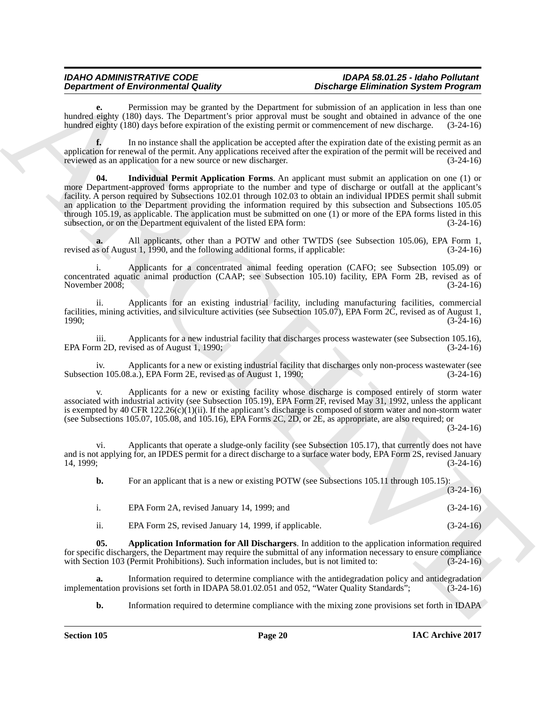Permission may be granted by the Department for submission of an application in less than one hundred eighty (180) days. The Department's prior approval must be sought and obtained in advance of the one hundred eighty (180) days before expiration of the existing permit or commencement of new discharge. (3-24-16)

**f.** In no instance shall the application be accepted after the expiration date of the existing permit as an application for renewal of the permit. Any applications received after the expiration of the permit will be received and reviewed as an application for a new source or new discharger.  $(3-24-16)$ reviewed as an application for a new source or new discharger.

Department of Environment Online, the Department of the Department of the state of the state of the state of the state of the state of the state of the state of the state of the state of the state of the state of the stat **04. Individual Permit Application Forms**. An applicant must submit an application on one (1) or more Department-approved forms appropriate to the number and type of discharge or outfall at the applicant's facility. A person required by Subsections 102.01 through 102.03 to obtain an individual IPDES permit shall submit an application to the Department providing the information required by this subsection and Subsections 105.05 through 105.19, as applicable. The application must be submitted on one (1) or more of the EPA forms listed in this subsection, or on the Department equivalent of the listed EPA form: (3-24-16) subsection, or on the Department equivalent of the listed EPA form:

**a.** All applicants, other than a POTW and other TWTDS (see Subsection 105.06), EPA Form 1, is of August 1, 1990, and the following additional forms, if applicable: (3-24-16) revised as of August 1,  $1990$ , and the following additional forms, if applicable:

i. Applicants for a concentrated animal feeding operation (CAFO; see Subsection 105.09) or concentrated aquatic animal production (CAAP; see Subsection 105.10) facility, EPA Form 2B, revised as of November 2008;<br>(3-24-16) November 2008;

ii. Applicants for an existing industrial facility, including manufacturing facilities, commercial facilities, mining activities, and silviculture activities (see Subsection 105.07), EPA Form 2C, revised as of August 1, 1990; (3-24-16)

iii. Applicants for a new industrial facility that discharges process wastewater (see Subsection 105.16), EPA Form 2D, revised as of August 1, 1990; (3-24-16)

iv. Applicants for a new or existing industrial facility that discharges only non-process wastewater (see<br>on 105.08.a.), EPA Form 2E, revised as of August 1, 1990; (3-24-16) Subsection 105.08.a.), EPA Form 2E, revised as of August 1, 1990;

Applicants for a new or existing facility whose discharge is composed entirely of storm water associated with industrial activity (see Subsection 105.19), EPA Form 2F, revised May 31, 1992, unless the applicant is exempted by 40 CFR  $122.26(c)(1)(ii)$ . If the applicant's discharge is composed of storm water and non-storm water (see Subsections 105.07, 105.08, and 105.16), EPA Forms 2C, 2D, or 2E, as appropriate, are also required; or

(3-24-16)

vi. Applicants that operate a sludge-only facility (see Subsection 105.17), that currently does not have and is not applying for, an IPDES permit for a direct discharge to a surface water body, EPA Form 2S, revised January 14, 1999; (3-24-16)

**b.** For an applicant that is a new or existing POTW (see Subsections 105.11 through 105.15):  $(3-24-16)$ 

| EPA Form 2A, revised January 14, 1999; and                                                                            | $(3-24-16)$                      |
|-----------------------------------------------------------------------------------------------------------------------|----------------------------------|
| $\overline{11}$ $\overline{12000}$ $\overline{10}$ $\overline{11}$ $\overline{11}$<br>$\sim$ $\sim$<br>$\blacksquare$ | $\sqrt{2}$ $\sqrt{2}$ $\sqrt{2}$ |

ii. EPA Form 2S, revised January 14, 1999, if applicable. (3-24-16)

**05. Application Information for All Dischargers**. In addition to the application information required for specific dischargers, the Department may require the submittal of any information necessary to ensure compliance with Section 103 (Permit Prohibitions). Such information includes, but is not limited to: (3-24-16)

**a.** Information required to determine compliance with the antidegradation policy and antidegradation ntation provisions set forth in IDAPA 58.01.02.051 and 052, "Water Quality Standards"; (3-24-16) implementation provisions set forth in IDAPA 58.01.02.051 and 052, "Water Quality Standards";

**b.** Information required to determine compliance with the mixing zone provisions set forth in IDAPA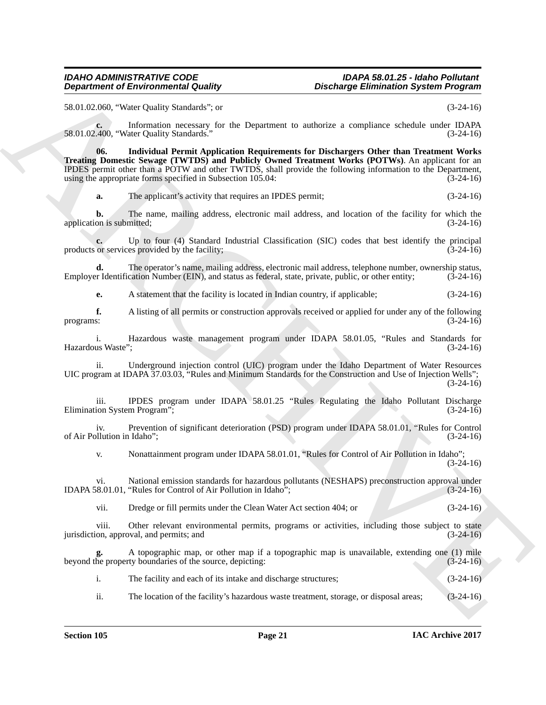58.01.02.060, "Water Quality Standards"; or (3-24-16)

**c.** Information necessary for the Department to authorize a compliance schedule under IDAPA 400. "Water Ouality Standards." (3-24-16) 58.01.02.400, "Water Quality Standards."

**Department of Environmental Quality.** Distribuiting Eliminiation System Programs<br>
SECO 2000, "Was Quality Simulation", so the Distribuition is a complete section that the section of the section of the section of the sect **06. Individual Permit Application Requirements for Dischargers Other than Treatment Works Treating Domestic Sewage (TWTDS) and Publicly Owned Treatment Works (POTWs)**. An applicant for an IPDES permit other than a POTW and other TWTDS, shall provide the following information to the Department, using the appropriate forms specified in Subsection 105.04: (3-24-16)

**a.** The applicant's activity that requires an IPDES permit;  $(3-24-16)$ 

**b.** The name, mailing address, electronic mail address, and location of the facility for which the on is submitted:  $(3-24-16)$ application is submitted;

**c.** Up to four (4) Standard Industrial Classification (SIC) codes that best identify the principal or services provided by the facility; (3-24-16) products or services provided by the facility;

**d.** The operator's name, mailing address, electronic mail address, telephone number, ownership status, r Identification Number (EIN), and status as federal, state, private, public, or other entity; (3-24-16) Employer Identification Number (EIN), and status as federal, state, private, public, or other entity;

**e.** A statement that the facility is located in Indian country, if applicable; (3-24-16)

**f.** A listing of all permits or construction approvals received or applied for under any of the following programs: (3-24-16)

i. Hazardous waste management program under IDAPA 58.01.05, "Rules and Standards for us Waste"; (3-24-16) Hazardous Waste";

ii. Underground injection control (UIC) program under the Idaho Department of Water Resources UIC program at IDAPA 37.03.03, "Rules and Minimum Standards for the Construction and Use of Injection Wells"; (3-24-16)

iii. IPDES program under IDAPA 58.01.25 "Rules Regulating the Idaho Pollutant Discharge ion System Program": (3-24-16) Elimination System Program";

iv. Prevention of significant deterioration (PSD) program under IDAPA 58.01.01, "Rules for Control of Air Pollution in Idaho"; (3-24-16)

v. Nonattainment program under IDAPA 58.01.01, "Rules for Control of Air Pollution in Idaho";  $(3-24-16)$ 

vi. National emission standards for hazardous pollutants (NESHAPS) preconstruction approval under (8.01.01, "Rules for Control of Air Pollution in Idaho"; (3-24-16) IDAPA 58.01.01, "Rules for Control of Air Pollution in Idaho";

vii. Dredge or fill permits under the Clean Water Act section 404; or (3-24-16)

viii. Other relevant environmental permits, programs or activities, including those subject to state on, approval, and permits; and (3-24-16) jurisdiction, approval, and permits; and

**g.** A topographic map, or other map if a topographic map is unavailable, extending one (1) mile beyond the property boundaries of the source, depicting: (3-24-16)

i. The facility and each of its intake and discharge structures; (3-24-16)

ii. The location of the facility's hazardous waste treatment, storage, or disposal areas; (3-24-16)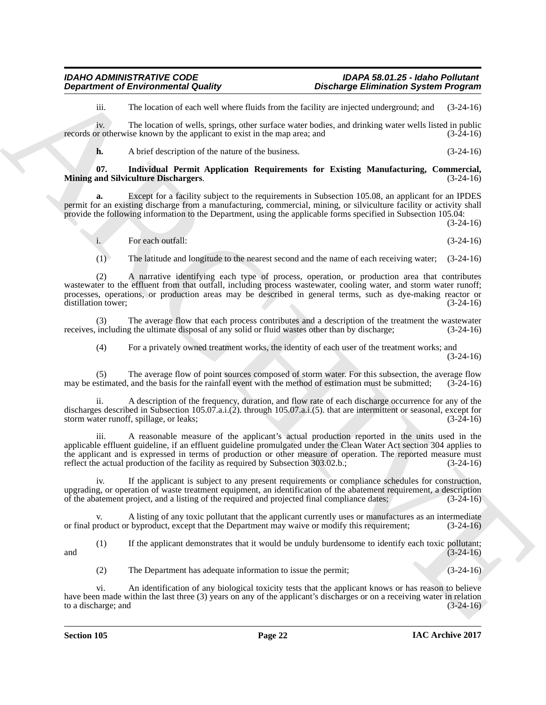iii. The location of each well where fluids from the facility are injected underground; and (3-24-16)

iv. The location of wells, springs, other surface water bodies, and drinking water wells listed in public<br>or otherwise known by the applicant to exist in the map area: and  $(3-24-16)$ records or otherwise known by the applicant to exist in the map area; and

**h.** A brief description of the nature of the business. (3-24-16)

#### **07. Individual Permit Application Requirements for Existing Manufacturing, Commercial, Mining and Silviculture Dischargers.**

**a.** Except for a facility subject to the requirements in Subsection 105.08, an applicant for an IPDES permit for an existing discharge from a manufacturing, commercial, mining, or silviculture facility or activity shall provide the following information to the Department, using the applicable forms specified in Subsection 105.04:

(3-24-16)

i. For each outfall: (3-24-16)

(1) The latitude and longitude to the nearest second and the name of each receiving water; (3-24-16)

**Department of Environmental Country.**<br>
The bostness can sell subset to the state subset of the state subset of the state subset of the state subset of the state subset of the state subset of the state subset of the state (2) A narrative identifying each type of process, operation, or production area that contributes wastewater to the effluent from that outfall, including process wastewater, cooling water, and storm water runoff; processes, operations, or production areas may be described in general terms, such as dye-making reactor or distillation tower; (3-24-16) distillation tower;

(3) The average flow that each process contributes and a description of the treatment the wastewater including the ultimate disposal of any solid or fluid wastes other than by discharge: (3-24-16) receives, including the ultimate disposal of any solid or fluid wastes other than by discharge;

(4) For a privately owned treatment works, the identity of each user of the treatment works; and

(3-24-16)

(5) The average flow of point sources composed of storm water. For this subsection, the average flow may be estimated, and the basis for the rainfall event with the method of estimation must be submitted; (3-24-16)

ii. A description of the frequency, duration, and flow rate of each discharge occurrence for any of the discharges described in Subsection 105.07.a.i.(2). through 105.07.a.i.(5). that are intermittent or seasonal, except for storm water runoff, spillage, or leaks;  $(3-24-16)$ storm water runoff, spillage, or leaks;

iii. A reasonable measure of the applicant's actual production reported in the units used in the applicable effluent guideline, if an effluent guideline promulgated under the Clean Water Act section 304 applies to the applicant and is expressed in terms of production or other measure of operation. The reported measure must reflect the actual production of the facility as required by Subsection 303.02.b.; (3-24-16)

iv. If the applicant is subject to any present requirements or compliance schedules for construction, upgrading, or operation of waste treatment equipment, an identification of the abatement requirement, a description of the abatement project, and a listing of the required and projected final compliance dates; (3-24-16) of the abatement project, and a listing of the required and projected final compliance dates;

v. A listing of any toxic pollutant that the applicant currently uses or manufactures as an intermediate or final product or byproduct, except that the Department may waive or modify this requirement; (3-24-16)

(1) If the applicant demonstrates that it would be unduly burdensome to identify each toxic pollutant; and  $(3-24-16)$ 

(2) The Department has adequate information to issue the permit; (3-24-16)

vi. An identification of any biological toxicity tests that the applicant knows or has reason to believe have been made within the last three (3) years on any of the applicant's discharges or on a receiving water in relation to a discharge; and (3-24-16) to a discharge; and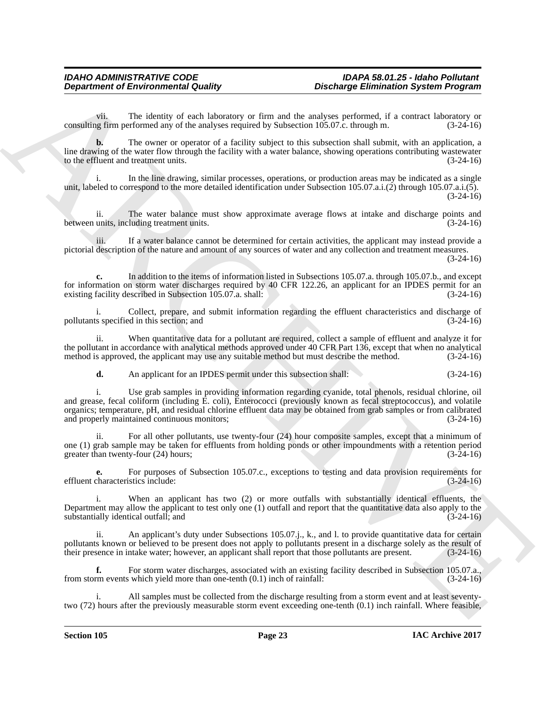vii. The identity of each laboratory or firm and the analyses performed, if a contract laboratory or consulting firm performed any of the analyses required by Subsection 105.07.c. through m.

**b.** The owner or operator of a facility subject to this subsection shall submit, with an application, a line drawing of the water flow through the facility with a water balance, showing operations contributing wastewater to the effluent and treatment units. (3-24-16) to the effluent and treatment units.

i. In the line drawing, similar processes, operations, or production areas may be indicated as a single unit, labeled to correspond to the more detailed identification under Subsection 105.07.a.i.(2) through 105.07.a.i.(5). (3-24-16)

ii. The water balance must show approximate average flows at intake and discharge points and between units, including treatment units. (3-24-16)

iii. If a water balance cannot be determined for certain activities, the applicant may instead provide a pictorial description of the nature and amount of any sources of water and any collection and treatment measures. (3-24-16)

**c.** In addition to the items of information listed in Subsections 105.07.a. through 105.07.b., and except for information on storm water discharges required by 40 CFR 122.26, an applicant for an IPDES permit for an existing facility described in Subsection 105.07.a. shall: (3-24-16) existing facility described in Subsection 105.07.a. shall:

i. Collect, prepare, and submit information regarding the effluent characteristics and discharge of s specified in this section; and (3-24-16) pollutants specified in this section; and (3-24-16)

ii. When quantitative data for a pollutant are required, collect a sample of effluent and analyze it for the pollutant in accordance with analytical methods approved under 40 CFR Part 136, except that when no analytical method is approved, the applicant may use any suitable method but must describe the method. (3-24-16)

**d.** An applicant for an IPDES permit under this subsection shall: (3-24-16)

**Department of Environmental Guality<br>
Consider Similar Construction System Program<br>
Consider Similar Consider Similar Consider Similar Consider Similar Consider Similar Construction Similar Construction Similar Consider S** i. Use grab samples in providing information regarding cyanide, total phenols, residual chlorine, oil and grease, fecal coliform (including E. coli), Enterococci (previously known as fecal streptococcus), and volatile organics; temperature, pH, and residual chlorine effluent data may be obtained from grab samples or from calibrated and properly maintained continuous monitors; (3-24-16)

ii. For all other pollutants, use twenty-four (24) hour composite samples, except that a minimum of one (1) grab sample may be taken for effluents from holding ponds or other impoundments with a retention period greater than twenty-four (24) hours;<br>(3-24-16) greater than twenty-four  $(24)$  hours;

**e.** For purposes of Subsection 105.07.c., exceptions to testing and data provision requirements for effluent characteristics include: (3-24-16)

i. When an applicant has two (2) or more outfalls with substantially identical effluents, the Department may allow the applicant to test only one (1) outfall and report that the quantitative data also apply to the substantially identical outfall; and (3-24-16)

ii. An applicant's duty under Subsections 105.07.j., k., and l. to provide quantitative data for certain pollutants known or believed to be present does not apply to pollutants present in a discharge solely as the result of their presence in intake water; however, an applicant shall report that those pollutants are present. ( their presence in intake water; however, an applicant shall report that those pollutants are present.

**f.** For storm water discharges, associated with an existing facility described in Subsection 105.07.a., rm events which yield more than one-tenth (0.1) inch of rainfall: (3-24-16) from storm events which yield more than one-tenth  $(0.1)$  inch of rainfall:

All samples must be collected from the discharge resulting from a storm event and at least seventytwo (72) hours after the previously measurable storm event exceeding one-tenth (0.1) inch rainfall. Where feasible,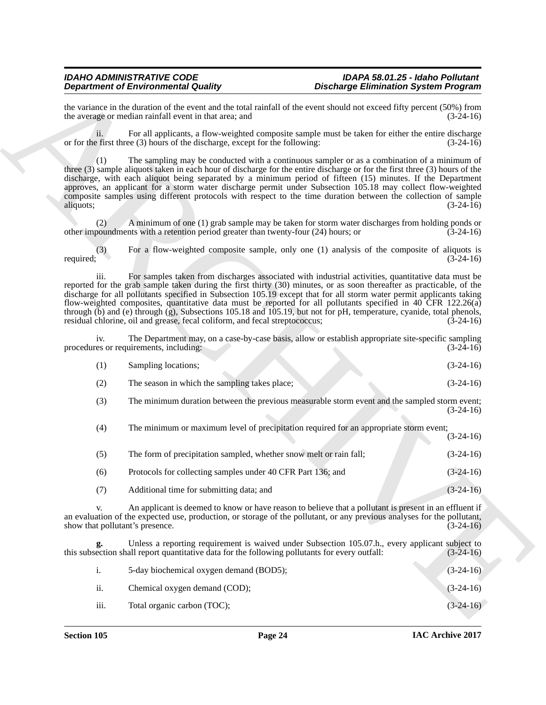|                  | <b>Department of Environmental Quality</b>                                                     | <b>Discharge Elimination System Program</b>                                                                                                                                                                                                                                                                                                                                                                                                                                                                                                                                                  |             |
|------------------|------------------------------------------------------------------------------------------------|----------------------------------------------------------------------------------------------------------------------------------------------------------------------------------------------------------------------------------------------------------------------------------------------------------------------------------------------------------------------------------------------------------------------------------------------------------------------------------------------------------------------------------------------------------------------------------------------|-------------|
|                  | the average or median rainfall event in that area; and                                         | the variance in the duration of the event and the total rainfall of the event should not exceed fifty percent (50%) from                                                                                                                                                                                                                                                                                                                                                                                                                                                                     | $(3-24-16)$ |
| ii.              | or for the first three (3) hours of the discharge, except for the following:                   | For all applicants, a flow-weighted composite sample must be taken for either the entire discharge                                                                                                                                                                                                                                                                                                                                                                                                                                                                                           | $(3-24-16)$ |
| (1)<br>aliquots; |                                                                                                | The sampling may be conducted with a continuous sampler or as a combination of a minimum of<br>three (3) sample aliquots taken in each hour of discharge for the entire discharge or for the first three (3) hours of the<br>discharge, with each aliquot being separated by a minimum period of fifteen (15) minutes. If the Department<br>approves, an applicant for a storm water discharge permit under Subsection 105.18 may collect flow-weighted<br>composite samples using different protocols with respect to the time duration between the collection of sample                    | $(3-24-16)$ |
| (2)              | other impoundments with a retention period greater than twenty-four (24) hours; or             | A minimum of one (1) grab sample may be taken for storm water discharges from holding ponds or                                                                                                                                                                                                                                                                                                                                                                                                                                                                                               | $(3-24-16)$ |
| (3)<br>required; |                                                                                                | For a flow-weighted composite sample, only one (1) analysis of the composite of aliquots is                                                                                                                                                                                                                                                                                                                                                                                                                                                                                                  | $(3-24-16)$ |
| iii.             | residual chlorine, oil and grease, fecal coliform, and fecal streptococcus;                    | For samples taken from discharges associated with industrial activities, quantitative data must be<br>reported for the grab sample taken during the first thirty (30) minutes, or as soon thereafter as practicable, of the<br>discharge for all pollutants specified in Subsection 105.19 except that for all storm water permit applicants taking<br>flow-weighted composites, quantitative data must be reported for all pollutants specified in 40 CFR 122.26(a)<br>through (b) and (e) through (g), Subsections 105.18 and 105.19, but not for pH, temperature, cyanide, total phenols, | $(3-24-16)$ |
| iv.              | procedures or requirements, including:                                                         | The Department may, on a case-by-case basis, allow or establish appropriate site-specific sampling                                                                                                                                                                                                                                                                                                                                                                                                                                                                                           | $(3-24-16)$ |
| (1)              | Sampling locations;                                                                            |                                                                                                                                                                                                                                                                                                                                                                                                                                                                                                                                                                                              | $(3-24-16)$ |
| (2)              | The season in which the sampling takes place;                                                  |                                                                                                                                                                                                                                                                                                                                                                                                                                                                                                                                                                                              | $(3-24-16)$ |
| (3)              |                                                                                                | The minimum duration between the previous measurable storm event and the sampled storm event;                                                                                                                                                                                                                                                                                                                                                                                                                                                                                                | $(3-24-16)$ |
| (4)              |                                                                                                | The minimum or maximum level of precipitation required for an appropriate storm event;                                                                                                                                                                                                                                                                                                                                                                                                                                                                                                       | $(3-24-16)$ |
| (5)              | The form of precipitation sampled, whether snow melt or rain fall;                             |                                                                                                                                                                                                                                                                                                                                                                                                                                                                                                                                                                                              | $(3-24-16)$ |
| (6)              | Protocols for collecting samples under 40 CFR Part 136; and                                    |                                                                                                                                                                                                                                                                                                                                                                                                                                                                                                                                                                                              | $(3-24-16)$ |
| (7)              | Additional time for submitting data; and                                                       |                                                                                                                                                                                                                                                                                                                                                                                                                                                                                                                                                                                              | $(3-24-16)$ |
| V.               | show that pollutant's presence.                                                                | An applicant is deemed to know or have reason to believe that a pollutant is present in an effluent if<br>an evaluation of the expected use, production, or storage of the pollutant, or any previous analyses for the pollutant,                                                                                                                                                                                                                                                                                                                                                            | $(3-24-16)$ |
|                  | this subsection shall report quantitative data for the following pollutants for every outfall: | Unless a reporting requirement is waived under Subsection 105.07.h., every applicant subject to                                                                                                                                                                                                                                                                                                                                                                                                                                                                                              | $(3-24-16)$ |
| i.               | 5-day biochemical oxygen demand (BOD5);                                                        |                                                                                                                                                                                                                                                                                                                                                                                                                                                                                                                                                                                              | $(3-24-16)$ |
|                  |                                                                                                |                                                                                                                                                                                                                                                                                                                                                                                                                                                                                                                                                                                              |             |
| ii.              | Chemical oxygen demand (COD);                                                                  |                                                                                                                                                                                                                                                                                                                                                                                                                                                                                                                                                                                              | $(3-24-16)$ |

|      | 5-day biochemical oxygen demand (BOD5); | $(3-24-16)$ |
|------|-----------------------------------------|-------------|
| ii.  | Chemical oxygen demand (COD);           | $(3-24-16)$ |
| iii. | Total organic carbon (TOC);             | $(3-24-16)$ |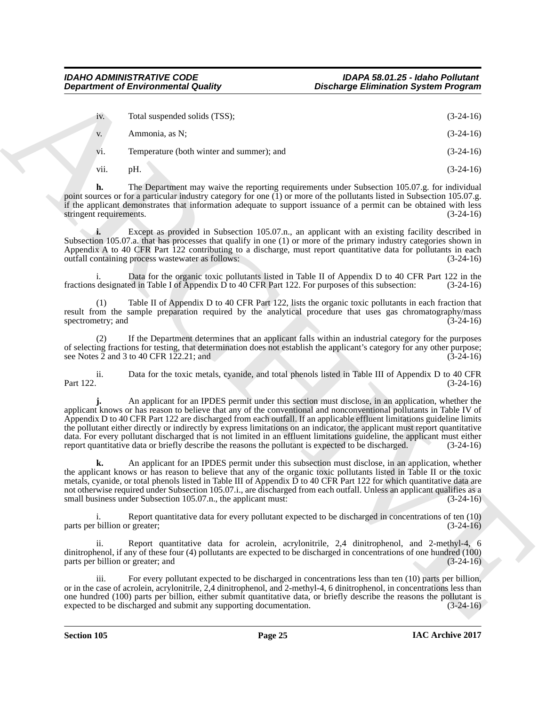|                                          | <b>Department of Environmental Quality</b>                                                           | <b>Discharge Elimination System Program</b>                                                                                                                                                                                                                                                                                                                                                                                                                                                                                                                                                                                 |
|------------------------------------------|------------------------------------------------------------------------------------------------------|-----------------------------------------------------------------------------------------------------------------------------------------------------------------------------------------------------------------------------------------------------------------------------------------------------------------------------------------------------------------------------------------------------------------------------------------------------------------------------------------------------------------------------------------------------------------------------------------------------------------------------|
| iv.                                      | Total suspended solids (TSS);                                                                        | $(3-24-16)$                                                                                                                                                                                                                                                                                                                                                                                                                                                                                                                                                                                                                 |
| V.                                       | Ammonia, as N;                                                                                       | $(3-24-16)$                                                                                                                                                                                                                                                                                                                                                                                                                                                                                                                                                                                                                 |
| V1.                                      | Temperature (both winter and summer); and                                                            | $(3-24-16)$                                                                                                                                                                                                                                                                                                                                                                                                                                                                                                                                                                                                                 |
| vii.                                     | pH.                                                                                                  | $(3-24-16)$                                                                                                                                                                                                                                                                                                                                                                                                                                                                                                                                                                                                                 |
| h.<br>stringent requirements.            |                                                                                                      | The Department may waive the reporting requirements under Subsection 105.07.g. for individual<br>point sources or for a particular industry category for one (1) or more of the pollutants listed in Subsection 105.07.g.<br>if the applicant demonstrates that information adequate to support issuance of a permit can be obtained with less<br>$(3-24-16)$                                                                                                                                                                                                                                                               |
|                                          | outfall containing process wastewater as follows:                                                    | Except as provided in Subsection 105.07.n., an applicant with an existing facility described in<br>Subsection 105.07.a. that has processes that qualify in one (1) or more of the primary industry categories shown in<br>Appendix A to 40 CFR Part 122 contributing to a discharge, must report quantitative data for pollutants in each<br>$(3-24-16)$                                                                                                                                                                                                                                                                    |
| i.                                       | fractions designated in Table I of Appendix D to 40 CFR Part 122. For purposes of this subsection:   | Data for the organic toxic pollutants listed in Table II of Appendix D to 40 CFR Part 122 in the<br>$(3-24-16)$                                                                                                                                                                                                                                                                                                                                                                                                                                                                                                             |
| (1)<br>spectrometry; and                 |                                                                                                      | Table II of Appendix D to 40 CFR Part 122, lists the organic toxic pollutants in each fraction that<br>result from the sample preparation required by the analytical procedure that uses gas chromatography/mass<br>$(3-24-16)$                                                                                                                                                                                                                                                                                                                                                                                             |
| (2)                                      | see Notes 2 and 3 to 40 CFR 122.21; and                                                              | If the Department determines that an applicant falls within an industrial category for the purposes<br>of selecting fractions for testing, that determination does not establish the applicant's category for any other purpose;<br>$(3-24-16)$                                                                                                                                                                                                                                                                                                                                                                             |
| ii.<br>Part 122.                         |                                                                                                      | Data for the toxic metals, cyanide, and total phenols listed in Table III of Appendix D to 40 CFR<br>$(3-24-16)$                                                                                                                                                                                                                                                                                                                                                                                                                                                                                                            |
|                                          | report quantitative data or briefly describe the reasons the pollutant is expected to be discharged. | An applicant for an IPDES permit under this section must disclose, in an application, whether the<br>applicant knows or has reason to believe that any of the conventional and nonconventional pollutants in Table IV of<br>Appendix D to 40 CFR Part 122 are discharged from each outfall. If an applicable effluent limitations guideline limits<br>the pollutant either directly or indirectly by express limitations on an indicator, the applicant must report quantitative<br>data. For every pollutant discharged that is not limited in an effluent limitations guideline, the applicant must either<br>$(3-24-16)$ |
| k.                                       | small business under Subsection 105.07.n., the applicant must:                                       | An applicant for an IPDES permit under this subsection must disclose, in an application, whether<br>the applicant knows or has reason to believe that any of the organic toxic pollutants listed in Table II or the toxic<br>metals, cyanide, or total phenols listed in Table III of Appendix D to 40 CFR Part 122 for which quantitative data are<br>not otherwise required under Subsection 105.07.i., are discharged from each outfall. Unless an applicant qualifies as a<br>$(3-24-16)$                                                                                                                               |
| i.<br>parts per billion or greater;      |                                                                                                      | Report quantitative data for every pollutant expected to be discharged in concentrations of ten (10)<br>$(3-24-16)$                                                                                                                                                                                                                                                                                                                                                                                                                                                                                                         |
| ii.<br>parts per billion or greater; and |                                                                                                      | Report quantitative data for acrolein, acrylonitrile, 2,4 dinitrophenol, and 2-methyl-4, 6<br>dinitrophenol, if any of these four (4) pollutants are expected to be discharged in concentrations of one hundred (100)<br>$(3-24-16)$                                                                                                                                                                                                                                                                                                                                                                                        |
| iii.                                     | expected to be discharged and submit any supporting documentation.                                   | For every pollutant expected to be discharged in concentrations less than ten (10) parts per billion,<br>or in the case of acrolein, acrylonitrile, $2,4$ dinitrophenol, and 2-methyl-4, 6 dinitrophenol, in concentrations less than<br>one hundred (100) parts per billion, either submit quantitative data, or briefly describe the reasons the pollutant is<br>$(3-24-16)$                                                                                                                                                                                                                                              |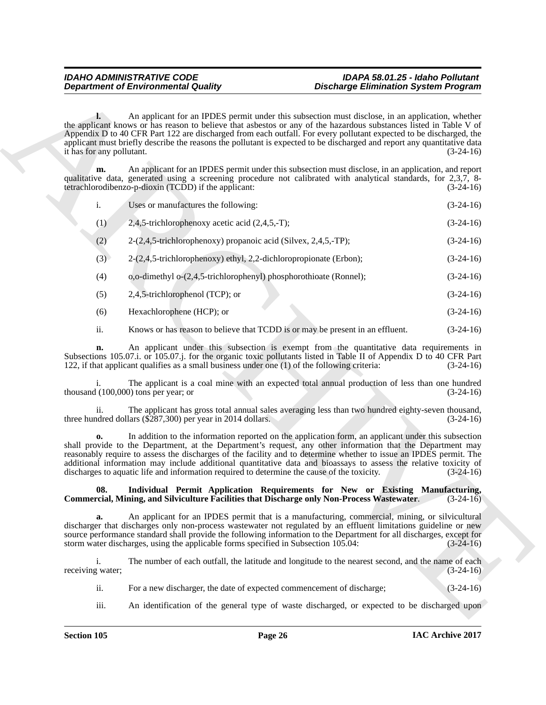|                                           | <b>Department of Environmental Quality</b>                                                                                                                                                                                                                                                                                                                                                                                                           | <b>Discharge Elimination System Program</b>                                                         |             |
|-------------------------------------------|------------------------------------------------------------------------------------------------------------------------------------------------------------------------------------------------------------------------------------------------------------------------------------------------------------------------------------------------------------------------------------------------------------------------------------------------------|-----------------------------------------------------------------------------------------------------|-------------|
| $\mathbf{l}$<br>it has for any pollutant. | the applicant knows or has reason to believe that asbestos or any of the hazardous substances listed in Table V of<br>Appendix D to 40 CFR Part 122 are discharged from each outfall. For every pollutant expected to be discharged, the<br>applicant must briefly describe the reasons the pollutant is expected to be discharged and report any quantitative data                                                                                  | An applicant for an IPDES permit under this subsection must disclose, in an application, whether    | $(3-24-16)$ |
| m.                                        | qualitative data, generated using a screening procedure not calibrated with analytical standards, for 2,3,7, 8-<br>tetrachlorodibenzo-p-dioxin (TCDD) if the applicant:                                                                                                                                                                                                                                                                              | An applicant for an IPDES permit under this subsection must disclose, in an application, and report | $(3-24-16)$ |
| $\mathbf{i}$ .                            | Uses or manufactures the following:                                                                                                                                                                                                                                                                                                                                                                                                                  |                                                                                                     | $(3-24-16)$ |
| (1)                                       | 2,4,5-trichlorophenoxy acetic acid $(2,4,5,-T)$ ;                                                                                                                                                                                                                                                                                                                                                                                                    |                                                                                                     | $(3-24-16)$ |
| (2)                                       | 2-(2,4,5-trichlorophenoxy) propanoic acid (Silvex, 2,4,5,-TP);                                                                                                                                                                                                                                                                                                                                                                                       |                                                                                                     | $(3-24-16)$ |
| (3)                                       | 2-(2,4,5-trichlorophenoxy) ethyl, 2,2-dichloropropionate (Erbon);                                                                                                                                                                                                                                                                                                                                                                                    |                                                                                                     | $(3-24-16)$ |
| (4)                                       | o,o-dimethyl o-(2,4,5-trichlorophenyl) phosphorothioate (Ronnel);                                                                                                                                                                                                                                                                                                                                                                                    |                                                                                                     | $(3-24-16)$ |
| (5)                                       | 2,4,5-trichlorophenol (TCP); or                                                                                                                                                                                                                                                                                                                                                                                                                      |                                                                                                     | $(3-24-16)$ |
| (6)                                       | Hexachlorophene (HCP); or                                                                                                                                                                                                                                                                                                                                                                                                                            |                                                                                                     | $(3-24-16)$ |
| ii.                                       | Knows or has reason to believe that TCDD is or may be present in an effluent.                                                                                                                                                                                                                                                                                                                                                                        |                                                                                                     | $(3-24-16)$ |
| n.                                        | Subsections 105.07.i. or 105.07.j. for the organic toxic pollutants listed in Table II of Appendix D to 40 CFR Part<br>122, if that applicant qualifies as a small business under one (1) of the following criteria:                                                                                                                                                                                                                                 | An applicant under this subsection is exempt from the quantitative data requirements in             | $(3-24-16)$ |
| 1.                                        | thousand $(100,000)$ tons per year; or                                                                                                                                                                                                                                                                                                                                                                                                               | The applicant is a coal mine with an expected total annual production of less than one hundred      | $(3-24-16)$ |
| 11.                                       | three hundred dollars (\$287,300) per year in 2014 dollars.                                                                                                                                                                                                                                                                                                                                                                                          | The applicant has gross total annual sales averaging less than two hundred eighty-seven thousand,   | $(3-24-16)$ |
| $\mathbf{0}$                              | shall provide to the Department, at the Department's request, any other information that the Department may<br>reasonably require to assess the discharges of the facility and to determine whether to issue an IPDES permit. The<br>additional information may include additional quantitative data and bioassays to assess the relative toxicity of<br>discharges to aquatic life and information required to determine the cause of the toxicity. | In addition to the information reported on the application form, an applicant under this subsection | $(3-24-16)$ |
| 08.                                       | Commercial, Mining, and Silviculture Facilities that Discharge only Non-Process Wastewater.                                                                                                                                                                                                                                                                                                                                                          | Individual Permit Application Requirements for New or Existing Manufacturing,                       | $(3-24-16)$ |
| a.                                        | discharger that discharges only non-process wastewater not regulated by an effluent limitations guideline or new<br>source performance standard shall provide the following information to the Department for all discharges, except for<br>storm water discharges, using the applicable forms specified in Subsection 105.04:                                                                                                                       | An applicant for an IPDES permit that is a manufacturing, commercial, mining, or silvicultural      | $(3-24-16)$ |
| $\mathbf{i}$ .<br>receiving water;        |                                                                                                                                                                                                                                                                                                                                                                                                                                                      | The number of each outfall, the latitude and longitude to the nearest second, and the name of each  | $(3-24-16)$ |
| ii.                                       | For a new discharger, the date of expected commencement of discharge;                                                                                                                                                                                                                                                                                                                                                                                |                                                                                                     | $(3-24-16)$ |
| iii.                                      |                                                                                                                                                                                                                                                                                                                                                                                                                                                      | An identification of the general type of waste discharged, or expected to be discharged upon        |             |

#### **08. Individual Permit Application Requirements for New or Existing Manufacturing, Commercial, Mining, and Silviculture Facilities that Discharge only Non-Process Wastewater**. (3-24-16)

- ii. For a new discharger, the date of expected commencement of discharge; (3-24-16)
- iii. An identification of the general type of waste discharged, or expected to be discharged upon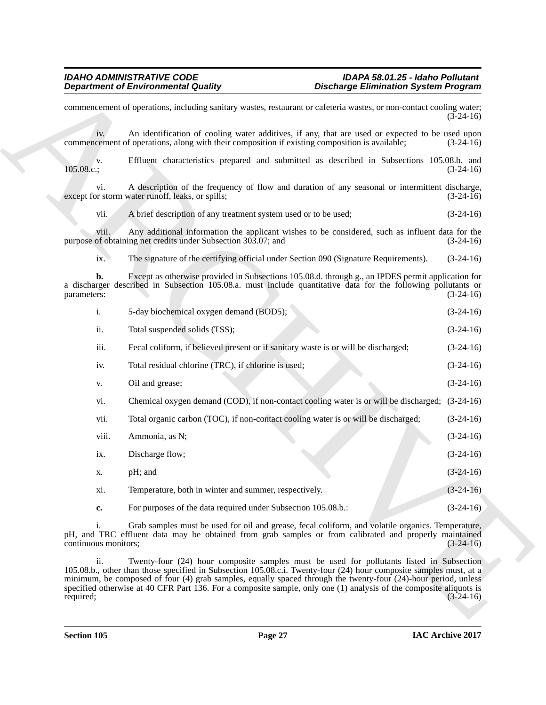| <b>Department of Environmental Quality</b>                                                                                                                                                                                                                                                                                                                                                                                                                                 | <b>Discharge Elimination System Program</b> |
|----------------------------------------------------------------------------------------------------------------------------------------------------------------------------------------------------------------------------------------------------------------------------------------------------------------------------------------------------------------------------------------------------------------------------------------------------------------------------|---------------------------------------------|
| commencement of operations, including sanitary wastes, restaurant or cafeteria wastes, or non-contact cooling water;                                                                                                                                                                                                                                                                                                                                                       | $(3-24-16)$                                 |
| An identification of cooling water additives, if any, that are used or expected to be used upon<br>iv.<br>commencement of operations, along with their composition if existing composition is available;                                                                                                                                                                                                                                                                   | $(3-24-16)$                                 |
| Effluent characteristics prepared and submitted as described in Subsections 105.08.b. and<br>V.<br>105.08.c.;                                                                                                                                                                                                                                                                                                                                                              | $(3-24-16)$                                 |
| A description of the frequency of flow and duration of any seasonal or intermittent discharge,<br>vi.<br>except for storm water runoff, leaks, or spills;                                                                                                                                                                                                                                                                                                                  | $(3-24-16)$                                 |
| vii.<br>A brief description of any treatment system used or to be used;                                                                                                                                                                                                                                                                                                                                                                                                    | $(3-24-16)$                                 |
| Any additional information the applicant wishes to be considered, such as influent data for the<br>viii.<br>purpose of obtaining net credits under Subsection 303.07; and                                                                                                                                                                                                                                                                                                  | $(3-24-16)$                                 |
| ix.<br>The signature of the certifying official under Section 090 (Signature Requirements).                                                                                                                                                                                                                                                                                                                                                                                | $(3-24-16)$                                 |
| Except as otherwise provided in Subsections 105.08.d. through g., an IPDES permit application for<br>b.<br>a discharger described in Subsection 105.08.a. must include quantitative data for the following pollutants or<br>parameters:                                                                                                                                                                                                                                    | $(3-24-16)$                                 |
| i.<br>5-day biochemical oxygen demand (BOD5);                                                                                                                                                                                                                                                                                                                                                                                                                              | $(3-24-16)$                                 |
| ii.<br>Total suspended solids (TSS);                                                                                                                                                                                                                                                                                                                                                                                                                                       | $(3-24-16)$                                 |
| iii.<br>Fecal coliform, if believed present or if sanitary waste is or will be discharged;                                                                                                                                                                                                                                                                                                                                                                                 | $(3-24-16)$                                 |
| Total residual chlorine (TRC), if chlorine is used;<br>iv.                                                                                                                                                                                                                                                                                                                                                                                                                 | $(3-24-16)$                                 |
| Oil and grease;<br>V.                                                                                                                                                                                                                                                                                                                                                                                                                                                      | $(3-24-16)$                                 |
| Chemical oxygen demand (COD), if non-contact cooling water is or will be discharged; (3-24-16)<br>vi.                                                                                                                                                                                                                                                                                                                                                                      |                                             |
| Total organic carbon (TOC), if non-contact cooling water is or will be discharged;<br>vii.                                                                                                                                                                                                                                                                                                                                                                                 | $(3-24-16)$                                 |
| Ammonia, as N;<br>viii.                                                                                                                                                                                                                                                                                                                                                                                                                                                    | $(3-24-16)$                                 |
| ix.<br>Discharge flow;                                                                                                                                                                                                                                                                                                                                                                                                                                                     | $(3-24-16)$                                 |
| pH; and<br>х.                                                                                                                                                                                                                                                                                                                                                                                                                                                              | $(3-24-16)$                                 |
| Temperature, both in winter and summer, respectively.<br>xi.                                                                                                                                                                                                                                                                                                                                                                                                               | $(3-24-16)$                                 |
| For purposes of the data required under Subsection 105.08.b.:<br>c.                                                                                                                                                                                                                                                                                                                                                                                                        | $(3-24-16)$                                 |
| Grab samples must be used for oil and grease, fecal coliform, and volatile organics. Temperature,<br>i.<br>pH, and TRC effluent data may be obtained from grab samples or from calibrated and properly maintained<br>continuous monitors;                                                                                                                                                                                                                                  | $(3-24-16)$                                 |
| ii.<br>Twenty-four (24) hour composite samples must be used for pollutants listed in Subsection<br>105.08.b., other than those specified in Subsection 105.08.c.i. Twenty-four (24) hour composite samples must, at a<br>minimum, be composed of four (4) grab samples, equally spaced through the twenty-four (24)-hour period, unless<br>specified otherwise at 40 CFR Part 136. For a composite sample, only one (1) analysis of the composite aliquots is<br>required; | $(3-24-16)$                                 |
|                                                                                                                                                                                                                                                                                                                                                                                                                                                                            |                                             |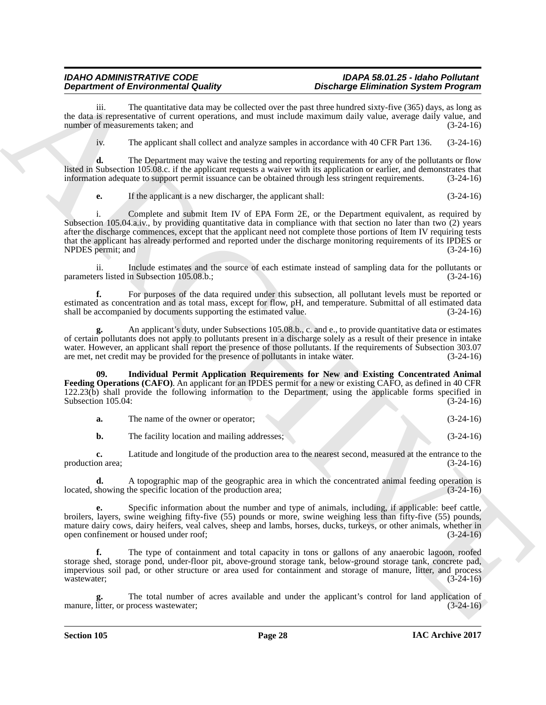## *IDAHO ADMINISTRATIVE CODE IDAPA 58.01.25 - Idaho Pollutant*

The quantitative data may be collected over the past three hundred sixty-five (365) days, as long as the data is representative of current operations, and must include maximum daily value, average daily value, and<br>
(3-24-16) number of measurements taken; and

iv. The applicant shall collect and analyze samples in accordance with 40 CFR Part 136. (3-24-16)

**d.** The Department may waive the testing and reporting requirements for any of the pollutants or flow listed in Subsection 105.08.c. if the applicant requests a waiver with its application or earlier, and demonstrates that information adequate to support permit issuance can be obtained through less stringent requirements. (3-24-16)

**e.** If the applicant is a new discharger, the applicant shall:  $(3-24-16)$ 

**Department of Environmental Confers and the transfer of Detection Similar School (2013).**<br>
Are in large signal and conference the proposition of the conference of the conference of the conference of the conference of the i. Complete and submit Item IV of EPA Form 2E, or the Department equivalent, as required by Subsection 105.04.a.iv., by providing quantitative data in compliance with that section no later than two (2) years after the discharge commences, except that the applicant need not complete those portions of Item IV requiring tests that the applicant has already performed and reported under the discharge monitoring requirements of its IPDES or<br>NPDES permit; and (3-24-16) NPDES permit; and

ii. Include estimates and the source of each estimate instead of sampling data for the pollutants or parameters listed in Subsection 105.08.b.; (3-24-16)

**f.** For purposes of the data required under this subsection, all pollutant levels must be reported or estimated as concentration and as total mass, except for flow, pH, and temperature. Submittal of all estimated data shall be accompanied by documents supporting the estimated value. (3-24-16)

**g.** An applicant's duty, under Subsections 105.08.b., c. and e., to provide quantitative data or estimates of certain pollutants does not apply to pollutants present in a discharge solely as a result of their presence in intake water. However, an applicant shall report the presence of those pollutants. If the requirements of Subsection 303.07 are met, net credit may be provided for the presence of pollutants in intake water. (3-24-16) are met, net credit may be provided for the presence of pollutants in intake water.

**09. Individual Permit Application Requirements for New and Existing Concentrated Animal Feeding Operations (CAFO)**. An applicant for an IPDES permit for a new or existing CAFO, as defined in 40 CFR 122.23(b) shall provide the following information to the Department, using the applicable forms specified in Subsection  $105.04$ : (3-24-16)

**b.** The facility location and mailing addresses; (3-24-16)

**c.** Latitude and longitude of the production area to the nearest second, measured at the entrance to the on area:  $(3-24-16)$ production area;

**d.** A topographic map of the geographic area in which the concentrated animal feeding operation is showing the specific location of the production area;  $(3-24-16)$ located, showing the specific location of the production area;

**e.** Specific information about the number and type of animals, including, if applicable: beef cattle, broilers, layers, swine weighing fifty-five (55) pounds or more, swine weighing less than fifty-five (55) pounds, mature dairy cows, dairy heifers, veal calves, sheep and lambs, horses, ducks, turkeys, or other animals, whether in open confinement or housed under roof; (3-24-16)

**f.** The type of containment and total capacity in tons or gallons of any anaerobic lagoon, roofed storage shed, storage pond, under-floor pit, above-ground storage tank, below-ground storage tank, concrete pad, impervious soil pad, or other structure or area used for containment and storage of manure, litter, and process wastewater;  $(3-24-16)$ 

The total number of acres available and under the applicant's control for land application of process wastewater;  $(3-24-16)$ manure, litter, or process wastewater;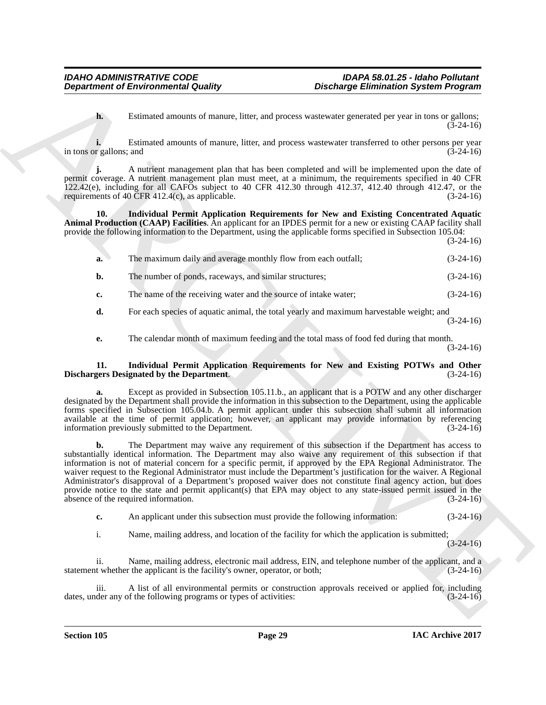**h.** Estimated amounts of manure, litter, and process wastewater generated per year in tons or gallons; (3-24-16)

**i.** Estimated amounts of manure, litter, and process wastewater transferred to other persons per year r gallons; and (3-24-16) in tons or gallons; and

**j.** A nutrient management plan that has been completed and will be implemented upon the date of permit coverage. A nutrient management plan must meet, at a minimum, the requirements specified in 40 CFR 122.42(e), including for all CAFOs subject to 40 CFR 412.30 through 412.37, 412.40 through 412.47, or the requirements of 40 CFR 412.4(c), as applicable.  $(3-24-16)$ requirements of 40  $\overline{CFR}$  412.4(c), as applicable.

**10. Individual Permit Application Requirements for New and Existing Concentrated Aquatic Animal Production (CAAP) Facilities**. An applicant for an IPDES permit for a new or existing CAAP facility shall provide the following information to the Department, using the applicable forms specified in Subsection 105.04:

(3-24-16)

| a.          | The maximum daily and average monthly flow from each outfall;   | $(3-24-16)$ |
|-------------|-----------------------------------------------------------------|-------------|
| b.          | The number of ponds, raceways, and similar structures;          | $(3-24-16)$ |
| $c_{\cdot}$ | The name of the receiving water and the source of intake water; | $(3-24-16)$ |

**d.** For each species of aquatic animal, the total yearly and maximum harvestable weight; and (3-24-16)

**e.** The calendar month of maximum feeding and the total mass of food fed during that month. (3-24-16)

#### **11. Individual Permit Application Requirements for New and Existing POTWs and Other Dischargers Designated by the Department.**

Except as provided in Subsection 105.11.b., an applicant that is a POTW and any other discharger designated by the Department shall provide the information in this subsection to the Department, using the applicable forms specified in Subsection 105.04.b. A permit applicant under this subsection shall submit all information available at the time of permit application; however, an applicant may provide information by referencing information previously submitted to the Department. (3-24-16) information previously submitted to the Department.

**Department of Environmental Guatity<br>
Linear of the context of the context of the context of the context of the context of the context of the context of the context of the context of the context of the context of the cont b.** The Department may waive any requirement of this subsection if the Department has access to substantially identical information. The Department may also waive any requirement of this subsection if that information is not of material concern for a specific permit, if approved by the EPA Regional Administrator. The waiver request to the Regional Administrator must include the Department's justification for the waiver. A Regional Administrator's disapproval of a Department's proposed waiver does not constitute final agency action, but does provide notice to the state and permit applicant(s) that EPA may object to any state-issued permit issued in the absence of the required information.  $(3-24-16)$ absence of the required information.

**c.** An applicant under this subsection must provide the following information: (3-24-16)

i. Name, mailing address, and location of the facility for which the application is submitted;

 $(3-24-16)$ 

Name, mailing address, electronic mail address, EIN, and telephone number of the applicant, and a statement whether the applicant is the facility's owner, operator, or both; (3-24-16)

iii. A list of all environmental permits or construction approvals received or applied for, including der any of the following programs or types of activities: (3-24-16) dates, under any of the following programs or types of activities: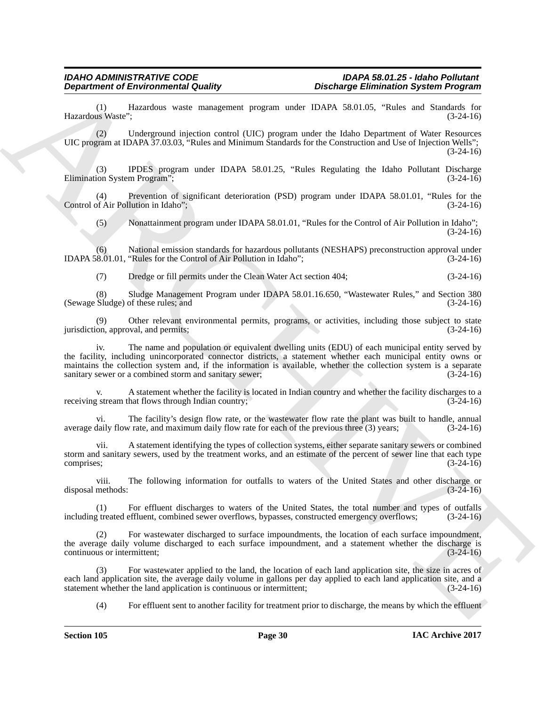## *IDAHO ADMINISTRATIVE CODE IDAPA 58.01.25 - Idaho Pollutant*

(1) Hazardous waste management program under IDAPA 58.01.05, "Rules and Standards for Hazardous Waste";

(2) Underground injection control (UIC) program under the Idaho Department of Water Resources UIC program at IDAPA 37.03.03, "Rules and Minimum Standards for the Construction and Use of Injection Wells"; (3-24-16)

(3) IPDES program under IDAPA 58.01.25, "Rules Regulating the Idaho Pollutant Discharge Elimination System Program";

(4) Prevention of significant deterioration (PSD) program under IDAPA 58.01.01, "Rules for the Control of Air Pollution in Idaho";

(5) Nonattainment program under IDAPA 58.01.01, "Rules for the Control of Air Pollution in Idaho"; (3-24-16)

(6) National emission standards for hazardous pollutants (NESHAPS) preconstruction approval under 8.01.01, "Rules for the Control of Air Pollution in Idaho"; (3-24-16) IDAPA 58.01.01, "Rules for the Control of Air Pollution in Idaho";

(7) Dredge or fill permits under the Clean Water Act section 404; (3-24-16)

(8) Sludge Management Program under IDAPA 58.01.16.650, "Wastewater Rules," and Section 380 (Sewage Sludge) of these rules; and

(9) Other relevant environmental permits, programs, or activities, including those subject to state jurisdiction, approval, and permits;

**Department of Environmental Country.**<br>
Humanism Construction construction construction the state of the construction of the state of the state of the state of the state of the state of the state of the state of the state iv. The name and population or equivalent dwelling units (EDU) of each municipal entity served by the facility, including unincorporated connector districts, a statement whether each municipal entity owns or maintains the collection system and, if the information is available, whether the collection system is a separate sanitary sewer or a combined storm and sanitary sewer; (3-24-16) sanitary sewer or a combined storm and sanitary sewer;

A statement whether the facility is located in Indian country and whether the facility discharges to a receiving stream that flows through Indian country; (3-24-16) (3-24-16)

vi. The facility's design flow rate, or the wastewater flow rate the plant was built to handle, annual<br>daily flow rate, and maximum daily flow rate for each of the previous three (3) years: (3-24-16) average daily flow rate, and maximum daily flow rate for each of the previous three (3) years;

A statement identifying the types of collection systems, either separate sanitary sewers or combined storm and sanitary sewers, used by the treatment works, and an estimate of the percent of sewer line that each type comprises; (3-24-16)

viii. The following information for outfalls to waters of the United States and other discharge or methods: (3-24-16) disposal methods:

(1) For effluent discharges to waters of the United States, the total number and types of outfalls including treated effluent, combined sewer overflows, bypasses, constructed emergency overflows; (3-24-16)

(2) For wastewater discharged to surface impoundments, the location of each surface impoundment, the average daily volume discharged to each surface impoundment, and a statement whether the discharge is continuous or intermittent;  $(3-24-16)$ continuous or intermittent;

(3) For wastewater applied to the land, the location of each land application site, the size in acres of each land application site, the average daily volume in gallons per day applied to each land application site, and a statement whether the land application is continuous or intermittent; (3-24-16) statement whether the land application is continuous or intermittent;

(4) For effluent sent to another facility for treatment prior to discharge, the means by which the effluent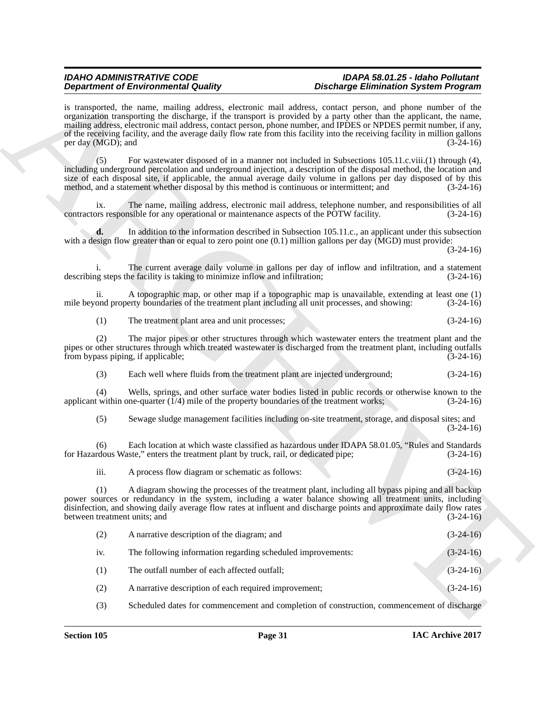|                                     | <b>Department of Environmental Quality</b>                                                        | <b>Discharge Elimination System Program</b>                                                                                                                                                                                                                                                                                                                                                                                                                                              |             |
|-------------------------------------|---------------------------------------------------------------------------------------------------|------------------------------------------------------------------------------------------------------------------------------------------------------------------------------------------------------------------------------------------------------------------------------------------------------------------------------------------------------------------------------------------------------------------------------------------------------------------------------------------|-------------|
| per day (MGD); and                  |                                                                                                   | is transported, the name, mailing address, electronic mail address, contact person, and phone number of the<br>organization transporting the discharge, if the transport is provided by a party other than the applicant, the name,<br>mailing address, electronic mail address, contact person, phone number, and IPDES or NPDES permit number, if any,<br>of the receiving facility, and the average daily flow rate from this facility into the receiving facility in million gallons | $(3-24-16)$ |
| (5)                                 | method, and a statement whether disposal by this method is continuous or intermittent; and        | For wastewater disposed of in a manner not included in Subsections 105.11.c.viii.(1) through (4),<br>including underground percolation and underground injection, a description of the disposal method, the location and<br>size of each disposal site, if applicable, the annual average daily volume in gallons per day disposed of by this                                                                                                                                            | $(3-24-16)$ |
| ix.                                 | contractors responsible for any operational or maintenance aspects of the POTW facility.          | The name, mailing address, electronic mail address, telephone number, and responsibilities of all                                                                                                                                                                                                                                                                                                                                                                                        | $(3-24-16)$ |
| d.                                  |                                                                                                   | In addition to the information described in Subsection 105.11.c., an applicant under this subsection<br>with a design flow greater than or equal to zero point one $(0.1)$ million gallons per day (MGD) must provide:                                                                                                                                                                                                                                                                   | $(3-24-16)$ |
|                                     | describing steps the facility is taking to minimize inflow and infiltration;                      | The current average daily volume in gallons per day of inflow and infiltration, and a statement                                                                                                                                                                                                                                                                                                                                                                                          | $(3-24-16)$ |
| ii.                                 | mile beyond property boundaries of the treatment plant including all unit processes, and showing: | A topographic map, or other map if a topographic map is unavailable, extending at least one (1)                                                                                                                                                                                                                                                                                                                                                                                          | $(3-24-16)$ |
| (1)                                 | The treatment plant area and unit processes;                                                      |                                                                                                                                                                                                                                                                                                                                                                                                                                                                                          | $(3-24-16)$ |
| (2)                                 | from bypass piping, if applicable;                                                                | The major pipes or other structures through which wastewater enters the treatment plant and the<br>pipes or other structures through which treated wastewater is discharged from the treatment plant, including outfalls                                                                                                                                                                                                                                                                 | $(3-24-16)$ |
| (3)                                 | Each well where fluids from the treatment plant are injected underground;                         |                                                                                                                                                                                                                                                                                                                                                                                                                                                                                          | $(3-24-16)$ |
| (4)                                 | applicant within one-quarter $(1/4)$ mile of the property boundaries of the treatment works;      | Wells, springs, and other surface water bodies listed in public records or otherwise known to the                                                                                                                                                                                                                                                                                                                                                                                        | $(3-24-16)$ |
| (5)                                 |                                                                                                   | Sewage sludge management facilities including on-site treatment, storage, and disposal sites; and                                                                                                                                                                                                                                                                                                                                                                                        | $(3-24-16)$ |
| (6)                                 | for Hazardous Waste," enters the treatment plant by truck, rail, or dedicated pipe;               | Each location at which waste classified as hazardous under IDAPA 58.01.05, "Rules and Standards                                                                                                                                                                                                                                                                                                                                                                                          | $(3-24-16)$ |
| iii.                                | A process flow diagram or schematic as follows:                                                   |                                                                                                                                                                                                                                                                                                                                                                                                                                                                                          | $(3-24-16)$ |
| (1)<br>between treatment units; and |                                                                                                   | A diagram showing the processes of the treatment plant, including all bypass piping and all backup<br>power sources or redundancy in the system, including a water balance showing all treatment units, including<br>disinfection, and showing daily average flow rates at influent and discharge points and approximate daily flow rates                                                                                                                                                | $(3-24-16)$ |
| (2)                                 | A narrative description of the diagram; and                                                       |                                                                                                                                                                                                                                                                                                                                                                                                                                                                                          | $(3-24-16)$ |
| iv.                                 | The following information regarding scheduled improvements:                                       |                                                                                                                                                                                                                                                                                                                                                                                                                                                                                          | $(3-24-16)$ |
| (1)                                 | The outfall number of each affected outfall;                                                      |                                                                                                                                                                                                                                                                                                                                                                                                                                                                                          | $(3-24-16)$ |
| (2)                                 | A narrative description of each required improvement;                                             |                                                                                                                                                                                                                                                                                                                                                                                                                                                                                          | $(3-24-16)$ |
| (3)                                 |                                                                                                   | Scheduled dates for commencement and completion of construction, commencement of discharge                                                                                                                                                                                                                                                                                                                                                                                               |             |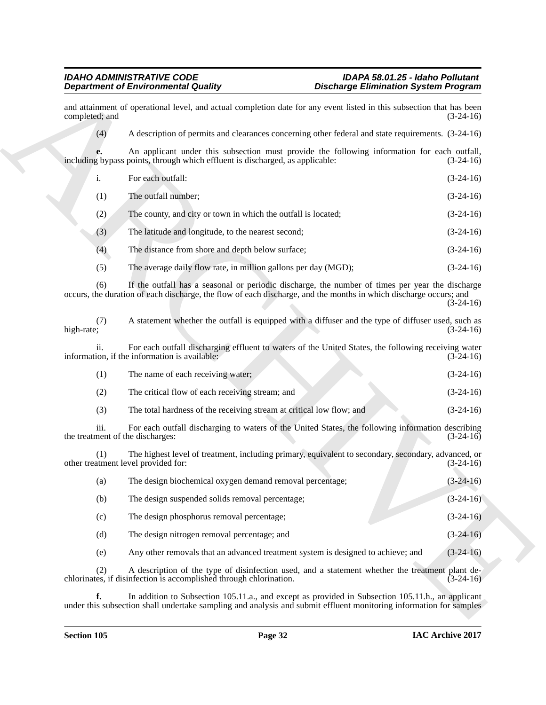| $\mathbf{i}$ . | For each outfall:                                              | $(3-24-16)$ |
|----------------|----------------------------------------------------------------|-------------|
| (1)            | The outfall number;                                            | $(3-24-16)$ |
| (2)            | The county, and city or town in which the outfall is located;  | $(3-24-16)$ |
| (3)            | The latitude and longitude, to the nearest second;             | $(3-24-16)$ |
| (4)            | The distance from shore and depth below surface;               | $(3-24-16)$ |
| (5)            | The average daily flow rate, in million gallons per day (MGD); | $(3-24-16)$ |

|                                            | <b>Department of Environmental Quality</b>                                                                                                                                                                           | <b>Discharge Elimination System Program</b> |                                                                                                                    |
|--------------------------------------------|----------------------------------------------------------------------------------------------------------------------------------------------------------------------------------------------------------------------|---------------------------------------------|--------------------------------------------------------------------------------------------------------------------|
| completed; and                             | and attainment of operational level, and actual completion date for any event listed in this subsection that has been                                                                                                |                                             | $(3-24-16)$                                                                                                        |
| (4)                                        | A description of permits and clearances concerning other federal and state requirements. (3-24-16)                                                                                                                   |                                             |                                                                                                                    |
| e.                                         | An applicant under this subsection must provide the following information for each outfall,<br>including bypass points, through which effluent is discharged, as applicable:                                         |                                             | $(3-24-16)$                                                                                                        |
| i.                                         | For each outfall:                                                                                                                                                                                                    |                                             | $(3-24-16)$                                                                                                        |
| (1)                                        | The outfall number;                                                                                                                                                                                                  |                                             | $(3-24-16)$                                                                                                        |
| (2)                                        | The county, and city or town in which the outfall is located;                                                                                                                                                        |                                             | $(3-24-16)$                                                                                                        |
| (3)                                        | The latitude and longitude, to the nearest second;                                                                                                                                                                   |                                             | $(3-24-16)$                                                                                                        |
| (4)                                        | The distance from shore and depth below surface;                                                                                                                                                                     |                                             | $(3-24-16)$                                                                                                        |
| (5)                                        | The average daily flow rate, in million gallons per day (MGD);                                                                                                                                                       |                                             | $(3-24-16)$                                                                                                        |
| (6)                                        | If the outfall has a seasonal or periodic discharge, the number of times per year the discharge<br>occurs, the duration of each discharge, the flow of each discharge, and the months in which discharge occurs; and |                                             | $(3-24-16)$                                                                                                        |
| (7)<br>high-rate;                          | A statement whether the outfall is equipped with a diffuser and the type of diffuser used, such as                                                                                                                   |                                             | $(3-24-16)$                                                                                                        |
| ii.                                        | For each outfall discharging effluent to waters of the United States, the following receiving water<br>information, if the information is available:                                                                 |                                             | $(3-24-16)$                                                                                                        |
| (1)                                        | The name of each receiving water;                                                                                                                                                                                    |                                             | $(3-24-16)$                                                                                                        |
| (2)                                        | The critical flow of each receiving stream; and                                                                                                                                                                      |                                             | $(3-24-16)$                                                                                                        |
| (3)                                        | The total hardness of the receiving stream at critical low flow; and                                                                                                                                                 |                                             | $(3-24-16)$                                                                                                        |
| iii.<br>the treatment of the discharges:   | For each outfall discharging to waters of the United States, the following information describing                                                                                                                    |                                             | $(3-24-16)$                                                                                                        |
| (1)<br>other treatment level provided for: | The highest level of treatment, including primary, equivalent to secondary, secondary, advanced, or                                                                                                                  |                                             | $(3-24-16)$                                                                                                        |
| (a)                                        | The design biochemical oxygen demand removal percentage;                                                                                                                                                             |                                             | $(3-24-16)$                                                                                                        |
| (b)                                        | The design suspended solids removal percentage;                                                                                                                                                                      |                                             | $(3-24-16)$                                                                                                        |
| (c)                                        | The design phosphorus removal percentage;                                                                                                                                                                            |                                             | $(3-24-16)$                                                                                                        |
| (d)                                        | The design nitrogen removal percentage; and                                                                                                                                                                          |                                             | $(3-24-16)$                                                                                                        |
| (e)                                        | Any other removals that an advanced treatment system is designed to achieve; and                                                                                                                                     |                                             | $(3-24-16)$                                                                                                        |
| (2)                                        | A description of the type of disinfection used, and a statement whether the treatment plant de-<br>chlorinates, if disinfection is accomplished through chlorination.                                                |                                             | $(3-24-16)$                                                                                                        |
| f.                                         | In addition to Subsection 105.11.a., and except as provided in Subsection 105.11.h., an applicant                                                                                                                    |                                             | under this subsection shall undertake sampling and analysis and submit effluent monitoring information for samples |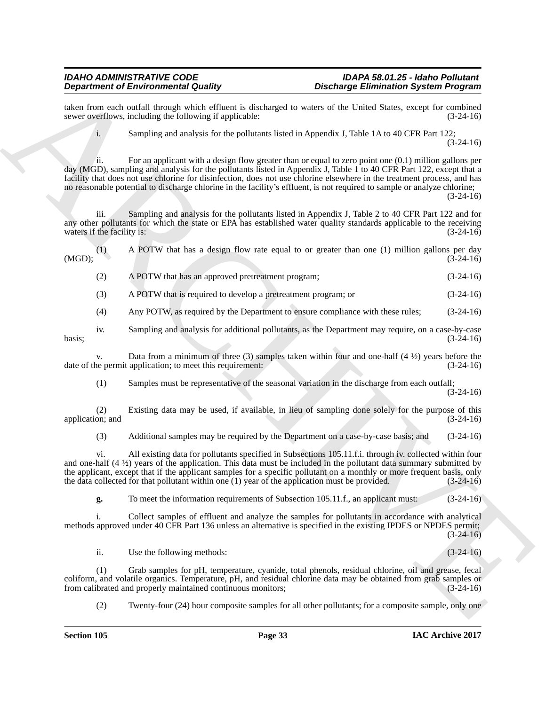taken from each outfall through which effluent is discharged to waters of the United States, except for combined sewer overflows, including the following if applicable: (3-24-16) sewer overflows, including the following if applicable:

i. Sampling and analysis for the pollutants listed in Appendix J, Table 1A to 40 CFR Part 122; (3-24-16)

**Dependent of Entropological schemes** of the state of the state of the state of the state of the state of the state of the state of the state of the state of the state of the state of the state of the state of the state o ii. For an applicant with a design flow greater than or equal to zero point one (0.1) million gallons per day (MGD), sampling and analysis for the pollutants listed in Appendix J, Table 1 to 40 CFR Part 122, except that a facility that does not use chlorine for disinfection, does not use chlorine elsewhere in the treatment process, and has no reasonable potential to discharge chlorine in the facility's effluent, is not required to sample or analyze chlorine; (3-24-16)

iii. Sampling and analysis for the pollutants listed in Appendix J, Table 2 to 40 CFR Part 122 and for any other pollutants for which the state or EPA has established water quality standards applicable to the receiving waters if the facility is: (3-24-16)

(1) A POTW that has a design flow rate equal to or greater than one (1) million gallons per day  $(3-24-16)$ (MGD); (3-24-16)

(2) A POTW that has an approved pretreatment program; (3-24-16)

(3) A POTW that is required to develop a pretreatment program; or (3-24-16)

(4) Any POTW, as required by the Department to ensure compliance with these rules; (3-24-16)

iv. Sampling and analysis for additional pollutants, as the Department may require, on a case-by-case  $basis;$  (3-24-16)

v. Data from a minimum of three (3) samples taken within four and one-half (4 $\frac{1}{2}$ ) years before the ne permit application; to meet this requirement: (3-24-16) date of the permit application; to meet this requirement:

(1) Samples must be representative of the seasonal variation in the discharge from each outfall; (3-24-16)

(2) Existing data may be used, if available, in lieu of sampling done solely for the purpose of this application; and

(3) Additional samples may be required by the Department on a case-by-case basis; and (3-24-16)

vi. All existing data for pollutants specified in Subsections 105.11.f.i. through iv. collected within four and one-half (4 ½) years of the application. This data must be included in the pollutant data summary submitted by the applicant, except that if the applicant samples for a specific pollutant on a monthly or more frequent basis, only the data collected for that pollutant within one (1) year of the application must be provided. (3-24-16)

**g.** To meet the information requirements of Subsection 105.11.f., an applicant must: (3-24-16)

i. Collect samples of effluent and analyze the samples for pollutants in accordance with analytical methods approved under 40 CFR Part 136 unless an alternative is specified in the existing IPDES or NPDES permit;  $(3-24-16)$ 

ii. Use the following methods: (3-24-16)

(1) Grab samples for pH, temperature, cyanide, total phenols, residual chlorine, oil and grease, fecal coliform, and volatile organics. Temperature, pH, and residual chlorine data may be obtained from grab samples or from calibrated and properly maintained continuous monitors;

(2) Twenty-four (24) hour composite samples for all other pollutants; for a composite sample, only one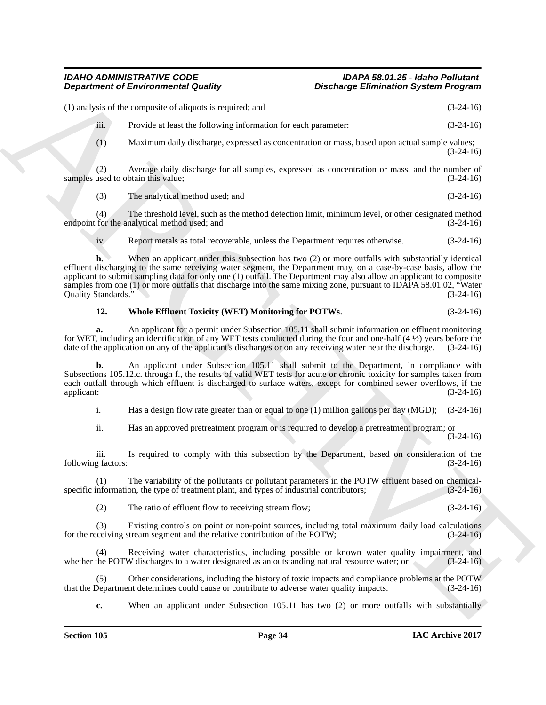## *IDAHO ADMINISTRATIVE CODE IDAPA 58.01.25 - Idaho Pollutant*

## *Discharge Elimination System Program*

**Department of Environmental Quality .** Distribuye Eliminiation System Programs<br>
(1) analysis of the computer is equivalent to result of the control of the system of the computer of the computer of the computer of the com (1) analysis of the composite of aliquots is required; and (3-24-16) iii. Provide at least the following information for each parameter: (3-24-16) (1) Maximum daily discharge, expressed as concentration or mass, based upon actual sample values; (3-24-16) (2) Average daily discharge for all samples, expressed as concentration or mass, and the number of samples used to obtain this value; (3) The analytical method used; and (3-24-16) (4) The threshold level, such as the method detection limit, minimum level, or other designated method endpoint for the analytical method used; and  $(3-24-16)$ iv. Report metals as total recoverable, unless the Department requires otherwise. (3-24-16) **h.** When an applicant under this subsection has two (2) or more outfalls with substantially identical effluent discharging to the same receiving water segment, the Department may, on a case-by-case basis, allow the applicant to submit sampling data for only one (1) outfall. The Department may also allow an applicant to composite samples from one (1) or more outfalls that discharge into the same mixing zone, pursuant to IDAPA 58.01.02, "Water Quality Standards." (3-24-16) Quality Standards."

### **12. Whole Effluent Toxicity (WET) Monitoring for POTWs**. (3-24-16)

**a.** An applicant for a permit under Subsection 105.11 shall submit information on effluent monitoring for WET, including an identification of any WET tests conducted during the four and one-half  $(4\frac{1}{2})$  years before the discharge date of the application on any of the applicant's discharges or on any receiving water ne date of the application on any of the applicant's discharges or on any receiving water near the discharge.

**b.** An applicant under Subsection 105.11 shall submit to the Department, in compliance with Subsections 105.12.c. through f., the results of valid WET tests for acute or chronic toxicity for samples taken from each outfall through which effluent is discharged to surface waters, except for combined sewer overflows, if the applicant: (3-24-16) applicant: (3-24-16)

i. Has a design flow rate greater than or equal to one (1) million gallons per day (MGD); (3-24-16)

ii. Has an approved pretreatment program or is required to develop a pretreatment program; or (3-24-16)

iii. Is required to comply with this subsection by the Department, based on consideration of the g factors:  $(3-24-16)$ following factors:

(1) The variability of the pollutants or pollutant parameters in the POTW effluent based on chemical-<br>information, the type of treatment plant, and types of industrial contributors; (3-24-16) specific information, the type of treatment plant, and types of industrial contributors;

(2) The ratio of effluent flow to receiving stream flow; (3-24-16)

Existing controls on point or non-point sources, including total maximum daily load calculations for the receiving stream segment and the relative contribution of the POTW; (3-24-16)

(4) Receiving water characteristics, including possible or known water quality impairment, and whether the POTW discharges to a water designated as an outstanding natural resource water; or (3-24-16)

(5) Other considerations, including the history of toxic impacts and compliance problems at the POTW that the Department determines could cause or contribute to adverse water quality impacts.

**c.** When an applicant under Subsection 105.11 has two (2) or more outfalls with substantially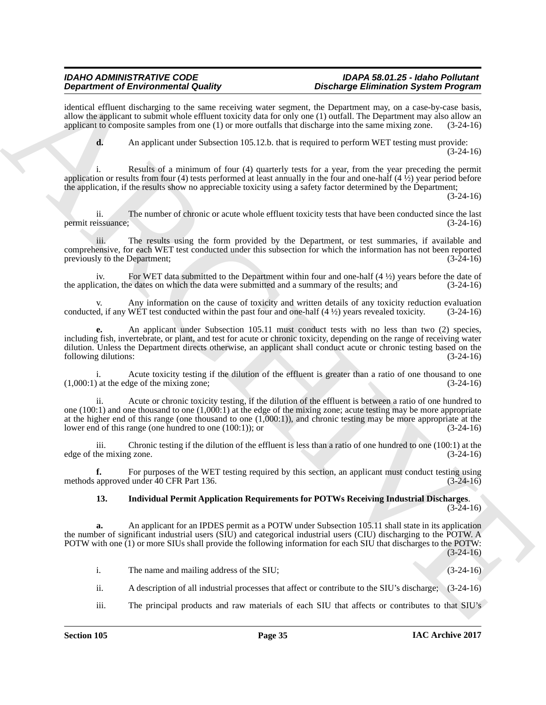identical effluent discharging to the same receiving water segment, the Department may, on a case-by-case basis, allow the applicant to submit whole effluent toxicity data for only one (1) outfall. The Department may also allow an applicant to composite samples from one (1) or more outfalls that discharge into the same mixing zone. (3-24-16)

**d.** An applicant under Subsection 105.12.b. that is required to perform WET testing must provide: (3-24-16)

i. Results of a minimum of four (4) quarterly tests for a year, from the year preceding the permit application or results from four (4) tests performed at least annually in the four and one-half  $(4 \frac{1}{2})$  year period before the application, if the results show no appreciable toxicity using a safety factor determined by the Department;

(3-24-16)

ii. The number of chronic or acute whole effluent toxicity tests that have been conducted since the last permit reissuance; (3-24-16)

iii. The results using the form provided by the Department, or test summaries, if available and comprehensive, for each WET test conducted under this subsection for which the information has not been reported previously to the Department;

iv. For WET data submitted to the Department within four and one-half  $(4 \frac{1}{2})$  years before the date of cation, the dates on which the data were submitted and a summary of the results; and  $(3-24-16)$ the application, the dates on which the data were submitted and a summary of the results; and

Any information on the cause of toxicity and written details of any toxicity reduction evaluation WET test conducted within the past four and one-half  $(4 \frac{1}{2})$  years revealed toxicity.  $(3-24-16)$ conducted, if any WET test conducted within the past four and one-half  $(4\frac{1}{2})$  years revealed toxicity.

**e.** An applicant under Subsection 105.11 must conduct tests with no less than two (2) species, including fish, invertebrate, or plant, and test for acute or chronic toxicity, depending on the range of receiving water dilution. Unless the Department directs otherwise, an applicant shall conduct acute or chronic testing based on the following dilutions: (3-24-16) following dilutions:

i. Acute toxicity testing if the dilution of the effluent is greater than a ratio of one thousand to one (1,000:1) at the edge of the mixing zone; (3-24-16)

**Dependence of Enerominal European Control is a substitute of the other in the control is a substitute of Enerominal Schedule Theoretical Schedule Theoretical Schedule Theoretical Schedule Theoretical Schedule Theoretical** ii. Acute or chronic toxicity testing, if the dilution of the effluent is between a ratio of one hundred to one (100:1) and one thousand to one (1,000:1) at the edge of the mixing zone; acute testing may be more appropriate at the higher end of this range (one thousand to one (1,000:1)), and chronic testing may be more appropriate at the lower end of this range (one hundred to one (100:1)); or (3-24-16)

iii. Chronic testing if the dilution of the effluent is less than a ratio of one hundred to one  $(100:1)$  at the mixing zone.  $(3-24-16)$ edge of the mixing zone.

**f.** For purposes of the WET testing required by this section, an applicant must conduct testing using methods approved under 40 CFR Part 136. (3-24-16)

### **13. Individual Permit Application Requirements for POTWs Receiving Industrial Discharges**.  $(3-24-16)$

**a.** An applicant for an IPDES permit as a POTW under Subsection 105.11 shall state in its application the number of significant industrial users (SIU) and categorical industrial users (CIU) discharging to the POTW. A POTW with one (1) or more SIUs shall provide the following information for each SIU that discharges to the POTW:  $(3-24-16)$ 

i. The name and mailing address of the SIU; (3-24-16)

ii. A description of all industrial processes that affect or contribute to the SIU's discharge; (3-24-16)

iii. The principal products and raw materials of each SIU that affects or contributes to that SIU's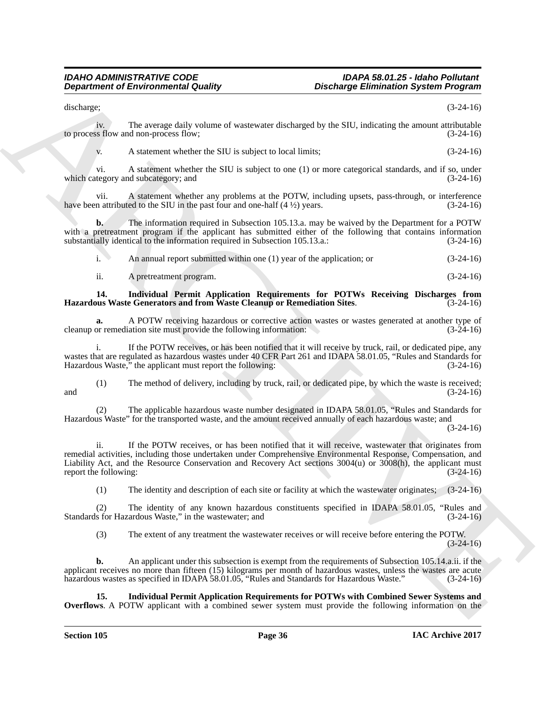discharge; (3-24-16)

iv. The average daily volume of wastewater discharged by the SIU, indicating the amount attributable to process flow and non-process flow;

v. A statement whether the SIU is subject to local limits; (3-24-16)

vi. A statement whether the SIU is subject to one (1) or more categorical standards, and if so, under the site ory and subcategory; and  $(3-24-16)$ which category and subcategory; and

vii. A statement whether any problems at the POTW, including upsets, pass-through, or interference n attributed to the SIU in the past four and one-half  $(4 \frac{1}{2})$  years. (3-24-16) have been attributed to the SIU in the past four and one-half  $(4 \frac{1}{2})$  years.

**b.** The information required in Subsection 105.13.a. may be waived by the Department for a POTW with a pretreatment program if the applicant has submitted either of the following that contains information substantially identical to the information required in Subsection 105.13.a.: (3-24-16)

i. An annual report submitted within one (1) year of the application; or (3-24-16)

ii. A pretreatment program. (3-24-16)

# **14. Individual Permit Application Requirements for POTWs Receiving Discharges from Hazardous Waste Generators and from Waste Cleanup or Remediation Sites.**

**a.** A POTW receiving hazardous or corrective action wastes or wastes generated at another type of or remediation site must provide the following information: (3-24-16) cleanup or remediation site must provide the following information:

i. If the POTW receives, or has been notified that it will receive by truck, rail, or dedicated pipe, any wastes that are regulated as hazardous wastes under 40 CFR Part 261 and IDAPA 58.01.05, "Rules and Standards for Hazardous Waste," the applicant must report the following: (3-24-16)

(1) The method of delivery, including by truck, rail, or dedicated pipe, by which the waste is received; and  $(3-24-16)$ 

(2) The applicable hazardous waste number designated in IDAPA 58.01.05, "Rules and Standards for Hazardous Waste" for the transported waste, and the amount received annually of each hazardous waste; and

(3-24-16)

**Department of Environmental Quality Distribution System Program**<br>
Shockman (1) Produced the SUC is subset to determine the SUC is subset to the SUC is subset to the subset of the SUC is subset to the subset of the subset ii. If the POTW receives, or has been notified that it will receive, wastewater that originates from remedial activities, including those undertaken under Comprehensive Environmental Response, Compensation, and Liability Act, and the Resource Conservation and Recovery Act sections 3004(u) or 3008(h), the applicant must report the following: (3-24-16) report the following:

(1) The identity and description of each site or facility at which the wastewater originates; (3-24-16)

(2) The identity of any known hazardous constituents specified in IDAPA 58.01.05, "Rules and Standards for Hazardous Waste," in the wastewater; and (3-24-16)

(3) The extent of any treatment the wastewater receives or will receive before entering the POTW.  $(3-24-16)$ 

**b.** An applicant under this subsection is exempt from the requirements of Subsection 105.14.a.ii. if the applicant receives no more than fifteen (15) kilograms per month of hazardous wastes, unless the wastes are acute hazardous wastes as specified in IDAPA 58.01.05, "Rules and Standards for Hazardous Waste." (3-24-16) hazardous wastes as specified in IDAPA 58.01.05, "Rules and Standards for Hazardous Waste."

**15. Individual Permit Application Requirements for POTWs with Combined Sewer Systems and Overflows**. A POTW applicant with a combined sewer system must provide the following information on the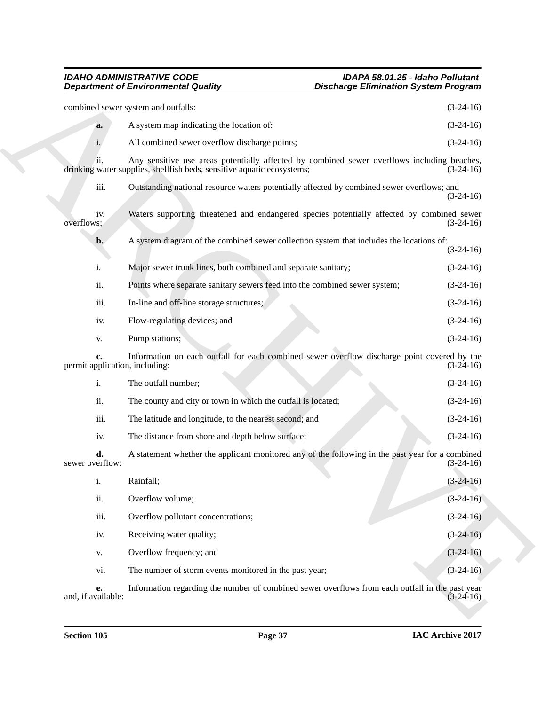### *IDAHO ADMINISTRATIVE CODE IDAPA 58.01.25 - Idaho Pollutant Department of Environmental Quality Discharge Elimination System Program*

|                                | <b>Department of Environmental Quality</b>                                                                                                                            | <b>Discharge Elimination System Program</b> |             |
|--------------------------------|-----------------------------------------------------------------------------------------------------------------------------------------------------------------------|---------------------------------------------|-------------|
|                                | combined sewer system and outfalls:                                                                                                                                   |                                             | $(3-24-16)$ |
| a.                             | A system map indicating the location of:                                                                                                                              |                                             | $(3-24-16)$ |
| i.                             | All combined sewer overflow discharge points;                                                                                                                         |                                             | $(3-24-16)$ |
| ii.                            | Any sensitive use areas potentially affected by combined sewer overflows including beaches,<br>drinking water supplies, shellfish beds, sensitive aquatic ecosystems; |                                             | $(3-24-16)$ |
| iii.                           | Outstanding national resource waters potentially affected by combined sewer overflows; and                                                                            |                                             | $(3-24-16)$ |
| iv.<br>overflows;              | Waters supporting threatened and endangered species potentially affected by combined sewer                                                                            |                                             | $(3-24-16)$ |
| b.                             | A system diagram of the combined sewer collection system that includes the locations of:                                                                              |                                             | $(3-24-16)$ |
| i.                             | Major sewer trunk lines, both combined and separate sanitary;                                                                                                         |                                             | $(3-24-16)$ |
| ii.                            | Points where separate sanitary sewers feed into the combined sewer system;                                                                                            |                                             | $(3-24-16)$ |
| iii.                           | In-line and off-line storage structures;                                                                                                                              |                                             | $(3-24-16)$ |
| iv.                            | Flow-regulating devices; and                                                                                                                                          |                                             | $(3-24-16)$ |
| V.                             | Pump stations;                                                                                                                                                        |                                             | $(3-24-16)$ |
| permit application, including: | Information on each outfall for each combined sewer overflow discharge point covered by the                                                                           |                                             | $(3-24-16)$ |
| i.                             | The outfall number;                                                                                                                                                   |                                             | $(3-24-16)$ |
| ii.                            | The county and city or town in which the outfall is located;                                                                                                          |                                             | $(3-24-16)$ |
| iii.                           | The latitude and longitude, to the nearest second; and                                                                                                                |                                             | $(3-24-16)$ |
| iv.                            | The distance from shore and depth below surface;                                                                                                                      |                                             | $(3-24-16)$ |
| d.<br>sewer overflow:          | A statement whether the applicant monitored any of the following in the past year for a combined                                                                      |                                             | $(3-24-16)$ |
| 1.                             | Rainfall;                                                                                                                                                             |                                             | $(3-24-16)$ |
| ii.                            | Overflow volume;                                                                                                                                                      |                                             | $(3-24-16)$ |
| iii.                           | Overflow pollutant concentrations;                                                                                                                                    |                                             | $(3-24-16)$ |
| iv.                            | Receiving water quality;                                                                                                                                              |                                             | $(3-24-16)$ |
| V.                             | Overflow frequency; and                                                                                                                                               |                                             | $(3-24-16)$ |
| vi.                            | The number of storm events monitored in the past year;                                                                                                                |                                             | $(3-24-16)$ |
| е.<br>and, if available:       | Information regarding the number of combined sewer overflows from each outfall in the past year                                                                       |                                             | $(3-24-16)$ |
|                                |                                                                                                                                                                       |                                             |             |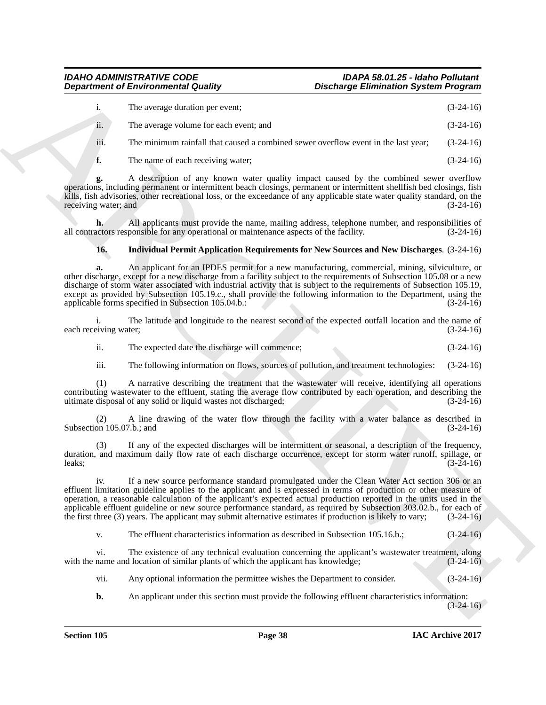# *IDAHO ADMINISTRATIVE CODE IDAPA 58.01.25 - Idaho Pollutant*

|                            | <b>Department of Environmental Quality</b>                                                                                                                                                                                                                                                                                                                                                                                                                                                                                                                                                                                        | <b>Discharge Elimination System Program</b> |  |
|----------------------------|-----------------------------------------------------------------------------------------------------------------------------------------------------------------------------------------------------------------------------------------------------------------------------------------------------------------------------------------------------------------------------------------------------------------------------------------------------------------------------------------------------------------------------------------------------------------------------------------------------------------------------------|---------------------------------------------|--|
| i.                         | The average duration per event;                                                                                                                                                                                                                                                                                                                                                                                                                                                                                                                                                                                                   | $(3-24-16)$                                 |  |
| ii.                        | The average volume for each event; and                                                                                                                                                                                                                                                                                                                                                                                                                                                                                                                                                                                            | $(3-24-16)$                                 |  |
| iii.                       | The minimum rainfall that caused a combined sewer overflow event in the last year;                                                                                                                                                                                                                                                                                                                                                                                                                                                                                                                                                | $(3-24-16)$                                 |  |
| f.                         | The name of each receiving water;                                                                                                                                                                                                                                                                                                                                                                                                                                                                                                                                                                                                 | $(3-24-16)$                                 |  |
| g.<br>receiving water; and | A description of any known water quality impact caused by the combined sewer overflow<br>operations, including permanent or intermittent beach closings, permanent or intermittent shellfish bed closings, fish<br>kills, fish advisories, other recreational loss, or the exceedance of any applicable state water quality standard, on the                                                                                                                                                                                                                                                                                      | $(3-24-16)$                                 |  |
| h.                         | All applicants must provide the name, mailing address, telephone number, and responsibilities of<br>all contractors responsible for any operational or maintenance aspects of the facility.                                                                                                                                                                                                                                                                                                                                                                                                                                       | $(3-24-16)$                                 |  |
| 16.                        | <b>Individual Permit Application Requirements for New Sources and New Discharges.</b> (3-24-16)                                                                                                                                                                                                                                                                                                                                                                                                                                                                                                                                   |                                             |  |
| a.                         | An applicant for an IPDES permit for a new manufacturing, commercial, mining, silviculture, or<br>other discharge, except for a new discharge from a facility subject to the requirements of Subsection 105.08 or a new<br>discharge of storm water associated with industrial activity that is subject to the requirements of Subsection 105.19,<br>except as provided by Subsection 105.19.c., shall provide the following information to the Department, using the<br>applicable forms specified in Subsection 105.04.b.:<br>The latitude and longitude to the nearest second of the expected outfall location and the name of | $(3-24-16)$                                 |  |
| each receiving water;      |                                                                                                                                                                                                                                                                                                                                                                                                                                                                                                                                                                                                                                   | $(3-24-16)$                                 |  |
| ii.                        | The expected date the discharge will commence;                                                                                                                                                                                                                                                                                                                                                                                                                                                                                                                                                                                    | $(3-24-16)$                                 |  |
| iii.                       | The following information on flows, sources of pollution, and treatment technologies:                                                                                                                                                                                                                                                                                                                                                                                                                                                                                                                                             | $(3-24-16)$                                 |  |
| (1)                        | A narrative describing the treatment that the wastewater will receive, identifying all operations<br>contributing wastewater to the effluent, stating the average flow contributed by each operation, and describing the<br>ultimate disposal of any solid or liquid wastes not discharged;                                                                                                                                                                                                                                                                                                                                       | $(3-24-16)$                                 |  |
| Subsection 105.07.b.; and  | A line drawing of the water flow through the facility with a water balance as described in                                                                                                                                                                                                                                                                                                                                                                                                                                                                                                                                        | $(3-24-16)$                                 |  |
| (3)<br>leaks;              | If any of the expected discharges will be intermittent or seasonal, a description of the frequency,<br>duration, and maximum daily flow rate of each discharge occurrence, except for storm water runoff, spillage, or                                                                                                                                                                                                                                                                                                                                                                                                            | $(3-24-16)$                                 |  |
| iv.                        | If a new source performance standard promulgated under the Clean Water Act section 306 or an<br>effluent limitation guideline applies to the applicant and is expressed in terms of production or other measure of<br>operation, a reasonable calculation of the applicant's expected actual production reported in the units used in the<br>applicable effluent guideline or new source performance standard, as required by Subsection 303.02.b., for each of<br>the first three (3) years. The applicant may submit alternative estimates if production is likely to vary;                                                     | $(3-24-16)$                                 |  |
| V.                         | The effluent characteristics information as described in Subsection 105.16.b.;                                                                                                                                                                                                                                                                                                                                                                                                                                                                                                                                                    | $(3-24-16)$                                 |  |
| vi.                        | The existence of any technical evaluation concerning the applicant's wastewater treatment, along<br>with the name and location of similar plants of which the applicant has knowledge;                                                                                                                                                                                                                                                                                                                                                                                                                                            | $(3-24-16)$                                 |  |
| vii.                       | Any optional information the permittee wishes the Department to consider.                                                                                                                                                                                                                                                                                                                                                                                                                                                                                                                                                         | $(3-24-16)$                                 |  |
|                            |                                                                                                                                                                                                                                                                                                                                                                                                                                                                                                                                                                                                                                   |                                             |  |

# **16. Individual Permit Application Requirements for New Sources and New Discharges**. (3-24-16)

- ii. The expected date the discharge will commence; (3-24-16)
- iii. The following information on flows, sources of pollution, and treatment technologies: (3-24-16)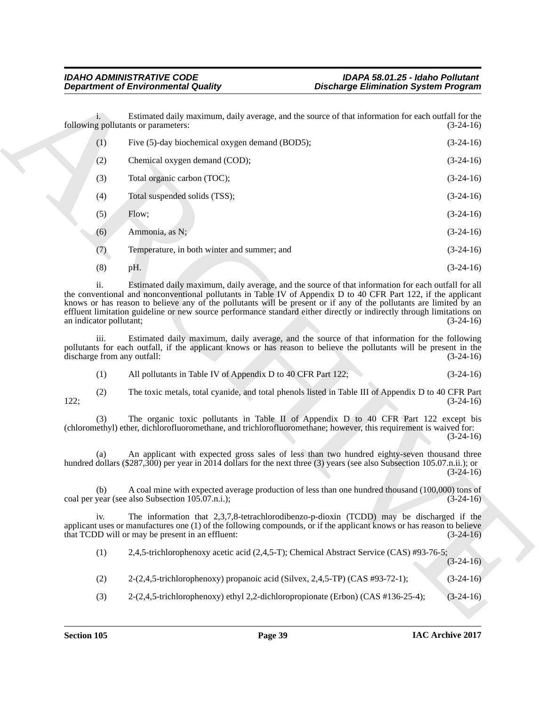|                                     | <b>Department of Environmental Quality</b>                                                                                                                                                                                                                                                                                                                    | <b>Discharge Elimination System Program</b>                                                         |             |
|-------------------------------------|---------------------------------------------------------------------------------------------------------------------------------------------------------------------------------------------------------------------------------------------------------------------------------------------------------------------------------------------------------------|-----------------------------------------------------------------------------------------------------|-------------|
| $1 -$                               | following pollutants or parameters:                                                                                                                                                                                                                                                                                                                           | Estimated daily maximum, daily average, and the source of that information for each outfall for the | $(3-24-16)$ |
| (1)                                 | Five (5)-day biochemical oxygen demand (BOD5);                                                                                                                                                                                                                                                                                                                |                                                                                                     | $(3-24-16)$ |
| (2)                                 | Chemical oxygen demand (COD);                                                                                                                                                                                                                                                                                                                                 |                                                                                                     | $(3-24-16)$ |
| (3)                                 | Total organic carbon (TOC);                                                                                                                                                                                                                                                                                                                                   |                                                                                                     | $(3-24-16)$ |
| (4)                                 | Total suspended solids (TSS);                                                                                                                                                                                                                                                                                                                                 |                                                                                                     | $(3-24-16)$ |
| (5)                                 | Flow;                                                                                                                                                                                                                                                                                                                                                         |                                                                                                     | $(3-24-16)$ |
| (6)                                 | Ammonia, as N;                                                                                                                                                                                                                                                                                                                                                |                                                                                                     | $(3-24-16)$ |
| (7)                                 | Temperature, in both winter and summer; and                                                                                                                                                                                                                                                                                                                   |                                                                                                     | $(3-24-16)$ |
| (8)                                 | pH.                                                                                                                                                                                                                                                                                                                                                           |                                                                                                     | $(3-24-16)$ |
| 11.<br>an indicator pollutant;      | the conventional and nonconventional pollutants in Table IV of Appendix D to 40 CFR Part 122, if the applicant<br>knows or has reason to believe any of the pollutants will be present or if any of the pollutants are limited by an<br>effluent limitation guideline or new source performance standard either directly or indirectly through limitations on | Estimated daily maximum, daily average, and the source of that information for each outfall for all | $(3-24-16)$ |
| iii.<br>discharge from any outfall: | pollutants for each outfall, if the applicant knows or has reason to believe the pollutants will be present in the                                                                                                                                                                                                                                            | Estimated daily maximum, daily average, and the source of that information for the following        | $(3-24-16)$ |
| (1)                                 | All pollutants in Table IV of Appendix D to 40 CFR Part 122;                                                                                                                                                                                                                                                                                                  |                                                                                                     | $(3-24-16)$ |
| (2)<br>122;                         |                                                                                                                                                                                                                                                                                                                                                               | The toxic metals, total cyanide, and total phenols listed in Table III of Appendix D to 40 CFR Part | $(3-24-16)$ |
| (3)                                 | (chloromethyl) ether, dichlorofluoromethane, and trichlorofluoromethane; however, this requirement is waived for:                                                                                                                                                                                                                                             | The organic toxic pollutants in Table II of Appendix D to 40 CFR Part 122 except bis                | $(3-24-16)$ |
| (a)                                 | hundred dollars (\$287,300) per year in 2014 dollars for the next three (3) years (see also Subsection 105.07.n.ii.); or                                                                                                                                                                                                                                      | An applicant with expected gross sales of less than two hundred eighty-seven thousand three         | $(3-24-16)$ |
| (b)                                 | coal per year (see also Subsection 105.07.n.i.);                                                                                                                                                                                                                                                                                                              | A coal mine with expected average production of less than one hundred thousand (100,000) tons of    | $(3-24-16)$ |
| iv.                                 | applicant uses or manufactures one (1) of the following compounds, or if the applicant knows or has reason to believe<br>that TCDD will or may be present in an effluent:                                                                                                                                                                                     | The information that 2,3,7,8-tetrachlorodibenzo-p-dioxin (TCDD) may be discharged if the            | $(3-24-16)$ |
| (1)                                 |                                                                                                                                                                                                                                                                                                                                                               | 2,4,5-trichlorophenoxy acetic acid (2,4,5-T); Chemical Abstract Service (CAS) #93-76-5;             | $(3-24-16)$ |
| (2)                                 | 2-(2,4,5-trichlorophenoxy) propanoic acid (Silvex, 2,4,5-TP) (CAS #93-72-1);                                                                                                                                                                                                                                                                                  |                                                                                                     | $(3-24-16)$ |
|                                     | 2-(2,4,5-trichlorophenoxy) ethyl 2,2-dichloropropionate (Erbon) (CAS #136-25-4);                                                                                                                                                                                                                                                                              |                                                                                                     | $(3-24-16)$ |

| 2,4,5-trichlorophenoxy acetic acid (2,4,5-T); Chemical Abstract Service (CAS) #93-76-5; |             |
|-----------------------------------------------------------------------------------------|-------------|
|                                                                                         | $(3-24-16)$ |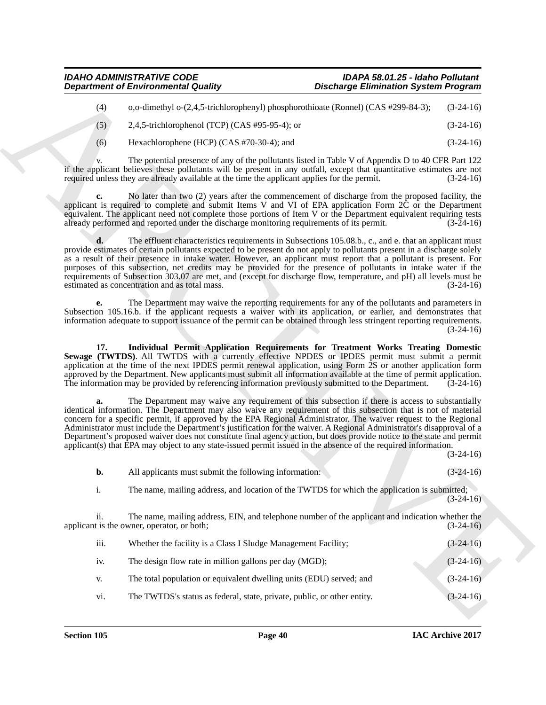| o,o-dimethyl o- $(2,4,5$ -trichlorophenyl) phosphorothioate (Ronnel) (CAS #299-84-3); | $(3-24-16)$ |
|---------------------------------------------------------------------------------------|-------------|
| 2,4,5-trichlorophenol (TCP) (CAS #95-95-4); or                                        | $(3-24-16)$ |

|                      | <b>Department of Environmental Quality</b>                                                         | <b>Discharge Elimination System Program</b>                                                                                                                                                                                                                                                                                                                                                                                                                                                                                                                                                                                                                                                                |                            |
|----------------------|----------------------------------------------------------------------------------------------------|------------------------------------------------------------------------------------------------------------------------------------------------------------------------------------------------------------------------------------------------------------------------------------------------------------------------------------------------------------------------------------------------------------------------------------------------------------------------------------------------------------------------------------------------------------------------------------------------------------------------------------------------------------------------------------------------------------|----------------------------|
| (4)                  |                                                                                                    | o,o-dimethyl o-(2,4,5-trichlorophenyl) phosphorothioate (Ronnel) (CAS #299-84-3);                                                                                                                                                                                                                                                                                                                                                                                                                                                                                                                                                                                                                          | $(3-24-16)$                |
| (5)                  | 2,4,5-trichlorophenol (TCP) (CAS #95-95-4); or                                                     |                                                                                                                                                                                                                                                                                                                                                                                                                                                                                                                                                                                                                                                                                                            | $(3-24-16)$                |
| (6)                  | Hexachlorophene (HCP) (CAS #70-30-4); and                                                          |                                                                                                                                                                                                                                                                                                                                                                                                                                                                                                                                                                                                                                                                                                            | $(3-24-16)$                |
|                      | required unless they are already available at the time the applicant applies for the permit.       | The potential presence of any of the pollutants listed in Table V of Appendix D to 40 CFR Part 122<br>if the applicant believes these pollutants will be present in any outfall, except that quantitative estimates are not                                                                                                                                                                                                                                                                                                                                                                                                                                                                                | $(3-24-16)$                |
| c.                   | already performed and reported under the discharge monitoring requirements of its permit.          | No later than two (2) years after the commencement of discharge from the proposed facility, the<br>applicant is required to complete and submit Items V and VI of EPA application Form 2C or the Department<br>equivalent. The applicant need not complete those portions of Item V or the Department equivalent requiring tests                                                                                                                                                                                                                                                                                                                                                                           | $(3-24-16)$                |
| d.                   | estimated as concentration and as total mass.                                                      | The effluent characteristics requirements in Subsections 105.08.b., c., and e. that an applicant must<br>provide estimates of certain pollutants expected to be present do not apply to pollutants present in a discharge solely<br>as a result of their presence in intake water. However, an applicant must report that a pollutant is present. For<br>purposes of this subsection, net credits may be provided for the presence of pollutants in intake water if the<br>requirements of Subsection 303.07 are met, and (except for discharge flow, temperature, and pH) all levels must be                                                                                                              | $(3-24-16)$                |
| е.                   |                                                                                                    | The Department may waive the reporting requirements for any of the pollutants and parameters in<br>Subsection 105.16.b. if the applicant requests a waiver with its application, or earlier, and demonstrates that<br>information adequate to support issuance of the permit can be obtained through less stringent reporting requirements.                                                                                                                                                                                                                                                                                                                                                                | $(3-24-16)$                |
| 17.                  | The information may be provided by referencing information previously submitted to the Department. | Individual Permit Application Requirements for Treatment Works Treating Domestic<br>Sewage (TWTDS). All TWTDS with a currently effective NPDES or IPDES permit must submit a permit<br>application at the time of the next IPDES permit renewal application, using Form 2S or another application form<br>approved by the Department. New applicants must submit all information available at the time of permit application.                                                                                                                                                                                                                                                                              | $(3-24-16)$                |
| a.                   |                                                                                                    | The Department may waive any requirement of this subsection if there is access to substantially<br>identical information. The Department may also waive any requirement of this subsection that is not of material<br>concern for a specific permit, if approved by the EPA Regional Administrator. The waiver request to the Regional<br>Administrator must include the Department's justification for the waiver. A Regional Administrator's disapproval of a<br>Department's proposed waiver does not constitute final agency action, but does provide notice to the state and permit<br>applicant(s) that EPA may object to any state-issued permit issued in the absence of the required information. |                            |
|                      | All applicants must submit the following information:                                              |                                                                                                                                                                                                                                                                                                                                                                                                                                                                                                                                                                                                                                                                                                            | $(3-24-16)$<br>$(3-24-16)$ |
| $\mathbf{b}$ .<br>i. |                                                                                                    | The name, mailing address, and location of the TWTDS for which the application is submitted;                                                                                                                                                                                                                                                                                                                                                                                                                                                                                                                                                                                                               |                            |
|                      |                                                                                                    |                                                                                                                                                                                                                                                                                                                                                                                                                                                                                                                                                                                                                                                                                                            | $(3-24-16)$                |
| ii.                  | applicant is the owner, operator, or both;                                                         | The name, mailing address, EIN, and telephone number of the applicant and indication whether the                                                                                                                                                                                                                                                                                                                                                                                                                                                                                                                                                                                                           | $(3-24-16)$                |
|                      | Whether the facility is a Class I Sludge Management Facility;                                      |                                                                                                                                                                                                                                                                                                                                                                                                                                                                                                                                                                                                                                                                                                            | $(3-24-16)$                |
| iii.                 |                                                                                                    |                                                                                                                                                                                                                                                                                                                                                                                                                                                                                                                                                                                                                                                                                                            |                            |
| iv.                  | The design flow rate in million gallons per day (MGD);                                             |                                                                                                                                                                                                                                                                                                                                                                                                                                                                                                                                                                                                                                                                                                            |                            |
| V.                   | The total population or equivalent dwelling units (EDU) served; and                                |                                                                                                                                                                                                                                                                                                                                                                                                                                                                                                                                                                                                                                                                                                            | $(3-24-16)$<br>$(3-24-16)$ |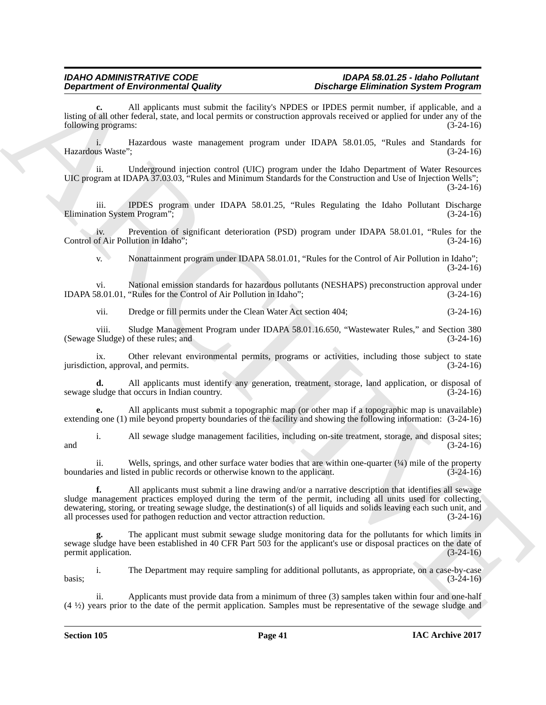**c.** All applicants must submit the facility's NPDES or IPDES permit number, if applicable, and a listing of all other federal, state, and local permits or construction approvals received or applied for under any of the following programs: (3-24-16)

i. Hazardous waste management program under IDAPA 58.01.05, "Rules and Standards for Hazardous Waste"; (3-24-16)

ii. Underground injection control (UIC) program under the Idaho Department of Water Resources UIC program at IDAPA 37.03.03, "Rules and Minimum Standards for the Construction and Use of Injection Wells";  $(3-24-16)$ 

iii. IPDES program under IDAPA 58.01.25, "Rules Regulating the Idaho Pollutant Discharge ion System Program": (3-24-16) Elimination System Program";

iv. Prevention of significant deterioration (PSD) program under IDAPA 58.01.01, "Rules for the Control of Air Pollution in Idaho"; (3-24-16)

v. Nonattainment program under IDAPA 58.01.01, "Rules for the Control of Air Pollution in Idaho"; (3-24-16)

vi. National emission standards for hazardous pollutants (NESHAPS) preconstruction approval under (8.01.01, "Rules for the Control of Air Pollution in Idaho"; (3-24-16) IDAPA 58.01.01, "Rules for the Control of Air Pollution in Idaho";

vii. Dredge or fill permits under the Clean Water Act section 404; (3-24-16)

viii. Sludge Management Program under IDAPA 58.01.16.650, "Wastewater Rules," and Section 380 (Sewage Sludge) of these rules; and

ix. Other relevant environmental permits, programs or activities, including those subject to state jurisdiction, approval, and permits. (3-24-16)

**d.** All applicants must identify any generation, treatment, storage, land application, or disposal of ludge that occurs in Indian country. (3-24-16) sewage sludge that occurs in Indian country.

**e.** All applicants must submit a topographic map (or other map if a topographic map is unavailable) extending one (1) mile beyond property boundaries of the facility and showing the following information: (3-24-16)

i. All sewage sludge management facilities, including on-site treatment, storage, and disposal sites; and  $(3-24-16)$ 

ii. Wells, springs, and other surface water bodies that are within one-quarter  $(\frac{1}{4})$  mile of the property ies and listed in public records or otherwise known to the applicant. (3-24-16) boundaries and listed in public records or otherwise known to the applicant.

**Department of Environmental Configuration**. Hence the significant problem is the significant of the significant of the significant state of the significant state of the significant state of the significant state of the s **f.** All applicants must submit a line drawing and/or a narrative description that identifies all sewage sludge management practices employed during the term of the permit, including all units used for collecting, dewatering, storing, or treating sewage sludge, the destination(s) of all liquids and solids leaving each such unit, and all processes used for pathogen reduction and vector attraction reduction. (3-24-16)

**g.** The applicant must submit sewage sludge monitoring data for the pollutants for which limits in sewage sludge have been established in 40 CFR Part 503 for the applicant's use or disposal practices on the date of permit application. (3-24-16) permit application.

i. The Department may require sampling for additional pollutants, as appropriate, on a case-by-case  $basis;$  (3-24-16)

Applicants must provide data from a minimum of three (3) samples taken within four and one-half (4 ½) years prior to the date of the permit application. Samples must be representative of the sewage sludge and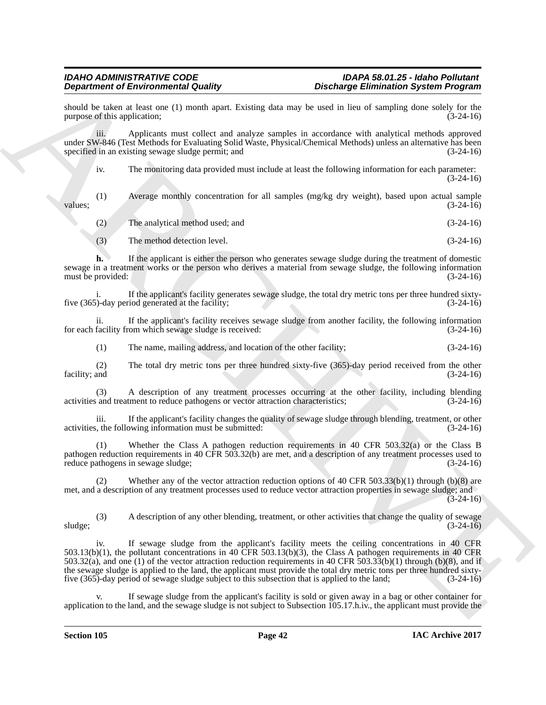should be taken at least one (1) month apart. Existing data may be used in lieu of sampling done solely for the purpose of this application; (3-24-16) purpose of this application;

iii. Applicants must collect and analyze samples in accordance with analytical methods approved under SW-846 (Test Methods for Evaluating Solid Waste, Physical/Chemical Methods) unless an alternative has been specified in an existing sewage sludge permit; and (3-24-16)

iv. The monitoring data provided must include at least the following information for each parameter: (3-24-16)

(1) Average monthly concentration for all samples (mg/kg dry weight), based upon actual sample  $values;$  (3-24-16)

(2) The analytical method used; and (3-24-16)

(3) The method detection level. (3-24-16)

**h.** If the applicant is either the person who generates sewage sludge during the treatment of domestic sewage in a treatment works or the person who derives a material from sewage sludge, the following information must be provided: (3-24-16)

i. If the applicant's facility generates sewage sludge, the total dry metric tons per three hundred sixty-<br>(3-24-16) five  $(365)$ -day period generated at the facility;

ii. If the applicant's facility receives sewage sludge from another facility, the following information facility from which sewage sludge is received: (3-24-16) for each facility from which sewage sludge is received:

(1) The name, mailing address, and location of the other facility; (3-24-16)

(2) The total dry metric tons per three hundred sixty-five (365)-day period received from the other facility; and (3-24-16) (3-24-16)

(3) A description of any treatment processes occurring at the other facility, including blending activities and treatment to reduce pathogens or vector attraction characteristics; (3-24-16)

iii. If the applicant's facility changes the quality of sewage sludge through blending, treatment, or other<br>it. the following information must be submitted: (3-24-16) activities, the following information must be submitted:

Whether the Class A pathogen reduction requirements in 40 CFR  $503.32(a)$  or the Class B pathogen reduction requirements in 40 CFR 503.32(b) are met, and a description of any treatment processes used to reduce pathogens in sewage sludge; (3-24-16)

Whether any of the vector attraction reduction options of 40 CFR 503.33(b)(1) through (b)(8) are met, and a description of any treatment processes used to reduce vector attraction properties in sewage sludge; and (3-24-16)

(3) A description of any other blending, treatment, or other activities that change the quality of sewage sludge;  $(3-24-16)$ 

**Dependent of Entropic mini-state and the same of the same of the same of the same of the same of the same of the same of the same of the same of the same of the same of the same of the same of the same of the same of the** iv. If sewage sludge from the applicant's facility meets the ceiling concentrations in 40 CFR  $503.13(b)(1)$ , the pollutant concentrations in 40 CFR  $503.13(b)(3)$ , the Class A pathogen requirements in 40 CFR 503.32(a), and one (1) of the vector attraction reduction requirements in 40 CFR 503.33(b)(1) through (b)(8), and if the sewage sludge is applied to the land, the applicant must provide the total dry metric tons per three hundred sixtyfive (365)-day period of sewage sludge subject to this subsection that is applied to the land; (3-24-16)

If sewage sludge from the applicant's facility is sold or given away in a bag or other container for application to the land, and the sewage sludge is not subject to Subsection 105.17.h.iv., the applicant must provide the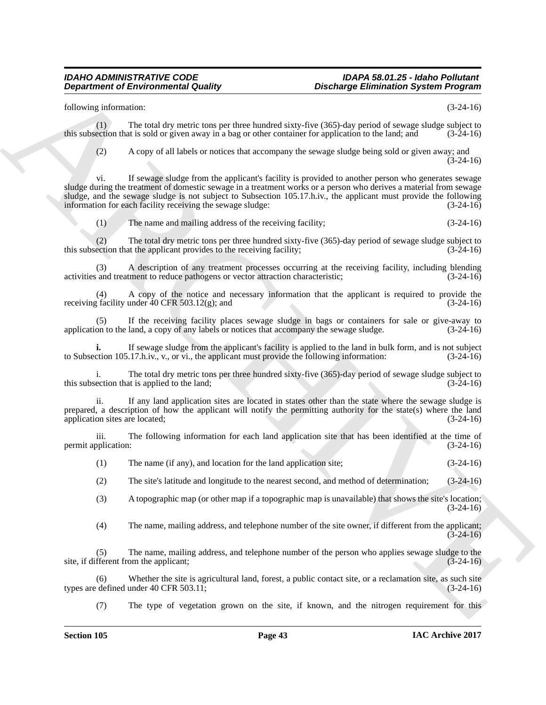following information: (3-24-16)

(1) The total dry metric tons per three hundred sixty-five  $(365)$ -day period of sewage sludge subject to ection that is sold or given away in a bag or other container for application to the land: and  $(3-24-16)$ this subsection that is sold or given away in a bag or other container for application to the land; and

(2) A copy of all labels or notices that accompany the sewage sludge being sold or given away; and  $(3-24-16)$ 

**Department of Environmental Guality<br>
ARCHIVEST EXECUTION INTERFERICATION CONTINUES System Properties<br>
ARCHIVEST END IN THE SECTION CONTINUES SYSTEM CONTINUES SYSTEM (1)<br>
ARCHIVEST INTERFERICATION INTERFERICATION CONTINUE** vi. If sewage sludge from the applicant's facility is provided to another person who generates sewage sludge during the treatment of domestic sewage in a treatment works or a person who derives a material from sewage sludge, and the sewage sludge is not subject to Subsection 105.17.h.iv., the applicant must provide the following information for each facility receiving the sewage sludge: (3-24-16) information for each facility receiving the sewage sludge:

(1) The name and mailing address of the receiving facility; (3-24-16)

(2) The total dry metric tons per three hundred sixty-five (365)-day period of sewage sludge subject to ection that the applicant provides to the receiving facility; (3-24-16) this subsection that the applicant provides to the receiving facility;

(3) A description of any treatment processes occurring at the receiving facility, including blending and treatment to reduce pathogens or vector attraction characteristic: (3-24-16) activities and treatment to reduce pathogens or vector attraction characteristic;

(4) A copy of the notice and necessary information that the applicant is required to provide the tacility under 40 CFR 503.12(g); and receiving facility under  $40$  CFR 503.12(g); and

(5) If the receiving facility places sewage sludge in bags or containers for sale or give-away to on to the land, a copy of any labels or notices that accompany the sewage sludge.  $(3-24-16)$ application to the land, a copy of any labels or notices that accompany the sewage sludge.

If sewage sludge from the applicant's facility is applied to the land in bulk form, and is not subject .17.h.iv., v., or vi., the applicant must provide the following information:  $(3-24-16)$ to Subsection 105.17.h.iv., v., or vi., the applicant must provide the following information:

i. The total dry metric tons per three hundred sixty-five (365)-day period of sewage sludge subject to this subsection that is applied to the land;  $(3-24-16)$ 

ii. If any land application sites are located in states other than the state where the sewage sludge is prepared, a description of how the applicant will notify the permitting authority for the state(s) where the land application sites are located; (3-24-16)

iii. The following information for each land application site that has been identified at the time of permit application: (3-24-16)

(1) The name (if any), and location for the land application site; (3-24-16)

(2) The site's latitude and longitude to the nearest second, and method of determination; (3-24-16)

(3) A topographic map (or other map if a topographic map is unavailable) that shows the site's location; (3-24-16)

(4) The name, mailing address, and telephone number of the site owner, if different from the applicant;  $(3-24-16)$ 

(5) The name, mailing address, and telephone number of the person who applies sewage sludge to the site, if different from the applicant; (3-24-16)

(6) Whether the site is agricultural land, forest, a public contact site, or a reclamation site, as such site defined under  $40 \text{ CFR } 503.11$ ; (3-24-16) types are defined under  $40$  CFR  $503.11$ ;

(7) The type of vegetation grown on the site, if known, and the nitrogen requirement for this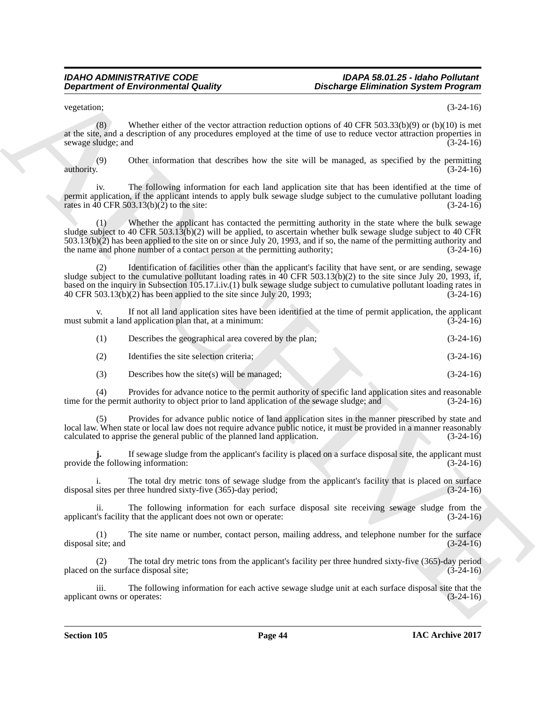vegetation;  $(3-24-16)$ 

(8) Whether either of the vector attraction reduction options of 40 CFR 503.33(b)(9) or (b)(10) is met at the site, and a description of any procedures employed at the time of use to reduce vector attraction properties in sewage sludge; and (3-24-16)

(9) Other information that describes how the site will be managed, as specified by the permitting authority.  $(3-24-16)$ 

The following information for each land application site that has been identified at the time of permit application, if the applicant intends to apply bulk sewage sludge subject to the cumulative pollutant loading rates in 40 CFR 503.13(b)(2) to the site:  $(3-24-16)$ rates in  $\overline{40}$  CFR 503.13(b)(2) to the site:

Whether the applicant has contacted the permitting authority in the state where the bulk sewage sludge subject to 40 CFR 503.1 $3(b)(2)$  will be applied, to ascertain whether bulk sewage sludge subject to 40 CFR  $503.13(b)(2)$  has been applied to the site on or since July 20, 1993, and if so, the name of the permitting authority and the name and phone number of a contact person at the permitting authority;  $(3-24-16)$ the name and phone number of a contact person at the permitting authority;

**Department of Environmental Guality (Brachurge Eliminiation System Program)**<br>
vectors:  $\frac{1}{2}$  (18) the state of the vertex structure velocity and the time of the state of the China of the China of the China of the Chi Identification of facilities other than the applicant's facility that have sent, or are sending, sewage sludge subject to the cumulative pollutant loading rates in  $\hat{40}$  CFR 503.13(b)(2) to the site since July 20, 1993, if, based on the inquiry in Subsection 105.17.i.iv.(1) bulk sewage sludge subject to cumulative pollutant loading rates in 40 CFR 503.13(b)(2) has been applied to the site since July 20, 1993; (3-24-16) 40 CFR 503.13(b)(2) has been applied to the site since July 20, 1993;

If not all land application sites have been identified at the time of permit application, the applicant must submit a land application plan that, at a minimum: (3-24-16)

| (1) | Describes the geographical area covered by the plan; | $(3-24-16)$ |
|-----|------------------------------------------------------|-------------|
| (2) | Identifies the site selection criteria:              | $(3-24-16)$ |

(3) Describes how the site(s) will be managed; (3-24-16)

(4) Provides for advance notice to the permit authority of specific land application sites and reasonable time for the permit authority to object prior to land application of the sewage sludge; and

(5) Provides for advance public notice of land application sites in the manner prescribed by state and local law. When state or local law does not require advance public notice, it must be provided in a manner reasonably calculated to apprise the general public of the planned land application. (3-24-16) calculated to apprise the general public of the planned land application.

If sewage sludge from the applicant's facility is placed on a surface disposal site, the applicant must<br>ing information: (3-24-16) provide the following information:

The total dry metric tons of sewage sludge from the applicant's facility that is placed on surface three hundred sixty-five (365)-day period; (3-24-16) disposal sites per three hundred sixty-five  $(365)$ -day period;

ii. The following information for each surface disposal site receiving sewage sludge from the applicant's facility that the applicant does not own or operate: (3-24-16)

(1) The site name or number, contact person, mailing address, and telephone number for the surface site; and  $(3-24-16)$ disposal site; and

(2) The total dry metric tons from the applicant's facility per three hundred sixty-five (365)-day period placed on the surface disposal site; (3-24-16)

iii. The following information for each active sewage sludge unit at each surface disposal site that the towns or operates: (3-24-16) applicant owns or operates: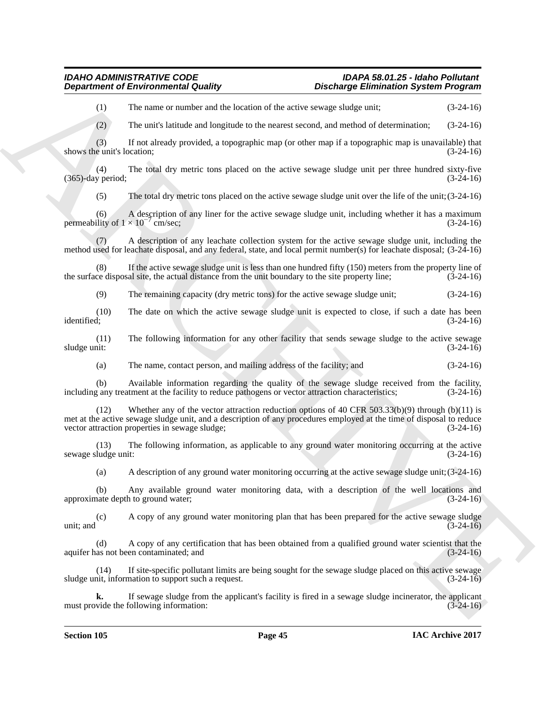(1) The name or number and the location of the active sewage sludge unit; (3-24-16)

(2) The unit's latitude and longitude to the nearest second, and method of determination; (3-24-16)

(3) If not already provided, a topographic map (or other map if a topographic map is unavailable) that shows the unit's location;

(4) The total dry metric tons placed on the active sewage sludge unit per three hundred sixty-five  $(365)$ -day period;

(5) The total dry metric tons placed on the active sewage sludge unit over the life of the unit;(3-24-16)

(6) A description of any liner for the active sewage sludge unit, including whether it has a maximum permeability of  $1 \times 10^{-7}$  cm/sec; cm/sec; (3-24-16)

(7) A description of any leachate collection system for the active sewage sludge unit, including the method used for leachate disposal, and any federal, state, and local permit number(s) for leachate disposal; (3-24-16)

(8) If the active sewage sludge unit is less than one hundred fifty (150) meters from the property line of ce disposal site, the actual distance from the unit boundary to the site property line;  $(3-24-16)$ the surface disposal site, the actual distance from the unit boundary to the site property line; (3-24-16)

(9) The remaining capacity (dry metric tons) for the active sewage sludge unit; (3-24-16)

(10) The date on which the active sewage sludge unit is expected to close, if such a date has been identified; (3-24-16)

(11) The following information for any other facility that sends sewage sludge to the active sewage sludge unit: (3-24-16) sludge unit:  $(3-24-16)$ 

(a) The name, contact person, and mailing address of the facility; and (3-24-16)

(b) Available information regarding the quality of the sewage sludge received from the facility, any treatment at the facility to reduce pathogens or vector attraction characteristics; (3-24-16) including any treatment at the facility to reduce pathogens or vector attraction characteristics;

**Department of Environmental Country.**<br>
(3) The mass teamination and leads the leads on the state of the state of the state of the state of the state of the state of the state of the state of the state of the state of the (12) Whether any of the vector attraction reduction options of 40 CFR 503.33(b)(9) through (b)(11) is met at the active sewage sludge unit, and a description of any procedures employed at the time of disposal to reduce<br>vector attraction properties in sewage sludge;<br>(3-24-16) vector attraction properties in sewage sludge;

(13) The following information, as applicable to any ground water monitoring occurring at the active sewage sludge unit:

(a) A description of any ground water monitoring occurring at the active sewage sludge unit;(3-24-16)

(b) Any available ground water monitoring data, with a description of the well locations and approximate depth to ground water;

(c) A copy of any ground water monitoring plan that has been prepared for the active sewage sludge unit; and  $(3-24-16)$ 

(d) A copy of any certification that has been obtained from a qualified ground water scientist that the aquifer has not been contaminated; and

 $(14)$  If site-specific pollutant limits are being sought for the sewage sludge placed on this active sewage nit, information to support such a request.  $(3-24-16)$ sludge unit, information to support such a request.

If sewage sludge from the applicant's facility is fired in a sewage sludge incinerator, the applicant following information: (3-24-16) must provide the following information: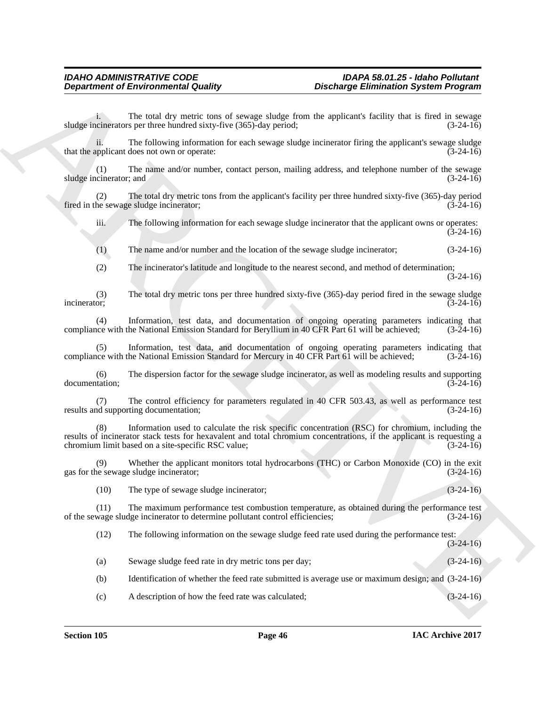i. The total dry metric tons of sewage sludge from the applicant's facility that is fired in sewage cinerators per three hundred sixty-five (365)-day period: (3-24-16) sludge incinerators per three hundred sixty-five (365)-day period;

ii. The following information for each sewage sludge incinerator firing the applicant's sewage sludge applicant does not own or operate: (3-24-16) that the applicant does not own or operate:

(1) The name and/or number, contact person, mailing address, and telephone number of the sewage sludge incinerator; and (3-24-16)

(2) The total dry metric tons from the applicant's facility per three hundred sixty-five (365)-day period fired in the sewage sludge incinerator;

iii. The following information for each sewage sludge incinerator that the applicant owns or operates: (3-24-16)

(1) The name and/or number and the location of the sewage sludge incinerator; (3-24-16)

(2) The incinerator's latitude and longitude to the nearest second, and method of determination;  $(3-24-16)$ 

(3) The total dry metric tons per three hundred sixty-five (365)-day period fired in the sewage sludge incinerator;  $(3-24-16)$ 

(4) Information, test data, and documentation of ongoing operating parameters indicating that ince with the National Emission Standard for Beryllium in 40 CFR Part 61 will be achieved; (3-24-16) compliance with the National Emission Standard for Beryllium in 40 CFR Part 61 will be achieved;

Information, test data, and documentation of ongoing operating parameters indicating that the National Emission Standard for Mercury in 40 CFR Part 61 will be achieved; (3-24-16) compliance with the National Emission Standard for Mercury in 40 CFR Part 61 will be achieved;

(6) The dispersion factor for the sewage sludge incinerator, as well as modeling results and supporting  $d$ ocumentation;  $(\overline{3}-24-16)$ 

(7) The control efficiency for parameters regulated in 40 CFR 503.43, as well as performance test results and supporting documentation;

**Department of Environmental Country.** Distribution System Programs<br>
diagnosis and the total countries on of versus visible form the systems's facility that is first that the system of the system of the system of the syst Information used to calculate the risk specific concentration (RSC) for chromium, including the results of incinerator stack tests for hexavalent and total chromium concentrations, if the applicant is requesting a chromium limit based on a site-specific RSC value; (3-24-16)

(9) Whether the applicant monitors total hydrocarbons (THC) or Carbon Monoxide (CO) in the exit gas for the sewage sludge incinerator; (3-24-16)

(10) The type of sewage sludge incinerator; (3-24-16)

(11) The maximum performance test combustion temperature, as obtained during the performance test of the sewage sludge incinerator to determine pollutant control efficiencies; (3-24-16)

(12) The following information on the sewage sludge feed rate used during the performance test:  $(3-24-16)$ 

(a) Sewage sludge feed rate in dry metric tons per day; (3-24-16)

(b) Identification of whether the feed rate submitted is average use or maximum design; and (3-24-16)

(c) A description of how the feed rate was calculated; (3-24-16)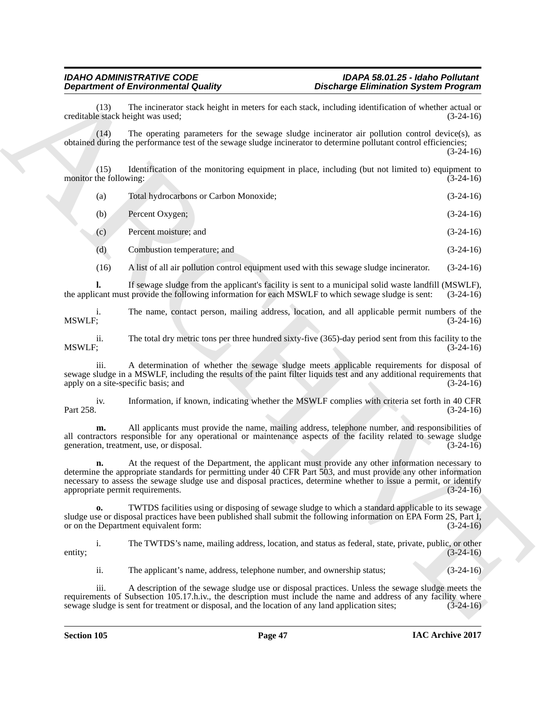# *IDAHO ADMINISTRATIVE CODE IDAPA 58.01.25 - Idaho Pollutant*

(13) The incinerator stack height in meters for each stack, including identification of whether actual or e stack height was used: (3-24-16) creditable stack height was used;

(14) The operating parameters for the sewage sludge incinerator air pollution control device(s), as obtained during the performance test of the sewage sludge incinerator to determine pollutant control efficiencies;

(3-24-16)

(15) Identification of the monitoring equipment in place, including (but not limited to) equipment to the following: (3-24-16) monitor the following:

| (a) | Total hydrocarbons or Carbon Monoxide; | $(3-24-16)$ |
|-----|----------------------------------------|-------------|
| (b) | Percent Oxygen;                        | $(3-24-16)$ |

(c) Percent moisture; and (3-24-16)

(d) Combustion temperature; and (3-24-16)

(16) A list of all air pollution control equipment used with this sewage sludge incinerator. (3-24-16)

**l.** If sewage sludge from the applicant's facility is sent to a municipal solid waste landfill (MSWLF), cant must provide the following information for each MSWLF to which sewage sludge is sent: (3-24-16) the applicant must provide the following information for each MSWLF to which sewage sludge is sent:

i. The name, contact person, mailing address, location, and all applicable permit numbers of the MSWLF: (3-24-16) MSWLF; (3-24-16)

ii. The total dry metric tons per three hundred sixty-five (365)-day period sent from this facility to the MSWLF; MSWLF; (3-24-16)

iii. A determination of whether the sewage sludge meets applicable requirements for disposal of sewage sludge in a MSWLF, including the results of the paint filter liquids test and any additional requirements that apply on a site-specific basis; and (3-24-16) (3-24-16)

iv. Information, if known, indicating whether the MSWLF complies with criteria set forth in 40 CFR Part 258. (3-24-16)

**m.** All applicants must provide the name, mailing address, telephone number, and responsibilities of all contractors responsible for any operational or maintenance aspects of the facility related to sewage sludge generation, treatment, use, or disposal. (3-24-16) generation, treatment, use, or disposal.

**Department of Encomparison in Conduction**<br>
conduction and the space of the space of the space of the space of the space of the space of the space of the space of the space of the space since including including to the sp **n.** At the request of the Department, the applicant must provide any other information necessary to determine the appropriate standards for permitting under 40 CFR Part 503, and must provide any other information necessary to assess the sewage sludge use and disposal practices, determine whether to issue a permit, or identify appropriate permit requirements. (3-24-16)

**o.** TWTDS facilities using or disposing of sewage sludge to which a standard applicable to its sewage sludge use or disposal practices have been published shall submit the following information on EPA Form 2S, Part I, or on the Department equivalent form: (3-24-16)

i. The TWTDS's name, mailing address, location, and status as federal, state, private, public, or other entity;  $(3-24-16)$ 

ii. The applicant's name, address, telephone number, and ownership status; (3-24-16)

iii. A description of the sewage sludge use or disposal practices. Unless the sewage sludge meets the requirements of Subsection 105.17.h.iv., the description must include the name and address of any facility where sewage sludge is sent for treatment or disposal, and the location of any land application sites; (3-24-16) sewage sludge is sent for treatment or disposal, and the location of any land application sites;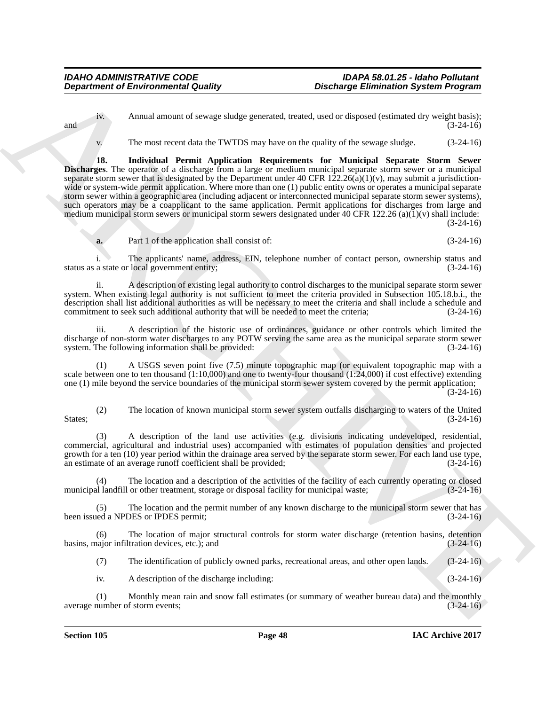iv. Annual amount of sewage sludge generated, treated, used or disposed (estimated dry weight basis); and  $(3-24-16)$ 

v. The most recent data the TWTDS may have on the quality of the sewage sludge. (3-24-16)

**Department of Environmental Guatity**<br>  $x = 0$ <br>
Annual amount of aways shales generated and a statistical control and a statistical control and a statistical<br>  $x^2$ <br>
The most control and the VIVES may have on the quality d **18. Individual Permit Application Requirements for Municipal Separate Storm Sewer Discharges**. The operator of a discharge from a large or medium municipal separate storm sewer or a municipal separate storm sewer that is designated by the Department under 40 CFR  $122.26(a)(1)(v)$ , may submit a jurisdictionwide or system-wide permit application. Where more than one (1) public entity owns or operates a municipal separate storm sewer within a geographic area (including adjacent or interconnected municipal separate storm sewer systems), such operators may be a coapplicant to the same application. Permit applications for discharges from large and medium municipal storm sewers or municipal storm sewers designated under 40 CFR 122.26 (a)(1)(v) shall include: (3-24-16)

**a.** Part 1 of the application shall consist of: (3-24-16)

i. The applicants' name, address, EIN, telephone number of contact person, ownership status and status as a state or local government entity; (3-24-16)

ii. A description of existing legal authority to control discharges to the municipal separate storm sewer system. When existing legal authority is not sufficient to meet the criteria provided in Subsection 105.18.b.i., the description shall list additional authorities as will be necessary to meet the criteria and shall include a schedule and commitment to seek such additional authority that will be needed to meet the criteria; (3-24-16)

iii. A description of the historic use of ordinances, guidance or other controls which limited the discharge of non-storm water discharges to any POTW serving the same area as the municipal separate storm sewer system. The following information shall be provided:  $(3-24-16)$ system. The following information shall be provided:

(1) A USGS seven point five (7.5) minute topographic map (or equivalent topographic map with a scale between one to ten thousand (1:10,000) and one to twenty-four thousand (1:24,000) if cost effective) extending one (1) mile beyond the service boundaries of the municipal storm sewer system covered by the permit application;  $(3-24-16)$ 

(2) The location of known municipal storm sewer system outfalls discharging to waters of the United States;  $(3-24-16)$ 

(3) A description of the land use activities (e.g. divisions indicating undeveloped, residential, commercial, agricultural and industrial uses) accompanied with estimates of population densities and projected growth for a ten (10) year period within the drainage area served by the separate storm sewer. For each land use type, an estimate of an average runoff coefficient shall be provided: (3-24-16) an estimate of an average runoff coefficient shall be provided;

The location and a description of the activities of the facility of each currently operating or closed municipal landfill or other treatment, storage or disposal facility for municipal waste; (3-24-16)

(5) The location and the permit number of any known discharge to the municipal storm sewer that has been issued a NPDES or IPDES permit; (3-24-16)

(6) The location of major structural controls for storm water discharge (retention basins, detention hajor infiltration devices, etc.); and basins, major infiltration devices, etc.); and

(7) The identification of publicly owned parks, recreational areas, and other open lands. (3-24-16)

iv. A description of the discharge including: (3-24-16)

(1) Monthly mean rain and snow fall estimates (or summary of weather bureau data) and the monthly number of storm events;<br>(3-24-16) average number of storm events;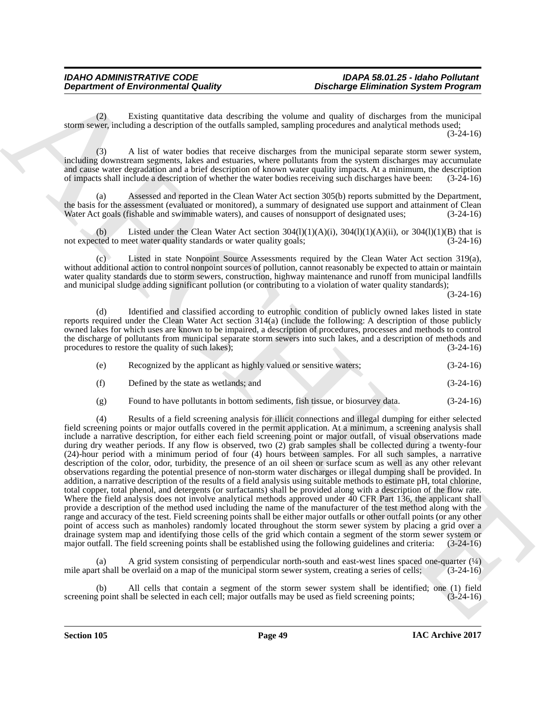(2) Existing quantitative data describing the volume and quality of discharges from the municipal storm sewer, including a description of the outfalls sampled, sampling procedures and analytical methods used; (3-24-16)

(3) A list of water bodies that receive discharges from the municipal separate storm sewer system, including downstream segments, lakes and estuaries, where pollutants from the system discharges may accumulate and cause water degradation and a brief description of known water quality impacts. At a minimum, the description of impacts shall include a description of whether the water bodies receiving such discharges have been: (3-24-16)

(a) Assessed and reported in the Clean Water Act section 305(b) reports submitted by the Department, the basis for the assessment (evaluated or monitored), a summary of designated use support and attainment of Clean Water Act goals (fishable and swimmable waters), and causes of nonsupport of designated uses: (3-24-16) Water Act goals (fishable and swimmable waters), and causes of nonsupport of designated uses;

(b) Listed under the Clean Water Act section  $304(1)(1)(A)(i)$ ,  $304(1)(1)(A)(ii)$ , or  $304(1)(1)(B)$  that is not expected to meet water quality standards or water quality goals; (3-24-16)

(c) Listed in state Nonpoint Source Assessments required by the Clean Water Act section 319(a), without additional action to control nonpoint sources of pollution, cannot reasonably be expected to attain or maintain water quality standards due to storm sewers, construction, highway maintenance and runoff from municipal landfills and municipal sludge adding significant pollution (or contributing to a violation of water quality standards);

(3-24-16)

(d) Identified and classified according to eutrophic condition of publicly owned lakes listed in state reports required under the Clean Water Act section 314(a) (include the following: A description of those publicly owned lakes for which uses are known to be impaired, a description of procedures, processes and methods to control the discharge of pollutants from municipal separate storm sewers into such lakes, and a description of methods and procedures to restore the quality of such lakes); (3-24-16) procedures to restore the quality of such lakes);

| (e) | Recognized by the applicant as highly valued or sensitive waters; | $(3-24-16)$ |
|-----|-------------------------------------------------------------------|-------------|
| (f) | Defined by the state as wetlands; and                             | $(3-24-16)$ |

(g) Found to have pollutants in bottom sediments, fish tissue, or biosurvey data. (3-24-16)

**Department of Environmental Guality<br>
Channel Counter of Environmental Guality<br>
Channel Counter of the counter of the counter of the counter of the counter of the counter of the counter of the counter of the counter of th** (4) Results of a field screening analysis for illicit connections and illegal dumping for either selected field screening points or major outfalls covered in the permit application. At a minimum, a screening analysis shall include a narrative description, for either each field screening point or major outfall, of visual observations made during dry weather periods. If any flow is observed, two (2) grab samples shall be collected during a twenty-four (24)-hour period with a minimum period of four (4) hours between samples. For all such samples, a narrative description of the color, odor, turbidity, the presence of an oil sheen or surface scum as well as any other relevant observations regarding the potential presence of non-storm water discharges or illegal dumping shall be provided. In addition, a narrative description of the results of a field analysis using suitable methods to estimate pH, total chlorine, total copper, total phenol, and detergents (or surfactants) shall be provided along with a description of the flow rate. Where the field analysis does not involve analytical methods approved under 40 CFR Part 136, the applicant shall provide a description of the method used including the name of the manufacturer of the test method along with the range and accuracy of the test. Field screening points shall be either major outfalls or other outfall points (or any other point of access such as manholes) randomly located throughout the storm sewer system by placing a grid over a drainage system map and identifying those cells of the grid which contain a segment of the storm sewer system or major outfall. The field screening points shall be established using the following guidelines and criteria: ( major outfall. The field screening points shall be established using the following guidelines and criteria:

A grid system consisting of perpendicular north-south and east-west lines spaced one-quarter  $(\frac{1}{4})$ mile apart shall be overlaid on a map of the municipal storm sewer system, creating a series of cells; (3-24-16)

(b) All cells that contain a segment of the storm sewer system shall be identified; one (1) field  $\zeta$  point shall be selected in each cell; major outfalls may be used as field screening points; (3-24-16) screening point shall be selected in each cell; major outfalls may be used as field screening points;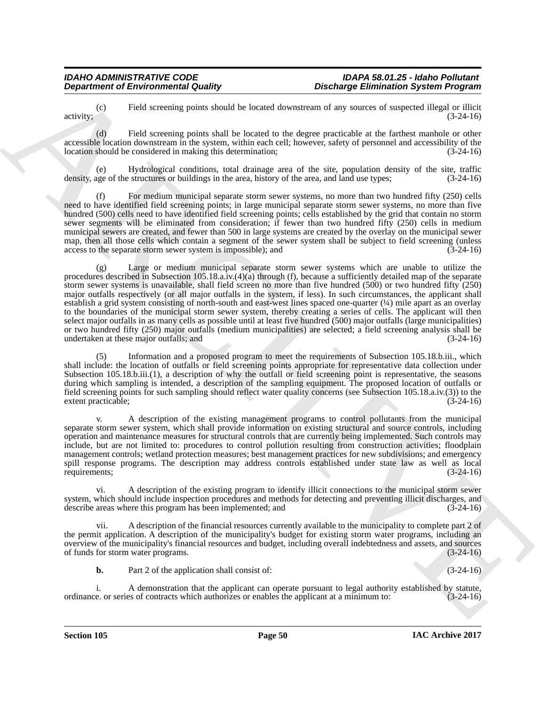(c) Field screening points should be located downstream of any sources of suspected illegal or illicit activity;  $(3-24-16)$ 

(d) Field screening points shall be located to the degree practicable at the farthest manhole or other accessible location downstream in the system, within each cell; however, safety of personnel and accessibility of the location should be considered in making this determination; (3-24-16)

(e) Hydrological conditions, total drainage area of the site, population density of the site, traffic density, age of the structures or buildings in the area, history of the area, and land use types; (3-24-16)

(f) For medium municipal separate storm sewer systems, no more than two hundred fifty (250) cells need to have identified field screening points; in large municipal separate storm sewer systems, no more than five hundred (500) cells need to have identified field screening points; cells established by the grid that contain no storm sewer segments will be eliminated from consideration; if fewer than two hundred fifty (250) cells in medium municipal sewers are created, and fewer than 500 in large systems are created by the overlay on the municipal sewer map, then all those cells which contain a segment of the sewer system shall be subject to field screening (unless access to the separate storm sewer system is impossible); and (3-24-16) access to the separate storm sewer system is impossible); and

**Department of Environmental Country.**<br> **Consider the constraint country and also be a constraint consider the constraint of the constraint of the constraint of the constraint of the constraint of the constraint of the co** (g) Large or medium municipal separate storm sewer systems which are unable to utilize the procedures described in Subsection 105.18.a.iv.(4)(a) through (f), because a sufficiently detailed map of the separate storm sewer systems is unavailable, shall field screen no more than five hundred (500) or two hundred fifty (250) major outfalls respectively (or all major outfalls in the system, if less). In such circumstances, the applicant shall establish a grid system consisting of north-south and east-west lines spaced one-quarter  $(\frac{1}{4})$  mile apart as an overlay to the boundaries of the municipal storm sewer system, thereby creating a series of cells. The applicant will then select major outfalls in as many cells as possible until at least five hundred (500) major outfalls (large municipalities) or two hundred fifty (250) major outfalls (medium municipalities) are selected; a field screening analysis shall be undertaken at these major outfalls; and (3-24-16)

Information and a proposed program to meet the requirements of Subsection 105.18.b.iii., which shall include: the location of outfalls or field screening points appropriate for representative data collection under Subsection 105.18.b.iii.(1), a description of why the outfall or field screening point is representative, the seasons during which sampling is intended, a description of the sampling equipment. The proposed location of outfalls or field screening points for such sampling should reflect water quality concerns (see Subsection 105.18.a.iv.(3)) to the extent practicable; (3-24-16)

v. A description of the existing management programs to control pollutants from the municipal separate storm sewer system, which shall provide information on existing structural and source controls, including operation and maintenance measures for structural controls that are currently being implemented. Such controls may include, but are not limited to: procedures to control pollution resulting from construction activities; floodplain management controls; wetland protection measures; best management practices for new subdivisions; and emergency spill response programs. The description may address controls established under state law as well as local requirements: (3-24-16) requirements; (3-24-16)

vi. A description of the existing program to identify illicit connections to the municipal storm sewer system, which should include inspection procedures and methods for detecting and preventing illicit discharges, and describe areas where this program has been implemented; and (3-24-16) describe areas where this program has been implemented; and

A description of the financial resources currently available to the municipality to complete part 2 of the permit application. A description of the municipality's budget for existing storm water programs, including an overview of the municipality's financial resources and budget, including overall indebtedness and assets, and sources of funds for storm water programs.

**b.** Part 2 of the application shall consist of: (3-24-16)

i. A demonstration that the applicant can operate pursuant to legal authority established by statute, e. or series of contracts which authorizes or enables the applicant at a minimum to: (3-24-16) ordinance. or series of contracts which authorizes or enables the applicant at a minimum to: (3-24-16)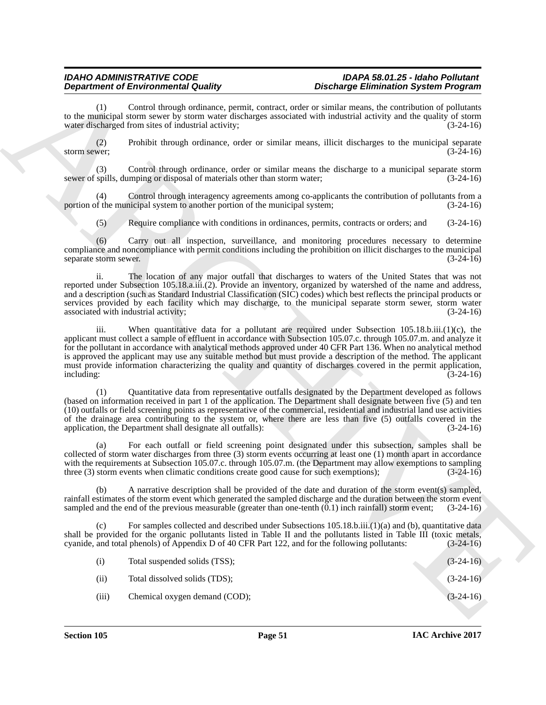(1) Control through ordinance, permit, contract, order or similar means, the contribution of pollutants to the municipal storm sewer by storm water discharges associated with industrial activity and the quality of storm water discharged from sites of industrial activity: (3-24-16) water discharged from sites of industrial activity;

(2) Prohibit through ordinance, order or similar means, illicit discharges to the municipal separate storm sewer;  $(3-24-16)$ 

(3) Control through ordinance, order or similar means the discharge to a municipal separate storm spills, dumping or disposal of materials other than storm water; (3-24-16) sewer of spills, dumping or disposal of materials other than storm water;

(4) Control through interagency agreements among co-applicants the contribution of pollutants from a portion of the municipal system to another portion of the municipal system;

(5) Require compliance with conditions in ordinances, permits, contracts or orders; and (3-24-16)

(6) Carry out all inspection, surveillance, and monitoring procedures necessary to determine compliance and noncompliance with permit conditions including the prohibition on illicit discharges to the municipal<br>(3-24-16) separate storm sewer.

ii. The location of any major outfall that discharges to waters of the United States that was not reported under Subsection 105.18.a.iii.(2). Provide an inventory, organized by watershed of the name and address, and a description (such as Standard Industrial Classification (SIC) codes) which best reflects the principal products or services provided by each facility which may discharge, to the municipal separate storm sewer, storm water associated with industrial activity; (3-24-16) associated with industrial activity;

**Department of Enerotine System Studies**, provide constraints which performance the system of the constraints of the system of the system of the system of the system of the system of the system of the system of the system iii. When quantitative data for a pollutant are required under Subsection 105.18.b.iii.(1)(c), the applicant must collect a sample of effluent in accordance with Subsection 105.07.c. through 105.07.m. and analyze it for the pollutant in accordance with analytical methods approved under 40 CFR Part 136. When no analytical method is approved the applicant may use any suitable method but must provide a description of the method. The applicant must provide information characterizing the quality and quantity of discharges covered in the permit application, including: (3-24-16) including: (3-24-16)

(1) Quantitative data from representative outfalls designated by the Department developed as follows (based on information received in part 1 of the application. The Department shall designate between five (5) and ten (10) outfalls or field screening points as representative of the commercial, residential and industrial land use activities of the drainage area contributing to the system or, where there are less than five (5) outfalls covered in the application, the Department shall designate all outfalls): (3-24-16)

For each outfall or field screening point designated under this subsection, samples shall be collected of storm water discharges from three (3) storm events occurring at least one (1) month apart in accordance with the requirements at Subsection 105.07.c. through 105.07.m. (the Department may allow exemptions to sampling three (3) storm events when climatic conditions create good cause for such exemptions); (3-24-16)

(b) A narrative description shall be provided of the date and duration of the storm event(s) sampled, rainfall estimates of the storm event which generated the sampled discharge and the duration between the storm event sampled and the end of the previous measurable (greater than one-tenth (0.1) inch rainfall) storm event; sampled and the end of the previous measurable (greater than one-tenth  $(0.1)$  inch rainfall) storm event;

(c) For samples collected and described under Subsections 105.18.b.iii.(1)(a) and (b), quantitative data shall be provided for the organic pollutants listed in Table II and the pollutants listed in Table III (toxic metals, cyanide, and total phenols) of Appendix D of 40 CFR Part 122, and for the following pollutants:  $(3-24$ cyanide, and total phenols) of Appendix D of 40 CFR Part 122, and for the following pollutants:

| (i)   | Total suspended solids (TSS); | $(3-24-16)$ |
|-------|-------------------------------|-------------|
| (ii)  | Total dissolved solids (TDS); | $(3-24-16)$ |
| (iii) | Chemical oxygen demand (COD); | $(3-24-16)$ |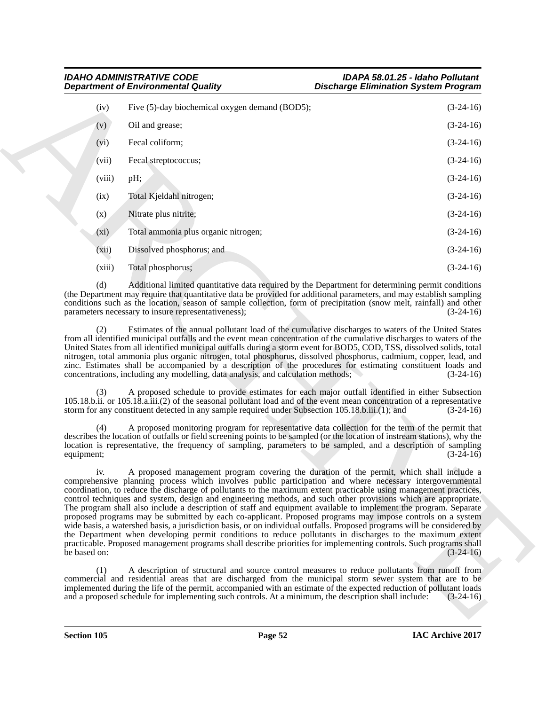| <b>IDAHO ADMINISTRATIVE CODE</b>           | IDAPA 58.01.25 - Idaho Pollutant            |
|--------------------------------------------|---------------------------------------------|
| <b>Department of Environmental Quality</b> | <b>Discharge Elimination System Program</b> |

| <b>Department of Environmental Quality</b>                                                                |                                                                                                      | <b>Discharge Elimination System Program</b>                                                                                                                                                                                                                                                                                                                                                                                                                                                                                                                                                                                                                                                                                                                                                                                                                                                                                                                                                                                                                 |
|-----------------------------------------------------------------------------------------------------------|------------------------------------------------------------------------------------------------------|-------------------------------------------------------------------------------------------------------------------------------------------------------------------------------------------------------------------------------------------------------------------------------------------------------------------------------------------------------------------------------------------------------------------------------------------------------------------------------------------------------------------------------------------------------------------------------------------------------------------------------------------------------------------------------------------------------------------------------------------------------------------------------------------------------------------------------------------------------------------------------------------------------------------------------------------------------------------------------------------------------------------------------------------------------------|
| (iv)                                                                                                      | Five (5)-day biochemical oxygen demand (BOD5);                                                       | $(3-24-16)$                                                                                                                                                                                                                                                                                                                                                                                                                                                                                                                                                                                                                                                                                                                                                                                                                                                                                                                                                                                                                                                 |
| (v)<br>Oil and grease;                                                                                    |                                                                                                      | $(3-24-16)$                                                                                                                                                                                                                                                                                                                                                                                                                                                                                                                                                                                                                                                                                                                                                                                                                                                                                                                                                                                                                                                 |
| Fecal coliform;<br>(vi)                                                                                   |                                                                                                      | $(3-24-16)$                                                                                                                                                                                                                                                                                                                                                                                                                                                                                                                                                                                                                                                                                                                                                                                                                                                                                                                                                                                                                                                 |
| (vii)<br>Fecal streptococcus;                                                                             |                                                                                                      | $(3-24-16)$                                                                                                                                                                                                                                                                                                                                                                                                                                                                                                                                                                                                                                                                                                                                                                                                                                                                                                                                                                                                                                                 |
| (viii)<br>pH;                                                                                             |                                                                                                      | $(3-24-16)$                                                                                                                                                                                                                                                                                                                                                                                                                                                                                                                                                                                                                                                                                                                                                                                                                                                                                                                                                                                                                                                 |
| Total Kjeldahl nitrogen;<br>(ix)                                                                          |                                                                                                      | $(3-24-16)$                                                                                                                                                                                                                                                                                                                                                                                                                                                                                                                                                                                                                                                                                                                                                                                                                                                                                                                                                                                                                                                 |
| Nitrate plus nitrite;<br>(x)                                                                              |                                                                                                      | $(3-24-16)$                                                                                                                                                                                                                                                                                                                                                                                                                                                                                                                                                                                                                                                                                                                                                                                                                                                                                                                                                                                                                                                 |
| $(x_i)$                                                                                                   | Total ammonia plus organic nitrogen;                                                                 | $(3-24-16)$                                                                                                                                                                                                                                                                                                                                                                                                                                                                                                                                                                                                                                                                                                                                                                                                                                                                                                                                                                                                                                                 |
| Dissolved phosphorus; and<br>(xii)                                                                        |                                                                                                      | $(3-24-16)$                                                                                                                                                                                                                                                                                                                                                                                                                                                                                                                                                                                                                                                                                                                                                                                                                                                                                                                                                                                                                                                 |
| (xiii)<br>Total phosphorus;                                                                               |                                                                                                      | $(3-24-16)$                                                                                                                                                                                                                                                                                                                                                                                                                                                                                                                                                                                                                                                                                                                                                                                                                                                                                                                                                                                                                                                 |
| (d)<br>parameters necessary to insure representativeness);                                                |                                                                                                      | Additional limited quantitative data required by the Department for determining permit conditions<br>(the Department may require that quantitative data be provided for additional parameters, and may establish sampling<br>conditions such as the location, season of sample collection, form of precipitation (snow melt, rainfall) and other<br>$(3-24-16)$                                                                                                                                                                                                                                                                                                                                                                                                                                                                                                                                                                                                                                                                                             |
| (3)                                                                                                       | concentrations, including any modelling, data analysis, and calculation methods;                     | Estimates of the annual pollutant load of the cumulative discharges to waters of the United States<br>from all identified municipal outfalls and the event mean concentration of the cumulative discharges to waters of the<br>United States from all identified municipal outfalls during a storm event for BOD5, COD, TSS, dissolved solids, total<br>nitrogen, total ammonia plus organic nitrogen, total phosphorus, dissolved phosphorus, cadmium, copper, lead, and<br>zinc. Estimates shall be accompanied by a description of the procedures for estimating constituent loads and<br>$(3-24-16)$<br>A proposed schedule to provide estimates for each major outfall identified in either Subsection<br>105.18.b.ii. or 105.18.a.iii.(2) of the seasonal pollutant load and of the event mean concentration of a representative                                                                                                                                                                                                                      |
| (4)<br>equipment;                                                                                         | storm for any constituent detected in any sample required under Subsection 105.18.b.iii.(1); and     | $(3-24-16)$<br>A proposed monitoring program for representative data collection for the term of the permit that<br>describes the location of outfalls or field screening points to be sampled (or the location of instream stations), why the<br>location is representative, the frequency of sampling, parameters to be sampled, and a description of sampling<br>$(3-24-16)$                                                                                                                                                                                                                                                                                                                                                                                                                                                                                                                                                                                                                                                                              |
| 1V.<br>be based on:                                                                                       |                                                                                                      | A proposed management program covering the duration of the permit, which shall include a<br>comprehensive planning process which involves public participation and where necessary intergovernmental<br>coordination, to reduce the discharge of pollutants to the maximum extent practicable using management practices,<br>control techniques and system, design and engineering methods, and such other provisions which are appropriate.<br>The program shall also include a description of staff and equipment available to implement the program. Separate<br>proposed programs may be submitted by each co-applicant. Proposed programs may impose controls on a system<br>wide basis, a watershed basis, a jurisdiction basis, or on individual outfalls. Proposed programs will be considered by<br>the Department when developing permit conditions to reduce pollutants in discharges to the maximum extent<br>practicable. Proposed management programs shall describe priorities for implementing controls. Such programs shall<br>$(3-24-16)$ |
| (1)                                                                                                       |                                                                                                      | A description of structural and source control measures to reduce pollutants from runoff from                                                                                                                                                                                                                                                                                                                                                                                                                                                                                                                                                                                                                                                                                                                                                                                                                                                                                                                                                               |
| commercial and residential areas that are discharged from the municipal storm sewer system that are to be | and a proposed schedule for implementing such controls. At a minimum, the description shall include: | implemented during the life of the permit, accompanied with an estimate of the expected reduction of pollutant loads<br>$(3-24-16)$                                                                                                                                                                                                                                                                                                                                                                                                                                                                                                                                                                                                                                                                                                                                                                                                                                                                                                                         |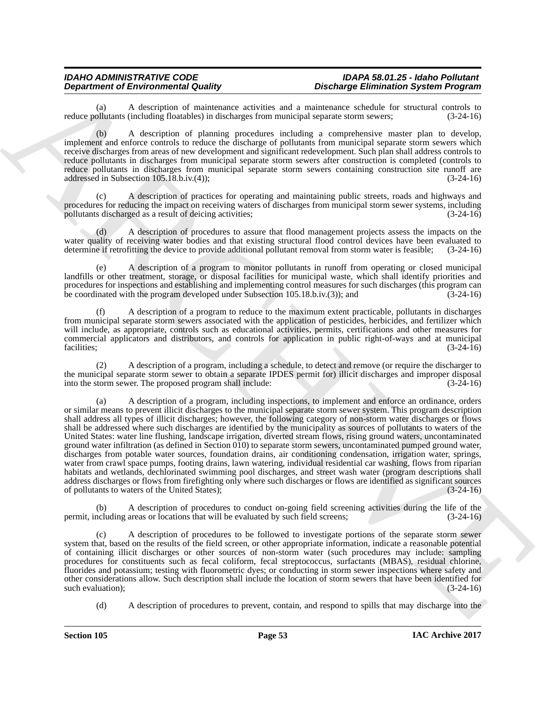A description of maintenance activities and a maintenance schedule for structural controls to (including floatables) in discharges from municipal separate storm sewers: (3-24-16) reduce pollutants (including floatables) in discharges from municipal separate storm sewers;

(b) A description of planning procedures including a comprehensive master plan to develop, implement and enforce controls to reduce the discharge of pollutants from municipal separate storm sewers which receive discharges from areas of new development and significant redevelopment. Such plan shall address controls to reduce pollutants in discharges from municipal separate storm sewers after construction is completed (controls to reduce pollutants in discharges from municipal separate storm sewers containing construction site runoff are addressed in Subsection 105.18.b.iv.(4)); (3-24-16)

(c) A description of practices for operating and maintaining public streets, roads and highways and procedures for reducing the impact on receiving waters of discharges from municipal storm sewer systems, including pollutants discharged as a result of deicing activities: (3-24-16) pollutants discharged as a result of deicing activities; (3-24-16)

(d) A description of procedures to assure that flood management projects assess the impacts on the water quality of receiving water bodies and that existing structural flood control devices have been evaluated to determine if retrofitting the device to provide additional pollutant removal from storm water is feasible; ( determine if retrofitting the device to provide additional pollutant removal from storm water is feasible;

(e) A description of a program to monitor pollutants in runoff from operating or closed municipal landfills or other treatment, storage, or disposal facilities for municipal waste, which shall identify priorities and procedures for inspections and establishing and implementing control measures for such discharges (this program can<br>be coordinated with the program developed under Subsection 105.18.b.iv.(3)): and (3-24-16) be coordinated with the program developed under Subsection  $105.18 \text{.}$ b.iv.(3)); and

(f) A description of a program to reduce to the maximum extent practicable, pollutants in discharges from municipal separate storm sewers associated with the application of pesticides, herbicides, and fertilizer which will include, as appropriate, controls such as educational activities, permits, certifications and other measures for commercial applicators and distributors, and controls for application in public right-of-ways and at municipal facilities; (3-24-16)

(2) A description of a program, including a schedule, to detect and remove (or require the discharger to the municipal separate storm sewer to obtain a separate IPDES permit for) illicit discharges and improper disposal into the storm sewer. The proposed program shall include: (3-24-16)

**Department of Environment Control Comparisons** and the state and the state of Environment Control Comparisons and the state of Environment Control Control Comparisons and the state of Environment Control Control Control (a) A description of a program, including inspections, to implement and enforce an ordinance, orders or similar means to prevent illicit discharges to the municipal separate storm sewer system. This program description shall address all types of illicit discharges; however, the following category of non-storm water discharges or flows shall be addressed where such discharges are identified by the municipality as sources of pollutants to waters of the United States: water line flushing, landscape irrigation, diverted stream flows, rising ground waters, uncontaminated ground water infiltration (as defined in Section 010) to separate storm sewers, uncontaminated pumped ground water, discharges from potable water sources, foundation drains, air conditioning condensation, irrigation water, springs, water from crawl space pumps, footing drains, lawn watering, individual residential car washing, flows from riparian habitats and wetlands, dechlorinated swimming pool discharges, and street wash water (program descriptions shall address discharges or flows from firefighting only where such discharges or flows are identified as significant sources of pollutants to waters of the United States); (3-24-16) of pollutants to waters of the United States);

(b) A description of procedures to conduct on-going field screening activities during the life of the permit, including areas or locations that will be evaluated by such field screens; (3-24-16)

(c) A description of procedures to be followed to investigate portions of the separate storm sewer system that, based on the results of the field screen, or other appropriate information, indicate a reasonable potential of containing illicit discharges or other sources of non-storm water (such procedures may include: sampling procedures for constituents such as fecal coliform, fecal streptococcus, surfactants (MBAS), residual chlorine, fluorides and potassium; testing with fluorometric dyes; or conducting in storm sewer inspections where safety and other considerations allow. Such description shall include the location of storm sewers that have been identified for such evaluation);

(d) A description of procedures to prevent, contain, and respond to spills that may discharge into the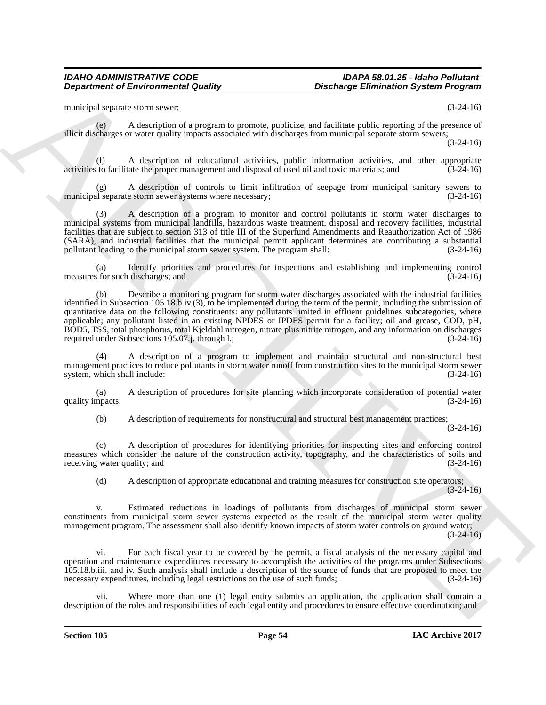municipal separate storm sewer; (3-24-16)

(e) A description of a program to promote, publicize, and facilitate public reporting of the presence of illicit discharges or water quality impacts associated with discharges from municipal separate storm sewers;

(3-24-16)

(f) A description of educational activities, public information activities, and other appropriate activities to facilitate the proper management and disposal of used oil and toxic materials; and

(g) A description of controls to limit infiltration of seepage from municipal sanitary sewers to municipal separate storm sewer systems where necessary; (3-24-16)

(3) A description of a program to monitor and control pollutants in storm water discharges to municipal systems from municipal landfills, hazardous waste treatment, disposal and recovery facilities, industrial facilities that are subject to section 313 of title III of the Superfund Amendments and Reauthorization Act of 1986 (SARA), and industrial facilities that the municipal permit applicant determines are contributing a substantial pollutant loading to the municipal storm sewer system. The program shall:  $(3-24-16)$ pollutant loading to the municipal storm sewer system. The program shall:

(a) Identify priorities and procedures for inspections and establishing and implementing control for such discharges: and  $(3-24-16)$ measures for such discharges; and

**Department of Environmental Quality Britannia (Enchange Eliminiation System Program)<br>
matched space of the system of a program to promote problem, and the later space of the system of the system of the system of the syst** (b) Describe a monitoring program for storm water discharges associated with the industrial facilities identified in Subsection 105.18.b.iv.(3), to be implemented during the term of the permit, including the submission of quantitative data on the following constituents: any pollutants limited in effluent guidelines subcategories, where applicable; any pollutant listed in an existing NPDES or IPDES permit for a facility; oil and grease, COD, pH, BOD5, TSS, total phosphorus, total Kjeldahl nitrogen, nitrate plus nitrite nitrogen, and any information on discharges required under Subsections 105.07.j. through l.; (3-24-16) required under Subsections 105.07.j. through l.;

(4) A description of a program to implement and maintain structural and non-structural best management practices to reduce pollutants in storm water runoff from construction sites to the municipal storm sewer system, which shall include: (3-24-16) system, which shall include:

(a) A description of procedures for site planning which incorporate consideration of potential water quality impacts; (3-24-16)

(b) A description of requirements for nonstructural and structural best management practices;

(3-24-16)

(c) A description of procedures for identifying priorities for inspecting sites and enforcing control measures which consider the nature of the construction activity, topography, and the characteristics of soils and receiving water quality; and (3-24-16) (3-24-16)

(d) A description of appropriate educational and training measures for construction site operators; (3-24-16)

v. Estimated reductions in loadings of pollutants from discharges of municipal storm sewer constituents from municipal storm sewer systems expected as the result of the municipal storm water quality management program. The assessment shall also identify known impacts of storm water controls on ground water;  $(3-24-16)$ 

vi. For each fiscal year to be covered by the permit, a fiscal analysis of the necessary capital and operation and maintenance expenditures necessary to accomplish the activities of the programs under Subsections 105.18.b.iii. and iv. Such analysis shall include a description of the source of funds that are proposed to meet the necessary expenditures, including legal restrictions on the use of such funds; (3-24-16)

Where more than one (1) legal entity submits an application, the application shall contain a description of the roles and responsibilities of each legal entity and procedures to ensure effective coordination; and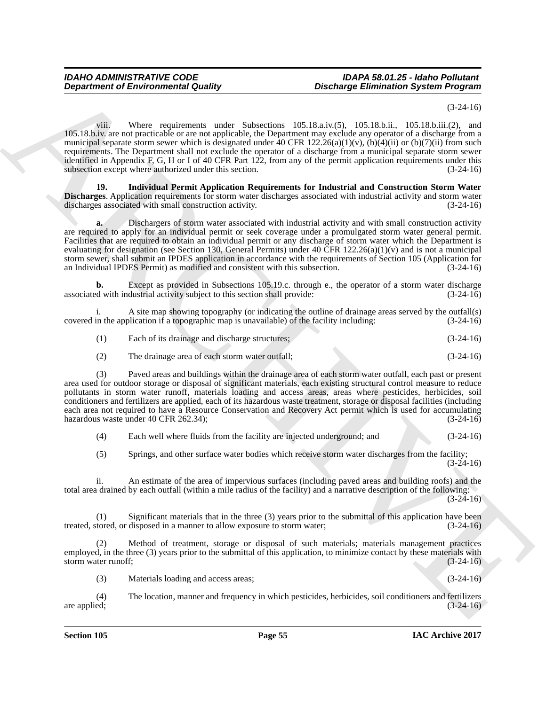(3-24-16)

**Department of Environmental Guality (Stachurge Eliminiation System Program)**<br>
1983-1886 and Stachurge Christian County Associates to the filad of the 1983-1886 and the main spin of the system of the system of the system viii. Where requirements under Subsections 105.18.a.iv.(5), 105.18.b.ii., 105.18.b.iii.(2), and 105.18.b.iv. are not practicable or are not applicable, the Department may exclude any operator of a discharge from a municipal separate storm sewer which is designated under  $40$  CFR  $122.26(a)(1)(v)$ ,  $(b)(4)(ii)$  or  $(b)(7)(ii)$  from such requirements. The Department shall not exclude the operator of a discharge from a municipal separate storm sewer identified in Appendix F, G, H or I of 40 CFR Part 122, from any of the permit application requirements under this subsection except where authorized under this section. (3-24-16)

**19. Individual Permit Application Requirements for Industrial and Construction Storm Water Discharges**. Application requirements for storm water discharges associated with industrial activity and storm water discharges associated with small construction activity.  $(3-24-16)$ discharges associated with small construction activity.

**a.** Dischargers of storm water associated with industrial activity and with small construction activity are required to apply for an individual permit or seek coverage under a promulgated storm water general permit. Facilities that are required to obtain an individual permit or any discharge of storm water which the Department is evaluating for designation (see Section 130, General Permits) under 40 CFR 122.26(a)(1)(v) and is not a municipal storm sewer, shall submit an IPDES application in accordance with the requirements of Section 105 (Application for an Individual IPDES Permit) as modified and consistent with this subsection. (3-24-16)

**b.** Except as provided in Subsections 105.19.c. through e., the operator of a storm water discharge d with industrial activity subject to this section shall provide:  $(3-24-16)$ associated with industrial activity subject to this section shall provide:

i. A site map showing topography (or indicating the outline of drainage areas served by the outfall(s) covered in the application if a topographic map is unavailable) of the facility including: (3-24-16)

(1) Each of its drainage and discharge structures; (3-24-16)

(2) The drainage area of each storm water outfall; (3-24-16)

(3) Paved areas and buildings within the drainage area of each storm water outfall, each past or present area used for outdoor storage or disposal of significant materials, each existing structural control measure to reduce pollutants in storm water runoff, materials loading and access areas, areas where pesticides, herbicides, soil conditioners and fertilizers are applied, each of its hazardous waste treatment, storage or disposal facilities (including each area not required to have a Resource Conservation and Recovery Act permit which is used for accumulating hazardous waste under 40 CFR 262.34); (3-24-16)

(4) Each well where fluids from the facility are injected underground; and (3-24-16)

(5) Springs, and other surface water bodies which receive storm water discharges from the facility; (3-24-16)

ii. An estimate of the area of impervious surfaces (including paved areas and building roofs) and the total area drained by each outfall (within a mile radius of the facility) and a narrative description of the following:

(3-24-16)

(1) Significant materials that in the three (3) years prior to the submittal of this application have been treated, stored, or disposed in a manner to allow exposure to storm water; (3-24-16)

(2) Method of treatment, storage or disposal of such materials; materials management practices employed, in the three (3) years prior to the submittal of this application, to minimize contact by these materials with storm water runoff; (3-24-16)

(3) Materials loading and access areas; (3-24-16)

(4) The location, manner and frequency in which pesticides, herbicides, soil conditioners and fertilizers are applied;  $(3-24-16)$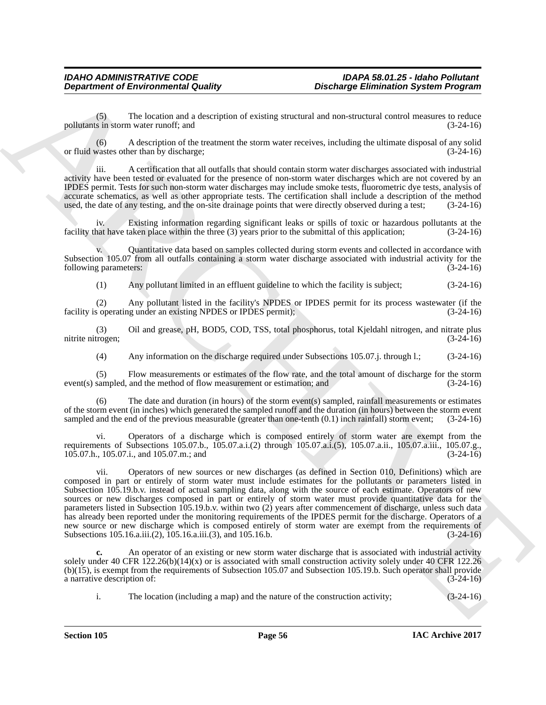(5) The location and a description of existing structural and non-structural control measures to reduce pollutants in storm water runoff; and (3-24-16)

(6) A description of the treatment the storm water receives, including the ultimate disposal of any solid or fluid wastes other than by discharge; (3-24-16)

iii. A certification that all outfalls that should contain storm water discharges associated with industrial activity have been tested or evaluated for the presence of non-storm water discharges which are not covered by an IPDES permit. Tests for such non-storm water discharges may include smoke tests, fluorometric dye tests, analysis of accurate schematics, as well as other appropriate tests. The certification shall include a description of the method used, the date of any testing, and the on-site drainage points that were directly observed during a test; used, the date of any testing, and the on-site drainage points that were directly observed during a test;

Existing information regarding significant leaks or spills of toxic or hazardous pollutants at the facility that have taken place within the three (3) years prior to the submittal of this application; (3-24-16)

v. Quantitative data based on samples collected during storm events and collected in accordance with Subsection 105.07 from all outfalls containing a storm water discharge associated with industrial activity for the following parameters: (3-24-16)

(1) Any pollutant limited in an effluent guideline to which the facility is subject; (3-24-16)

(2) Any pollutant listed in the facility's NPDES or IPDES permit for its process wastewater (if the soperating under an existing NPDES or IPDES permit): (3-24-16) facility is operating under an existing NPDES or IPDES permit);

(3) Oil and grease, pH, BOD5, COD, TSS, total phosphorus, total Kjeldahl nitrogen, and nitrate plus nitrite nitrogen;

(4) Any information on the discharge required under Subsections 105.07.j. through l.; (3-24-16)

(5) Flow measurements or estimates of the flow rate, and the total amount of discharge for the storm  $event(s)$  sampled, and the method of flow measurement or estimation; and

(6) The date and duration (in hours) of the storm event(s) sampled, rainfall measurements or estimates of the storm event (in inches) which generated the sampled runoff and the duration (in hours) between the storm event sampled and the end of the previous measurable (greater than one-tenth (0.1) inch rainfall) storm event; (3-24-16)

vi. Operators of a discharge which is composed entirely of storm water are exempt from the requirements of Subsections 105.07.b., 105.07.a.i.(2) through 105.07.a.i.(5), 105.07.a.ii., 105.07.a.iii., 105.07.g., 105.07.h., 105.07.i., and 105.07.m.; and 105.07.h., 105.07.i., and 105.07.m.; and

**Department of Environmental Guality<br>
Contains Contained System Programs<br>
Space The location and securities of exhibition of exhibition and securities and securities are exhibited as<br>
political and securities of the trans** vii. Operators of new sources or new discharges (as defined in Section 010, Definitions) which are composed in part or entirely of storm water must include estimates for the pollutants or parameters listed in Subsection 105.19.b.v. instead of actual sampling data, along with the source of each estimate. Operators of new sources or new discharges composed in part or entirely of storm water must provide quantitative data for the parameters listed in Subsection 105.19.b.v. within two (2) years after commencement of discharge, unless such data has already been reported under the monitoring requirements of the IPDES permit for the discharge. Operators of a new source or new discharge which is composed entirely of storm water are exempt from the requirements of Subsections 105.16.a.iii.(2), 105.16.a.iii.(3), and 105.16.b. (3-24-16) Subsections 105.16.a.iii.(2), 105.16.a.iii.(3), and 105.16.b.

**c.** An operator of an existing or new storm water discharge that is associated with industrial activity solely under 40 CFR 122.26(b)(14)(x) or is associated with small construction activity solely under 40 CFR 122.26 (b)(15), is exempt from the requirements of Subsection 105.07 and Subsection 105.19.b. Such operator shall provide a narrative description of:

i. The location (including a map) and the nature of the construction activity; (3-24-16)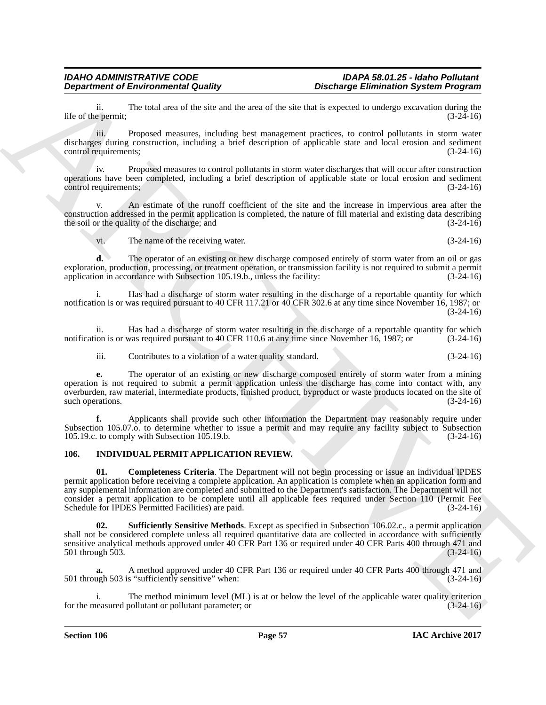ii. The total area of the site and the area of the site that is expected to undergo excavation during the life of the permit;

iii. Proposed measures, including best management practices, to control pollutants in storm water discharges during construction, including a brief description of applicable state and local erosion and sediment control requirements; (3-24-16)

iv. Proposed measures to control pollutants in storm water discharges that will occur after construction operations have been completed, including a brief description of applicable state or local erosion and sediment control requirements; (3-24-16)

An estimate of the runoff coefficient of the site and the increase in impervious area after the construction addressed in the permit application is completed, the nature of fill material and existing data describing the soil or the quality of the discharge; and  $(3-24-16)$ 

vi. The name of the receiving water. (3-24-16)

**d.** The operator of an existing or new discharge composed entirely of storm water from an oil or gas exploration, production, processing, or treatment operation, or transmission facility is not required to submit a permit application in accordance with Subsection 105.19.b., unless the facility: (3-24-16)

i. Has had a discharge of storm water resulting in the discharge of a reportable quantity for which notification is or was required pursuant to 40 CFR 117.21 or 40 CFR 302.6 at any time since November 16, 1987; or (3-24-16)

ii. Has had a discharge of storm water resulting in the discharge of a reportable quantity for which ion is or was required pursuant to 40 CFR 110.6 at any time since November 16, 1987; or (3-24-16) notification is or was required pursuant to 40 CFR 110.6 at any time since November 16, 1987; or

iii. Contributes to a violation of a water quality standard. (3-24-16)

**e.** The operator of an existing or new discharge composed entirely of storm water from a mining operation is not required to submit a permit application unless the discharge has come into contact with, any overburden, raw material, intermediate products, finished product, byproduct or waste products located on the site of such operations. (3-24-16)

**f.** Applicants shall provide such other information the Department may reasonably require under Subsection 105.07.o. to determine whether to issue a permit and may require any facility subject to Subsection 105.19.c. to comply with Subsection 105.19.b. (3-24-16) 105.19.c. to comply with Subsection 105.19.b.

# **106. INDIVIDUAL PERMIT APPLICATION REVIEW.**

**Department of Environmental Country.**<br>
Ric of the granual Properties of the same state and the axe will be the both the same state and the granual properties of the same state and the same state and the same state and th **01. Completeness Criteria**. The Department will not begin processing or issue an individual IPDES permit application before receiving a complete application. An application is complete when an application form and any supplemental information are completed and submitted to the Department's satisfaction. The Department will not consider a permit application to be complete until all applicable fees required under Section 110 (Permit Fee Schedule for IPDES Permitted Facilities) are paid.

**Sufficiently Sensitive Methods**. Except as specified in Subsection 106.02.c., a permit application shall not be considered complete unless all required quantitative data are collected in accordance with sufficiently sensitive analytical methods approved under 40 CFR Part 136 or required under 40 CFR Parts 400 through 471 and<br>
(3-24-16) 501 through 503.

**a.** A method approved under 40 CFR Part 136 or required under 40 CFR Parts 400 through 471 and 501 through 503 is "sufficiently sensitive" when: (3-24-16)

The method minimum level (ML) is at or below the level of the applicable water quality criterion pollutant or pollutant parameter; or for the measured pollutant or pollutant parameter; or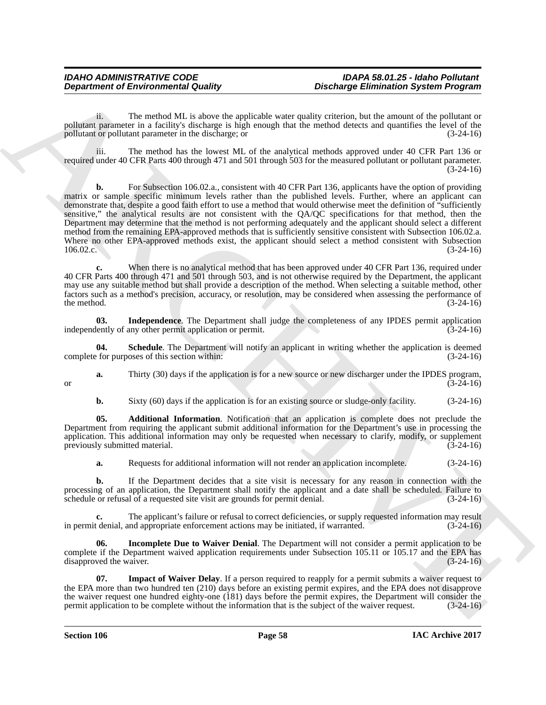ii. The method ML is above the applicable water quality criterion, but the amount of the pollutant or pollutant parameter in a facility's discharge is high enough that the method detects and quantifies the level of the pollutant or pollutant parameter in the discharge: or pollutant or pollutant parameter in the discharge; or (3-24-16)

iii. The method has the lowest ML of the analytical methods approved under 40 CFR Part 136 or required under 40 CFR Parts 400 through 471 and 501 through 503 for the measured pollutant or pollutant parameter. (3-24-16)

**Department of Environmental Guality<br>
Separatment of Environmental Guality<br>
Neumato and the state of the state of the state of the state of the state of the state of the state<br>
Separatment is a state of the state of the s** For Subsection 106.02.a., consistent with 40 CFR Part 136, applicants have the option of providing matrix or sample specific minimum levels rather than the published levels. Further, where an applicant can demonstrate that, despite a good faith effort to use a method that would otherwise meet the definition of "sufficiently sensitive," the analytical results are not consistent with the QA/QC specifications for that method, then the Department may determine that the method is not performing adequately and the applicant should select a different method from the remaining EPA-approved methods that is sufficiently sensitive consistent with Subsection 106.02.a. Where no other EPA-approved methods exist, the applicant should select a method consistent with Subsection 106.02.c. (3-24-16) 106.02.c. (3-24-16)

**c.** When there is no analytical method that has been approved under 40 CFR Part 136, required under 40 CFR Parts 400 through 471 and 501 through 503, and is not otherwise required by the Department, the applicant may use any suitable method but shall provide a description of the method. When selecting a suitable method, other factors such as a method's precision, accuracy, or resolution, may be considered when assessing the performance of the method.  $(3-24-16)$ 

**03.** Independence. The Department shall judge the completeness of any IPDES permit application lently of any other permit application or permit.  $(3-24-16)$ independently of any other permit application or permit.

**04.** Schedule. The Department will notify an applicant in writing whether the application is deemed is for purposes of this section within:  $(3-24-16)$ complete for purposes of this section within:

**a.** Thirty (30) days if the application is for a new source or new discharger under the IPDES program, (3-24-16) or  $(3-24-16)$ 

**b.** Sixty (60) days if the application is for an existing source or sludge-only facility. (3-24-16)

**05. Additional Information**. Notification that an application is complete does not preclude the Department from requiring the applicant submit additional information for the Department's use in processing the application. This additional information may only be requested when necessary to clarify, modify, or supplement previously submitted material. (3-24-16)

**a.** Requests for additional information will not render an application incomplete. (3-24-16)

**b.** If the Department decides that a site visit is necessary for any reason in connection with the processing of an application, the Department shall notify the applicant and a date shall be scheduled. Failure to schedule or refusal of a requested site visit are grounds for permit denial. (3-24-16) schedule or refusal of a requested site visit are grounds for permit denial.

**c.** The applicant's failure or refusal to correct deficiencies, or supply requested information may result in permit denial, and appropriate enforcement actions may be initiated, if warranted. (3-24-16)

**06. Incomplete Due to Waiver Denial**. The Department will not consider a permit application to be complete if the Department waived application requirements under Subsection 105.11 or 105.17 and the EPA has disapproved the waiver. (3-24-16)

**07.** Impact of Waiver Delay. If a person required to reapply for a permit submits a waiver request to the EPA more than two hundred ten (210) days before an existing permit expires, and the EPA does not disapprove the waiver request one hundred eighty-one (181) days before the permit expires, the Department will consider the permit application to be complete without the information that is the subject of the waiver request. (3-24-16 permit application to be complete without the information that is the subject of the waiver request.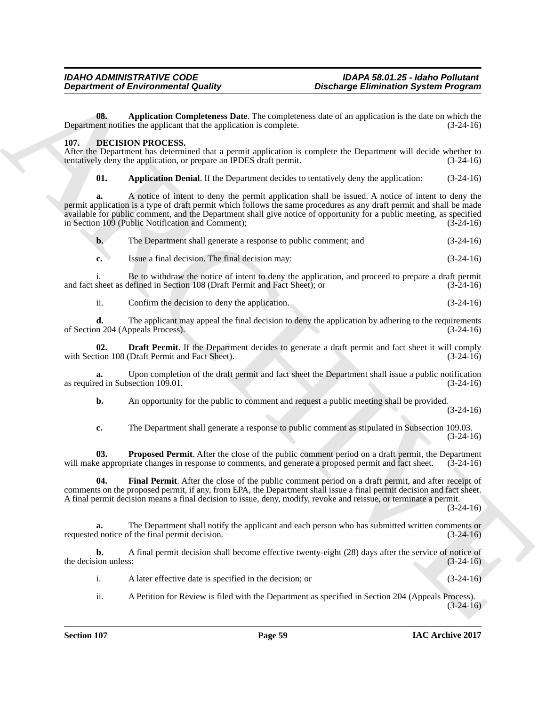**08. Application Completeness Date**. The completeness date of an application is the date on which the Department notifies the applicant that the application is complete. (3-24-16)

# **107. DECISION PROCESS.**

After the Department has determined that a permit application is complete the Department will decide whether to tentatively deny the application, or prepare an IPDES draft permit. (3-24-16) tentatively deny the application, or prepare an IPDES draft permit.

**01.** Application Denial. If the Department decides to tentatively deny the application:  $(3-24-16)$ 

**Department of Environmental Guality<br>
(a)** Application Complete the value of the system is a system in the system of the system of the system of the system of the system of the system of the system of the system of the sy **a.** A notice of intent to deny the permit application shall be issued. A notice of intent to deny the permit application is a type of draft permit which follows the same procedures as any draft permit and shall be made available for public comment, and the Department shall give notice of opportunity for a public meeting, as specified in Section 109 (Public Notification and Comment); (3-24-16)

|  | The Department shall generate a response to public comment; and | $(3-24-16)$ |
|--|-----------------------------------------------------------------|-------------|
|--|-----------------------------------------------------------------|-------------|

**c.** Issue a final decision. The final decision may: (3-24-16)

i. Be to withdraw the notice of intent to deny the application, and proceed to prepare a draft permit sheet as defined in Section 108 (Draft Permit and Fact Sheet); or (3-24-16) and fact sheet as defined in Section 108 (Draft Permit and Fact Sheet); or

ii. Confirm the decision to deny the application. (3-24-16)

**d.** The applicant may appeal the final decision to deny the application by adhering to the requirements n 204 (Appeals Process). of Section 204 (Appeals Process).

**02. Draft Permit**. If the Department decides to generate a draft permit and fact sheet it will comply tion 108 (Draft Permit and Fact Sheet). (3-24-16) with Section 108 (Draft Permit and Fact Sheet).

**a.** Upon completion of the draft permit and fact sheet the Department shall issue a public notification ed in Subsection 109.01. (3-24-16) as required in Subsection 109.01.

**b.** An opportunity for the public to comment and request a public meeting shall be provided.

(3-24-16)

**c.** The Department shall generate a response to public comment as stipulated in Subsection 109.03. (3-24-16)

**03.** Proposed Permit. After the close of the public comment period on a draft permit, the Department e appropriate changes in response to comments, and generate a proposed permit and fact sheet. (3-24-16) will make appropriate changes in response to comments, and generate a proposed permit and fact sheet.

**04. Final Permit**. After the close of the public comment period on a draft permit, and after receipt of comments on the proposed permit, if any, from EPA, the Department shall issue a final permit decision and fact sheet. A final permit decision means a final decision to issue, deny, modify, revoke and reissue, or terminate a permit.

 $(3-24-16)$ 

**a.** The Department shall notify the applicant and each person who has submitted written comments or requested notice of the final permit decision. (3-24-16)

**b.** A final permit decision shall become effective twenty-eight (28) days after the service of notice of the decision unless: (3-24-16)

i. A later effective date is specified in the decision; or (3-24-16)

ii. A Petition for Review is filed with the Department as specified in Section 204 (Appeals Process).  $(3-24-16)$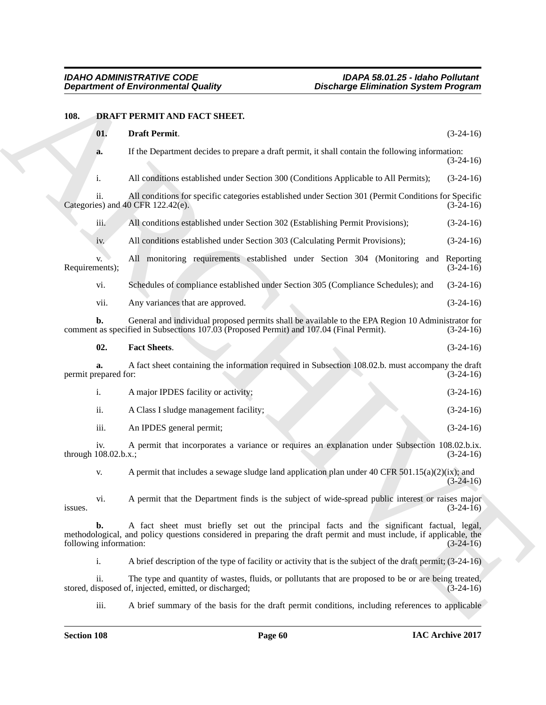# **108. DRAFT PERMIT AND FACT SHEET.**

| <b>Department of Environmental Quality</b> |                |                                                                                                                                                                                                                 | <b>Discharge Elimination System Program</b> |                          |
|--------------------------------------------|----------------|-----------------------------------------------------------------------------------------------------------------------------------------------------------------------------------------------------------------|---------------------------------------------|--------------------------|
| 108.                                       |                | DRAFT PERMIT AND FACT SHEET.                                                                                                                                                                                    |                                             |                          |
|                                            | 01.            | Draft Permit.                                                                                                                                                                                                   |                                             | $(3-24-16)$              |
|                                            | a.             | If the Department decides to prepare a draft permit, it shall contain the following information:                                                                                                                |                                             | $(3-24-16)$              |
|                                            | i.             | All conditions established under Section 300 (Conditions Applicable to All Permits);                                                                                                                            |                                             | $(3-24-16)$              |
|                                            | ii.            | All conditions for specific categories established under Section 301 (Permit Conditions for Specific<br>Categories) and $40$ CFR 122.42(e).                                                                     |                                             | $(3-24-16)$              |
|                                            | iii.           | All conditions established under Section 302 (Establishing Permit Provisions);                                                                                                                                  |                                             | $(3-24-16)$              |
|                                            | iv.            | All conditions established under Section 303 (Calculating Permit Provisions);                                                                                                                                   |                                             | $(3-24-16)$              |
| Requirements);                             | V.             | All monitoring requirements established under Section 304 (Monitoring and                                                                                                                                       |                                             | Reporting<br>$(3-24-16)$ |
|                                            | vi.            | Schedules of compliance established under Section 305 (Compliance Schedules); and                                                                                                                               |                                             | $(3-24-16)$              |
|                                            | vii.           | Any variances that are approved.                                                                                                                                                                                |                                             | $(3-24-16)$              |
|                                            | b.             | General and individual proposed permits shall be available to the EPA Region 10 Administrator for<br>comment as specified in Subsections 107.03 (Proposed Permit) and 107.04 (Final Permit).                    |                                             | $(3-24-16)$              |
|                                            | 02.            | <b>Fact Sheets.</b>                                                                                                                                                                                             |                                             | $(3-24-16)$              |
| permit prepared for:                       | a.             | A fact sheet containing the information required in Subsection 108.02.b. must accompany the draft                                                                                                               |                                             | $(3-24-16)$              |
|                                            | i.             | A major IPDES facility or activity;                                                                                                                                                                             |                                             | $(3-24-16)$              |
|                                            | ii.            | A Class I sludge management facility;                                                                                                                                                                           |                                             | $(3-24-16)$              |
|                                            | iii.           | An IPDES general permit;                                                                                                                                                                                        |                                             | $(3-24-16)$              |
| through 108.02.b.x.;                       | iv.            | A permit that incorporates a variance or requires an explanation under Subsection 108.02.b.ix.                                                                                                                  |                                             | $(3-24-16)$              |
|                                            | V.             | A permit that includes a sewage sludge land application plan under 40 CFR $501.15(a)(2)(ix)$ ; and                                                                                                              |                                             | $(3-24-16)$              |
| issues.                                    | vi.            | A permit that the Department finds is the subject of wide-spread public interest or raises major                                                                                                                |                                             | $(3-24-16)$              |
| following information:                     | b.             | A fact sheet must briefly set out the principal facts and the significant factual, legal,<br>methodological, and policy questions considered in preparing the draft permit and must include, if applicable, the |                                             | $(3-24-16)$              |
|                                            | $\mathbf{i}$ . | A brief description of the type of facility or activity that is the subject of the draft permit; (3-24-16)                                                                                                      |                                             |                          |
|                                            | ii.            | The type and quantity of wastes, fluids, or pollutants that are proposed to be or are being treated,<br>stored, disposed of, injected, emitted, or discharged;                                                  |                                             | $(3-24-16)$              |
|                                            | iii.           | A brief summary of the basis for the draft permit conditions, including references to applicable                                                                                                                |                                             |                          |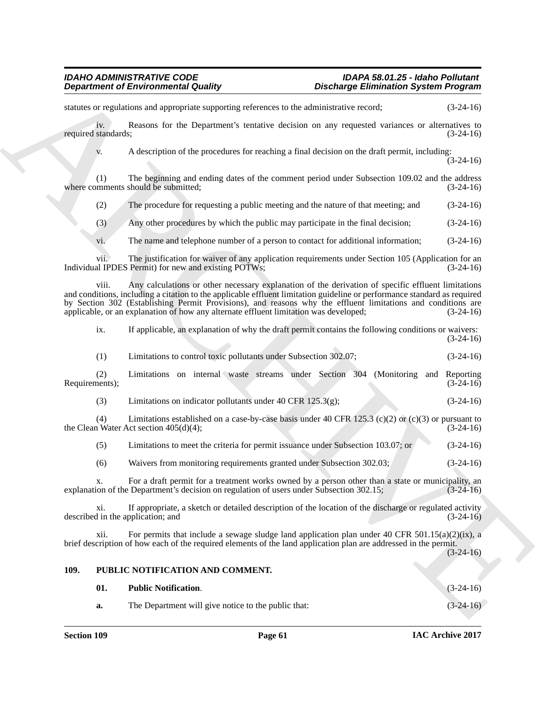**Department of Environmental Country.**<br>
Action and agreement of the interaction of the contraction of the contraction of the contraction of the contraction of the contraction of the presentation of the presentation of the statutes or regulations and appropriate supporting references to the administrative record;  $(3-24-16)$ iv. Reasons for the Department's tentative decision on any requested variances or alternatives to standards: (3-24-16) required standards; v. A description of the procedures for reaching a final decision on the draft permit, including:  $(3-24-16)$ (1) The beginning and ending dates of the comment period under Subsection 109.02 and the address where comments should be submitted;  $(3-24-16)$ (2) The procedure for requesting a public meeting and the nature of that meeting; and (3-24-16) (3) Any other procedures by which the public may participate in the final decision; (3-24-16) vi. The name and telephone number of a person to contact for additional information; (3-24-16) vii. The justification for waiver of any application requirements under Section 105 (Application for an Individual IPDES Permit) for new and existing POTWs; (3-24-16) viii. Any calculations or other necessary explanation of the derivation of specific effluent limitations and conditions, including a citation to the applicable effluent limitation guideline or performance standard as required by Section 302 (Establishing Permit Provisions), and reasons why the effluent limitations and conditions are applicable, or an explanation of how any alternate effluent limitation was developed; (3-24-16) applicable, or an explanation of how any alternate effluent limitation was developed; ix. If applicable, an explanation of why the draft permit contains the following conditions or waivers:  $(3-24-16)$ (1) Limitations to control toxic pollutants under Subsection 302.07; (3-24-16) (2) Limitations on internal waste streams under Section 304 (Monitoring and Reporting Requirements); (3) Limitations on indicator pollutants under  $40$  CFR  $125.3(g)$ ; (3-24-16) (4) Limitations established on a case-by-case basis under 40 CFR 125.3 (c)(2) or (c)(3) or pursuant to 1 Water Act section  $405(d)(4)$ ; (3-24-16) the Clean Water Act section  $405(d)(4)$ ; (5) Limitations to meet the criteria for permit issuance under Subsection 103.07; or (3-24-16) (6) Waivers from monitoring requirements granted under Subsection 302.03; (3-24-16) x. For a draft permit for a treatment works owned by a person other than a state or municipality, an ion of the Department's decision on regulation of users under Subsection 302.15; (3-24-16) explanation of the Department's decision on regulation of users under Subsection 302.15; xi. If appropriate, a sketch or detailed description of the location of the discharge or regulated activity described in the application; and (3-24-16) xii. For permits that include a sewage sludge land application plan under 40 CFR 501.15(a)(2)(ix), a brief description of how each of the required elements of the land application plan are addressed in the permit.  $(3-24-16)$ **109. PUBLIC NOTIFICATION AND COMMENT. 01. Public Notification**. (3-24-16) **a.** The Department will give notice to the public that:  $(3-24-16)$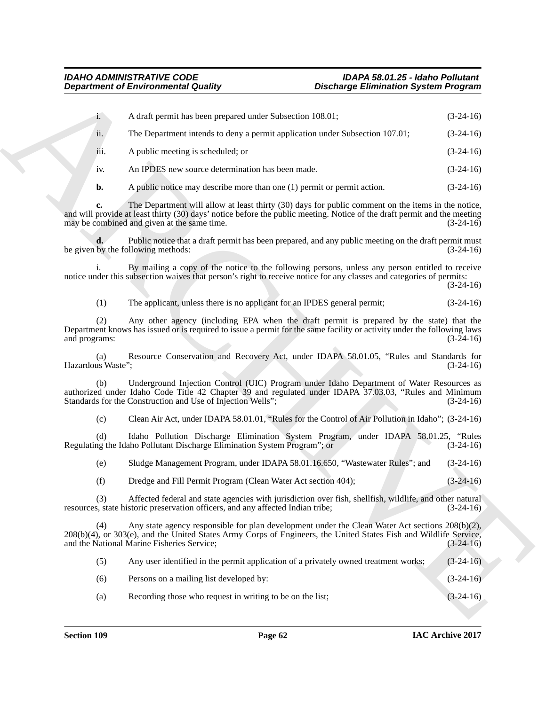| <b>Department of Environmental Quality</b> |                                                                                                                                                                         | <b>Discharge Elimination System Program</b>                                                             |             |
|--------------------------------------------|-------------------------------------------------------------------------------------------------------------------------------------------------------------------------|---------------------------------------------------------------------------------------------------------|-------------|
| $\mathbf{i}$ .                             | A draft permit has been prepared under Subsection 108.01;                                                                                                               |                                                                                                         | $(3-24-16)$ |
| ii.                                        | The Department intends to deny a permit application under Subsection 107.01;                                                                                            |                                                                                                         | $(3-24-16)$ |
| iii.                                       | A public meeting is scheduled; or                                                                                                                                       |                                                                                                         | $(3-24-16)$ |
| 1V <sub>1</sub>                            | An IPDES new source determination has been made.                                                                                                                        |                                                                                                         | $(3-24-16)$ |
| $\mathbf{b}$ .                             | A public notice may describe more than one $(1)$ permit or permit action.                                                                                               |                                                                                                         | $(3-24-16)$ |
| c.                                         | and will provide at least thirty (30) days' notice before the public meeting. Notice of the draft permit and the meeting<br>may be combined and given at the same time. | The Department will allow at least thirty (30) days for public comment on the items in the notice,      | $(3-24-16)$ |
|                                            | be given by the following methods:                                                                                                                                      | Public notice that a draft permit has been prepared, and any public meeting on the draft permit must    | $(3-24-16)$ |
|                                            | notice under this subsection waives that person's right to receive notice for any classes and categories of permits:                                                    | By mailing a copy of the notice to the following persons, unless any person entitled to receive         | $(3-24-16)$ |
| (1)                                        | The applicant, unless there is no applicant for an IPDES general permit;                                                                                                |                                                                                                         | $(3-24-16)$ |
| (2)<br>and programs:                       | Department knows has issued or is required to issue a permit for the same facility or activity under the following laws                                                 | Any other agency (including EPA when the draft permit is prepared by the state) that the                | $(3-24-16)$ |
| (a)<br>Hazardous Waste";                   |                                                                                                                                                                         | Resource Conservation and Recovery Act, under IDAPA 58.01.05, "Rules and Standards for                  | $(3-24-16)$ |
| (b)                                        | authorized under Idaho Code Title 42 Chapter 39 and regulated under IDAPA 37.03.03, "Rules and Minimum<br>Standards for the Construction and Use of Injection Wells";   | Underground Injection Control (UIC) Program under Idaho Department of Water Resources as                | $(3-24-16)$ |
| (c)                                        |                                                                                                                                                                         | Clean Air Act, under IDAPA 58.01.01, "Rules for the Control of Air Pollution in Idaho"; (3-24-16)       |             |
| (d)                                        | Regulating the Idaho Pollutant Discharge Elimination System Program"; or                                                                                                | Idaho Pollution Discharge Elimination System Program, under IDAPA 58.01.25, "Rules                      | $(3-24-16)$ |
| (e)                                        |                                                                                                                                                                         | Sludge Management Program, under IDAPA 58.01.16.650, "Wastewater Rules"; and                            | $(3-24-16)$ |
| (f)                                        | Dredge and Fill Permit Program (Clean Water Act section 404);                                                                                                           |                                                                                                         | $(3-24-16)$ |
| (3)                                        | resources, state historic preservation officers, and any affected Indian tribe;                                                                                         | Affected federal and state agencies with jurisdiction over fish, shellfish, wildlife, and other natural | $(3-24-16)$ |
| (4)                                        | 208(b)(4), or 303(e), and the United States Army Corps of Engineers, the United States Fish and Wildlife Service,<br>and the National Marine Fisheries Service;         | Any state agency responsible for plan development under the Clean Water Act sections 208(b)(2),         | $(3-24-16)$ |
| (5)                                        | Any user identified in the permit application of a privately owned treatment works;                                                                                     |                                                                                                         | $(3-24-16)$ |
| (6)                                        | Persons on a mailing list developed by:                                                                                                                                 |                                                                                                         | $(3-24-16)$ |
|                                            |                                                                                                                                                                         |                                                                                                         |             |

| (5) | Any user identified in the permit application of a privately owned treatment works; | $(3-24-16)$ |
|-----|-------------------------------------------------------------------------------------|-------------|
| (6) | Persons on a mailing list developed by:                                             | $(3-24-16)$ |
| (a) | Recording those who request in writing to be on the list;                           | $(3-24-16)$ |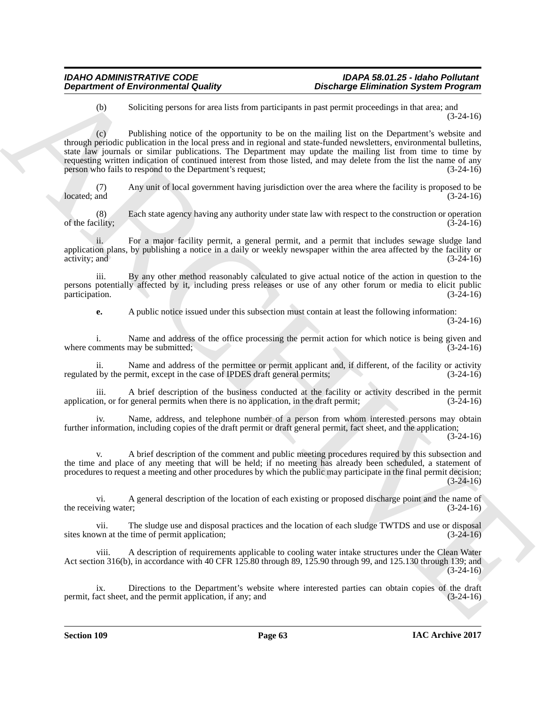(b) Soliciting persons for area lists from participants in past permit proceedings in that area; and (3-24-16)

**Department of Environmental Quality**<br>
(a) Substitute the Montester and Land Karaktering Electronic System Properties<br>
(b) Charliers powers the step state providents of the state product in the Properties of the Summer Ch (c) Publishing notice of the opportunity to be on the mailing list on the Department's website and through periodic publication in the local press and in regional and state-funded newsletters, environmental bulletins, state law journals or similar publications. The Department may update the mailing list from time to time by requesting written indication of continued interest from those listed, and may delete from the list the name of any person who fails to respond to the Department's request; (3-24-16)

(7) Any unit of local government having jurisdiction over the area where the facility is proposed to be  $\text{located; and}$   $(3-24-16)$ 

(8) Each state agency having any authority under state law with respect to the construction or operation of the facility;  $(3-24-16)$ 

ii. For a major facility permit, a general permit, and a permit that includes sewage sludge land application plans, by publishing a notice in a daily or weekly newspaper within the area affected by the facility or activity; and  $(3-24-16)$  $\alpha$  activity; and  $(3-24-16)$ 

iii. By any other method reasonably calculated to give actual notice of the action in question to the persons potentially affected by it, including press releases or use of any other forum or media to elicit public participation.

**e.** A public notice issued under this subsection must contain at least the following information: (3-24-16)

i. Name and address of the office processing the permit action for which notice is being given and pomments may be submitted; (3-24-16) where comments may be submitted;

ii. Name and address of the permittee or permit applicant and, if different, of the facility or activity by the permit, except in the case of IPDES draft general permits: (3-24-16) regulated by the permit, except in the case of IPDES draft general permits;

A brief description of the business conducted at the facility or activity described in the permit application, or for general permits when there is no application, in the draft permit; (3-24-16)

iv. Name, address, and telephone number of a person from whom interested persons may obtain further information, including copies of the draft permit or draft general permit, fact sheet, and the application;  $(3-24-16)$ 

v. A brief description of the comment and public meeting procedures required by this subsection and the time and place of any meeting that will be held; if no meeting has already been scheduled, a statement of procedures to request a meeting and other procedures by which the public may participate in the final permit decision; (3-24-16)

vi. A general description of the location of each existing or proposed discharge point and the name of ving water; (3-24-16) the receiving water;

vii. The sludge use and disposal practices and the location of each sludge TWTDS and use or disposal sites known at the time of permit application; (3-24-16)

viii. A description of requirements applicable to cooling water intake structures under the Clean Water Act section 316(b), in accordance with 40 CFR 125.80 through 89, 125.90 through 99, and 125.130 through 139; and  $(3-24-16)$ 

ix. Directions to the Department's website where interested parties can obtain copies of the draft act sheet, and the permit application, if any; and (3-24-16) permit, fact sheet, and the permit application, if any; and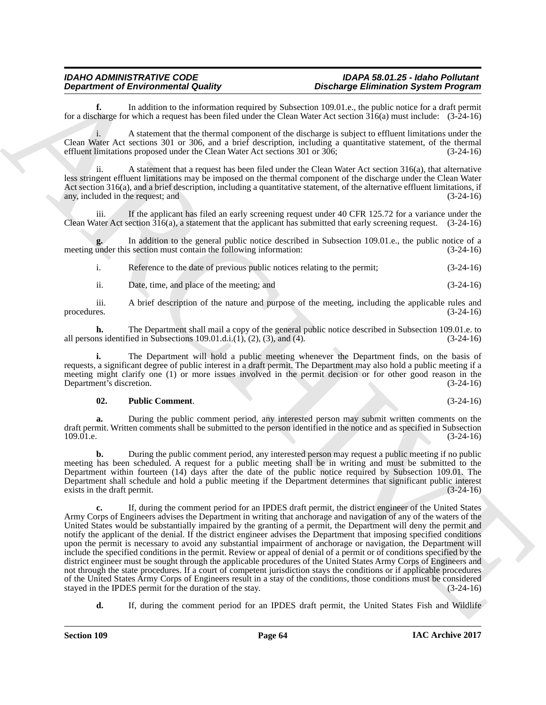**f.** In addition to the information required by Subsection 109.01.e., the public notice for a draft permit for a discharge for which a request has been filed under the Clean Water Act section  $316(a)$  must include:  $(3-24-16)$ 

i. A statement that the thermal component of the discharge is subject to effluent limitations under the Clean Water Act sections 301 or 306, and a brief description, including a quantitative statement, of the thermal effluent limitations proposed under the Clean Water Act sections 301 or 306; (3-24-16)

ii. A statement that a request has been filed under the Clean Water Act section 316(a), that alternative less stringent effluent limitations may be imposed on the thermal component of the discharge under the Clean Water Act section  $316(a)$ , and a brief description, including a quantitative statement, of the alternative effluent limitations, if any, included in the request; and  $(3-24-16)$ any, included in the request; and

iii. If the applicant has filed an early screening request under 40 CFR 125.72 for a variance under the Clean Water Act section 316(a), a statement that the applicant has submitted that early screening request. (3-24-16)

In addition to the general public notice described in Subsection 109.01.e., the public notice of a section must contain the following information:  $(3-24-16)$ meeting under this section must contain the following information:

i. Reference to the date of previous public notices relating to the permit; (3-24-16)

ii. Date, time, and place of the meeting; and (3-24-16)

iii. A brief description of the nature and purpose of the meeting, including the applicable rules and procedures. (3-24-16)

**h.** The Department shall mail a copy of the general public notice described in Subsection 109.01.e. to ns identified in Subsections 109.01.d.i.(1), (2), (3), and (4). (3-24-16) all persons identified in Subsections  $109.01 \ldots$ ,  $(1)$ ,  $(2)$ ,  $(3)$ , and  $(4)$ .

**i.** The Department will hold a public meeting whenever the Department finds, on the basis of requests, a significant degree of public interest in a draft permit. The Department may also hold a public meeting if a meeting might clarify one (1) or more issues involved in the permit decision or for other good reason in the Department's discretion. (3-24-16) Department's discretion.

# **02. Public Comment**. (3-24-16)

**a.** During the public comment period, any interested person may submit written comments on the draft permit. Written comments shall be submitted to the person identified in the notice and as specified in Subsection 109.01.e. (3-24-16)  $109.01$ .e.  $(3-24-16)$ 

**b.** During the public comment period, any interested person may request a public meeting if no public meeting has been scheduled. A request for a public meeting shall be in writing and must be submitted to the Department within fourteen (14) days after the date of the public notice required by Subsection 109.01. The Department shall schedule and hold a public meeting if the Department determines that significant public interest exists in the draft permit.

**Department of Environmental Conference to the spin of Detection School and Conference to the spin of the spin of the spin of the spin of the spin of the spin of the spin of the spin of the spin of the spin of the spin of c.** If, during the comment period for an IPDES draft permit, the district engineer of the United States Army Corps of Engineers advises the Department in writing that anchorage and navigation of any of the waters of the United States would be substantially impaired by the granting of a permit, the Department will deny the permit and notify the applicant of the denial. If the district engineer advises the Department that imposing specified conditions upon the permit is necessary to avoid any substantial impairment of anchorage or navigation, the Department will include the specified conditions in the permit. Review or appeal of denial of a permit or of conditions specified by the district engineer must be sought through the applicable procedures of the United States Army Corps of Engineers and not through the state procedures. If a court of competent jurisdiction stays the conditions or if applicable procedures of the United States Army Corps of Engineers result in a stay of the conditions, those conditions must be considered stayed in the IPDES permit for the duration of the stay. (3-24-16) stayed in the IPDES permit for the duration of the stay.

**d.** If, during the comment period for an IPDES draft permit, the United States Fish and Wildlife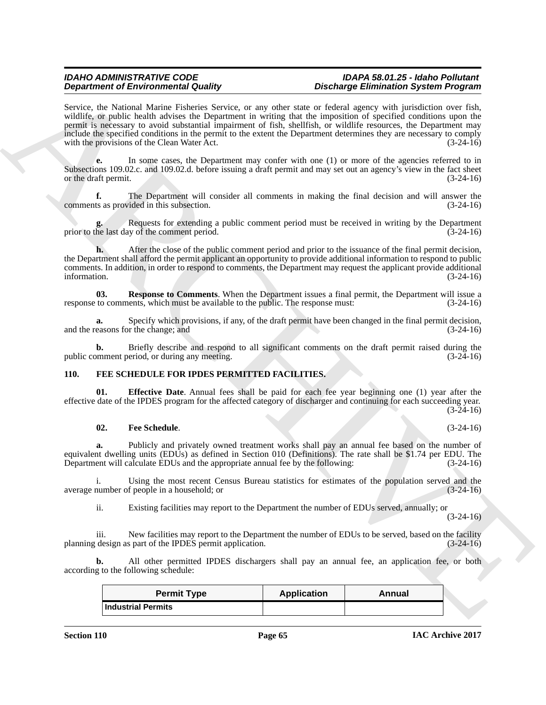**Dependents of Entropological Controls and Architecture and Architecture Controls and Architecture Controls and Architecture and Architecture Controls and Architecture Controls and Architecture Controls and Architecture C** Service, the National Marine Fisheries Service, or any other state or federal agency with jurisdiction over fish, wildlife, or public health advises the Department in writing that the imposition of specified conditions upon the permit is necessary to avoid substantial impairment of fish, shellfish, or wildlife resources, the Department may include the specified conditions in the permit to the extent the Department determines they are necessary to comply with the provisions of the Clean Water Act. (3-24-16)

**e.** In some cases, the Department may confer with one (1) or more of the agencies referred to in Subsections 109.02.c. and 109.02.d. before issuing a draft permit and may set out an agency's view in the fact sheet or the draft permit. (3-24-16)

**f.** The Department will consider all comments in making the final decision and will answer the ts as provided in this subsection. (3-24-16) comments as provided in this subsection.

**g.** Requests for extending a public comment period must be received in writing by the Department prior to the last day of the comment period. (3-24-16)

**h.** After the close of the public comment period and prior to the issuance of the final permit decision, the Department shall afford the permit applicant an opportunity to provide additional information to respond to public comments. In addition, in order to respond to comments, the Department may request the applicant provide additional information.  $(3-24-16)$ 

**03.** Response to Comments. When the Department issues a final permit, the Department will issue a to comments, which must be available to the public. The response must:  $(3-24-16)$ response to comments, which must be available to the public. The response must:

**a.** Specify which provisions, if any, of the draft permit have been changed in the final permit decision, easons for the change: and  $(3-24-16)$ and the reasons for the change; and

**b.** Briefly describe and respond to all significant comments on the draft permit raised during the moment period, or during any meeting.  $(3-24-16)$ public comment period, or during any meeting.

# **110. FEE SCHEDULE FOR IPDES PERMITTED FACILITIES.**

**Effective Date**. Annual fees shall be paid for each fee year beginning one (1) year after the effective date of the IPDES program for the affected category of discharger and continuing for each succeeding year.  $(3-24-16)$ 

### **02. Fee Schedule**. (3-24-16)

**a.** Publicly and privately owned treatment works shall pay an annual fee based on the number of equivalent dwelling units (EDUs) as defined in Section 010 (Definitions). The rate shall be \$1.74 per EDU. The Department will calculate EDUs and the appropriate annual fee by the following: (3-24-16)

i. Using the most recent Census Bureau statistics for estimates of the population served and the average number of people in a household; or

ii. Existing facilities may report to the Department the number of EDUs served, annually; or

 $(3-24-16)$ 

iii. New facilities may report to the Department the number of EDUs to be served, based on the facility design as part of the IPDES permit application. (3-24-16) planning design as part of the IPDES permit application.

**b.** All other permitted IPDES dischargers shall pay an annual fee, an application fee, or both according to the following schedule:

| <b>Permit Type</b>        | <b>Application</b> | Annual |
|---------------------------|--------------------|--------|
| <b>Industrial Permits</b> |                    |        |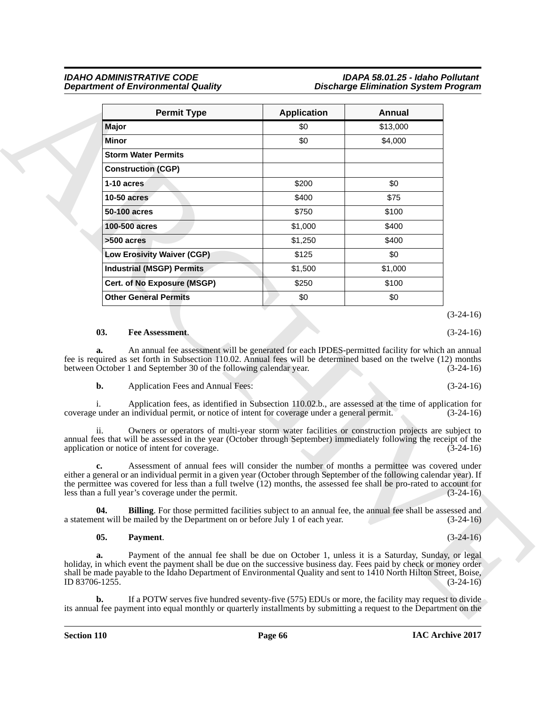| <b>Permit Type</b>                                                                                                                                                                                                                                                                                                                                                                                           | <b>Application</b> | Annual   |                            |
|--------------------------------------------------------------------------------------------------------------------------------------------------------------------------------------------------------------------------------------------------------------------------------------------------------------------------------------------------------------------------------------------------------------|--------------------|----------|----------------------------|
| Major                                                                                                                                                                                                                                                                                                                                                                                                        | \$0                | \$13,000 |                            |
| Minor                                                                                                                                                                                                                                                                                                                                                                                                        | \$0                | \$4,000  |                            |
| <b>Storm Water Permits</b>                                                                                                                                                                                                                                                                                                                                                                                   |                    |          |                            |
| <b>Construction (CGP)</b>                                                                                                                                                                                                                                                                                                                                                                                    |                    |          |                            |
| 1-10 acres                                                                                                                                                                                                                                                                                                                                                                                                   | \$200              | \$0      |                            |
| <b>10-50 acres</b>                                                                                                                                                                                                                                                                                                                                                                                           | \$400              | \$75     |                            |
| 50-100 acres                                                                                                                                                                                                                                                                                                                                                                                                 | \$750              | \$100    |                            |
| 100-500 acres                                                                                                                                                                                                                                                                                                                                                                                                | \$1,000            | \$400    |                            |
| $>500$ acres                                                                                                                                                                                                                                                                                                                                                                                                 | \$1,250            | \$400    |                            |
| <b>Low Erosivity Waiver (CGP)</b>                                                                                                                                                                                                                                                                                                                                                                            | \$125              | \$0      |                            |
| <b>Industrial (MSGP) Permits</b>                                                                                                                                                                                                                                                                                                                                                                             | \$1,500            | \$1,000  |                            |
| Cert. of No Exposure (MSGP)                                                                                                                                                                                                                                                                                                                                                                                  | \$250              | \$100    |                            |
| <b>Other General Permits</b>                                                                                                                                                                                                                                                                                                                                                                                 | \$0                | \$0      |                            |
|                                                                                                                                                                                                                                                                                                                                                                                                              |                    |          | $(3-24-16)$                |
| 03.<br>Fee Assessment.                                                                                                                                                                                                                                                                                                                                                                                       |                    |          | $(3-24-16)$                |
| An annual fee assessment will be generated for each IPDES-permitted facility for which an annual<br>a.<br>fee is required as set forth in Subsection 110.02. Annual fees will be determined based on the twelve (12) months<br>between October 1 and September 30 of the following calendar year.                                                                                                            |                    |          | $(3-24-16)$                |
|                                                                                                                                                                                                                                                                                                                                                                                                              |                    |          |                            |
| b.<br>Application Fees and Annual Fees:                                                                                                                                                                                                                                                                                                                                                                      |                    |          |                            |
| Application fees, as identified in Subsection 110.02.b., are assessed at the time of application for<br>coverage under an individual permit, or notice of intent for coverage under a general permit.                                                                                                                                                                                                        |                    |          | $(3-24-16)$<br>$(3-24-16)$ |
| Owners or operators of multi-year storm water facilities or construction projects are subject to<br>ii.<br>annual fees that will be assessed in the year (October through September) immediately following the receipt of the<br>application or notice of intent for coverage.                                                                                                                               |                    |          | $(3-24-16)$                |
| Assessment of annual fees will consider the number of months a permittee was covered under<br>c.<br>either a general or an individual permit in a given year (October through September of the following calendar year). If<br>the permittee was covered for less than a full twelve $(12)$ months, the assessed fee shall be pro-rated to account for<br>less than a full year's coverage under the permit. |                    |          |                            |
| 04.<br><b>Billing</b> . For those permitted facilities subject to an annual fee, the annual fee shall be assessed and<br>a statement will be mailed by the Department on or before July 1 of each year.                                                                                                                                                                                                      |                    |          | $(3-24-16)$<br>$(3-24-16)$ |
| 05.<br>Payment.                                                                                                                                                                                                                                                                                                                                                                                              |                    |          | $(3-24-16)$                |

# **03. Fee Assessment**. (3-24-16)

# **05. Payment**. (3-24-16)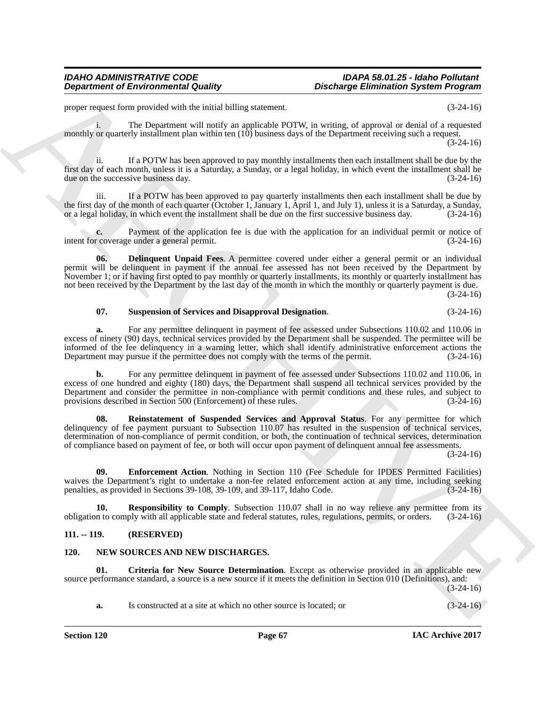proper request form provided with the initial billing statement. (3-24-16)

i. The Department will notify an applicable POTW, in writing, of approval or denial of a requested monthly or quarterly installment plan within ten (10) business days of the Department receiving such a request.  $(3-24-16)$ 

ii. If a POTW has been approved to pay monthly installments then each installment shall be due by the first day of each month, unless it is a Saturday, a Sunday, or a legal holiday, in which event the installment shall be due on the successive business day. (3-24-16)

iii. If a POTW has been approved to pay quarterly installments then each installment shall be due by the first day of the month of each quarter (October 1, January 1, April 1, and July 1), unless it is a Saturday, a Sunday, or a legal holiday, in which event the installment shall be due on the first successive business d or a legal holiday, in which event the installment shall be due on the first successive business day.

**c.** Payment of the application fee is due with the application for an individual permit or notice of coverage under a general permit.  $(3-24-16)$ intent for coverage under a general permit.

**Department of Environmental Guality<br>
proposition of Environmental Guality<br>
proposition of the case of the case of the case of the case of the case of the case of the case of the case of the case of the case of the case o 06. Delinquent Unpaid Fees**. A permittee covered under either a general permit or an individual permit will be delinquent in payment if the annual fee assessed has not been received by the Department by November 1; or if having first opted to pay monthly or quarterly installments, its monthly or quarterly installment has not been received by the Department by the last day of the month in which the monthly or quarterly payment is due.

(3-24-16)

### **07. Suspension of Services and Disapproval Designation**. (3-24-16)

**a.** For any permittee delinquent in payment of fee assessed under Subsections 110.02 and 110.06 in excess of ninety (90) days, technical services provided by the Department shall be suspended. The permittee will be informed of the fee delinquency in a warning letter, which shall identify administrative enforcement actions the Department may pursue if the permittee does not comply with the terms of the permit. (3-24-16) Department may pursue if the permittee does not comply with the terms of the permit.

**b.** For any permittee delinquent in payment of fee assessed under Subsections 110.02 and 110.06, in excess of one hundred and eighty (180) days, the Department shall suspend all technical services provided by the Department and consider the permittee in non-compliance with permit conditions and these rules, and subject to provisions described in Section 500 (Enforcement) of these rules. (3-24-16)

**08. Reinstatement of Suspended Services and Approval Status**. For any permittee for which delinquency of fee payment pursuant to Subsection 110.07 has resulted in the suspension of technical services, determination of non-compliance of permit condition, or both, the continuation of technical services, determination of compliance based on payment of fee, or both will occur upon payment of delinquent annual fee assessments.

(3-24-16)

**09. Enforcement Action**. Nothing in Section 110 (Fee Schedule for IPDES Permitted Facilities) waives the Department's right to undertake a non-fee related enforcement action at any time, including seeking penalties, as provided in Sections 39-108, 39-109, and 39-117, Idaho Code. (3-24-16) penalties, as provided in Sections 39-108, 39-109, and 39-117, Idaho Code.

**10. Responsibility to Comply**. Subsection 110.07 shall in no way relieve any permittee from its n to comply with all applicable state and federal statutes, rules, regulations, permits, or orders. (3-24-16) obligation to comply with all applicable state and federal statutes, rules, regulations, permits, or orders. (3-24-16)

## **111. -- 119. (RESERVED)**

### **120. NEW SOURCES AND NEW DISCHARGES.**

**01. Criteria for New Source Determination**. Except as otherwise provided in an applicable new source performance standard, a source is a new source if it meets the definition in Section 010 (Definitions), and:

(3-24-16)

**a.** Is constructed at a site at which no other source is located; or (3-24-16)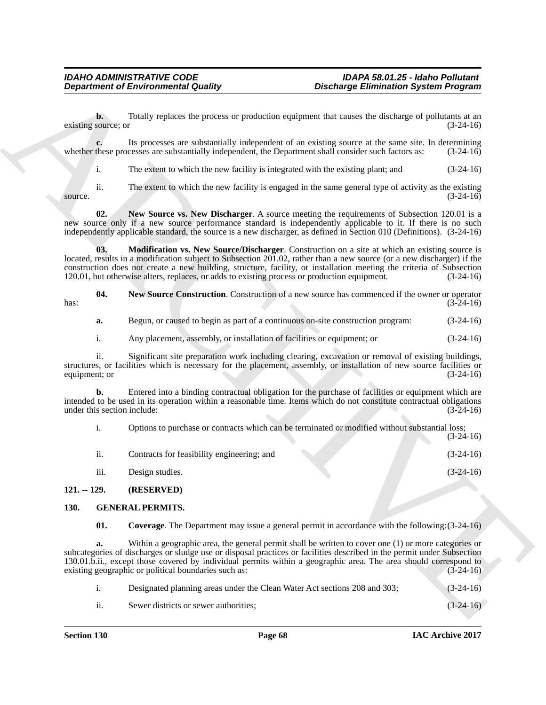|      |  |  |  | <b>New Source Construction.</b> Construction of a new source has commenced if the owner or operator |             |
|------|--|--|--|-----------------------------------------------------------------------------------------------------|-------------|
| has: |  |  |  |                                                                                                     | $(3-24-16)$ |

| a. |  |  | Begun, or caused to begin as part of a continuous on-site construction program: | $(3-24-16)$ |
|----|--|--|---------------------------------------------------------------------------------|-------------|
|----|--|--|---------------------------------------------------------------------------------|-------------|

| <b>Department of Environmental Quality</b> |                                                                                                                                                                                                                                                                                                                                                | <b>Discharge Elimination System Program</b>                                                            |             |  |
|--------------------------------------------|------------------------------------------------------------------------------------------------------------------------------------------------------------------------------------------------------------------------------------------------------------------------------------------------------------------------------------------------|--------------------------------------------------------------------------------------------------------|-------------|--|
| b.<br>existing source; or                  |                                                                                                                                                                                                                                                                                                                                                | Totally replaces the process or production equipment that causes the discharge of pollutants at an     | $(3-24-16)$ |  |
| c.                                         | whether these processes are substantially independent, the Department shall consider such factors as:                                                                                                                                                                                                                                          | Its processes are substantially independent of an existing source at the same site. In determining     | $(3-24-16)$ |  |
| i.                                         | The extent to which the new facility is integrated with the existing plant; and                                                                                                                                                                                                                                                                |                                                                                                        | $(3-24-16)$ |  |
| ii.<br>source.                             |                                                                                                                                                                                                                                                                                                                                                | The extent to which the new facility is engaged in the same general type of activity as the existing   | $(3-24-16)$ |  |
| 02.                                        | new source only if a new source performance standard is independently applicable to it. If there is no such<br>independently applicable standard, the source is a new discharger, as defined in Section 010 (Definitions). (3-24-16)                                                                                                           | New Source vs. New Discharger. A source meeting the requirements of Subsection 120.01 is a             |             |  |
| 03.                                        | located, results in a modification subject to Subsection 201.02, rather than a new source (or a new discharger) if the<br>construction does not create a new building, structure, facility, or installation meeting the criteria of Subsection<br>120.01, but otherwise alters, replaces, or adds to existing process or production equipment. | <b>Modification vs. New Source/Discharger.</b> Construction on a site at which an existing source is   | $(3-24-16)$ |  |
| 04.<br>has:                                |                                                                                                                                                                                                                                                                                                                                                | New Source Construction. Construction of a new source has commenced if the owner or operator           | $(3-24-16)$ |  |
| a.                                         | Begun, or caused to begin as part of a continuous on-site construction program:                                                                                                                                                                                                                                                                |                                                                                                        | $(3-24-16)$ |  |
| i.                                         | Any placement, assembly, or installation of facilities or equipment; or                                                                                                                                                                                                                                                                        |                                                                                                        | $(3-24-16)$ |  |
| ii.<br>equipment; or                       | structures, or facilities which is necessary for the placement, assembly, or installation of new source facilities or                                                                                                                                                                                                                          | Significant site preparation work including clearing, excavation or removal of existing buildings,     | $(3-24-16)$ |  |
| b.<br>under this section include:          | intended to be used in its operation within a reasonable time. Items which do not constitute contractual obligations                                                                                                                                                                                                                           | Entered into a binding contractual obligation for the purchase of facilities or equipment which are    | $(3-24-16)$ |  |
| $\mathbf{i}$ .                             |                                                                                                                                                                                                                                                                                                                                                | Options to purchase or contracts which can be terminated or modified without substantial loss;         | $(3-24-16)$ |  |
| ii.                                        | Contracts for feasibility engineering; and                                                                                                                                                                                                                                                                                                     |                                                                                                        | $(3-24-16)$ |  |
| iii.                                       | Design studies.                                                                                                                                                                                                                                                                                                                                |                                                                                                        | $(3-24-16)$ |  |
| $121. - 129.$                              | (RESERVED)                                                                                                                                                                                                                                                                                                                                     |                                                                                                        |             |  |
| 130.                                       | <b>GENERAL PERMITS.</b>                                                                                                                                                                                                                                                                                                                        |                                                                                                        |             |  |
| 01.                                        |                                                                                                                                                                                                                                                                                                                                                | <b>Coverage.</b> The Department may issue a general permit in accordance with the following: (3-24-16) |             |  |
| a.                                         | subcategories of discharges or sludge use or disposal practices or facilities described in the permit under Subsection<br>130.01.b.ii., except those covered by individual permits within a geographic area. The area should correspond to<br>existing geographic or political boundaries such as:                                             | Within a geographic area, the general permit shall be written to cover one $(1)$ or more categories or | $(3-24-16)$ |  |
|                                            | Designated planning areas under the Clean Water Act sections 208 and 303;                                                                                                                                                                                                                                                                      |                                                                                                        | $(3-24-16)$ |  |
| $\mathbf{i}$ .                             |                                                                                                                                                                                                                                                                                                                                                |                                                                                                        |             |  |

# **130. GENERAL PERMITS.**

|                           | Designated planning areas under the Clean Water Act sections 208 and 303; | $(3-24-16)$ |
|---------------------------|---------------------------------------------------------------------------|-------------|
| $\overline{\mathbf{u}}$ . | Sewer districts or sewer authorities;                                     | $(3-24-16)$ |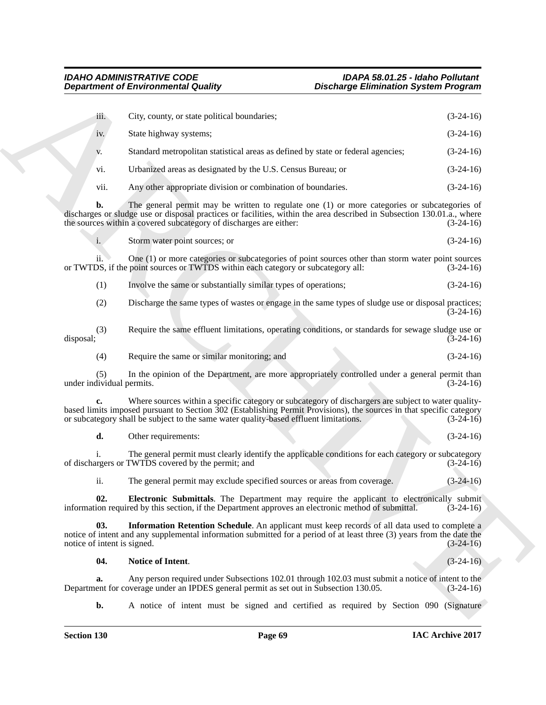|                                    | <b>Department of Environmental Quality</b>                                                                                                                                                                                                                                                                            | <b>Discharge Elimination System Program</b> |             |
|------------------------------------|-----------------------------------------------------------------------------------------------------------------------------------------------------------------------------------------------------------------------------------------------------------------------------------------------------------------------|---------------------------------------------|-------------|
| iii.                               | City, county, or state political boundaries;                                                                                                                                                                                                                                                                          |                                             | $(3-24-16)$ |
| iv.                                | State highway systems;                                                                                                                                                                                                                                                                                                |                                             | $(3-24-16)$ |
| V.                                 | Standard metropolitan statistical areas as defined by state or federal agencies;                                                                                                                                                                                                                                      |                                             | $(3-24-16)$ |
| vi.                                | Urbanized areas as designated by the U.S. Census Bureau; or                                                                                                                                                                                                                                                           |                                             | $(3-24-16)$ |
| vii.                               | Any other appropriate division or combination of boundaries.                                                                                                                                                                                                                                                          |                                             | $(3-24-16)$ |
| b.                                 | The general permit may be written to regulate one (1) or more categories or subcategories of<br>discharges or sludge use or disposal practices or facilities, within the area described in Subsection 130.01.a., where<br>the sources within a covered subcategory of discharges are either:                          |                                             | $(3-24-16)$ |
| i.                                 | Storm water point sources; or                                                                                                                                                                                                                                                                                         |                                             | $(3-24-16)$ |
| 11.                                | One (1) or more categories or subcategories of point sources other than storm water point sources<br>or TWTDS, if the point sources or TWTDS within each category or subcategory all:                                                                                                                                 |                                             | $(3-24-16)$ |
| (1)                                | Involve the same or substantially similar types of operations;                                                                                                                                                                                                                                                        |                                             | $(3-24-16)$ |
| (2)                                | Discharge the same types of wastes or engage in the same types of sludge use or disposal practices;                                                                                                                                                                                                                   |                                             | $(3-24-16)$ |
| (3)<br>disposal;                   | Require the same effluent limitations, operating conditions, or standards for sewage sludge use or                                                                                                                                                                                                                    |                                             | $(3-24-16)$ |
| (4)                                | Require the same or similar monitoring; and                                                                                                                                                                                                                                                                           |                                             | $(3-24-16)$ |
| (5)<br>under individual permits.   | In the opinion of the Department, are more appropriately controlled under a general permit than                                                                                                                                                                                                                       |                                             | $(3-24-16)$ |
| c.                                 | Where sources within a specific category or subcategory of dischargers are subject to water quality-<br>based limits imposed pursuant to Section 302 (Establishing Permit Provisions), the sources in that specific category<br>or subcategory shall be subject to the same water quality-based effluent limitations. |                                             | $(3-24-16)$ |
| d.                                 | Other requirements:                                                                                                                                                                                                                                                                                                   |                                             | $(3-24-16)$ |
|                                    | The general permit must clearly identify the applicable conditions for each category or subcategory<br>of dischargers or TWTDS covered by the permit; and                                                                                                                                                             |                                             | $(3-24-16)$ |
| ii.                                | The general permit may exclude specified sources or areas from coverage.                                                                                                                                                                                                                                              |                                             | $(3-24-16)$ |
| 02.                                | Electronic Submittals. The Department may require the applicant to electronically submit<br>information required by this section, if the Department approves an electronic method of submittal.                                                                                                                       |                                             | $(3-24-16)$ |
| 03.<br>notice of intent is signed. | Information Retention Schedule. An applicant must keep records of all data used to complete a<br>notice of intent and any supplemental information submitted for a period of at least three (3) years from the date the                                                                                               |                                             | $(3-24-16)$ |
| 04.                                | Notice of Intent.                                                                                                                                                                                                                                                                                                     |                                             | $(3-24-16)$ |
| a.                                 | Any person required under Subsections 102.01 through 102.03 must submit a notice of intent to the<br>Department for coverage under an IPDES general permit as set out in Subsection 130.05.                                                                                                                           |                                             | $(3-24-16)$ |
| $\mathbf{b}$ .                     | A notice of intent must be signed and certified as required by Section 090 (Signature                                                                                                                                                                                                                                 |                                             |             |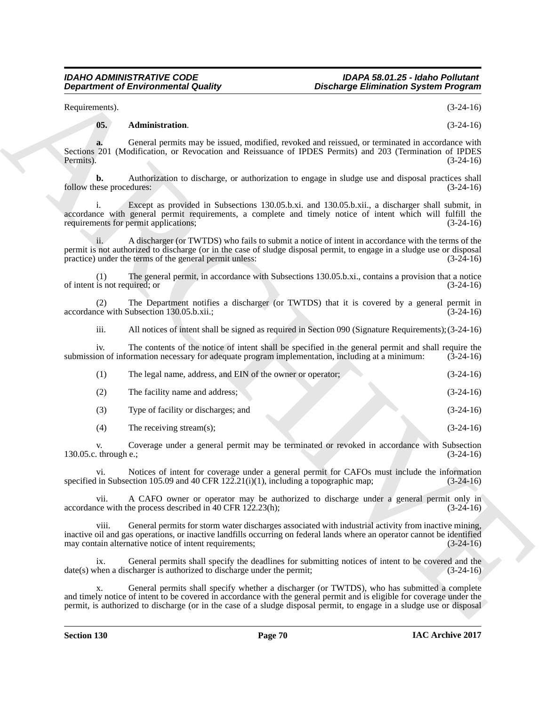# **05. Administration**. (3-24-16)

|                                      | <b>Department of Environmental Quality</b>                                                         | <b>Discharge Elimination System Program</b>                                                                                                                                                                                                                                                                                                    |
|--------------------------------------|----------------------------------------------------------------------------------------------------|------------------------------------------------------------------------------------------------------------------------------------------------------------------------------------------------------------------------------------------------------------------------------------------------------------------------------------------------|
| Requirements).                       |                                                                                                    | $(3-24-16)$                                                                                                                                                                                                                                                                                                                                    |
| 05.                                  | Administration.                                                                                    | $(3-24-16)$                                                                                                                                                                                                                                                                                                                                    |
| a.<br>Permits).                      |                                                                                                    | General permits may be issued, modified, revoked and reissued, or terminated in accordance with<br>Sections 201 (Modification, or Revocation and Reissuance of IPDES Permits) and 203 (Termination of IPDES<br>$(3-24-16)$                                                                                                                     |
| b.<br>follow these procedures:       |                                                                                                    | Authorization to discharge, or authorization to engage in sludge use and disposal practices shall<br>$(3-24-16)$                                                                                                                                                                                                                               |
|                                      | requirements for permit applications;                                                              | Except as provided in Subsections 130.05.b.xi. and 130.05.b.xii., a discharger shall submit, in<br>accordance with general permit requirements, a complete and timely notice of intent which will fulfill the<br>$(3-24-16)$                                                                                                                   |
| ii.                                  | practice) under the terms of the general permit unless:                                            | A discharger (or TWTDS) who fails to submit a notice of intent in accordance with the terms of the<br>permit is not authorized to discharge (or in the case of sludge disposal permit, to engage in a sludge use or disposal<br>$(3-24-16)$                                                                                                    |
| (1)<br>of intent is not required; or |                                                                                                    | The general permit, in accordance with Subsections 130.05.b.xi., contains a provision that a notice<br>$(3-24-16)$                                                                                                                                                                                                                             |
| (2)                                  | accordance with Subsection 130.05.b.xii.;                                                          | The Department notifies a discharger (or TWTDS) that it is covered by a general permit in<br>$(3-24-16)$                                                                                                                                                                                                                                       |
| iii.                                 |                                                                                                    | All notices of intent shall be signed as required in Section 090 (Signature Requirements); $(3-24-16)$                                                                                                                                                                                                                                         |
| iv.                                  | submission of information necessary for adequate program implementation, including at a minimum:   | The contents of the notice of intent shall be specified in the general permit and shall require the<br>$(3-24-16)$                                                                                                                                                                                                                             |
| (1)                                  | The legal name, address, and EIN of the owner or operator;                                         | $(3-24-16)$                                                                                                                                                                                                                                                                                                                                    |
| (2)                                  | The facility name and address;                                                                     | $(3-24-16)$                                                                                                                                                                                                                                                                                                                                    |
| (3)                                  | Type of facility or discharges; and                                                                | $(3-24-16)$                                                                                                                                                                                                                                                                                                                                    |
| (4)                                  | The receiving stream(s);                                                                           | $(3-24-16)$                                                                                                                                                                                                                                                                                                                                    |
| V.<br>130.05.c. through e.;          |                                                                                                    | Coverage under a general permit may be terminated or revoked in accordance with Subsection<br>$(3-24-16)$                                                                                                                                                                                                                                      |
| V1.                                  | specified in Subsection 105.09 and 40 CFR $12\overline{2}$ .21(i)(1), including a topographic map; | Notices of intent for coverage under a general permit for CAFOs must include the information<br>$(3-24-16)$                                                                                                                                                                                                                                    |
| vii.                                 | accordance with the process described in 40 CFR 122.23(h);                                         | A CAFO owner or operator may be authorized to discharge under a general permit only in<br>$(3-24-16)$                                                                                                                                                                                                                                          |
| viii.                                | may contain alternative notice of intent requirements;                                             | General permits for storm water discharges associated with industrial activity from inactive mining,<br>inactive oil and gas operations, or inactive landfills occurring on federal lands where an operator cannot be identified<br>$(3-24-16)$                                                                                                |
| ix.                                  | date(s) when a discharger is authorized to discharge under the permit;                             | General permits shall specify the deadlines for submitting notices of intent to be covered and the<br>$(3-24-16)$                                                                                                                                                                                                                              |
| х.                                   |                                                                                                    | General permits shall specify whether a discharger (or TWTDS), who has submitted a complete<br>and timely notice of intent to be covered in accordance with the general permit and is eligible for coverage under the<br>permit, is authorized to discharge (or in the case of a sludge disposal permit, to engage in a sludge use or disposal |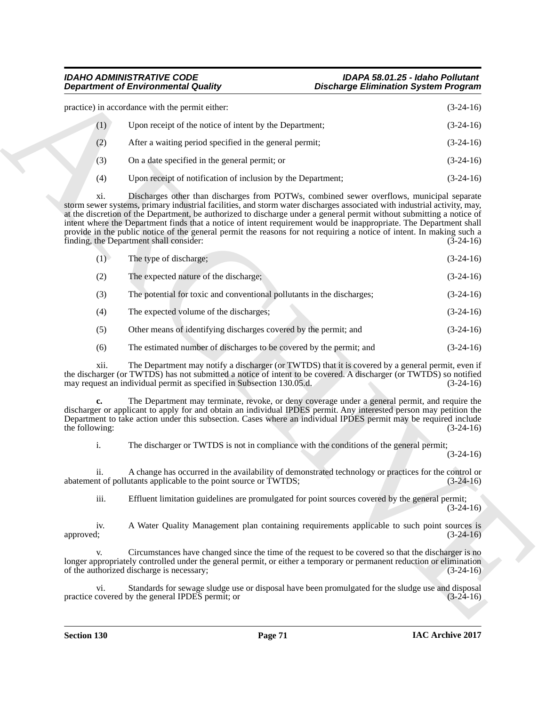|     | practice) in accordance with the permit either:              | $(3-24-16)$ |
|-----|--------------------------------------------------------------|-------------|
| (1) | Upon receipt of the notice of intent by the Department;      | $(3-24-16)$ |
| (2) | After a waiting period specified in the general permit;      | $(3-24-16)$ |
| (3) | On a date specified in the general permit; or                | $(3-24-16)$ |
| (4) | Upon receipt of notification of inclusion by the Department; | $(3-24-16)$ |

| <b>Department of Environmental Quality</b>                                                                                                                                                                                                                                                                                                                                                                                                                                                                                                         | <b>Discharge Elimination System Program</b>                                                                         |
|----------------------------------------------------------------------------------------------------------------------------------------------------------------------------------------------------------------------------------------------------------------------------------------------------------------------------------------------------------------------------------------------------------------------------------------------------------------------------------------------------------------------------------------------------|---------------------------------------------------------------------------------------------------------------------|
| practice) in accordance with the permit either:                                                                                                                                                                                                                                                                                                                                                                                                                                                                                                    | $(3-24-16)$                                                                                                         |
| (1)<br>Upon receipt of the notice of intent by the Department;                                                                                                                                                                                                                                                                                                                                                                                                                                                                                     | $(3-24-16)$                                                                                                         |
| After a waiting period specified in the general permit;<br>(2)                                                                                                                                                                                                                                                                                                                                                                                                                                                                                     | $(3-24-16)$                                                                                                         |
| On a date specified in the general permit; or<br>(3)                                                                                                                                                                                                                                                                                                                                                                                                                                                                                               | $(3-24-16)$                                                                                                         |
| (4)<br>Upon receipt of notification of inclusion by the Department;                                                                                                                                                                                                                                                                                                                                                                                                                                                                                | $(3-24-16)$                                                                                                         |
| xi.<br>storm sewer systems, primary industrial facilities, and storm water discharges associated with industrial activity, may,<br>at the discretion of the Department, be authorized to discharge under a general permit without submitting a notice of<br>intent where the Department finds that a notice of intent requirement would be inappropriate. The Department shall<br>provide in the public notice of the general permit the reasons for not requiring a notice of intent. In making such a<br>finding, the Department shall consider: | Discharges other than discharges from POTWs, combined sewer overflows, municipal separate<br>$(3-24-16)$            |
| The type of discharge;<br>(1)                                                                                                                                                                                                                                                                                                                                                                                                                                                                                                                      | $(3-24-16)$                                                                                                         |
| (2)<br>The expected nature of the discharge;                                                                                                                                                                                                                                                                                                                                                                                                                                                                                                       | $(3-24-16)$                                                                                                         |
| The potential for toxic and conventional pollutants in the discharges;<br>(3)                                                                                                                                                                                                                                                                                                                                                                                                                                                                      | $(3-24-16)$                                                                                                         |
| The expected volume of the discharges;<br>(4)                                                                                                                                                                                                                                                                                                                                                                                                                                                                                                      | $(3-24-16)$                                                                                                         |
| (5)<br>Other means of identifying discharges covered by the permit; and                                                                                                                                                                                                                                                                                                                                                                                                                                                                            | $(3-24-16)$                                                                                                         |
| The estimated number of discharges to be covered by the permit; and<br>(6)                                                                                                                                                                                                                                                                                                                                                                                                                                                                         | $(3-24-16)$                                                                                                         |
| xii.<br>the discharger (or TWTDS) has not submitted a notice of intent to be covered. A discharger (or TWTDS) so notified<br>may request an individual permit as specified in Subsection 130.05.d.                                                                                                                                                                                                                                                                                                                                                 | The Department may notify a discharger (or TWTDS) that it is covered by a general permit, even if<br>$(3-24-16)$    |
| c.<br>discharger or applicant to apply for and obtain an individual IPDES permit. Any interested person may petition the<br>Department to take action under this subsection. Cases where an individual IPDES permit may be required include<br>the following:                                                                                                                                                                                                                                                                                      | The Department may terminate, revoke, or deny coverage under a general permit, and require the<br>$(3-24-16)$       |
| i.<br>The discharger or TWTDS is not in compliance with the conditions of the general permit;                                                                                                                                                                                                                                                                                                                                                                                                                                                      | $(3-24-16)$                                                                                                         |
| 11.<br>abatement of pollutants applicable to the point source or TWTDS;                                                                                                                                                                                                                                                                                                                                                                                                                                                                            | A change has occurred in the availability of demonstrated technology or practices for the control or<br>$(3-24-16)$ |
| iii.                                                                                                                                                                                                                                                                                                                                                                                                                                                                                                                                               | Effluent limitation guidelines are promulgated for point sources covered by the general permit;<br>$(3-24-16)$      |
| iv.<br>approved;                                                                                                                                                                                                                                                                                                                                                                                                                                                                                                                                   | A Water Quality Management plan containing requirements applicable to such point sources is<br>$(3-24-16)$          |
| V.<br>longer appropriately controlled under the general permit, or either a temporary or permanent reduction or elimination<br>of the authorized discharge is necessary;                                                                                                                                                                                                                                                                                                                                                                           | Circumstances have changed since the time of the request to be covered so that the discharger is no<br>$(3-24-16)$  |
| vi.<br>practice covered by the general IPDES permit; or                                                                                                                                                                                                                                                                                                                                                                                                                                                                                            | Standards for sewage sludge use or disposal have been promulgated for the sludge use and disposal<br>$(3-24-16)$    |
|                                                                                                                                                                                                                                                                                                                                                                                                                                                                                                                                                    |                                                                                                                     |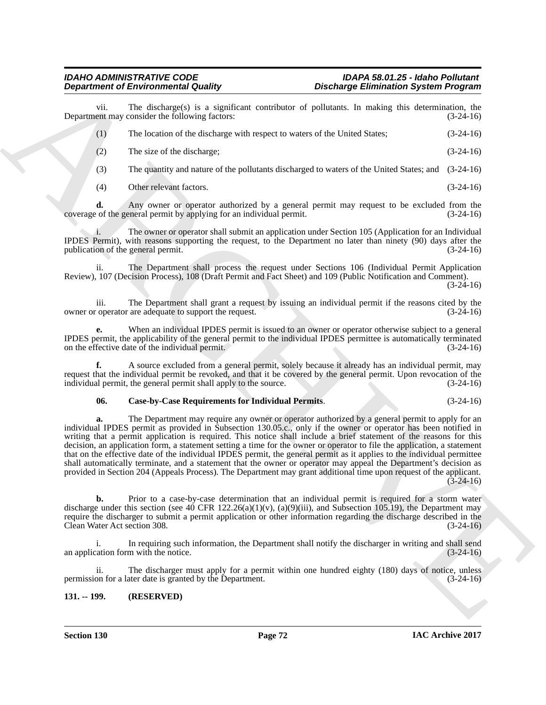vii. The discharge(s) is a significant contributor of pollutants. In making this determination, the ent may consider the following factors:  $(3-24-16)$ Department may consider the following factors:

| The location of the discharge with respect to waters of the United States; | $(3-24-16)$ |
|----------------------------------------------------------------------------|-------------|
| The size of the discharge;                                                 | $(3-24-16)$ |

- (3) The quantity and nature of the pollutants discharged to waters of the United States; and (3-24-16)
- (4) Other relevant factors. (3-24-16)

**d.** Any owner or operator authorized by a general permit may request to be excluded from the of the general permit by applying for an individual permit.  $(3-24-16)$ coverage of the general permit by applying for an individual permit.

i. The owner or operator shall submit an application under Section 105 (Application for an Individual IPDES Permit), with reasons supporting the request, to the Department no later than ninety (90) days after the publication of the general permit.  $(3-24-16)$ publication of the general permit.

ii. The Department shall process the request under Sections 106 (Individual Permit Application Review), 107 (Decision Process), 108 (Draft Permit and Fact Sheet) and 109 (Public Notification and Comment).

(3-24-16)

iii. The Department shall grant a request by issuing an individual permit if the reasons cited by the reprator are adequate to support the request. (3-24-16) owner or operator are adequate to support the request.

**e.** When an individual IPDES permit is issued to an owner or operator otherwise subject to a general IPDES permit, the applicability of the general permit to the individual IPDES permittee is automatically terminated on the effective date of the individual permit. (3-24-16)

**f.** A source excluded from a general permit, solely because it already has an individual permit, may request that the individual permit be revoked, and that it be covered by the general permit. Upon revocation of the individual permit, the general permit shall apply to the source. (3-24-16) individual permit, the general permit shall apply to the source.

# **06. Case-by-Case Requirements for Individual Permits**. (3-24-16)

**Department of Environmental Country of Bureaulton Charles Commute Space Proposition Country (Education System Proposition Control of Equation Country (Education Country (Education Country (Education Country (Education Co a.** The Department may require any owner or operator authorized by a general permit to apply for an individual IPDES permit as provided in Subsection 130.05.c., only if the owner or operator has been notified in writing that a permit application is required. This notice shall include a brief statement of the reasons for this decision, an application form, a statement setting a time for the owner or operator to file the application, a statement that on the effective date of the individual IPDES permit, the general permit as it applies to the individual permittee shall automatically terminate, and a statement that the owner or operator may appeal the Department's decision as provided in Section 204 (Appeals Process). The Department may grant additional time upon request of the applicant.  $(3-24-16)$ 

**b.** Prior to a case-by-case determination that an individual permit is required for a storm water discharge under this section (see 40 CFR 122.26(a)(1)(v), (a)(9)(iii), and Subsection 105.19), the Department may require the discharger to submit a permit application or other information regarding the discharge described in the Clean Water Act section 308. (3-24-16)

i. In requiring such information, the Department shall notify the discharger in writing and shall send<br>(3-24-16) (3-24-16) an application form with the notice.

ii. The discharger must apply for a permit within one hundred eighty (180) days of notice, unless<br>on for a later date is granted by the Department. (3-24-16) permission for a later date is granted by the Department.

# **131. -- 199. (RESERVED)**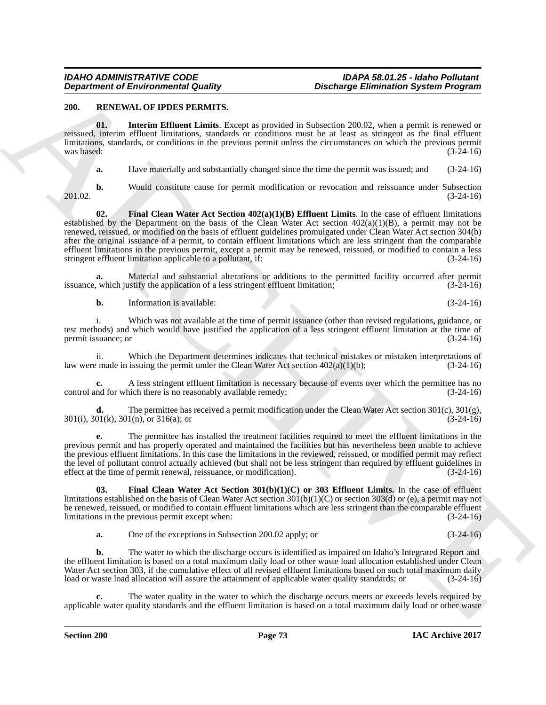# **200. RENEWAL OF IPDES PERMITS.**

**01. Interim Effluent Limits**. Except as provided in Subsection 200.02, when a permit is renewed or reissued, interim effluent limitations, standards or conditions must be at least as stringent as the final effluent limitations, standards, or conditions in the previous permit unless the circumstances on which the previous permit was based:  $(3-24-16)$ 

**a.** Have materially and substantially changed since the time the permit was issued; and (3-24-16)

201.02. (3-24-16)

**b.** Would constitute cause for permit modification or revocation and reissuance under Subsection (3-24-16)

**Department of Environmental Country.** Distribution System Propries and the country of the priorities of the system of the country of the country of the country of the country of the country of the country of the country **02. Final Clean Water Act Section 402(a)(1)(B) Effluent Limits**. In the case of effluent limitations established by the Department on the basis of the Clean Water Act section  $402(a)(1)(B)$ , a permit may not be renewed, reissued, or modified on the basis of effluent guidelines promulgated under Clean Water Act section 304(b) after the original issuance of a permit, to contain effluent limitations which are less stringent than the comparable effluent limitations in the previous permit, except a permit may be renewed, reissued, or modified to contain a less stringent effluent limitation applicable to a pollutant, if:<br>(3-24-16) stringent effluent limitation applicable to a pollutant, if:

**a.** Material and substantial alterations or additions to the permitted facility occurred after permit which justify the application of a less stringent effluent limitation; (3-24-16) issuance, which justify the application of a less stringent effluent limitation;

**b.** Information is available: (3-24-16)

i. Which was not available at the time of permit issuance (other than revised regulations, guidance, or test methods) and which would have justified the application of a less stringent effluent limitation at the time of permit issuance; or (3-24-16) permit issuance; or

ii. Which the Department determines indicates that technical mistakes or mistaken interpretations of  $P$  made in issuing the permit under the Clean Water Act section  $402(a)(1)(b)$ ;  $(3-24-16)$ law were made in issuing the permit under the Clean Water Act section  $402(a)(1)(b)$ ;

**c.** A less stringent effluent limitation is necessary because of events over which the permittee has no nd for which there is no reasonably available remedy;  $(3-24-16)$ control and for which there is no reasonably available remedy;

**d.** The permittee has received a permit modification under the Clean Water Act section  $301(c)$ ,  $301(g)$ ,  $01(k)$ ,  $301(n)$ , or  $316(a)$ ; or 301(i), 301(k), 301(n), or 316(a); or

**e.** The permittee has installed the treatment facilities required to meet the effluent limitations in the previous permit and has properly operated and maintained the facilities but has nevertheless been unable to achieve the previous effluent limitations. In this case the limitations in the reviewed, reissued, or modified permit may reflect the level of pollutant control actually achieved (but shall not be less stringent than required by effluent guidelines in effect at the time of permit renewal, reissuance, or modification). (3-24-16)

**03. Final Clean Water Act Section 301(b)(1)(C) or 303 Effluent Limits.** In the case of effluent limitations established on the basis of Clean Water Act section 301(b)(1)(C) or section 303(d) or (e), a permit may not be renewed, reissued, or modified to contain effluent limitations which are less stringent than the comparable effluent limitations in the previous permit except when: (3-24-16)

**a.** One of the exceptions in Subsection 200.02 apply; or (3-24-16)

**b.** The water to which the discharge occurs is identified as impaired on Idaho's Integrated Report and the effluent limitation is based on a total maximum daily load or other waste load allocation established under Clean Water Act section 303, if the cumulative effect of all revised effluent limitations based on such total maximum daily load or waste load allocation will assure the attainment of applicable water quality standards; or (3-24-16)

The water quality in the water to which the discharge occurs meets or exceeds levels required by applicable water quality standards and the effluent limitation is based on a total maximum daily load or other waste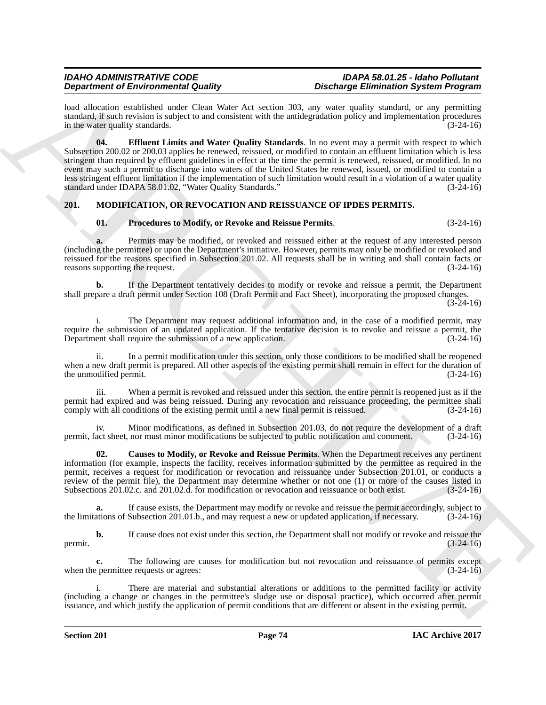load allocation established under Clean Water Act section 303, any water quality standard, or any permitting standard, if such revision is subject to and consistent with the antidegradation policy and implementation procedures in the water quality standards. (3-24-16)

**Dependent of Environmental duality consistent in the main procedure Christmas Christmas Christmas Christmas Christmas Christmas Christmas Christmas Christmas Christmas Christmas Christmas Christmas Christmas Christmas Ch 04. Effluent Limits and Water Quality Standards**. In no event may a permit with respect to which Subsection 200.02 or 200.03 applies be renewed, reissued, or modified to contain an effluent limitation which is less stringent than required by effluent guidelines in effect at the time the permit is renewed, reissued, or modified. In no event may such a permit to discharge into waters of the United States be renewed, issued, or modified to contain a less stringent effluent limitation if the implementation of such limitation would result in a violation of a water quality standard under IDAPA 58.01.02, "Water Quality Standards." (3-24-16)

# **201. MODIFICATION, OR REVOCATION AND REISSUANCE OF IPDES PERMITS.**

# **01. Procedures to Modify, or Revoke and Reissue Permits**. (3-24-16)

**a.** Permits may be modified, or revoked and reissued either at the request of any interested person (including the permittee) or upon the Department's initiative. However, permits may only be modified or revoked and reissued for the reasons specified in Subsection 201.02. All requests shall be in writing and shall contain facts or reasons supporting the request. (3-24-16)

**b.** If the Department tentatively decides to modify or revoke and reissue a permit, the Department shall prepare a draft permit under Section 108 (Draft Permit and Fact Sheet), incorporating the proposed changes.  $(3-24-16)$ 

i. The Department may request additional information and, in the case of a modified permit, may require the submission of an updated application. If the tentative decision is to revoke and reissue a permit, the Department shall require the submission of a new application.  $(3-24-16)$ Department shall require the submission of a new application.

In a permit modification under this section, only those conditions to be modified shall be reopened when a new draft permit is prepared. All other aspects of the existing permit shall remain in effect for the duration of the unmodified permit. (3-24-16) the unmodified permit.

iii. When a permit is revoked and reissued under this section, the entire permit is reopened just as if the permit had expired and was being reissued. During any revocation and reissuance proceeding, the permittee shall comply with all conditions of the existing permit until a new final permit is reissued. (3-24-16)

iv. Minor modifications, as defined in Subsection 201.03, do not require the development of a draft permit, fact sheet, nor must minor modifications be subjected to public notification and comment. (3-24-16)

**02. Causes to Modify, or Revoke and Reissue Permits**. When the Department receives any pertinent information (for example, inspects the facility, receives information submitted by the permittee as required in the permit, receives a request for modification or revocation and reissuance under Subsection 201.01, or conducts a review of the permit file), the Department may determine whether or not one (1) or more of the causes listed in Subsections 201.02.c. and 201.02.d. for modification or revocation and reissuance or both exist. (3-24-16) Subsections 201.02.c. and 201.02.d. for modification or revocation and reissuance or both exist.

**a.** If cause exists, the Department may modify or revoke and reissue the permit accordingly, subject to ations of Subsection 201.01.b., and may request a new or updated application, if necessary. (3-24-16) the limitations of Subsection 201.01.b., and may request a new or updated application, if necessary.

**b.** If cause does not exist under this section, the Department shall not modify or revoke and reissue the  $(3-24-16)$ permit.  $(3-24-16)$ 

**c.** The following are causes for modification but not revocation and reissuance of permits except permittee requests or agrees: (3-24-16) when the permittee requests or agrees:

i. There are material and substantial alterations or additions to the permitted facility or activity (including a change or changes in the permittee's sludge use or disposal practice), which occurred after permit issuance, and which justify the application of permit conditions that are different or absent in the existing permit.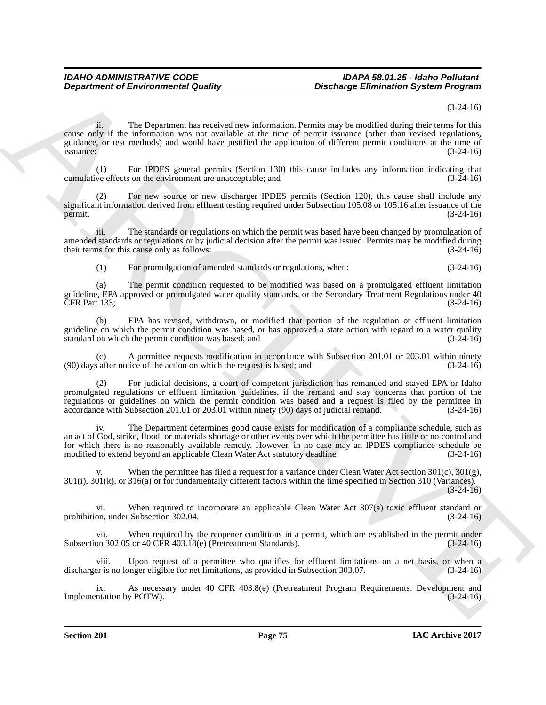### (3-24-16)

**Department of Environmental Guality**<br>
The Chinacter of the Chinacter of the Chinacter of the Chinacter of the Chinacter of the Chinacter of the Chinacter of the Chinacter of the Chinacter of the Chinacter of the Chinacte ii. The Department has received new information. Permits may be modified during their terms for this cause only if the information was not available at the time of permit issuance (other than revised regulations, guidance, or test methods) and would have justified the application of different permit conditions at the time of  $is$ suance:  $(3-24-16)$ 

(1) For IPDES general permits (Section 130) this cause includes any information indicating that ( $\alpha$ -24-16) (3-24-16) cumulative effects on the environment are unacceptable; and

(2) For new source or new discharger IPDES permits (Section 120), this cause shall include any significant information derived from effluent testing required under Subsection 105.08 or 105.16 after issuance of the permit. (3-24-16) permit.  $(3-24-16)$ 

iii. The standards or regulations on which the permit was based have been changed by promulgation of amended standards or regulations or by judicial decision after the permit was issued. Permits may be modified during their terms for this cause only as follows: (3-24-16) their terms for this cause only as follows:

(1) For promulgation of amended standards or regulations, when: (3-24-16)

(a) The permit condition requested to be modified was based on a promulgated effluent limitation guideline, EPA approved or promulgated water quality standards, or the Secondary Treatment Regulations under 40<br>CFR Part 133; (3-24-16) CFR Part 133;

(b) EPA has revised, withdrawn, or modified that portion of the regulation or effluent limitation guideline on which the permit condition was based, or has approved a state action with regard to a water quality standard on which the permit condition was based; and (3-24-16) standard on which the permit condition was based; and

A permittee requests modification in accordance with Subsection 201.01 or 203.01 within ninety tice of the action on which the request is based; and (3-24-16)  $(90)$  days after notice of the action on which the request is based; and

(2) For judicial decisions, a court of competent jurisdiction has remanded and stayed EPA or Idaho promulgated regulations or effluent limitation guidelines, if the remand and stay concerns that portion of the regulations or guidelines on which the permit condition was based and a request is filed by the permittee in accordance with Subsection 201.01 or 203.01 within ninety (90) days of judicial remand. (3-24-16) accordance with Subsection 201.01 or 203.01 within ninety (90) days of judicial remand.

iv. The Department determines good cause exists for modification of a compliance schedule, such as an act of God, strike, flood, or materials shortage or other events over which the permittee has little or no control and for which there is no reasonably available remedy. However, in no case may an IPDES compliance schedule be modified to extend beyond an applicable Clean Water Act statutory deadline. (3-24-16) modified to extend beyond an applicable Clean Water Act statutory deadline.

When the permittee has filed a request for a variance under Clean Water Act section  $301(c)$ ,  $301(g)$ , 301(i), 301(k), or 316(a) or for fundamentally different factors within the time specified in Section 310 (Variances). (3-24-16)

vi. When required to incorporate an applicable Clean Water Act 307(a) toxic effluent standard or prohibition, under Subsection 302.04. (3-24-16)

vii. When required by the reopener conditions in a permit, which are established in the permit under<br>on 302.05 or 40 CFR 403.18(e) (Pretreatment Standards). (3-24-16) Subsection 302.05 or 40 CFR 403.18(e) (Pretreatment Standards).

Upon request of a permittee who qualifies for effluent limitations on a net basis, or when a discharger is no longer eligible for net limitations, as provided in Subsection 303.07. (3-24-16)

ix. As necessary under 40 CFR 403.8(e) (Pretreatment Program Requirements: Development and intation by POTW). (3-24-16) Implementation by POTW).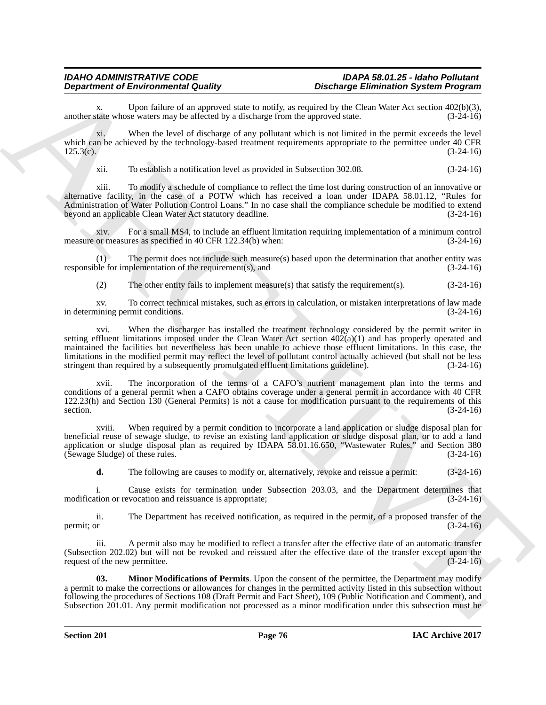# *IDAHO ADMINISTRATIVE CODE IDAPA 58.01.25 - Idaho Pollutant*

x. Upon failure of an approved state to notify, as required by the Clean Water Act section 402(b)(3), tate whose waters may be affected by a discharge from the approved state. (3-24-16) another state whose waters may be affected by a discharge from the approved state.

xi. When the level of discharge of any pollutant which is not limited in the permit exceeds the level which can be achieved by the technology-based treatment requirements appropriate to the permittee under 40 CFR 125.3(c). (3-24-16)  $125.3(c).$  (3-24-16)

xii. To establish a notification level as provided in Subsection 302.08. (3-24-16)

xiii. To modify a schedule of compliance to reflect the time lost during construction of an innovative or alternative facility, in the case of a POTW which has received a loan under IDAPA 58.01.12, "Rules for Administration of Water Pollution Control Loans." In no case shall the compliance schedule be modified to extend<br>beyond an applicable Clean Water Act statutory deadline. (3-24-16) beyond an applicable Clean Water Act statutory deadline.

xiv. For a small MS4, to include an effluent limitation requiring implementation of a minimum control measure or measures as specified in 40 CFR 122.34(b) when:

(1) The permit does not include such measure(s) based upon the determination that another entity was responsible for implementation of the requirement(s), and (3-24-16)

(2) The other entity fails to implement measure(s) that satisfy the requirement(s). (3-24-16)

xv. To correct technical mistakes, such as errors in calculation, or mistaken interpretations of law made in determining permit conditions.

**Department of Environmental Equipment** of the superpent distribution and photon interaction System Proposition and<br>
scaling the subset of the subset of the subset of the subset of the subset of the subset of the subset o xvi. When the discharger has installed the treatment technology considered by the permit writer in setting effluent limitations imposed under the Clean Water Act section  $402(a)(1)$  and has properly operated and maintained the facilities but nevertheless has been unable to achieve those effluent limitations. In this case, the limitations in the modified permit may reflect the level of pollutant control actually achieved (but shall not be less stringent than required by a subsequently promulgated effluent limitations guideline). (3-24-16) stringent than required by a subsequently promulgated effluent limitations guideline).

xvii. The incorporation of the terms of a CAFO's nutrient management plan into the terms and conditions of a general permit when a CAFO obtains coverage under a general permit in accordance with 40 CFR 122.23(h) and Section 130 (General Permits) is not a cause for modification pursuant to the requirements of this section. (3-24-16) section.  $(3-24-16)$ 

xviii. When required by a permit condition to incorporate a land application or sludge disposal plan for beneficial reuse of sewage sludge, to revise an existing land application or sludge disposal plan, or to add a land application or sludge disposal plan as required by IDAPA 58.01.16.650, "Wastewater Rules," and Section 380 (Sewage Sludge) of these rules.  $(3-24-16)$  $(Sewage Sludge)$  of these rules.

**d.** The following are causes to modify or, alternatively, revoke and reissue a permit: (3-24-16)

i. Cause exists for termination under Subsection 203.03, and the Department determines that tion or revocation and reissuance is appropriate; (3-24-16) modification or revocation and reissuance is appropriate;

ii. The Department has received notification, as required in the permit, of a proposed transfer of the permit; or  $(3-24-16)$ 

iii. A permit also may be modified to reflect a transfer after the effective date of an automatic transfer (Subsection 202.02) but will not be revoked and reissued after the effective date of the transfer except upon the request of the new permittee. (3-24-16)

**03. Minor Modifications of Permits**. Upon the consent of the permittee, the Department may modify a permit to make the corrections or allowances for changes in the permitted activity listed in this subsection without following the procedures of Sections 108 (Draft Permit and Fact Sheet), 109 (Public Notification and Comment), and Subsection 201.01. Any permit modification not processed as a minor modification under this subsection must be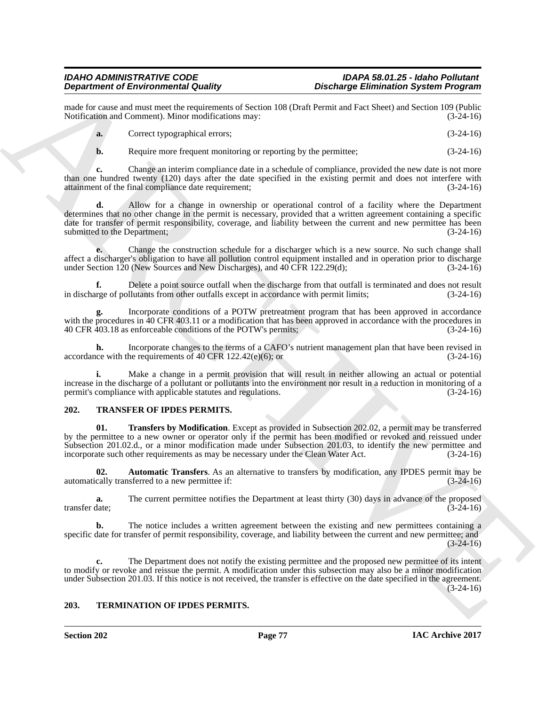made for cause and must meet the requirements of Section 108 (Draft Permit and Fact Sheet) and Section 109 (Public Notification and Comment). Minor modifications may: (3-24-16) Notification and Comment). Minor modifications may:

| <b>a.</b> | Correct typographical errors; | $(3-24-16)$ |
|-----------|-------------------------------|-------------|
|-----------|-------------------------------|-------------|

**b.** Require more frequent monitoring or reporting by the permittee;  $(3-24-16)$ 

**c.** Change an interim compliance date in a schedule of compliance, provided the new date is not more than one hundred twenty (120) days after the date specified in the existing permit and does not interfere with attainment of the final compliance date requirement; (3-24-16)

**Decline of Encompassion Control is a control in the control of the state of the state of the control of the state of the control of the state of the state of the state of the state of the state of the state of the state d.** Allow for a change in ownership or operational control of a facility where the Department determines that no other change in the permit is necessary, provided that a written agreement containing a specific date for transfer of permit responsibility, coverage, and liability between the current and new permittee has been submitted to the Department; (3-24-16)

**e.** Change the construction schedule for a discharger which is a new source. No such change shall affect a discharger's obligation to have all pollution control equipment installed and in operation prior to discharge under Section 120 (New Sources and New Discharges), and 40 CFR 122.29(d); (3-24-16)

**f.** Delete a point source outfall when the discharge from that outfall is terminated and does not result rege of pollutants from other outfalls except in accordance with permit limits; (3-24-16) in discharge of pollutants from other outfalls except in accordance with permit limits;

**g.** Incorporate conditions of a POTW pretreatment program that has been approved in accordance with the procedures in 40 CFR 403.11 or a modification that has been approved in accordance with the procedures in 40 CFR 403.18 as enforceable conditions of the POTW's permits: (3-24-16) 40 CFR 403.18 as enforceable conditions of the POTW's permits;

**h.** Incorporate changes to the terms of a CAFO's nutrient management plan that have been revised in the requirements of 40 CFR 122.42(e)(6); or accordance with the requirements of 40 CFR  $122.42(e)(6)$ ; or

**i.** Make a change in a permit provision that will result in neither allowing an actual or potential increase in the discharge of a pollutant or pollutants into the environment nor result in a reduction in monitoring of a permit's compliance with applicable statutes and regulations. (3-24-16) permit's compliance with applicable statutes and regulations.

# **202. TRANSFER OF IPDES PERMITS.**

**01. Transfers by Modification**. Except as provided in Subsection 202.02, a permit may be transferred by the permittee to a new owner or operator only if the permit has been modified or revoked and reissued under Subsection 201.02.d., or a minor modification made under Subsection 201.03, to identify the new permittee and incorporate such other requirements as may be necessary under the Clean Water Act. (3-24-16) incorporate such other requirements as may be necessary under the Clean Water Act.

**02. Automatic Transfers**. As an alternative to transfers by modification, any IPDES permit may be automatically transferred to a new permittee if: (3-24-16)

**a.** The current permittee notifies the Department at least thirty (30) days in advance of the proposed transfer date: (3-24-16) transfer date; (3-24-16)

**b.** The notice includes a written agreement between the existing and new permittees containing a specific date for transfer of permit responsibility, coverage, and liability between the current and new permittee; and  $(3-24-16)$ 

**c.** The Department does not notify the existing permittee and the proposed new permittee of its intent to modify or revoke and reissue the permit. A modification under this subsection may also be a minor modification under Subsection 201.03. If this notice is not received, the transfer is effective on the date specified in the agreement.  $(3-24-16)$ 

# **203. TERMINATION OF IPDES PERMITS.**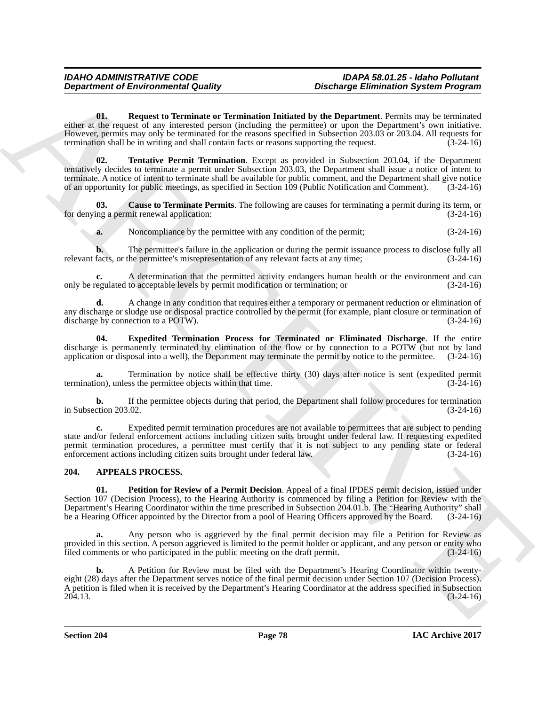**01. Request to Terminate or Termination Initiated by the Department**. Permits may be terminated either at the request of any interested person (including the permittee) or upon the Department's own initiative. However, permits may only be terminated for the reasons specified in Subsection 203.03 or 203.04. All requests for termination shall be in writing and shall contain facts or reasons supporting the request. (3-24-16)

**Department of Environmental Guality<br>
Oktober Schemes Continues and The Theoretical Schemes Schemes Schemes Schemes Continues and the state of the state of the state of the state of the state of the state of the state of 02. Tentative Permit Termination**. Except as provided in Subsection 203.04, if the Department tentatively decides to terminate a permit under Subsection 203.03, the Department shall issue a notice of intent to terminate. A notice of intent to terminate shall be available for public comment, and the Department shall give notice of an opportunity for public meetings, as specified in Section 109 (Public Notification and Comment). (3-24-16)

**03.** Cause to Terminate Permits. The following are causes for terminating a permit during its term, or ng a permit renewal application: for denying a permit renewal application:

**a.** Noncompliance by the permittee with any condition of the permit; (3-24-16)

**b.** The permittee's failure in the application or during the permit issuance process to disclose fully all facts, or the permittee's misrepresentation of any relevant facts at any time; (3-24-16) relevant facts, or the permittee's misrepresentation of any relevant facts at any time;

A determination that the permitted activity endangers human health or the environment and can to acceptable levels by permit modification or termination; or  $(3-24-16)$ only be regulated to acceptable levels by permit modification or termination; or

**d.** A change in any condition that requires either a temporary or permanent reduction or elimination of any discharge or sludge use or disposal practice controlled by the permit (for example, plant closure or termination of discharge by connection to a POTW). (3-24-16)

**04. Expedited Termination Process for Terminated or Eliminated Discharge**. If the entire discharge is permanently terminated by elimination of the flow or by connection to a POTW (but not by land application or disposal into a well), the Department may terminate the permit by notice to the permittee. (3-24-16)

**a.** Termination by notice shall be effective thirty (30) days after notice is sent (expedited permit on), unless the permittee objects within that time.  $(3-24-16)$ termination), unless the permittee objects within that time.

**b.** If the permittee objects during that period, the Department shall follow procedures for termination ction 203.02. (3-24-16) in Subsection 203.02.

**c.** Expedited permit termination procedures are not available to permittees that are subject to pending state and/or federal enforcement actions including citizen suits brought under federal law. If requesting expedited permit termination procedures, a permittee must certify that it is not subject to any pending state or federal enforcement actions including citizen suits brought under federal law. (3-24-16) enforcement actions including citizen suits brought under federal law.

# **204. APPEALS PROCESS.**

**01. Petition for Review of a Permit Decision**. Appeal of a final IPDES permit decision, issued under Section 107 (Decision Process), to the Hearing Authority is commenced by filing a Petition for Review with the Department's Hearing Coordinator within the time prescribed in Subsection 204.01.b. The "Hearing Authority" shall be a Hearing Officer appointed by the Director from a pool of Hearing Officers approved by the Board. (3-24-16)

**a.** Any person who is aggrieved by the final permit decision may file a Petition for Review as provided in this section. A person aggrieved is limited to the permit holder or applicant, and any person or entity who filed comments or who participated in the public meeting on the draft permit. (3-24-16) filed comments or who participated in the public meeting on the draft permit.

**b.** A Petition for Review must be filed with the Department's Hearing Coordinator within twentyeight (28) days after the Department serves notice of the final permit decision under Section 107 (Decision Process). A petition is filed when it is received by the Department's Hearing Coordinator at the address specified in Subsection 204.13. 204.13. (3-24-16)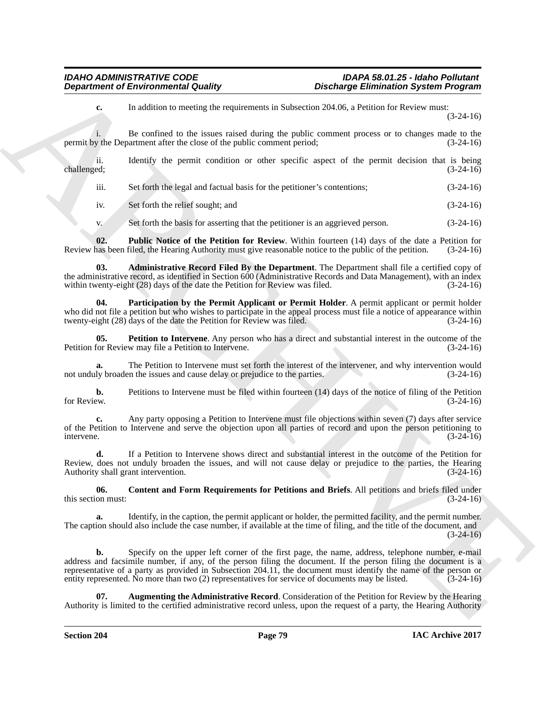# *IDAHO ADMINISTRATIVE CODE IDAPA 58.01.25 - Idaho Pollutant*

# *Discharge Elimination System Program*

**c.** In addition to meeting the requirements in Subsection 204.06, a Petition for Review must: (3-24-16)

i. Be confined to the issues raised during the public comment process or to changes made to the permit by the Department after the close of the public comment period; (3-24-16)

ii. Identify the permit condition or other specific aspect of the permit decision that is being challenged; (3-24-16) challenged;  $(3-24-16)$ 

iii. Set forth the legal and factual basis for the petitioner's contentions; (3-24-16)

iv. Set forth the relief sought; and (3-24-16)

v. Set forth the basis for asserting that the petitioner is an aggrieved person. (3-24-16)

**02. Public Notice of the Petition for Review**. Within fourteen (14) days of the date a Petition for has been filed, the Hearing Authority must give reasonable notice to the public of the petition. (3-24-16) Review has been filed, the Hearing Authority must give reasonable notice to the public of the petition.

**03. Administrative Record Filed By the Department**. The Department shall file a certified copy of the administrative record, as identified in Section 600 (Administrative Records and Data Management), with an index<br>within twenty-eight (28) days of the date the Petition for Review was filed. (3-24-16) within twenty-eight  $(28)$  days of the date the Petition for Review was filed.

**04. Participation by the Permit Applicant or Permit Holder**. A permit applicant or permit holder who did not file a petition but who wishes to participate in the appeal process must file a notice of appearance within twenty-eight (28) days of the date the Petition for Review was filed. (3-24-16)

**05.** Petition to Intervene. Any person who has a direct and substantial interest in the outcome of the for Review may file a Petition to Intervene. Petition for Review may file a Petition to Intervene.

**a.** The Petition to Intervene must set forth the interest of the intervener, and why intervention would ly broaden the issues and cause delay or prejudice to the parties. (3-24-16) not unduly broaden the issues and cause delay or prejudice to the parties.

**b.** Petitions to Intervene must be filed within fourteen (14) days of the notice of filing of the Petition for Review.  $(3-24-16)$ for Review.  $(3-24-16)$ 

**c.** Any party opposing a Petition to Intervene must file objections within seven (7) days after service of the Petition to Intervene and serve the objection upon all parties of record and upon the person petitioning to intervene.  $(3-24-16)$ 

**d.** If a Petition to Intervene shows direct and substantial interest in the outcome of the Petition for Review, does not unduly broaden the issues, and will not cause delay or prejudice to the parties, the Hearing Authority shall grant intervention. (3-24-16) Authority shall grant intervention.

**06.** Content and Form Requirements for Petitions and Briefs. All petitions and briefs filed under on must: (3-24-16) this section must:

**a.** Identify, in the caption, the permit applicant or holder, the permitted facility, and the permit number. The caption should also include the case number, if available at the time of filing, and the title of the document, and  $(3-24-16)$ 

**Department of Environmental Country.**<br>
Consider the result of the result of the result of the result of the result of the result of the result of the result of the result of the result of the result of the result of the **b.** Specify on the upper left corner of the first page, the name, address, telephone number, e-mail address and facsimile number, if any, of the person filing the document. If the person filing the document is a representative of a party as provided in Subsection 204.11, the document must identify the name of the person or entity represented. No more than two (2) representatives for service of documents may be listed. (3-24-16) entity represented. No more than two (2) representatives for service of documents may be listed.

**07. Augmenting the Administrative Record**. Consideration of the Petition for Review by the Hearing Authority is limited to the certified administrative record unless, upon the request of a party, the Hearing Authority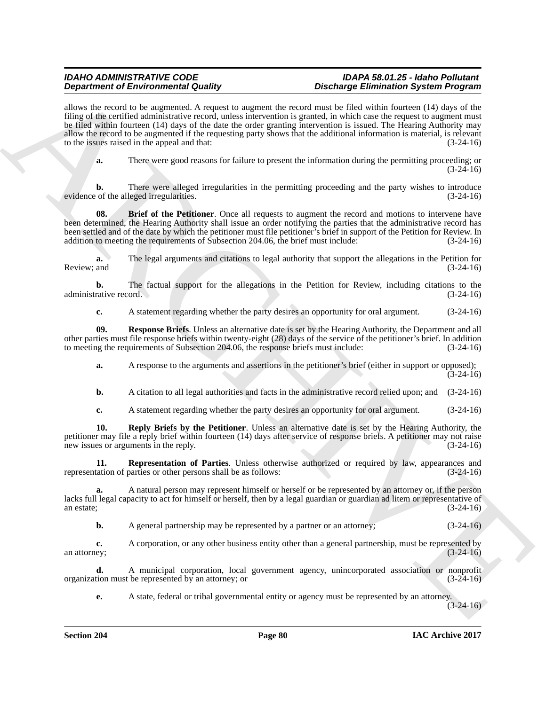**Dependent of Environmental Configuration** and contained Environmental Configuration System Properties<br>
Archives the control of the system of the control of the control of the system of the control of the system of the sy allows the record to be augmented. A request to augment the record must be filed within fourteen (14) days of the filing of the certified administrative record, unless intervention is granted, in which case the request to augment must be filed within fourteen (14) days of the date the order granting intervention is issued. The Hearing Authority may allow the record to be augmented if the requesting party shows that the additional information is material, is relevant to the issues raised in the appeal and that: (3-24-16)

**a.** There were good reasons for failure to present the information during the permitting proceeding; or  $(3-24-16)$ 

**b.** There were alleged irregularities in the permitting proceeding and the party wishes to introduce evidence of the alleged irregularities. (3-24-16)

**08.** Brief of the Petitioner. Once all requests to augment the record and motions to intervene have been determined, the Hearing Authority shall issue an order notifying the parties that the administrative record has been settled and of the date by which the petitioner must file petitioner's brief in support of the Petition for Review. In addition to meeting the requirements of Subsection 204.06, the brief must include: (3-24-16) (3-24-16)

**a.** The legal arguments and citations to legal authority that support the allegations in the Petition for Review; and  $(3-24-16)$ 

**b.** The factual support for the allegations in the Petition for Review, including citations to the rative record. (3-24-16) administrative record.

**c.** A statement regarding whether the party desires an opportunity for oral argument. (3-24-16)

**09. Response Briefs**. Unless an alternative date is set by the Hearing Authority, the Department and all other parties must file response briefs within twenty-eight (28) days of the service of the petitioner's brief. In addition to meeting the requirements of Subsection 204.06, the response briefs must include:

**a.** A response to the arguments and assertions in the petitioner's brief (either in support or opposed);  $(3-24-16)$ 

**b.** A citation to all legal authorities and facts in the administrative record relied upon; and (3-24-16)

**c.** A statement regarding whether the party desires an opportunity for oral argument. (3-24-16)

**10. Reply Briefs by the Petitioner**. Unless an alternative date is set by the Hearing Authority, the petitioner may file a reply brief within fourteen (14) days after service of response briefs. A petitioner may not raise new issues or arguments in the reply. (3-24-16)

**11. Representation of Parties**. Unless otherwise authorized or required by law, appearances and representation of parties or other persons shall be as follows: (3-24-16)

**a.** A natural person may represent himself or herself or be represented by an attorney or, if the person lacks full legal capacity to act for himself or herself, then by a legal guardian or guardian ad litem or representative of an estate; (3-24-16) an estate;  $(3-24-16)$ 

**b.** A general partnership may be represented by a partner or an attorney;  $(3-24-16)$ 

**c.** A corporation, or any other business entity other than a general partnership, must be represented by ey; an attorney;  $(3-24-16)$ 

**d.** A municipal corporation, local government agency, unincorporated association or nonprofit tion must be represented by an attorney; or  $(3-24-16)$ organization must be represented by an attorney; or (3-24-16)

**e.** A state, federal or tribal governmental entity or agency must be represented by an attorney.

 $(3-24-16)$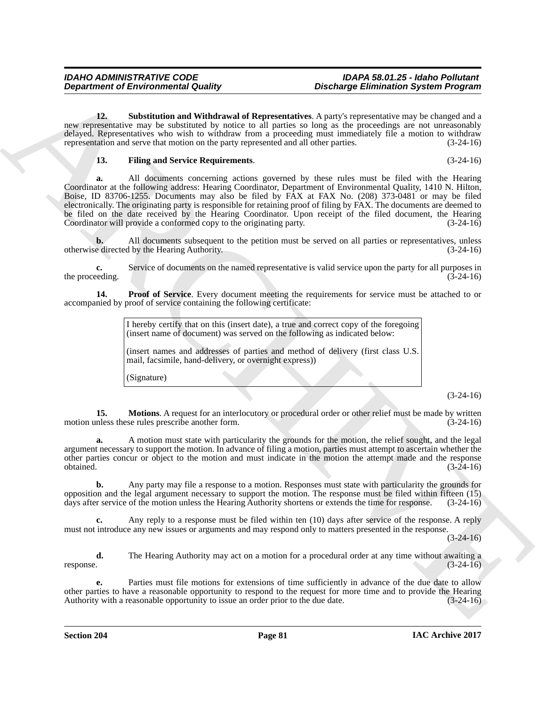**12. Substitution and Withdrawal of Representatives**. A party's representative may be changed and a new representative may be substituted by notice to all parties so long as the proceedings are not unreasonably delayed. Representatives who wish to withdraw from a proceeding must immediately file a motion to withdraw representation and serve that motion on the party represented and all other parties. (3-24-16)

### **13. Filing and Service Requirements**. (3-24-16)

**Department of Environmental Guality<br>
Like Sharehold in the United State of the Chinese Controlling Chindren Controlling (** $\lambda$ **) and the controlling and the state of the controlling and the state of the controlling and the a.** All documents concerning actions governed by these rules must be filed with the Hearing Coordinator at the following address: Hearing Coordinator, Department of Environmental Quality, 1410 N. Hilton, Boise, ID 83706-1255. Documents may also be filed by FAX at FAX No. (208) 373-0481 or may be filed electronically. The originating party is responsible for retaining proof of filing by FAX. The documents are deemed to be filed on the date received by the Hearing Coordinator. Upon receipt of the filed document, the Hearing Coordinator will provide a conformed copy to the originating party. (3-24-16)

**b.** All documents subsequent to the petition must be served on all parties or representatives, unless e directed by the Hearing Authority. (3-24-16) otherwise directed by the Hearing Authority.

**c.** Service of documents on the named representative is valid service upon the party for all purposes in eding.  $(3-24-16)$ the proceeding.

**14. Proof of Service**. Every document meeting the requirements for service must be attached to or accompanied by proof of service containing the following certificate:

> I hereby certify that on this (insert date), a true and correct copy of the foregoing (insert name of document) was served on the following as indicated below:

> (insert names and addresses of parties and method of delivery (first class U.S. mail, facsimile, hand-delivery, or overnight express))

(Signature)

(3-24-16)

**15. Motions**. A request for an interlocutory or procedural order or other relief must be made by written motion unless these rules prescribe another form. (3-24-16)

**a.** A motion must state with particularity the grounds for the motion, the relief sought, and the legal argument necessary to support the motion. In advance of filing a motion, parties must attempt to ascertain whether the other parties concur or object to the motion and must indicate in the motion the attempt made and the response  $obtained.$   $(3-24-16)$ 

**b.** Any party may file a response to a motion. Responses must state with particularity the grounds for opposition and the legal argument necessary to support the motion. The response must be filed within fifteen (15) days after service of the motion unless the Hearing Authority shortens or extends the time for response. (3-24-16)

**c.** Any reply to a response must be filed within ten (10) days after service of the response. A reply must not introduce any new issues or arguments and may respond only to matters presented in the response.

 $(3-24-16)$ 

**d.** The Hearing Authority may act on a motion for a procedural order at any time without awaiting a response.  $(3-24-16)$ response.  $(3-24-16)$ 

Parties must file motions for extensions of time sufficiently in advance of the due date to allow other parties to have a reasonable opportunity to respond to the request for more time and to provide the Hearing Authority with a reasonable opportunity to issue an order prior to the due date.  $(3-24-16)$ Authority with a reasonable opportunity to issue an order prior to the due date.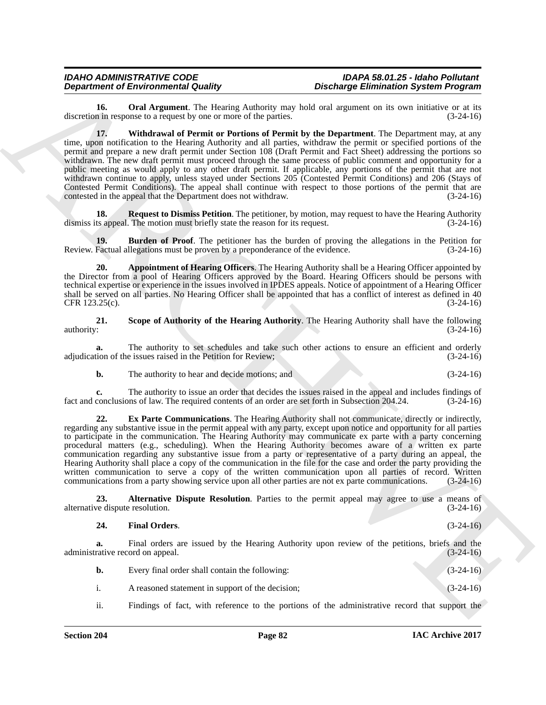**16.** Oral Argument. The Hearing Authority may hold oral argument on its own initiative or at its n in response to a request by one or more of the parties.  $(3-24-16)$ discretion in response to a request by one or more of the parties.

**Department of Entry the matrix (a)** Detail on the Department of Entry Christian System Propries of the system of the system of the system of the system of the system of the system of the system of the system of the syste **17. Withdrawal of Permit or Portions of Permit by the Department**. The Department may, at any time, upon notification to the Hearing Authority and all parties, withdraw the permit or specified portions of the permit and prepare a new draft permit under Section 108 (Draft Permit and Fact Sheet) addressing the portions so withdrawn. The new draft permit must proceed through the same process of public comment and opportunity for a public meeting as would apply to any other draft permit. If applicable, any portions of the permit that are not withdrawn continue to apply, unless stayed under Sections 205 (Contested Permit Conditions) and 206 (Stays of Contested Permit Conditions). The appeal shall continue with respect to those portions of the permit that are contested in the appeal that the Department does not withdraw. (3-24-16) contested in the appeal that the Department does not withdraw.

**18. Request to Dismiss Petition**. The petitioner, by motion, may request to have the Hearing Authority to appeal. The motion must briefly state the reason for its request. dismiss its appeal. The motion must briefly state the reason for its request.

**19. Burden of Proof**. The petitioner has the burden of proving the allegations in the Petition for Factual allegations must be proven by a preponderance of the evidence. (3-24-16) Review. Factual allegations must be proven by a preponderance of the evidence.

**20. Appointment of Hearing Officers**. The Hearing Authority shall be a Hearing Officer appointed by the Director from a pool of Hearing Officers approved by the Board. Hearing Officers should be persons with technical expertise or experience in the issues involved in IPDES appeals. Notice of appointment of a Hearing Officer shall be served on all parties. No Hearing Officer shall be appointed that has a conflict of interest as defined in 40<br>CFR 123.25(c). (3-24-16) CFR 123.25(c).

**21.** Scope of Authority of the Hearing Authority. The Hearing Authority shall have the following authority:  $(3-24-16)$ authority:  $(3-24-16)$ 

**a.** The authority to set schedules and take such other actions to ensure an efficient and orderly tion of the issues raised in the Petition for Review; (3-24-16) adjudication of the issues raised in the Petition for Review;

**b.** The authority to hear and decide motions; and (3-24-16)

**c.** The authority to issue an order that decides the issues raised in the appeal and includes findings of conclusions of law. The required contents of an order are set forth in Subsection 204.24. (3-24-16) fact and conclusions of law. The required contents of an order are set forth in Subsection 204.24.

**22. Ex Parte Communications**. The Hearing Authority shall not communicate, directly or indirectly, regarding any substantive issue in the permit appeal with any party, except upon notice and opportunity for all parties to participate in the communication. The Hearing Authority may communicate ex parte with a party concerning procedural matters (e.g., scheduling). When the Hearing Authority becomes aware of a written ex parte communication regarding any substantive issue from a party or representative of a party during an appeal, the Hearing Authority shall place a copy of the communication in the file for the case and order the party providing the written communication to serve a copy of the written communication upon all parties of record. Written communications from a party showing service upon all other parties are not ex parte communications. (3-24-16)

**23. Alternative Dispute Resolution**. Parties to the permit appeal may agree to use a means of ve dispute resolution. (3-24-16) alternative dispute resolution.

### **24. Final Orders**. (3-24-16)

**a.** Final orders are issued by the Hearing Authority upon review of the petitions, briefs and the rative record on appeal.  $(3-24-16)$ administrative record on appeal.

| b. | Every final order shall contain the following:   | $(3-24-16)$ |
|----|--------------------------------------------------|-------------|
|    | A reasoned statement in support of the decision; | $(3-24-16)$ |

ii. Findings of fact, with reference to the portions of the administrative record that support the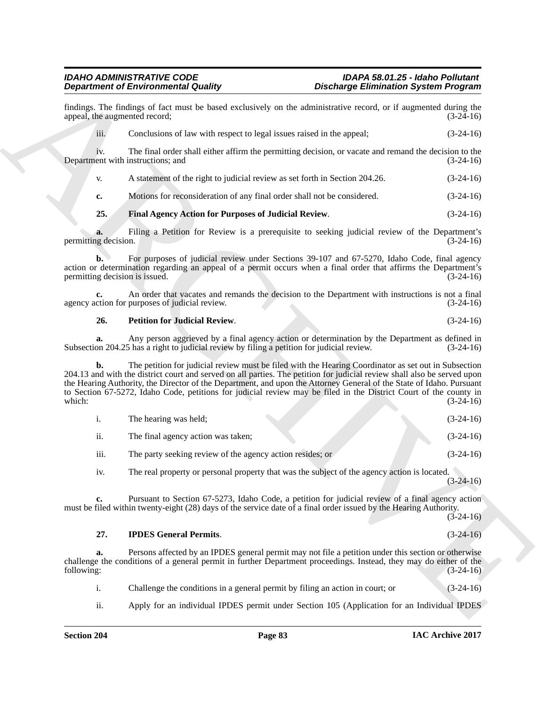### *IDAHO ADMINISTRATIVE CODE IDAPA 58.01.25 - Idaho Pollutant Department of Environmental Quality Discharge Elimination System Program*

|                            | <b>Department of Environmental Quality</b>                                                                                                                                                                                                                                                                                                                                                                                                                                    | <b>Discharge Elimination System Program</b> |  |
|----------------------------|-------------------------------------------------------------------------------------------------------------------------------------------------------------------------------------------------------------------------------------------------------------------------------------------------------------------------------------------------------------------------------------------------------------------------------------------------------------------------------|---------------------------------------------|--|
|                            | findings. The findings of fact must be based exclusively on the administrative record, or if augmented during the<br>appeal, the augmented record;                                                                                                                                                                                                                                                                                                                            | $(3-24-16)$                                 |  |
| iii.                       | Conclusions of law with respect to legal issues raised in the appeal;                                                                                                                                                                                                                                                                                                                                                                                                         | $(3-24-16)$                                 |  |
| iv.                        | The final order shall either affirm the permitting decision, or vacate and remand the decision to the<br>Department with instructions; and                                                                                                                                                                                                                                                                                                                                    | $(3-24-16)$                                 |  |
| V.                         | A statement of the right to judicial review as set forth in Section 204.26.                                                                                                                                                                                                                                                                                                                                                                                                   | $(3-24-16)$                                 |  |
| c.                         | Motions for reconsideration of any final order shall not be considered.                                                                                                                                                                                                                                                                                                                                                                                                       | $(3-24-16)$                                 |  |
| 25.                        | Final Agency Action for Purposes of Judicial Review.                                                                                                                                                                                                                                                                                                                                                                                                                          | $(3-24-16)$                                 |  |
| a.<br>permitting decision. | Filing a Petition for Review is a prerequisite to seeking judicial review of the Department's                                                                                                                                                                                                                                                                                                                                                                                 | $(3-24-16)$                                 |  |
| b.                         | For purposes of judicial review under Sections 39-107 and 67-5270, Idaho Code, final agency<br>action or determination regarding an appeal of a permit occurs when a final order that affirms the Department's<br>permitting decision is issued.                                                                                                                                                                                                                              | $(3-24-16)$                                 |  |
|                            | An order that vacates and remands the decision to the Department with instructions is not a final<br>agency action for purposes of judicial review.                                                                                                                                                                                                                                                                                                                           | $(3-24-16)$                                 |  |
| 26.                        | <b>Petition for Judicial Review.</b>                                                                                                                                                                                                                                                                                                                                                                                                                                          | $(3-24-16)$                                 |  |
| a.                         | Any person aggrieved by a final agency action or determination by the Department as defined in<br>Subsection 204.25 has a right to judicial review by filing a petition for judicial review.                                                                                                                                                                                                                                                                                  | $(3-24-16)$                                 |  |
| b.<br>which:               | The petition for judicial review must be filed with the Hearing Coordinator as set out in Subsection<br>204.13 and with the district court and served on all parties. The petition for judicial review shall also be served upon<br>the Hearing Authority, the Director of the Department, and upon the Attorney General of the State of Idaho. Pursuant<br>to Section 67-5272, Idaho Code, petitions for judicial review may be filed in the District Court of the county in | $(3-24-16)$                                 |  |
| $\mathbf{i}$ .             | The hearing was held;                                                                                                                                                                                                                                                                                                                                                                                                                                                         | $(3-24-16)$                                 |  |
| ii.                        | The final agency action was taken;                                                                                                                                                                                                                                                                                                                                                                                                                                            | $(3-24-16)$                                 |  |
| iii.                       | The party seeking review of the agency action resides; or                                                                                                                                                                                                                                                                                                                                                                                                                     | $(3-24-16)$                                 |  |
| iv.                        | The real property or personal property that was the subject of the agency action is located.                                                                                                                                                                                                                                                                                                                                                                                  | $(3-24-16)$                                 |  |
| c.                         | Pursuant to Section 67-5273, Idaho Code, a petition for judicial review of a final agency action<br>must be filed within twenty-eight (28) days of the service date of a final order issued by the Hearing Authority.                                                                                                                                                                                                                                                         | $(3-24-16)$                                 |  |
| 27.                        | <b>IPDES General Permits.</b>                                                                                                                                                                                                                                                                                                                                                                                                                                                 | $(3-24-16)$                                 |  |
| a.<br>following:           | Persons affected by an IPDES general permit may not file a petition under this section or otherwise<br>challenge the conditions of a general permit in further Department proceedings. Instead, they may do either of the                                                                                                                                                                                                                                                     | $(3-24-16)$                                 |  |
| $\mathbf{i}$ .             | Challenge the conditions in a general permit by filing an action in court; or                                                                                                                                                                                                                                                                                                                                                                                                 | $(3-24-16)$                                 |  |
| ii.                        | Apply for an individual IPDES permit under Section 105 (Application for an Individual IPDES                                                                                                                                                                                                                                                                                                                                                                                   |                                             |  |
|                            |                                                                                                                                                                                                                                                                                                                                                                                                                                                                               |                                             |  |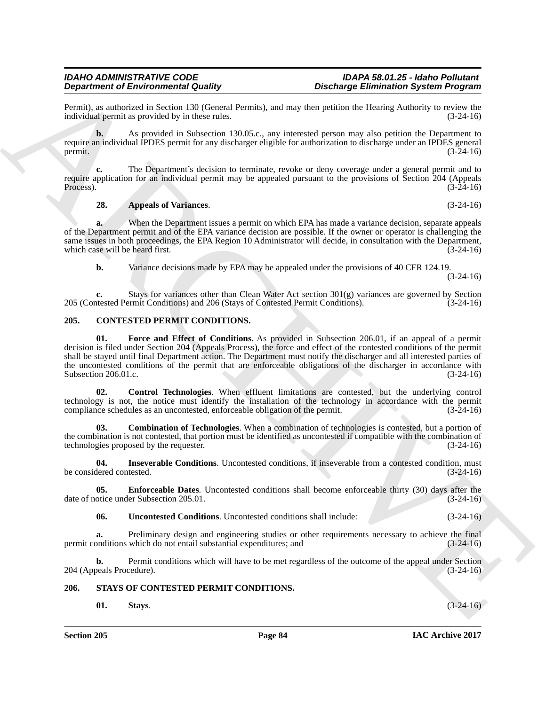Permit), as authorized in Section 130 (General Permits), and may then petition the Hearing Authority to review the individual permit as provided by in these rules.

**b.** As provided in Subsection 130.05.c., any interested person may also petition the Department to require an individual IPDES permit for any discharger eligible for authorization to discharge under an IPDES general<br>(3-24-16) permit.  $(3-24-16)$ 

**c.** The Department's decision to terminate, revoke or deny coverage under a general permit and to require application for an individual permit may be appealed pursuant to the provisions of Section 204 (Appeals Process).  $(3-24-16)$ 

## **28. Appeals of Variances**. (3-24-16)

**a.** When the Department issues a permit on which EPA has made a variance decision, separate appeals of the Department permit and of the EPA variance decision are possible. If the owner or operator is challenging the same issues in both proceedings, the EPA Region 10 Administrator will decide, in consultation with the Department, which case will be heard first. (3-24-16) which case will be heard first.

**b.** Variance decisions made by EPA may be appealed under the provisions of 40 CFR 124.19. (3-24-16)

**c.** Stays for variances other than Clean Water Act section  $301(g)$  variances are governed by Section tested Permit Conditions) and 206 (Stays of Contested Permit Conditions). (3-24-16) 205 (Contested Permit Conditions) and 206 (Stays of Contested Permit Conditions).

## **205. CONTESTED PERMIT CONDITIONS.**

**Dependent of Education Countries (1996)**<br>
Space of the space of the space of the space of the space of the space of the space of the space of the space of the space of the space of the space of the space of the space of **01. Force and Effect of Conditions**. As provided in Subsection 206.01, if an appeal of a permit decision is filed under Section 204 (Appeals Process), the force and effect of the contested conditions of the permit shall be stayed until final Department action. The Department must notify the discharger and all interested parties of the uncontested conditions of the permit that are enforceable obligations of the discharger in accordance with Subsection 206.01.c. (3-24-16) Subsection 206.01.c.

**02. Control Technologies**. When effluent limitations are contested, but the underlying control technology is not, the notice must identify the installation of the technology in accordance with the permit compliance schedules as an uncontested, enforceable obligation of the permit. (3-24-16) compliance schedules as an uncontested, enforceable obligation of the permit.

**03. Combination of Technologies**. When a combination of technologies is contested, but a portion of the combination is not contested, that portion must be identified as uncontested if compatible with the combination of technologies proposed by the requester. (3-24-16)

**04. Inseverable Conditions**. Uncontested conditions, if inseverable from a contested condition, must be considered contested. (3-24-16)

**05. Enforceable Dates**. Uncontested conditions shall become enforceable thirty (30) days after the otice under Subsection 205.01. (3-24-16) date of notice under Subsection 205.01.

**06. Uncontested Conditions**. Uncontested conditions shall include: (3-24-16)

**a.** Preliminary design and engineering studies or other requirements necessary to achieve the final onditions which do not entail substantial expenditures; and (3-24-16) permit conditions which do not entail substantial expenditures; and

**b.** Permit conditions which will have to be met regardless of the outcome of the appeal under Section 204 (Appeals Procedure). (3-24-16)

# **206. STAYS OF CONTESTED PERMIT CONDITIONS.**

**01. Stays**. (3-24-16)

**Section 205 Page 84**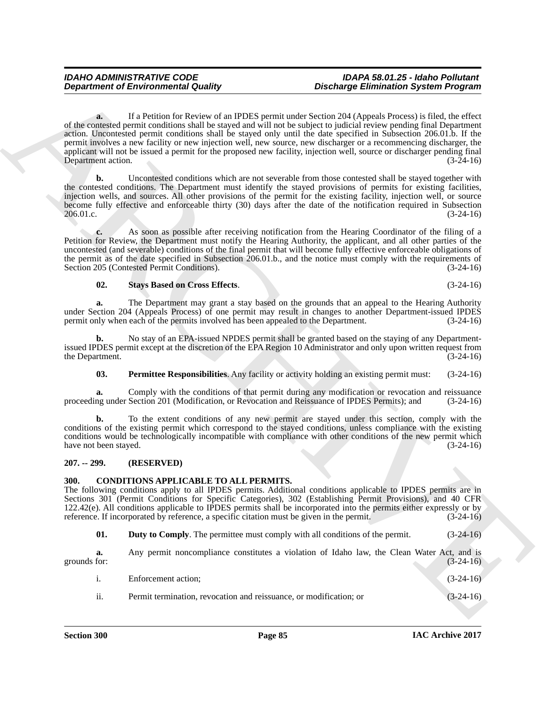**Department of Environmental Guality<br>
of the solution of the solution of the solution of the solution of the solution of the solution of the solution of the solution of the solution of the solution of the solution of the a.** If a Petition for Review of an IPDES permit under Section 204 (Appeals Process) is filed, the effect of the contested permit conditions shall be stayed and will not be subject to judicial review pending final Department action. Uncontested permit conditions shall be stayed only until the date specified in Subsection 206.01.b. If the permit involves a new facility or new injection well, new source, new discharger or a recommencing discharger, the applicant will not be issued a permit for the proposed new facility, injection well, source or discharger pending final<br>Department action. (3-24-16) Department action.

**b.** Uncontested conditions which are not severable from those contested shall be stayed together with the contested conditions. The Department must identify the stayed provisions of permits for existing facilities, injection wells, and sources. All other provisions of the permit for the existing facility, injection well, or source become fully effective and enforceable thirty (30) days after the date of the notification required in Subsection 206.01.c. (3-24-16)

**c.** As soon as possible after receiving notification from the Hearing Coordinator of the filing of a Petition for Review, the Department must notify the Hearing Authority, the applicant, and all other parties of the uncontested (and severable) conditions of the final permit that will become fully effective enforceable obligations of the permit as of the date specified in Subsection 206.01.b., and the notice must comply with the requirements of Section 205 (Contested Permit Conditions). (3-24-16)

# **02. Stays Based on Cross Effects**. (3-24-16)

**a.** The Department may grant a stay based on the grounds that an appeal to the Hearing Authority under Section 204 (Appeals Process) of one permit may result in changes to another Department-issued IPDES permit only when each of the permits involved has been appealed to the Department. (3-24-16)

**b.** No stay of an EPA-issued NPDES permit shall be granted based on the staying of any Departmentissued IPDES permit except at the discretion of the EPA Region 10 Administrator and only upon written request from the Department. (3-24-16)

**03. Permittee Responsibilities**. Any facility or activity holding an existing permit must: (3-24-16)

**a.** Comply with the conditions of that permit during any modification or revocation and reissuance ng under Section 201 (Modification, or Revocation and Reissuance of IPDES Permits); and (3-24-16) proceeding under Section 201 (Modification, or Revocation and Reissuance of IPDES Permits); and

**b.** To the extent conditions of any new permit are stayed under this section, comply with the conditions of the existing permit which correspond to the stayed conditions, unless compliance with the existing conditions would be technologically incompatible with compliance with other conditions of the new permit which have not been stayed. (3-24-16)

### **207. -- 299. (RESERVED)**

### **300. CONDITIONS APPLICABLE TO ALL PERMITS.**

The following conditions apply to all IPDES permits. Additional conditions applicable to IPDES permits are in Sections 301 (Permit Conditions for Specific Categories), 302 (Establishing Permit Provisions), and 40 CFR 122.42(e). All conditions applicable to IPDES permits shall be incorporated into the permits either expressly or by reference. If incorporated by reference, a specific citation must be given in the permit. (3-24-16)

**01. Duty to Comply**. The permittee must comply with all conditions of the permit. (3-24-16)

**a.** Any permit noncompliance constitutes a violation of Idaho law, the Clean Water Act, and is grounds for:  $(3-24-16)$ 

| Enforcement action; | $(3-24-16)$ |
|---------------------|-------------|
|                     |             |

ii. Permit termination, revocation and reissuance, or modification; or (3-24-16)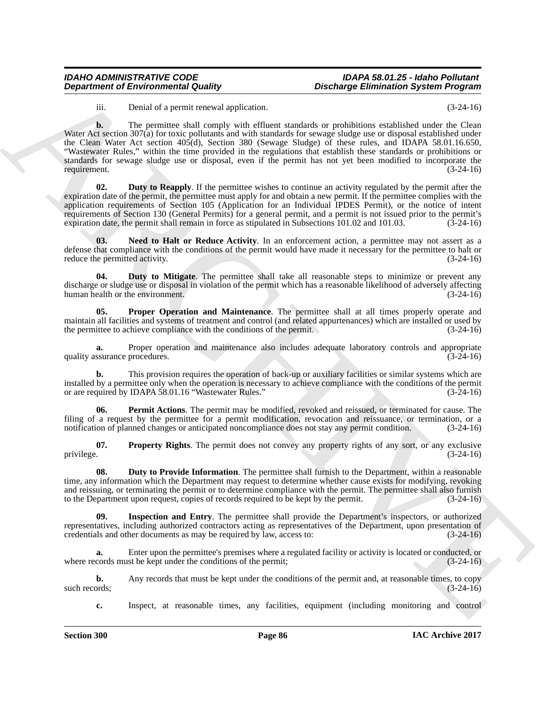# *IDAHO ADMINISTRATIVE CODE IDAPA 58.01.25 - Idaho Pollutant*

# *Discharge Elimination System Program*

iii. Denial of a permit renewal application. (3-24-16)

**Department of Environmental Guatity**<br> **Considered in the constraint conservation of the constraints of the constraints of the constraints of the constraints of the constraints of the constraints of the constraints of the b.** The permittee shall comply with effluent standards or prohibitions established under the Clean Water Act section 307(a) for toxic pollutants and with standards for sewage sludge use or disposal established under the Clean Water Act section 405(d), Section 380 (Sewage Sludge) of these rules, and IDAPA 58.01.16.650, "Wastewater Rules," within the time provided in the regulations that establish these standards or prohibitions or standards for sewage sludge use or disposal, even if the permit has not yet been modified to incorporate the requirement. (3-24-16)

**Duty to Reapply.** If the permittee wishes to continue an activity regulated by the permit after the expiration date of the permit, the permittee must apply for and obtain a new permit. If the permittee complies with the application requirements of Section 105 (Application for an Individual IPDES Permit), or the notice of intent requirements of Section 130 (General Permits) for a general permit, and a permit is not issued prior to the permit's expiration date, the permit shall remain in force as stipulated in Subsections  $101.02$  and  $101.03$ .  $(3-24-16)$ 

**03.** Need to Halt or Reduce Activity. In an enforcement action, a permittee may not assert as a defense that compliance with the conditions of the permit would have made it necessary for the permittee to halt or reduce the permitted activity. (3-24-16) reduce the permitted activity.

**Duty to Mitigate**. The permittee shall take all reasonable steps to minimize or prevent any discharge or sludge use or disposal in violation of the permit which has a reasonable likelihood of adversely affecting human health or the environment.

**05. Proper Operation and Maintenance**. The permittee shall at all times properly operate and maintain all facilities and systems of treatment and control (and related appurtenances) which are installed or used by the permittee to achieve compliance with the conditions of the permit. (3-24-16) the permittee to achieve compliance with the conditions of the permit.

**a.** Proper operation and maintenance also includes adequate laboratory controls and appropriate ssurance procedures. (3-24-16) quality assurance procedures.

**b.** This provision requires the operation of back-up or auxiliary facilities or similar systems which are installed by a permittee only when the operation is necessary to achieve compliance with the conditions of the permit<br>or are required by IDAPA 58.01.16 "Wastewater Rules." (3-24-16) or are required by IDAPA 58.01.16 "Wastewater Rules."

**06. Permit Actions**. The permit may be modified, revoked and reissued, or terminated for cause. The filing of a request by the permittee for a permit modification, revocation and reissuance, or termination, or a notification of planned changes or anticipated noncompliance does not stay any permit condition. (3-24-16)

**07.** Property Rights. The permit does not convey any property rights of any sort, or any exclusive privilege.  $(3-24-16)$ privilege. (3-24-16)

**08.** Duty to Provide Information. The permittee shall furnish to the Department, within a reasonable time, any information which the Department may request to determine whether cause exists for modifying, revoking and reissuing, or terminating the permit or to determine compliance with the permit. The permittee shall also furnish to the Department upon request, copies of records required to be kept by the permit.  $(3-24-16)$ 

**Inspection and Entry.** The permittee shall provide the Department's inspectors, or authorized representatives, including authorized contractors acting as representatives of the Department, upon presentation of credentials and other documents as may be required by law, access to: (3-24-16) credentials and other documents as may be required by law, access to:

**a.** Enter upon the permittee's premises where a regulated facility or activity is located or conducted, or where records must be kept under the conditions of the permit; (3-24-16)

**b.** Any records that must be kept under the conditions of the permit and, at reasonable times, to copy ords; (3-24-16) such records;

**c.** Inspect, at reasonable times, any facilities, equipment (including monitoring and control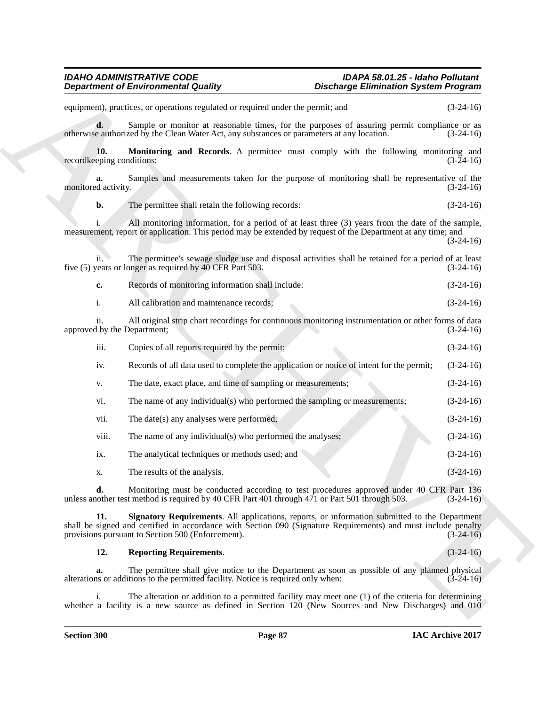**Department of Environmental Duality**<br>
solution of the matter specified by the control of the specified by the control of the matter of the matter of the specified by the control of the specified by the specified by the s equipment), practices, or operations regulated or required under the permit; and (3-24-16) **d.** Sample or monitor at reasonable times, for the purposes of assuring permit compliance or as otherwise authorized by the Clean Water Act, any substances or parameters at any location. (3-24-16) **10. Monitoring and Records**. A permittee must comply with the following monitoring and eping conditions: (3-24-16) recordkeeping conditions: **a.** Samples and measurements taken for the purpose of monitoring shall be representative of the monitored activity. (3-24-16) **b.** The permittee shall retain the following records: (3-24-16) i. All monitoring information, for a period of at least three (3) years from the date of the sample, measurement, report or application. This period may be extended by request of the Department at any time; and (3-24-16) ii. The permittee's sewage sludge use and disposal activities shall be retained for a period of at least five (5) years or longer as required by 40 CFR Part 503. (3-24-16) **c.** Records of monitoring information shall include: (3-24-16) i. All calibration and maintenance records; (3-24-16) ii. All original strip chart recordings for continuous monitoring instrumentation or other forms of data<br>d by the Department; (3-24-16) approved by the Department; iii. Copies of all reports required by the permit; (3-24-16) iv. Records of all data used to complete the application or notice of intent for the permit; (3-24-16) v. The date, exact place, and time of sampling or measurements; (3-24-16) vi. The name of any individual(s) who performed the sampling or measurements; (3-24-16) vii. The date(s) any analyses were performed; (3-24-16) (3-24-16) viii. The name of any individual(s) who performed the analyses; (3-24-16) ix. The analytical techniques or methods used; and (3-24-16) x. The results of the analysis.  $(3-24-16)$ **d.** Monitoring must be conducted according to test procedures approved under 40 CFR Part 136 other test method is required by 40 CFR Part 401 through 471 or Part 501 through 503. (3-24-16) unless another test method is required by 40 CFR Part 401 through 471 or Part 501 through 503.

**11. Signatory Requirements**. All applications, reports, or information submitted to the Department shall be signed and certified in accordance with Section 090 (Signature Requirements) and must include penalty<br>provisions pursuant to Section 500 (Enforcement). (3-24-16) provisions pursuant to Section 500 (Enforcement).

**12. Reporting Requirements**. (3-24-16)

**a.** The permittee shall give notice to the Department as soon as possible of any planned physical is or additions to the permitted facility. Notice is required only when:  $(3-24-16)$ alterations or additions to the permitted facility. Notice is required only when:

The alteration or addition to a permitted facility may meet one (1) of the criteria for determining whether a facility is a new source as defined in Section 120 (New Sources and New Discharges) and 010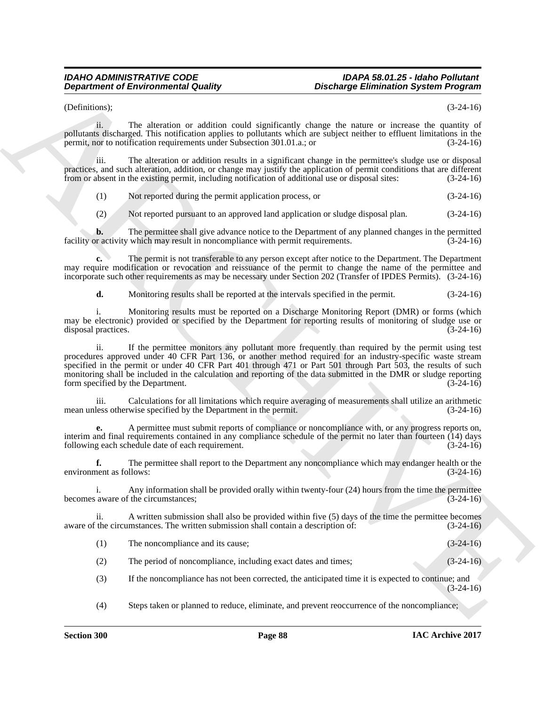(Definitions); (3-24-16)

ii. The alteration or addition could significantly change the nature or increase the quantity of pollutants discharged. This notification applies to pollutants which are subject neither to effluent limitations in the permit, nor to notification requirements under Subsection 301.01.a.; or (3-24-16)

iii. The alteration or addition results in a significant change in the permittee's sludge use or disposal practices, and such alteration, addition, or change may justify the application of permit conditions that are different from or absent in the existing permit, including notification of additional use or disposal sites: (3-24-16)

(1) Not reported during the permit application process, or (3-24-16)

(2) Not reported pursuant to an approved land application or sludge disposal plan. (3-24-16)

**b.** The permittee shall give advance notice to the Department of any planned changes in the permitted r activity which may result in noncompliance with permit requirements. (3-24-16) facility or activity which may result in noncompliance with permit requirements.

**c.** The permit is not transferable to any person except after notice to the Department. The Department may require modification or revocation and reissuance of the permit to change the name of the permittee and incorporate such other requirements as may be necessary under Section 202 (Transfer of IPDES Permits). (3-24-16)

**d.** Monitoring results shall be reported at the intervals specified in the permit.  $(3-24-16)$ 

i. Monitoring results must be reported on a Discharge Monitoring Report (DMR) or forms (which may be electronic) provided or specified by the Department for reporting results of monitoring of sludge use or disposal practices. (3-24-16)

**Department of Environmental Guality<br>
Cochains of the attention of the state of the state of the state of the state of the state of the state of the state of the state of the state of the state of the state of the state o** ii. If the permittee monitors any pollutant more frequently than required by the permit using test procedures approved under 40 CFR Part 136, or another method required for an industry-specific waste stream specified in the permit or under 40 CFR Part 401 through 471 or Part 501 through Part 503, the results of such monitoring shall be included in the calculation and reporting of the data submitted in the DMR or sludge reporting form specified by the Department. (3-24-16)

iii. Calculations for all limitations which require averaging of measurements shall utilize an arithmetic less otherwise specified by the Department in the permit. (3-24-16) mean unless otherwise specified by the Department in the permit.

**e.** A permittee must submit reports of compliance or noncompliance with, or any progress reports on, interim and final requirements contained in any compliance schedule of the permit no later than fourteen (14) days following each schedule date of each requirement. (3-24-16)

**f.** The permittee shall report to the Department any noncompliance which may endanger health or the environment as follows: (3-24-16)

i. Any information shall be provided orally within twenty-four (24) hours from the time the permittee becomes aware of the circumstances;

ii. A written submission shall also be provided within five (5) days of the time the permittee becomes aware of the circumstances. The written submission shall contain a description of: (3-24-16)

(1) The noncompliance and its cause; (3-24-16)

(2) The period of noncompliance, including exact dates and times; (3-24-16)

(3) If the noncompliance has not been corrected, the anticipated time it is expected to continue; and (3-24-16)

(4) Steps taken or planned to reduce, eliminate, and prevent reoccurrence of the noncompliance;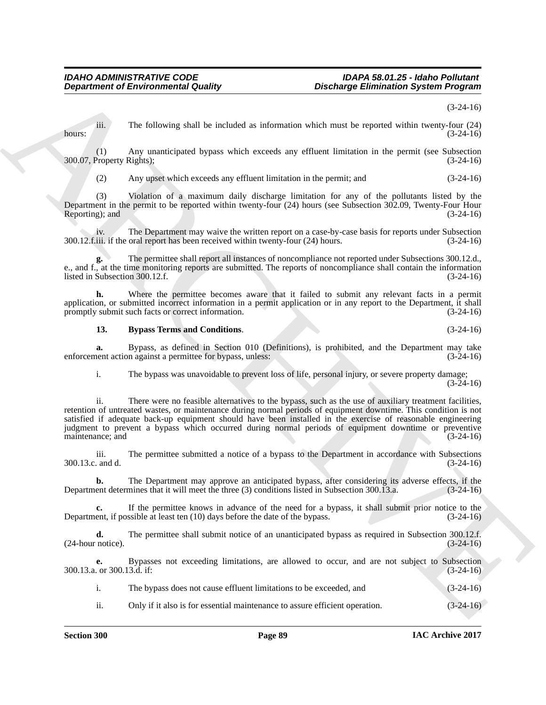(3-24-16)

iii. The following shall be included as information which must be reported within twenty-four (24) hours:  $(3-24-16)$ 

(1) Any unanticipated bypass which exceeds any effluent limitation in the permit (see Subsection 300.07, Property Rights);

(2) Any upset which exceeds any effluent limitation in the permit; and (3-24-16)

(3) Violation of a maximum daily discharge limitation for any of the pollutants listed by the Department in the permit to be reported within twenty-four (24) hours (see Subsection 302.09, Twenty-Four Hour Reporting); and

iv. The Department may waive the written report on a case-by-case basis for reports under Subsection<br>iii. if the oral report has been received within twenty-four (24) hours. (3-24-16)  $300.12$ .f.iii. if the oral report has been received within twenty-four (24) hours.

**g.** The permittee shall report all instances of noncompliance not reported under Subsections 300.12.d., g. In the permittee shall report all instances of noncompliance not reported under Subsections 300.12.d., e., and f., at the time monitoring reports are submitted. The reports of noncompliance shall contain the information listed in Subsection 300.12.f.  $(3-24-16)$ 

**h.** Where the permittee becomes aware that it failed to submit any relevant facts in a permit application, or submitted incorrect information in a permit application or in any report to the Department, it shall<br>promptly submit such facts or correct information. (3-24-16) promptly submit such facts or correct information.

### **13. Bypass Terms and Conditions**. (3-24-16)

**a.** Bypass, as defined in Section 010 (Definitions), is prohibited, and the Department may take nent action against a permittee for bypass, unless: (3-24-16) enforcement action against a permittee for bypass, unless:

i. The bypass was unavoidable to prevent loss of life, personal injury, or severe property damage; (3-24-16)

**Department of Environmental Outside values and the methods of the state of the particle and the state of the state of the state of the state of the state of the state of the state of the state of the state of the state o** ii. There were no feasible alternatives to the bypass, such as the use of auxiliary treatment facilities, retention of untreated wastes, or maintenance during normal periods of equipment downtime. This condition is not satisfied if adequate back-up equipment should have been installed in the exercise of reasonable engineering judgment to prevent a bypass which occurred during normal periods of equipment downtime or preventive maintenance; and (3-24-16)

iii. The permittee submitted a notice of a bypass to the Department in accordance with Subsections 300.13.c. and d. (3-24-16)

**b.** The Department may approve an anticipated bypass, after considering its adverse effects, if the ent determines that it will meet the three (3) conditions listed in Subsection 300.13.a. (3-24-16) Department determines that it will meet the three (3) conditions listed in Subsection 300.13.a.

**c.** If the permittee knows in advance of the need for a bypass, it shall submit prior notice to the ent, if possible at least ten (10) days before the date of the bypass. (3-24-16) Department, if possible at least ten  $(10)$  days before the date of the bypass.

**d.** The permittee shall submit notice of an unanticipated bypass as required in Subsection 300.12.f. notice).  $(3-24-16)$  $(24$ -hour notice).

**e.** Bypasses not exceeding limitations, are allowed to occur, and are not subject to Subsection or 300.13.d. if: (3-24-16) 300.13.a. or 300.13.d. if:

i. The bypass does not cause effluent limitations to be exceeded, and (3-24-16)

ii. Only if it also is for essential maintenance to assure efficient operation. (3-24-16)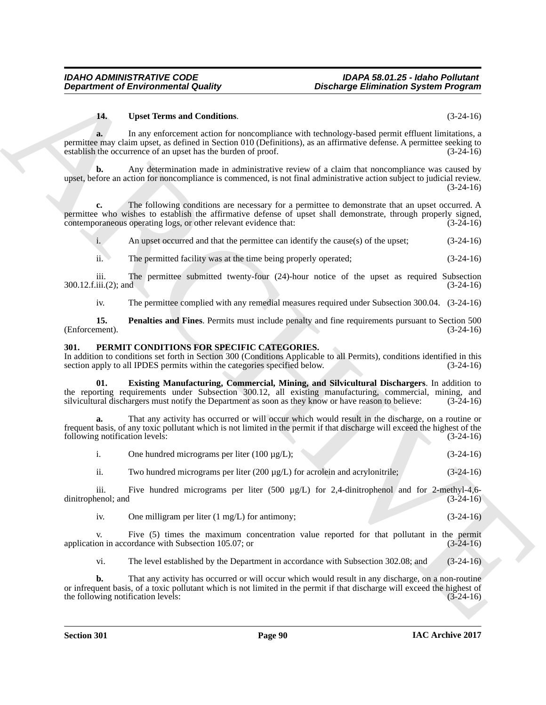#### **14. Upset Terms and Conditions**. (3-24-16)

**Department of Environmental Guality<br>
Unauthority Christian System Programs<br>
1. Unauthorities and Combines and Combines and Combines and Combines and Combines and Combines and Combines and Combines and Combines and Combin a.** In any enforcement action for noncompliance with technology-based permit effluent limitations, a permittee may claim upset, as defined in Section 010 (Definitions), as an affirmative defense. A permittee seeking to establish the occurrence of an upset has the burden of proof. (3-24-16) establish the occurrence of an upset has the burden of proof.

**b.** Any determination made in administrative review of a claim that noncompliance was caused by upset, before an action for noncompliance is commenced, is not final administrative action subject to judicial review. (3-24-16)

**c.** The following conditions are necessary for a permittee to demonstrate that an upset occurred. A permittee who wishes to establish the affirmative defense of upset shall demonstrate, through properly signed, contemporaneous operating logs, or other relevant evidence that: (3-24-16)

i. An upset occurred and that the permittee can identify the cause(s) of the upset; (3-24-16)

ii. The permitted facility was at the time being properly operated; (3-24-16)

iii. The permittee submitted twenty-four (24)-hour notice of the upset as required Subsection iii.(2); and  $(3-24-16)$ 300.12.f.iii.(2); and

iv. The permittee complied with any remedial measures required under Subsection 300.04. (3-24-16)

**15. Penalties and Fines**. Permits must include penalty and fine requirements pursuant to Section 500 (Enforcement). (Enforcement). (3-24-16)

### **301. PERMIT CONDITIONS FOR SPECIFIC CATEGORIES.**

In addition to conditions set forth in Section 300 (Conditions Applicable to all Permits), conditions identified in this section apply to all IPDES permits within the categories specified below. (3-24-16) section apply to all IPDES permits within the categories specified below.

**01. Existing Manufacturing, Commercial, Mining, and Silvicultural Dischargers**. In addition to the reporting requirements under Subsection 300.12, all existing manufacturing, commercial, mining, and silvicultural dischargers must notify the Department as soon as they know or have reason to believe: (3-24-16)

**a.** That any activity has occurred or will occur which would result in the discharge, on a routine or frequent basis, of any toxic pollutant which is not limited in the permit if that discharge will exceed the highest of the following notification levels: (3-24-16)

|  | One hundred micrograms per liter $(100 \mu g/L)$ ; |  |  | $(3-24-16)$ |
|--|----------------------------------------------------|--|--|-------------|
|--|----------------------------------------------------|--|--|-------------|

ii. Two hundred micrograms per liter (200  $\mu$ g/L) for acrolein and acrylonitrile; (3-24-16)

iii. Five hundred micrograms per liter (500  $\mu$ g/L) for 2,4-dinitrophenol and for 2-methyl-4,6-<br>nenol; and (3-24-16) dinitrophenol; and

iv. One milligram per liter  $(1 \text{ mg/L})$  for antimony; (3-24-16)

v. Five (5) times the maximum concentration value reported for that pollutant in the permit on in accordance with Subsection 105.07; or application in accordance with Subsection 105.07; or

vi. The level established by the Department in accordance with Subsection 302.08; and (3-24-16)

**b.** That any activity has occurred or will occur which would result in any discharge, on a non-routine or infrequent basis, of a toxic pollutant which is not limited in the permit if that discharge will exceed the highest of the following notification levels: (3-24-16) the following notification levels: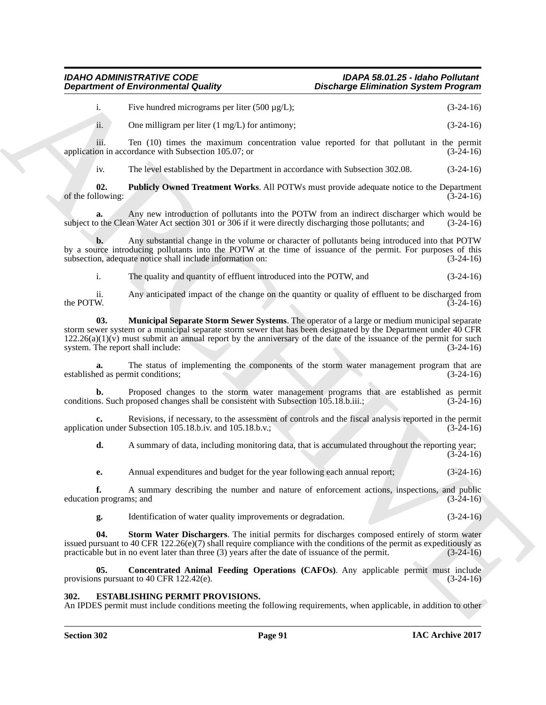i. Five hundred micrograms per liter (500  $\mu$ g/L); (3-24-16)

ii. One milligram per liter  $(1 \text{ mg/L})$  for antimony; (3-24-16)

iii. Ten  $(10)$  times the maximum concentration value reported for that pollutant in the permit on in accordance with Subsection 105.07; or  $(3-24-16)$ application in accordance with Subsection 105.07; or

iv. The level established by the Department in accordance with Subsection 302.08. (3-24-16)

**02. Publicly Owned Treatment Works**. All POTWs must provide adequate notice to the Department Ilowing: (3-24-16) of the following:

**a.** Any new introduction of pollutants into the POTW from an indirect discharger which would be to the Clean Water Act section 301 or 306 if it were directly discharging those pollutants; and (3-24-16) subject to the Clean Water Act section 301 or 306 if it were directly discharging those pollutants; and

**b.** Any substantial change in the volume or character of pollutants being introduced into that POTW by a source introducing pollutants into the POTW at the time of issuance of the permit. For purposes of this subsection, adequate notice shall include information on: (3-24-16) subsection, adequate notice shall include information on:

i. The quality and quantity of effluent introduced into the POTW, and (3-24-16)

ii. Any anticipated impact of the change on the quantity or quality of effluent to be discharged from the POTW.  $(3-24-16)$ 

**Department of Environmental Country.** Distribution System Propries to the system of the system of the system of the system of the system of the system of the system of the system of the system of the system of the system **03. Municipal Separate Storm Sewer Systems**. The operator of a large or medium municipal separate storm sewer system or a municipal separate storm sewer that has been designated by the Department under 40 CFR  $122.26(a)(1)(v)$  must submit an annual report by the anniversary of the date of the issuance of the permit for such system. The report shall include:  $(3-24-16)$ system. The report shall include:

The status of implementing the components of the storm water management program that are mit conditions; (3-24-16) established as permit conditions;

**b.** Proposed changes to the storm water management programs that are established as permit is. Such proposed changes shall be consistent with Subsection 105.18.b.iii.; (3-24-16) conditions. Such proposed changes shall be consistent with Subsection 105.18.b.iii.;

**c.** Revisions, if necessary, to the assessment of controls and the fiscal analysis reported in the permit on under Subsection 105.18.b.iv. and 105.18.b.v.: application under Subsection  $105.18$ , b.iv. and  $105.18$ , b.v.;

**d.** A summary of data, including monitoring data, that is accumulated throughout the reporting year;  $(3-24-16)$ 

**e.** Annual expenditures and budget for the year following each annual report;  $(3-24-16)$ 

**f.** A summary describing the number and nature of enforcement actions, inspections, and public n programs; and  $(3-24-16)$ education programs; and

**g.** Identification of water quality improvements or degradation. (3-24-16)

**04. Storm Water Dischargers**. The initial permits for discharges composed entirely of storm water issued pursuant to 40 CFR 122.26(e)(7) shall require compliance with the conditions of the permit as expeditiously as practicable but in no event later than three (3) years after the date of issuance of the permit.  $(3-24$ practicable but in no event later than three  $(3)$  years after the date of issuance of the permit.

**05.** Concentrated Animal Feeding Operations (CAFOs). Any applicable permit must include is pursuant to 40 CFR 122.42(e). (3-24-16) provisions pursuant to  $40$  CFR 122.42 $(e)$ .

### **302. ESTABLISHING PERMIT PROVISIONS.**

An IPDES permit must include conditions meeting the following requirements, when applicable, in addition to other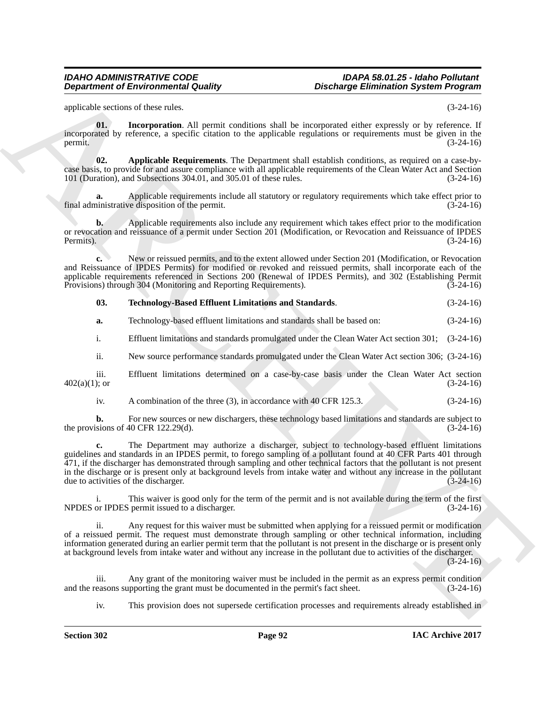applicable sections of these rules. (3-24-16)

**01. Incorporation**. All permit conditions shall be incorporated either expressly or by reference. If incorporated by reference, a specific citation to the applicable regulations or requirements must be given in the permit.  $(3-24-16)$ 

**02. Applicable Requirements**. The Department shall establish conditions, as required on a case-bycase basis, to provide for and assure compliance with all applicable requirements of the Clean Water Act and Section 101 (Duration), and Subsections 304.01, and 305.01 of these rules. (3-24-16)

**a.** Applicable requirements include all statutory or regulatory requirements which take effect prior to inistrative disposition of the permit. (3-24-16) final administrative disposition of the permit.

**b.** Applicable requirements also include any requirement which takes effect prior to the modification or revocation and reissuance of a permit under Section 201 (Modification, or Revocation and Reissuance of IPDES Permits).  $(3-24-16)$ 

**c.** New or reissued permits, and to the extent allowed under Section 201 (Modification, or Revocation and Reissuance of IPDES Permits) for modified or revoked and reissued permits, shall incorporate each of the applicable requirements referenced in Sections 200 (Renewal of IPDES Permits), and 302 (Establishing Permit Provisions) through 304 (Monitoring and Reporting Requirements). (3-24-16) Provisions) through 304 (Monitoring and Reporting Requirements).

**03. Technology-Based Effluent Limitations and Standards**. (3-24-16)

**a.** Technology-based effluent limitations and standards shall be based on: (3-24-16)

i. Effluent limitations and standards promulgated under the Clean Water Act section 301; (3-24-16)

ii. New source performance standards promulgated under the Clean Water Act section 306; (3-24-16)

iii. Effluent limitations determined on a case-by-case basis under the Clean Water Act section 402(a)(1); or (3-24-16)  $402(a)(1)$ ; or (3-24-16)

iv. A combination of the three (3), in accordance with 40 CFR 125.3. (3-24-16)

**b.** For new sources or new dischargers, these technology based limitations and standards are subject to signs of 40 CFR 122.29(d). the provisions of 40 CFR  $122.29(d)$ .

**Department of Environmental Country.** Distribution is the control of the control of the control of the control of the control of the control of the control of the control of the control of the control of the proposition **c.** The Department may authorize a discharger, subject to technology-based effluent limitations guidelines and standards in an IPDES permit, to forego sampling of a pollutant found at 40 CFR Parts 401 through 471, if the discharger has demonstrated through sampling and other technical factors that the pollutant is not present in the discharge or is present only at background levels from intake water and without any increase in the pollutant due to activities of the discharger. (3-24-16)

i. This waiver is good only for the term of the permit and is not available during the term of the first or IPDES permit issued to a discharger. (3-24-16) NPDES or IPDES permit issued to a discharger.

ii. Any request for this waiver must be submitted when applying for a reissued permit or modification of a reissued permit. The request must demonstrate through sampling or other technical information, including information generated during an earlier permit term that the pollutant is not present in the discharge or is present only at background levels from intake water and without any increase in the pollutant due to activities of the discharger.

(3-24-16)

iii. Any grant of the monitoring waiver must be included in the permit as an express permit condition easons supporting the grant must be documented in the permit's fact sheet. (3-24-16) and the reasons supporting the grant must be documented in the permit's fact sheet.

iv. This provision does not supersede certification processes and requirements already established in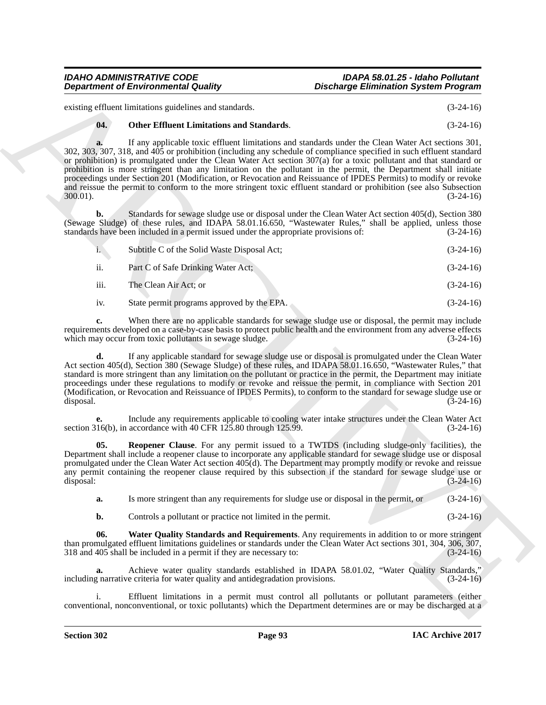existing effluent limitations guidelines and standards. (3-24-16)

## **04. Other Effluent Limitations and Standards**. (3-24-16)

**Department of Environmental Quality<br>
column continue that the maximum continue the continue of the column continue of the continue of the continue of the continue of the continue of the continue of the continue of the co a.** If any applicable toxic effluent limitations and standards under the Clean Water Act sections 301, 302, 303, 307, 318, and 405 or prohibition (including any schedule of compliance specified in such effluent standard or prohibition) is promulgated under the Clean Water Act section 307(a) for a toxic pollutant and that standard or prohibition is more stringent than any limitation on the pollutant in the permit, the Department shall initiate proceedings under Section 201 (Modification, or Revocation and Reissuance of IPDES Permits) to modify or revoke and reissue the permit to conform to the more stringent toxic effluent standard or prohibition (see also Subsection 300.01). (3-24-16)

**b.** Standards for sewage sludge use or disposal under the Clean Water Act section 405(d), Section 380 (Sewage Sludge) of these rules, and IDAPA 58.01.16.650, "Wastewater Rules," shall be applied, unless those standards have been included in a permit issued under the appropriate provisions of: (3-24-16)

|      | Subtitle C of the Solid Waste Disposal Act: | $(3-24-16)$ |
|------|---------------------------------------------|-------------|
| ii.  | Part C of Safe Drinking Water Act:          | $(3-24-16)$ |
| iii. | The Clean Air Act; or                       | $(3-24-16)$ |

iv. State permit programs approved by the EPA. (3-24-16)

**c.** When there are no applicable standards for sewage sludge use or disposal, the permit may include requirements developed on a case-by-case basis to protect public health and the environment from any adverse effects<br>which may occur from toxic pollutants in sewage sludge. (3-24-16) which may occur from toxic pollutants in sewage sludge.

**d.** If any applicable standard for sewage sludge use or disposal is promulgated under the Clean Water Act section 405(d), Section 380 (Sewage Sludge) of these rules, and IDAPA 58.01.16.650, "Wastewater Rules," that standard is more stringent than any limitation on the pollutant or practice in the permit, the Department may initiate proceedings under these regulations to modify or revoke and reissue the permit, in compliance with Section 201 (Modification, or Revocation and Reissuance of IPDES Permits), to conform to the standard for sewage sludge use or disposal. (3-24-16) disposal. (3-24-16)

**e.** Include any requirements applicable to cooling water intake structures under the Clean Water Act 16(b), in accordance with 40 CFR 125.80 through 125.99. (3-24-16) section 316(b), in accordance with 40 CFR  $125.80$  through  $125.99$ .

**05. Reopener Clause**. For any permit issued to a TWTDS (including sludge-only facilities), the Department shall include a reopener clause to incorporate any applicable standard for sewage sludge use or disposal promulgated under the Clean Water Act section 405(d). The Department may promptly modify or revoke and reissue any permit containing the reopener clause required by this subsection if the standard for sewage sludge use or disposal: (3-24-16)

**a.** Is more stringent than any requirements for sludge use or disposal in the permit, or (3-24-16)

**b.** Controls a pollutant or practice not limited in the permit.  $(3-24-16)$ 

**06. Water Quality Standards and Requirements**. Any requirements in addition to or more stringent than promulgated effluent limitations guidelines or standards under the Clean Water Act sections 301, 304, 306, 307, 318 and 405 shall be included in a permit if they are necessary to: (3-24-16)  $318$  and  $405$  shall be included in a permit if they are necessary to:

**a.** Achieve water quality standards established in IDAPA 58.01.02, "Water Quality Standards," a narrative criteria for water quality and antidegradation provisions. (3-24-16) including narrative criteria for water quality and antidegradation provisions.

Effluent limitations in a permit must control all pollutants or pollutant parameters (either conventional, nonconventional, or toxic pollutants) which the Department determines are or may be discharged at a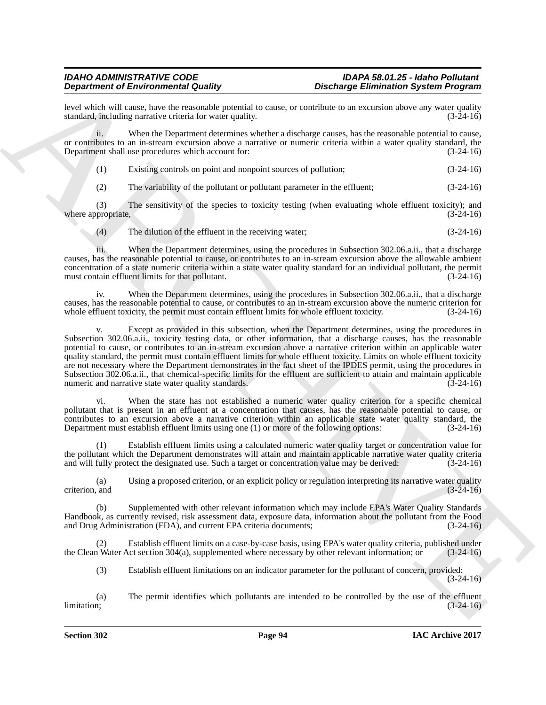level which will cause, have the reasonable potential to cause, or contribute to an excursion above any water quality standard, including narrative criteria for water quality.

ii. When the Department determines whether a discharge causes, has the reasonable potential to cause, or contributes to an in-stream excursion above a narrative or numeric criteria within a water quality standard, the Department shall use procedures which account for: (3-24-16)

| Existing controls on point and nonpoint sources of pollution; | $(3-24-16)$ |
|---------------------------------------------------------------|-------------|
|                                                               |             |

(2) The variability of the pollutant or pollutant parameter in the effluent; (3-24-16)

(3) The sensitivity of the species to toxicity testing (when evaluating whole effluent toxicity); and proportate.  $(3-24-16)$ where appropriate,

(4) The dilution of the effluent in the receiving water; (3-24-16)

iii. When the Department determines, using the procedures in Subsection 302.06.a.ii., that a discharge causes, has the reasonable potential to cause, or contributes to an in-stream excursion above the allowable ambient concentration of a state numeric criteria within a state water quality standard for an individual pollutant, the permit must contain effluent limits for that pollutant. (3-24-16)

iv. When the Department determines, using the procedures in Subsection 302.06.a.ii., that a discharge causes, has the reasonable potential to cause, or contributes to an in-stream excursion above the numeric criterion for whole effluent toxicity, the permit must contain effluent limits for whole effluent toxicity. (3-24-16)

**Dependent of Entropological** Country requested to exact the control of the control of the state of the control of the state of the state of the control of the state of the state of the state of the state of the state of v. Except as provided in this subsection, when the Department determines, using the procedures in Subsection 302.06.a.ii., toxicity testing data, or other information, that a discharge causes, has the reasonable potential to cause, or contributes to an in-stream excursion above a narrative criterion within an applicable water quality standard, the permit must contain effluent limits for whole effluent toxicity. Limits on whole effluent toxicity are not necessary where the Department demonstrates in the fact sheet of the IPDES permit, using the procedures in Subsection 302.06.a.ii., that chemical-specific limits for the effluent are sufficient to attain and maintain applicable numeric and narrative state water quality standards. (3-24-16)

vi. When the state has not established a numeric water quality criterion for a specific chemical pollutant that is present in an effluent at a concentration that causes, has the reasonable potential to cause, or contributes to an excursion above a narrative criterion within an applicable state water quality standard, the Department must establish effluent limits using one (1) or more of the following options: (3-24-16)

(1) Establish effluent limits using a calculated numeric water quality target or concentration value for the pollutant which the Department demonstrates will attain and maintain applicable narrative water quality criteria and will fully protect the designated use. Such a target or concentration value may be derived: (3-24-16)

(a) Using a proposed criterion, or an explicit policy or regulation interpreting its narrative water quality criterion, and

(b) Supplemented with other relevant information which may include EPA's Water Quality Standards Handbook, as currently revised, risk assessment data, exposure data, information about the pollutant from the Food and Drug Administration (FDA), and current EPA criteria documents; (3-24-16)

Establish effluent limits on a case-by-case basis, using EPA's water quality criteria, published under conduct section 304(a), supplemented where necessary by other relevant information; or (3-24-16) the Clean Water Act section 304(a), supplemented where necessary by other relevant information; or

(3) Establish effluent limitations on an indicator parameter for the pollutant of concern, provided: (3-24-16)

(a) The permit identifies which pollutants are intended to be controlled by the use of the effluent limitation; (3-24-16) limitation; (3-24-16)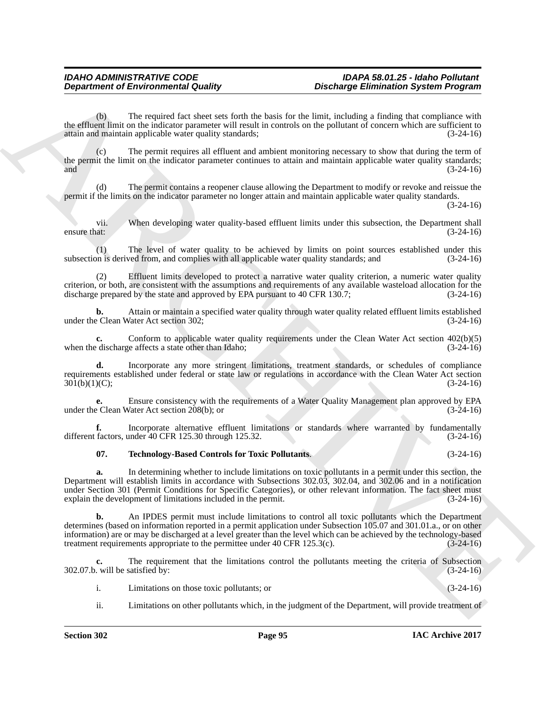(b) The required fact sheet sets forth the basis for the limit, including a finding that compliance with the effluent limit on the indicator parameter will result in controls on the pollutant of concern which are sufficient to attain and maintain applicable water quality standards: (3-24-16) attain and maintain applicable water quality standards;

The permit requires all effluent and ambient monitoring necessary to show that during the term of the permit the limit on the indicator parameter continues to attain and maintain applicable water quality standards; and  $(3-24-16)$ 

The permit contains a reopener clause allowing the Department to modify or revoke and reissue the permit if the limits on the indicator parameter no longer attain and maintain applicable water quality standards.

(3-24-16)

vii. When developing water quality-based effluent limits under this subsection, the Department shall  $\epsilon$  ensure that:  $(3-24-16)$ 

(1) The level of water quality to be achieved by limits on point sources established under this subsection is derived from, and complies with all applicable water quality standards; and

Effluent limits developed to protect a narrative water quality criterion, a numeric water quality criterion, or both, are consistent with the assumptions and requirements of any available wasteload allocation for the discharge prepared by the state and approved by EPA pursuant to 40 CFR 130.7; (3-24-16) discharge prepared by the state and approved by EPA pursuant to  $40$  CFR 130.7;

**b.** Attain or maintain a specified water quality through water quality related effluent limits established under the Clean Water Act section 302; (3-24-16)

**c.** Conform to applicable water quality requirements under the Clean Water Act section 402(b)(5) edischarge affects a state other than Idaho; (3-24-16) when the discharge affects a state other than Idaho;

**d.** Incorporate any more stringent limitations, treatment standards, or schedules of compliance requirements established under federal or state law or regulations in accordance with the Clean Water Act section 301(b)(1)(C);<br>(3-24-16)  $301(b)(1)(C);$ 

**e.** Ensure consistency with the requirements of a Water Quality Management plan approved by EPA<br>e Clean Water Act section 208(b); or (3-24-16) under the Clean Water Act section  $208(b)$ ; or

**f.** Incorporate alternative effluent limitations or standards where warranted by fundamentally factors, under 40 CFR 125.30 through 125.32. (3-24-16) different factors, under 40 CFR 125.30 through 125.32.

# **07. Technology-Based Controls for Toxic Pollutants**. (3-24-16)

**a.** In determining whether to include limitations on toxic pollutants in a permit under this section, the Department will establish limits in accordance with Subsections 302.03, 302.04, and 302.06 and in a notification under Section 301 (Permit Conditions for Specific Categories), or other relevant information. The fact sheet must explain the development of limitations included in the permit. (3-24-16) explain the development of limitations included in the permit.

**Department of Environmental Guality<br>
The requires the final late that the sixth the basis that the time including a number of the sixth of the sixth of the sixth of the interior state in the final late the sixth of the s b.** An IPDES permit must include limitations to control all toxic pollutants which the Department determines (based on information reported in a permit application under Subsection 105.07 and 301.01.a., or on other information) are or may be discharged at a level greater than the level which can be achieved by the technology-based treatment requirements appropriate to the permittee under 40 CFR 125.3(c).  $(3-24-16)$ treatment requirements appropriate to the permittee under  $40$  CFR  $125.3(c)$ .

**c.** The requirement that the limitations control the pollutants meeting the criteria of Subsection will be satisfied by:  $(3-24-16)$  $302.07.b.$  will be satisfied by:

- i. Limitations on those toxic pollutants; or (3-24-16)
- ii. Limitations on other pollutants which, in the judgment of the Department, will provide treatment of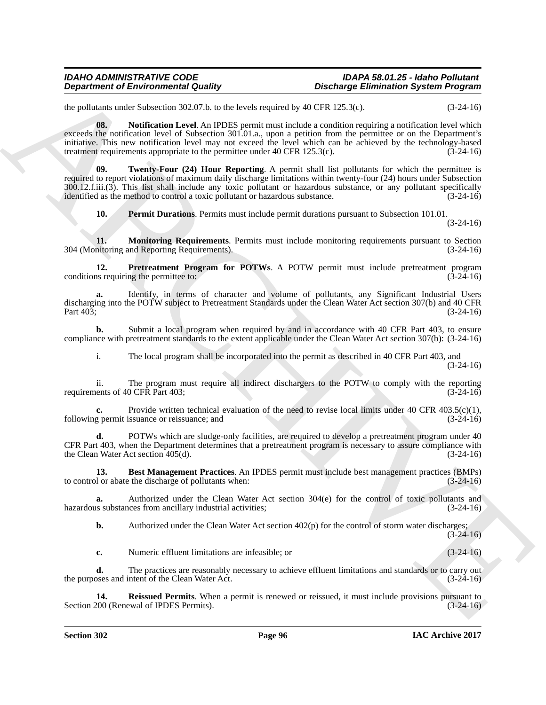the pollutants under Subsection 302.07.b. to the levels required by 40 CFR 125.3(c). (3-24-16)

**Department of Environmental Country.**<br>
Repartment of Environmental Country.<br>
Archives a showled by 0.01 and the selection of the CNE of CNE of the selection of the selection of the selection of the selection of the selec **08. Notification Level**. An IPDES permit must include a condition requiring a notification level which exceeds the notification level of Subsection 301.01.a., upon a petition from the permittee or on the Department's initiative. This new notification level may not exceed the level which can be achieved by the technology-based treatment requirements appropriate to the permittee under 40 CFR 125.3(c). (3-24-16) treatment requirements appropriate to the permittee under  $40$  CFR  $125.3(c)$ .

**Twenty-Four (24) Hour Reporting.** A permit shall list pollutants for which the permittee is required to report violations of maximum daily discharge limitations within twenty-four (24) hours under Subsection 300.12.f.iii.(3). This list shall include any toxic pollutant or hazardous substance, or any pollutant specifically identified as the method to control a toxic pollutant or hazardous substance. (3-24-16)

**10. Permit Durations**. Permits must include permit durations pursuant to Subsection 101.01.

(3-24-16)

**11. Monitoring Requirements**. Permits must include monitoring requirements pursuant to Section intoring and Reporting Requirements). 304 (Monitoring and Reporting Requirements).

**12. Pretreatment Program for POTWs**. A POTW permit must include pretreatment program is requiring the permittee to: conditions requiring the permittee to:

**a.** Identify, in terms of character and volume of pollutants, any Significant Industrial Users discharging into the POTW subject to Pretreatment Standards under the Clean Water Act section 307(b) and 40 CFR<br>(3-24-16) Part 403; (3-24-16)

**b.** Submit a local program when required by and in accordance with 40 CFR Part 403, to ensure compliance with pretreatment standards to the extent applicable under the Clean Water Act section 307(b): (3-24-16)

i. The local program shall be incorporated into the permit as described in 40 CFR Part 403, and (3-24-16)

ii. The program must require all indirect dischargers to the POTW to comply with the reporting ents of 40 CFR Part 403; (3-24-16) requirements of 40 CFR Part 403;

**c.** Provide written technical evaluation of the need to revise local limits under 40 CFR 403.5(c)(1), g permit issuance or reissuance; and (3-24-16) following permit issuance or reissuance; and

**d.** POTWs which are sludge-only facilities, are required to develop a pretreatment program under 40 CFR Part 403, when the Department determines that a pretreatment program is necessary to assure compliance with the Clean Water Act section  $405(d)$ .

**13. Best Management Practices**. An IPDES permit must include best management practices (BMPs) to control or abate the discharge of pollutants when: (3-24-16)

**a.** Authorized under the Clean Water Act section 304(e) for the control of toxic pollutants and is substances from ancillary industrial activities; (3-24-16) hazardous substances from ancillary industrial activities;

**b.** Authorized under the Clean Water Act section 402(p) for the control of storm water discharges;  $(3-24-16)$ 

**c.** Numeric effluent limitations are infeasible; or (3-24-16)

**d.** The practices are reasonably necessary to achieve effluent limitations and standards or to carry out oses and intent of the Clean Water Act. (3-24-16) the purposes and intent of the Clean Water Act.

**14. Reissued Permits**. When a permit is renewed or reissued, it must include provisions pursuant to (000 (Renewal of IPDES Permits). Section 200 (Renewal of IPDES Permits).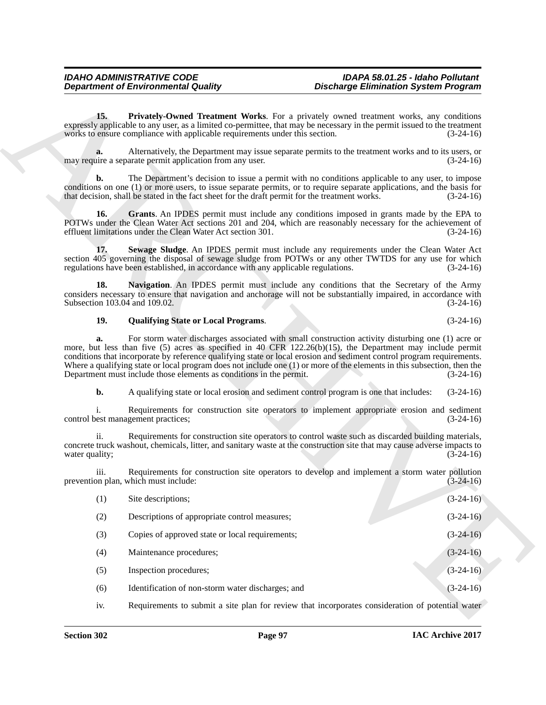# **19. Qualifying State or Local Programs**. (3-24-16)

| <b>Department of Environmental Quality</b> |                                                                                                                                                                                                                                                                                                                                                                                                                                                                                                                                              | <b>Discharge Elimination System Program</b> |             |
|--------------------------------------------|----------------------------------------------------------------------------------------------------------------------------------------------------------------------------------------------------------------------------------------------------------------------------------------------------------------------------------------------------------------------------------------------------------------------------------------------------------------------------------------------------------------------------------------------|---------------------------------------------|-------------|
| 15.                                        | Privately-Owned Treatment Works. For a privately owned treatment works, any conditions<br>expressly applicable to any user, as a limited co-permittee, that may be necessary in the permit issued to the treatment<br>works to ensure compliance with applicable requirements under this section.                                                                                                                                                                                                                                            |                                             | $(3-24-16)$ |
| a.                                         | Alternatively, the Department may issue separate permits to the treatment works and to its users, or<br>may require a separate permit application from any user.                                                                                                                                                                                                                                                                                                                                                                             |                                             | $(3-24-16)$ |
| b.                                         | The Department's decision to issue a permit with no conditions applicable to any user, to impose<br>conditions on one (1) or more users, to issue separate permits, or to require separate applications, and the basis for<br>that decision, shall be stated in the fact sheet for the draft permit for the treatment works.                                                                                                                                                                                                                 |                                             | $(3-24-16)$ |
| 16.                                        | Grants. An IPDES permit must include any conditions imposed in grants made by the EPA to<br>POTWs under the Clean Water Act sections 201 and 204, which are reasonably necessary for the achievement of<br>effluent limitations under the Clean Water Act section 301.                                                                                                                                                                                                                                                                       |                                             | $(3-24-16)$ |
| 17.                                        | Sewage Sludge. An IPDES permit must include any requirements under the Clean Water Act<br>section 405 governing the disposal of sewage sludge from POTWs or any other TWTDS for any use for which<br>regulations have been established, in accordance with any applicable regulations.                                                                                                                                                                                                                                                       |                                             | $(3-24-16)$ |
| 18.<br>Subsection 103.04 and 109.02.       | Navigation. An IPDES permit must include any conditions that the Secretary of the Army<br>considers necessary to ensure that navigation and anchorage will not be substantially impaired, in accordance with                                                                                                                                                                                                                                                                                                                                 |                                             | $(3-24-16)$ |
| 19.                                        | <b>Qualifying State or Local Programs.</b>                                                                                                                                                                                                                                                                                                                                                                                                                                                                                                   |                                             | $(3-24-16)$ |
| a.                                         | For storm water discharges associated with small construction activity disturbing one (1) acre or<br>more, but less than five (5) acres as specified in 40 CFR 122.26(b)(15), the Department may include permit<br>conditions that incorporate by reference qualifying state or local erosion and sediment control program requirements.<br>Where a qualifying state or local program does not include one $(1)$ or more of the elements in this subsection, then the<br>Department must include those elements as conditions in the permit. |                                             | $(3-24-16)$ |
| b.                                         | A qualifying state or local erosion and sediment control program is one that includes:                                                                                                                                                                                                                                                                                                                                                                                                                                                       |                                             | $(3-24-16)$ |
|                                            | Requirements for construction site operators to implement appropriate erosion and sediment<br>control best management practices;                                                                                                                                                                                                                                                                                                                                                                                                             |                                             | $(3-24-16)$ |
| ii.<br>water quality;                      | Requirements for construction site operators to control waste such as discarded building materials,<br>concrete truck washout, chemicals, litter, and sanitary waste at the construction site that may cause adverse impacts to                                                                                                                                                                                                                                                                                                              |                                             | $(3-24-16)$ |
| 111.                                       | Requirements for construction site operators to develop and implement a storm water pollution<br>prevention plan, which must include:                                                                                                                                                                                                                                                                                                                                                                                                        |                                             | $(3-24-16)$ |
| (1)                                        | Site descriptions;                                                                                                                                                                                                                                                                                                                                                                                                                                                                                                                           |                                             | $(3-24-16)$ |
| (2)                                        | Descriptions of appropriate control measures;                                                                                                                                                                                                                                                                                                                                                                                                                                                                                                |                                             | $(3-24-16)$ |
| (3)                                        | Copies of approved state or local requirements;                                                                                                                                                                                                                                                                                                                                                                                                                                                                                              |                                             | $(3-24-16)$ |
| (4)                                        | Maintenance procedures;                                                                                                                                                                                                                                                                                                                                                                                                                                                                                                                      |                                             | $(3-24-16)$ |
| (5)                                        | Inspection procedures;                                                                                                                                                                                                                                                                                                                                                                                                                                                                                                                       |                                             | $(3-24-16)$ |
| (6)                                        | Identification of non-storm water discharges; and                                                                                                                                                                                                                                                                                                                                                                                                                                                                                            |                                             | $(3-24-16)$ |
|                                            |                                                                                                                                                                                                                                                                                                                                                                                                                                                                                                                                              |                                             |             |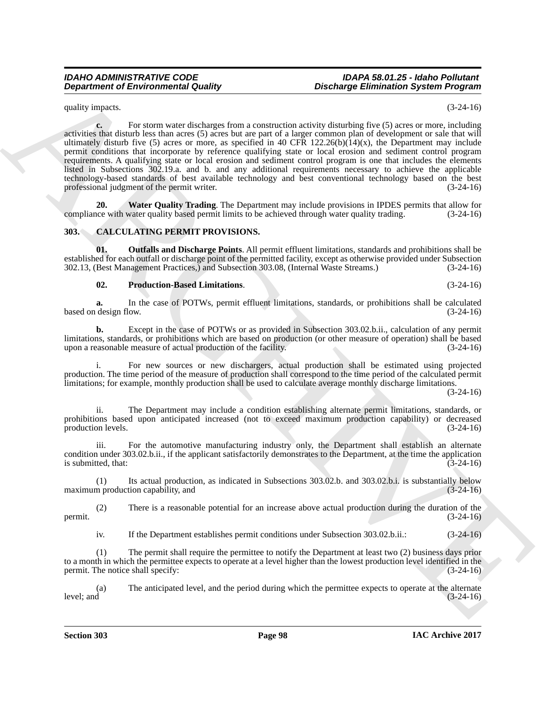quality impacts. (3-24-16)

**Department of Environmental Guality**<br>
spacing the state of the state of the state of the state of the state of the state of the state of the state of the state of the state of the state of the state of the state of the s **c.** For storm water discharges from a construction activity disturbing five (5) acres or more, including activities that disturb less than acres (5) acres but are part of a larger common plan of development or sale that will ultimately disturb five (5) acres or more, as specified in 40 CFR 122.26(b)(14)(x), the Department may include permit conditions that incorporate by reference qualifying state or local erosion and sediment control program requirements. A qualifying state or local erosion and sediment control program is one that includes the elements listed in Subsections 302.19.a. and b. and any additional requirements necessary to achieve the applicable technology-based standards of best available technology and best conventional technology based on the best professional judgment of the permit writer. (3-24-16)

**20. Water Quality Trading**. The Department may include provisions in IPDES permits that allow for the with water quality based permit limits to be achieved through water quality trading. (3-24-16) compliance with water quality based permit limits to be achieved through water quality trading.

# **303. CALCULATING PERMIT PROVISIONS.**

**01. Outfalls and Discharge Points**. All permit effluent limitations, standards and prohibitions shall be established for each outfall or discharge point of the permitted facility, except as otherwise provided under Subsection 302.13, (Best Management Practices,) and Subsection 303.08, (Internal Waste Streams.) (3-24-16)

**02. Production-Based Limitations**. (3-24-16)

**a.** In the case of POTWs, permit effluent limitations, standards, or prohibitions shall be calculated design flow.  $(3-24-16)$ based on design flow.

**b.** Except in the case of POTWs or as provided in Subsection 303.02.b.ii., calculation of any permit limitations, standards, or prohibitions which are based on production (or other measure of operation) shall be based<br>upon a reasonable measure of actual production of the facility. (3-24-16) upon a reasonable measure of actual production of the facility.

i. For new sources or new dischargers, actual production shall be estimated using projected production. The time period of the measure of production shall correspond to the time period of the calculated permit limitations; for example, monthly production shall be used to calculate average monthly discharge limitations.

(3-24-16)

ii. The Department may include a condition establishing alternate permit limitations, standards, or prohibitions based upon anticipated increased (not to exceed maximum production capability) or decreased production levels. (3-24-16) production levels.

iii. For the automotive manufacturing industry only, the Department shall establish an alternate condition under 303.02.b.ii., if the applicant satisfactorily demonstrates to the Department, at the time the application is submitted, that:  $(3-24-16)$ 

(1) Its actual production, as indicated in Subsections 303.02.b. and 303.02.b.i. is substantially below maximum production capability, and

(2) There is a reasonable potential for an increase above actual production during the duration of the permit.  $(3-24-16)$ 

iv. If the Department establishes permit conditions under Subsection 303.02.b.ii.: (3-24-16)

(1) The permit shall require the permittee to notify the Department at least two (2) business days prior to a month in which the permittee expects to operate at a level higher than the lowest production level identified in the permit. The notice shall specify: (3-24-16)

(a) The anticipated level, and the period during which the permittee expects to operate at the alternate level; and (3-24-16)  $l$ evel; and  $(3-24-16)$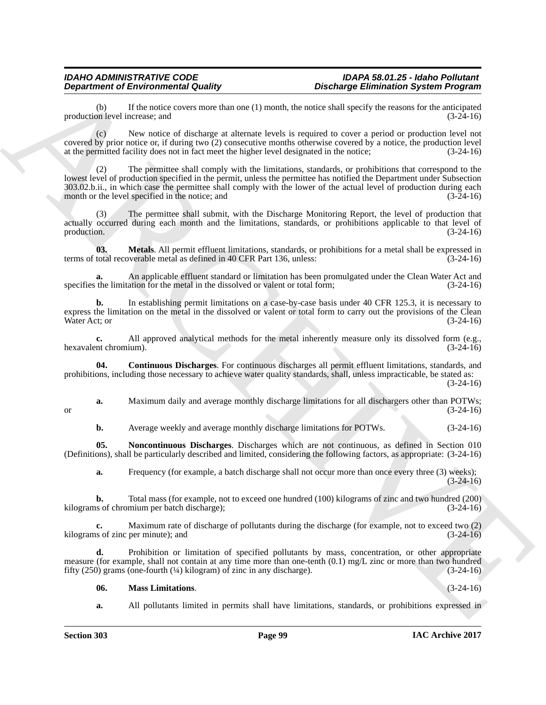If the notice covers more than one (1) month, the notice shall specify the reasons for the anticipated ncrease; and  $(3-24-16)$ production level increase; and

(c) New notice of discharge at alternate levels is required to cover a period or production level not covered by prior notice or, if during two (2) consecutive months otherwise covered by a notice, the production level at the permitted facility does not in fact meet the higher level designated in the notice; (3-24-16)

**Department of Environmental Country.**<br>
The main of the state of the state of the state of the state of the state of the state of the state of the state of the state of the state of the state of the state of the state of (2) The permittee shall comply with the limitations, standards, or prohibitions that correspond to the lowest level of production specified in the permit, unless the permittee has notified the Department under Subsection 303.02.b.ii., in which case the permittee shall comply with the lower of the actual level of production during each month or the level specified in the notice; and

(3) The permittee shall submit, with the Discharge Monitoring Report, the level of production that actually occurred during each month and the limitations, standards, or prohibitions applicable to that level of production.  $(3-24-16)$ 

**03. Metals**. All permit effluent limitations, standards, or prohibitions for a metal shall be expressed in total recoverable metal as defined in 40 CFR Part 136, unless:  $(3-24-16)$ terms of total recoverable metal as defined in 40 CFR Part 136, unless:

**a.** An applicable effluent standard or limitation has been promulgated under the Clean Water Act and the limitation for the metal in the dissolved or valent or total form; (3-24-16) specifies the limitation for the metal in the dissolved or valent or total form;

**b.** In establishing permit limitations on a case-by-case basis under 40 CFR 125.3, it is necessary to express the limitation on the metal in the dissolved or valent or total form to carry out the provisions of the Clean Water Act; or  $(3-24-16)$ 

**c.** All approved analytical methods for the metal inherently measure only its dissolved form (e.g., nt chromium). (3-24-16) hexavalent chromium).

**04. Continuous Discharges**. For continuous discharges all permit effluent limitations, standards, and prohibitions, including those necessary to achieve water quality standards, shall, unless impracticable, be stated as: (3-24-16)

**a.** Maximum daily and average monthly discharge limitations for all dischargers other than POTWs;<br>(3-24-16) or  $(3-24-16)$ 

**b.** Average weekly and average monthly discharge limitations for POTWs. (3-24-16)

**05. Noncontinuous Discharges**. Discharges which are not continuous, as defined in Section 010 (Definitions), shall be particularly described and limited, considering the following factors, as appropriate: (3-24-16)

**a.** Frequency (for example, a batch discharge shall not occur more than once every three (3) weeks);  $(3-24-16)$ 

**b.** Total mass (for example, not to exceed one hundred (100) kilograms of zinc and two hundred (200) as of chromium per batch discharge); kilograms of chromium per batch discharge);

**c.** Maximum rate of discharge of pollutants during the discharge (for example, not to exceed two (2) kilograms of zinc per minute); and (3-24-16)

**d.** Prohibition or limitation of specified pollutants by mass, concentration, or other appropriate measure (for example, shall not contain at any time more than one-tenth (0.1) mg/L zinc or more than two hundred fifty (250) grams (one-fourth (¼) kilogram) of zinc in any discharge). (3-24-16)

### **06. Mass Limitations**. (3-24-16)

**a.** All pollutants limited in permits shall have limitations, standards, or prohibitions expressed in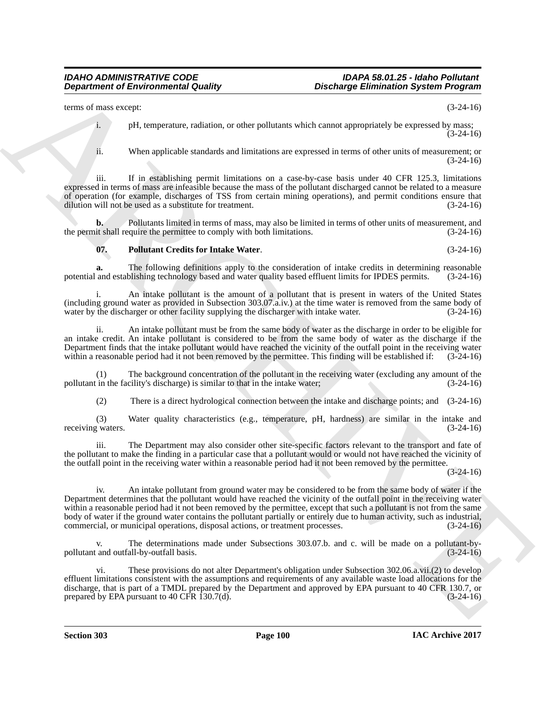terms of mass except: (3-24-16)

i. pH, temperature, radiation, or other pollutants which cannot appropriately be expressed by mass; (3-24-16)

ii. When applicable standards and limitations are expressed in terms of other units of measurement; or (3-24-16)

iii. If in establishing permit limitations on a case-by-case basis under 40 CFR 125.3, limitations expressed in terms of mass are infeasible because the mass of the pollutant discharged cannot be related to a measure of operation (for example, discharges of TSS from certain mining operations), and permit conditions ensure that dilution will not be used as a substitute for treatment. (3-24-16) dilution will not be used as a substitute for treatment.

**b.** Pollutants limited in terms of mass, may also be limited in terms of other units of measurement, and the permit shall require the permittee to comply with both limitations. (3-24-16)

# **07. Pollutant Credits for Intake Water**. (3-24-16)

**a.** The following definitions apply to the consideration of intake credits in determining reasonable and establishing technology based and water quality based effluent limits for IPDES permits. (3-24-16) potential and establishing technology based and water quality based effluent limits for IPDES permits.

i. An intake pollutant is the amount of a pollutant that is present in waters of the United States (including ground water as provided in Subsection 303.07.a.iv.) at the time water is removed from the same body of water by the discharger or other facility supplying the discharger with intake water.

ii. An intake pollutant must be from the same body of water as the discharge in order to be eligible for an intake credit. An intake pollutant is considered to be from the same body of water as the discharge if the Department finds that the intake pollutant would have reached the vicinity of the outfall point in the receiving water within a reasonable period had it not been removed by the permittee. This finding will be established if: (3-24-16)

(1) The background concentration of the pollutant in the receiving water (excluding any amount of the pollutant in the facility's discharge) is similar to that in the intake water; (3-24-16)

(2) There is a direct hydrological connection between the intake and discharge points; and (3-24-16)

(3) Water quality characteristics (e.g., temperature, pH, hardness) are similar in the intake and receiving waters. (3-24-16)

The Department may also consider other site-specific factors relevant to the transport and fate of the pollutant to make the finding in a particular case that a pollutant would or would not have reached the vicinity of the outfall point in the receiving water within a reasonable period had it not been removed by the permittee.

(3-24-16)

**Department of Environmental Guality ... Distribuye Environmental System Program**<br>
terms can exactly provide the probability of the probability of the system of the control of the probability of the system of the system iv. An intake pollutant from ground water may be considered to be from the same body of water if the Department determines that the pollutant would have reached the vicinity of the outfall point in the receiving water within a reasonable period had it not been removed by the permittee, except that such a pollutant is not from the same body of water if the ground water contains the pollutant partially or entirely due to human activity, such as industrial, commercial, or municipal operations, disposal actions, or treatment processes. (3-24-16)

The determinations made under Subsections 303.07.b. and c. will be made on a pollutant-by-<br>  $\alpha$ ll-by-outfall basis. (3-24-16) pollutant and outfall-by-outfall basis.

vi. These provisions do not alter Department's obligation under Subsection 302.06.a.vii.(2) to develop effluent limitations consistent with the assumptions and requirements of any available waste load allocations for the discharge, that is part of a TMDL prepared by the Department and approved by EPA pursuant to 40 CFR 130.7, or prepared by EPA pursuant to 40 CFR 130.7(d).  $(3-24-16)$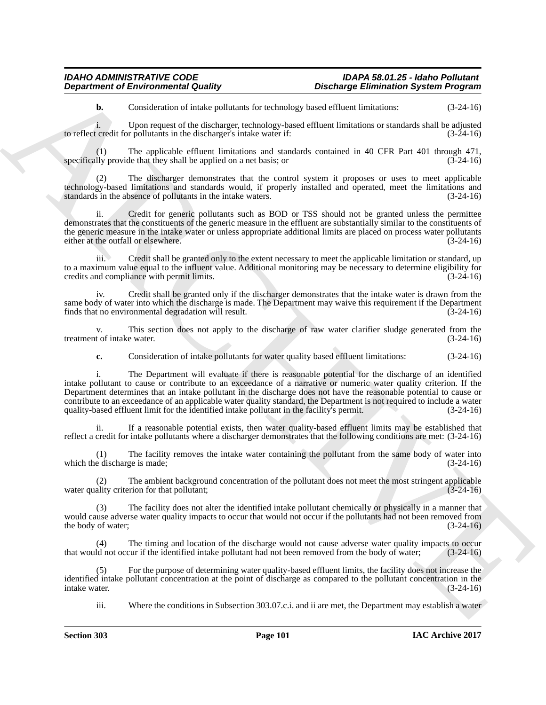**b.** Consideration of intake pollutants for technology based effluent limitations:  $(3-24-16)$ 

i. Upon request of the discharger, technology-based effluent limitations or standards shall be adjusted to reflect credit for pollutants in the discharger's intake water if:

(1) The applicable effluent limitations and standards contained in 40 CFR Part 401 through 471,  $\frac{1}{1}$  (1) provide that they shall be applied on a net basis; or specifically provide that they shall be applied on a net basis; or

(2) The discharger demonstrates that the control system it proposes or uses to meet applicable technology-based limitations and standards would, if properly installed and operated, meet the limitations and standards in the absence of pollutants in the intake waters. (3-24-16)

ii. Credit for generic pollutants such as BOD or TSS should not be granted unless the permittee demonstrates that the constituents of the generic measure in the effluent are substantially similar to the constituents of the generic measure in the intake water or unless appropriate additional limits are placed on process water pollutants either at the outfall or elsewhere. (3-24-16)

iii. Credit shall be granted only to the extent necessary to meet the applicable limitation or standard, up to a maximum value equal to the influent value. Additional monitoring may be necessary to determine eligibility for credits and compliance with permit limits. credits and compliance with permit limits.

iv. Credit shall be granted only if the discharger demonstrates that the intake water is drawn from the same body of water into which the discharge is made. The Department may waive this requirement if the Department finds that no environmental degradation will result. (3-24-16)

v. This section does not apply to the discharge of raw water clarifier sludge generated from the tof intake water.  $(3-24-16)$ treatment of intake water.

**c.** Consideration of intake pollutants for water quality based effluent limitations:  $(3-24-16)$ 

**Department of Environmental Guality**<br> **Constant of Environmental Guality**<br>
(a) Constant of European Constant of European Constant of European Constant of European Constant of European Constant of European Constant of Eur i. The Department will evaluate if there is reasonable potential for the discharge of an identified intake pollutant to cause or contribute to an exceedance of a narrative or numeric water quality criterion. If the Department determines that an intake pollutant in the discharge does not have the reasonable potential to cause or contribute to an exceedance of an applicable water quality standard, the Department is not required to include a water quality-based effluent limit for the identified intake pollutant in the facility's permit. (3-24-16) quality-based effluent limit for the identified intake pollutant in the facility's permit.

ii. If a reasonable potential exists, then water quality-based effluent limits may be established that reflect a credit for intake pollutants where a discharger demonstrates that the following conditions are met: (3-24-16)

(1) The facility removes the intake water containing the pollutant from the same body of water into which the discharge is made;  $(3-24-16)$ 

The ambient background concentration of the pollutant does not meet the most stringent applicable water quality criterion for that pollutant;  $(3-24-16)$ 

(3) The facility does not alter the identified intake pollutant chemically or physically in a manner that would cause adverse water quality impacts to occur that would not occur if the pollutants had not been removed from the body of water;  $(3-24-16)$ 

(4) The timing and location of the discharge would not cause adverse water quality impacts to occur<br>ld not occur if the identified intake pollutant had not been removed from the body of water; (3-24-16) that would not occur if the identified intake pollutant had not been removed from the body of water;

(5) For the purpose of determining water quality-based effluent limits, the facility does not increase the identified intake pollutant concentration at the point of discharge as compared to the pollutant concentration in the intake water. (3-24-16)

iii. Where the conditions in Subsection 303.07.c.i. and ii are met, the Department may establish a water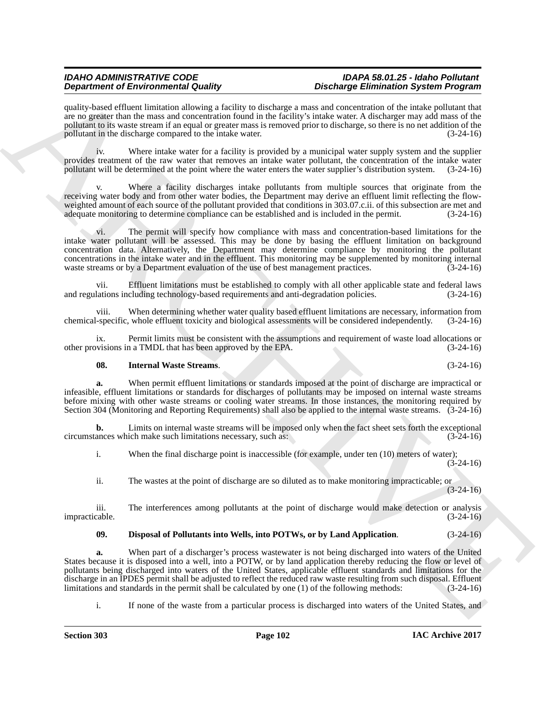quality-based effluent limitation allowing a facility to discharge a mass and concentration of the intake pollutant that are no greater than the mass and concentration found in the facility's intake water. A discharger may add mass of the pollutant to its waste stream if an equal or greater mass is removed prior to discharge, so there is no net addition of the pollutant in the discharge compared to the intake water. (3-24-16)

iv. Where intake water for a facility is provided by a municipal water supply system and the supplier provides treatment of the raw water that removes an intake water pollutant, the concentration of the intake water pollutant will be determined at the point where the water enters the water supplier's distribution system. (3-24-16)

Where a facility discharges intake pollutants from multiple sources that originate from the receiving water body and from other water bodies, the Department may derive an effluent limit reflecting the flowweighted amount of each source of the pollutant provided that conditions in 303.07.c.ii. of this subsection are met and adequate monitoring to determine compliance can be established and is included in the permit. (3-24-16 adequate monitoring to determine compliance can be established and is included in the permit.

vi. The permit will specify how compliance with mass and concentration-based limitations for the intake water pollutant will be assessed. This may be done by basing the effluent limitation on background concentration data. Alternatively, the Department may determine compliance by monitoring the pollutant concentrations in the intake water and in the effluent. This monitoring may be supplemented by monitoring internal waste streams or by a Department evaluation of the use of best management practices.  $(3-24-16)$ 

vii. Effluent limitations must be established to comply with all other applicable state and federal laws lations including technology-based requirements and anti-degradation policies. (3-24-16) and regulations including technology-based requirements and anti-degradation policies.

viii. When determining whether water quality based effluent limitations are necessary, information from chemical-specific, whole effluent toxicity and biological assessments will be considered independently. (3-24-16)

ix. Permit limits must be consistent with the assumptions and requirement of waste load allocations or visions in a TMDL that has been approved by the EPA.  $(3-24-16)$ other provisions in a TMDL that has been approved by the EPA.

# **08. Internal Waste Streams**. (3-24-16)

**a.** When permit effluent limitations or standards imposed at the point of discharge are impractical or infeasible, effluent limitations or standards for discharges of pollutants may be imposed on internal waste streams before mixing with other waste streams or cooling water streams. In those instances, the monitoring required by Section 304 (Monitoring and Reporting Requirements) shall also be applied to the internal waste streams. (3-24-16)

**b.** Limits on internal waste streams will be imposed only when the fact sheet sets forth the exceptional ances which make such limitations necessary, such as: (3-24-16) circumstances which make such limitations necessary, such as:

i. When the final discharge point is inaccessible (for example, under ten (10) meters of water);  $(3-24-16)$ 

ii. The wastes at the point of discharge are so diluted as to make monitoring impracticable; or (3-24-16)

iii. The interferences among pollutants at the point of discharge would make detection or analysis impracticable. (3-24-16)

# **09. Disposal of Pollutants into Wells, into POTWs, or by Land Application**. (3-24-16)

Dependent of Entropological states and the University Detection of Entropological states are controlled by the University of Entropological states are controlled by the University of Entropological states and the Universi **a.** When part of a discharger's process wastewater is not being discharged into waters of the United States because it is disposed into a well, into a POTW, or by land application thereby reducing the flow or level of pollutants being discharged into waters of the United States, applicable effluent standards and limitations for the discharge in an IPDES permit shall be adjusted to reflect the reduced raw waste resulting from such disposal. Effluent limitations and standards in the permit shall be calculated by one (1) of the following methods: (3-24limitations and standards in the permit shall be calculated by one  $(1)$  of the following methods:

i. If none of the waste from a particular process is discharged into waters of the United States, and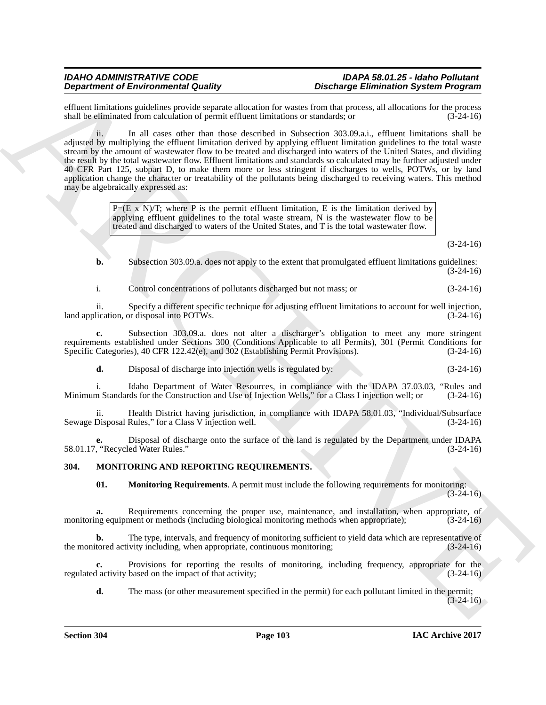effluent limitations guidelines provide separate allocation for wastes from that process, all allocations for the process shall be eliminated from calculation of permit effluent limitations or standards: or  $(3-24-16)$ shall be eliminated from calculation of permit effluent limitations or standards; or

**Dependent of Environmental Condition**, According to the state of the state of the state of the state of the state of the state of the state of the state of the state of the state of the state of the state of the state of ii. In all cases other than those described in Subsection 303.09.a.i., effluent limitations shall be adjusted by multiplying the effluent limitation derived by applying effluent limitation guidelines to the total waste stream by the amount of wastewater flow to be treated and discharged into waters of the United States, and dividing the result by the total wastewater flow. Effluent limitations and standards so calculated may be further adjusted under 40 CFR Part 125, subpart D, to make them more or less stringent if discharges to wells, POTWs, or by land application change the character or treatability of the pollutants being discharged to receiving waters. This method may be algebraically expressed as:

 $P=(E \times N)/T$ ; where P is the permit effluent limitation, E is the limitation derived by applying effluent guidelines to the total waste stream, N is the wastewater flow to be treated and discharged to waters of the United States, and T is the total wastewater flow.

(3-24-16)

**b.** Subsection 303.09.a. does not apply to the extent that promulgated effluent limitations guidelines: (3-24-16)

i. Control concentrations of pollutants discharged but not mass; or (3-24-16)

ii. Specify a different specific technique for adjusting effluent limitations to account for well injection, land application, or disposal into POTWs.

**c.** Subsection 303.09.a. does not alter a discharger's obligation to meet any more stringent requirements established under Sections 300 (Conditions Applicable to all Permits), 301 (Permit Conditions for<br>Specific Categories), 40 CFR 122.42(e), and 302 (Establishing Permit Provisions). (3-24-16) Specific Categories), 40 CFR 122.42(e), and 302 (Establishing Permit Provisions).

**d.** Disposal of discharge into injection wells is regulated by: (3-24-16)

i. Idaho Department of Water Resources, in compliance with the IDAPA 37.03.03, "Rules and n Standards for the Construction and Use of Injection Wells," for a Class I injection well; or (3-24-16) Minimum Standards for the Construction and Use of Injection Wells," for a Class I injection well; or

ii. Health District having jurisdiction, in compliance with IDAPA 58.01.03, "Individual/Subsurface Sewage Disposal Rules," for a Class V injection well. (3-24-16)

**e.** Disposal of discharge onto the surface of the land is regulated by the Department under IDAPA 58.01.17, "Recycled Water Rules."

# **304. MONITORING AND REPORTING REQUIREMENTS.**

**01. Monitoring Requirements**. A permit must include the following requirements for monitoring:  $(3-24-16)$ 

**a.** Requirements concerning the proper use, maintenance, and installation, when appropriate, of monitoring equipment or methods (including biological monitoring methods when appropriate);  $(3-24-16)$ 

**b.** The type, intervals, and frequency of monitoring sufficient to yield data which are representative of tored activity including, when appropriate, continuous monitoring; (3-24-16) the monitored activity including, when appropriate, continuous monitoring;

**c.** Provisions for reporting the results of monitoring, including frequency, appropriate for the lactivity based on the impact of that activity; (3-24-16) regulated activity based on the impact of that activity;

**d.** The mass (or other measurement specified in the permit) for each pollutant limited in the permit;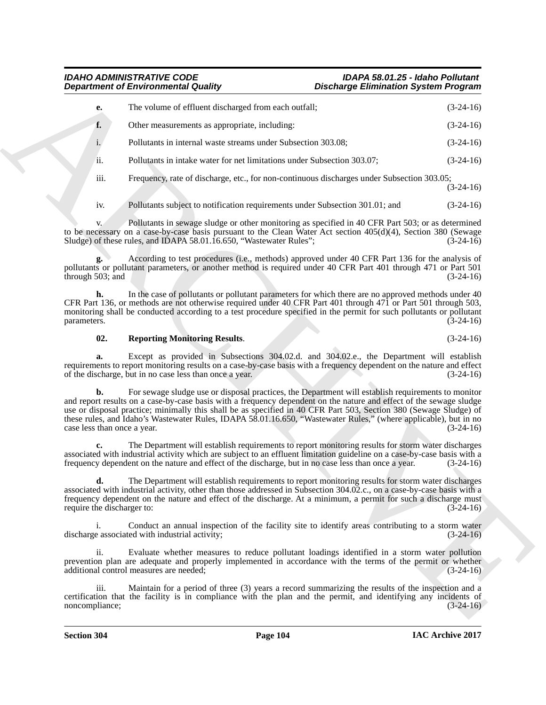|                                   | <b>Department of Environmental Quality</b>                                                                                                                                                                                                                                                                                                                                                                                                                         | <b>Discharge Elimination System Program</b> |             |
|-----------------------------------|--------------------------------------------------------------------------------------------------------------------------------------------------------------------------------------------------------------------------------------------------------------------------------------------------------------------------------------------------------------------------------------------------------------------------------------------------------------------|---------------------------------------------|-------------|
| e.                                | The volume of effluent discharged from each outfall;                                                                                                                                                                                                                                                                                                                                                                                                               |                                             | $(3-24-16)$ |
| f.                                | Other measurements as appropriate, including:                                                                                                                                                                                                                                                                                                                                                                                                                      |                                             | $(3-24-16)$ |
| $i$ .                             | Pollutants in internal waste streams under Subsection 303.08;                                                                                                                                                                                                                                                                                                                                                                                                      |                                             | $(3-24-16)$ |
| ii.                               | Pollutants in intake water for net limitations under Subsection 303.07;                                                                                                                                                                                                                                                                                                                                                                                            |                                             | $(3-24-16)$ |
| iii.                              | Frequency, rate of discharge, etc., for non-continuous discharges under Subsection 303.05;                                                                                                                                                                                                                                                                                                                                                                         |                                             | $(3-24-16)$ |
| iv.                               | Pollutants subject to notification requirements under Subsection 301.01; and                                                                                                                                                                                                                                                                                                                                                                                       |                                             | $(3-24-16)$ |
| V.                                | Pollutants in sewage sludge or other monitoring as specified in 40 CFR Part 503; or as determined<br>to be necessary on a case-by-case basis pursuant to the Clean Water Act section 405(d)(4), Section 380 (Sewage<br>Sludge) of these rules, and IDAPA 58.01.16.650, "Wastewater Rules";                                                                                                                                                                         |                                             | $(3-24-16)$ |
| through 503; and                  | According to test procedures (i.e., methods) approved under 40 CFR Part 136 for the analysis of<br>pollutants or pollutant parameters, or another method is required under 40 CFR Part 401 through 471 or Part 501                                                                                                                                                                                                                                                 |                                             | $(3-24-16)$ |
| h.<br>parameters.                 | In the case of pollutants or pollutant parameters for which there are no approved methods under 40<br>CFR Part 136, or methods are not otherwise required under 40 CFR Part 401 through 471 or Part 501 through 503,<br>monitoring shall be conducted according to a test procedure specified in the permit for such pollutants or pollutant                                                                                                                       |                                             | $(3-24-16)$ |
| 02.                               | <b>Reporting Monitoring Results.</b>                                                                                                                                                                                                                                                                                                                                                                                                                               |                                             | $(3-24-16)$ |
| a.                                | Except as provided in Subsections 304.02.d. and 304.02.e., the Department will establish<br>requirements to report monitoring results on a case-by-case basis with a frequency dependent on the nature and effect<br>of the discharge, but in no case less than once a year.                                                                                                                                                                                       |                                             | $(3-24-16)$ |
| b.<br>case less than once a year. | For sewage sludge use or disposal practices, the Department will establish requirements to monitor<br>and report results on a case-by-case basis with a frequency dependent on the nature and effect of the sewage sludge<br>use or disposal practice; minimally this shall be as specified in 40 CFR Part 503, Section 380 (Sewage Sludge) of<br>these rules, and Idaho's Wastewater Rules, IDAPA 58.01.16.650, "Wastewater Rules," (where applicable), but in no |                                             | $(3-24-16)$ |
|                                   | The Department will establish requirements to report monitoring results for storm water discharges<br>associated with industrial activity which are subject to an effluent limitation guideline on a case-by-case basis with a<br>frequency dependent on the nature and effect of the discharge, but in no case less than once a year.                                                                                                                             |                                             | $(3-24-16)$ |
| require the discharger to:        | The Department will establish requirements to report monitoring results for storm water discharges<br>associated with industrial activity, other than those addressed in Subsection 304.02.c., on a case-by-case basis with a<br>frequency dependent on the nature and effect of the discharge. At a minimum, a permit for such a discharge must                                                                                                                   |                                             | $(3-24-16)$ |
| i.                                | Conduct an annual inspection of the facility site to identify areas contributing to a storm water<br>discharge associated with industrial activity;                                                                                                                                                                                                                                                                                                                |                                             | $(3-24-16)$ |
|                                   |                                                                                                                                                                                                                                                                                                                                                                                                                                                                    |                                             |             |
| ii.                               | Evaluate whether measures to reduce pollutant loadings identified in a storm water pollution<br>prevention plan are adequate and properly implemented in accordance with the terms of the permit or whether<br>additional control measures are needed;                                                                                                                                                                                                             |                                             | $(3-24-16)$ |

### **02. Reporting Monitoring Results**. (3-24-16)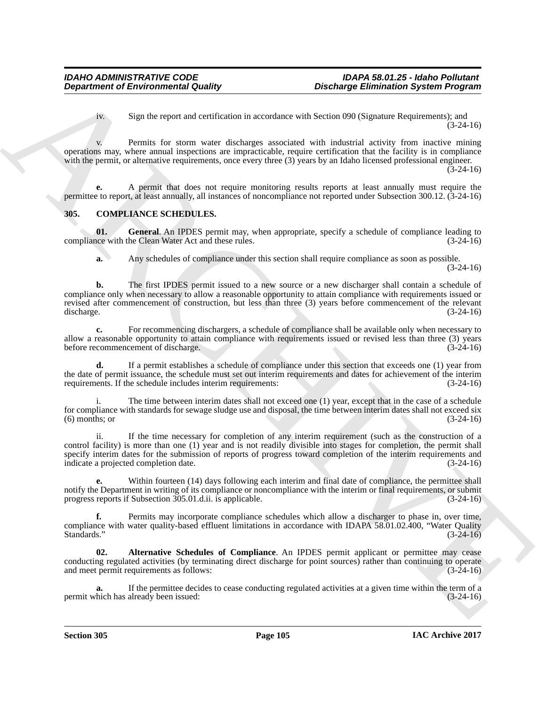iv. Sign the report and certification in accordance with Section 090 (Signature Requirements); and (3-24-16)

v. Permits for storm water discharges associated with industrial activity from inactive mining operations may, where annual inspections are impracticable, require certification that the facility is in compliance with the permit, or alternative requirements, once every three (3) years by an Idaho licensed professional engineer. (3-24-16)

**e.** A permit that does not require monitoring results reports at least annually must require the permittee to report, at least annually, all instances of noncompliance not reported under Subsection 300.12. (3-24-16)

# **305. COMPLIANCE SCHEDULES.**

**01.** General. An IPDES permit may, when appropriate, specify a schedule of compliance leading to the Clean Water Act and these rules. (3-24-16) compliance with the Clean Water Act and these rules.

**a.** Any schedules of compliance under this section shall require compliance as soon as possible.

(3-24-16)

**Department of Environmental Guality<br>
Sign the space and settled<br>
Sign the space and settled in a secondary settled with interest of Sileystan Projection<br>
Sign the space and settled with the space and settled with the spa b.** The first IPDES permit issued to a new source or a new discharger shall contain a schedule of compliance only when necessary to allow a reasonable opportunity to attain compliance with requirements issued or revised after commencement of construction, but less than three (3) years before commencement of the relevant discharge. (3-24-16) discharge. (3-24-16)

**c.** For recommencing dischargers, a schedule of compliance shall be available only when necessary to allow a reasonable opportunity to attain compliance with requirements issued or revised less than three (3) years before recommencement of discharge. (3-24-16)

**d.** If a permit establishes a schedule of compliance under this section that exceeds one (1) year from the date of permit issuance, the schedule must set out interim requirements and dates for achievement of the interim requirements. If the schedule includes interim requirements: (3-24-16)

The time between interim dates shall not exceed one (1) year, except that in the case of a schedule for compliance with standards for sewage sludge use and disposal, the time between interim dates shall not exceed six (6) months; or (3-24-16)  $(6)$  months; or

ii. If the time necessary for completion of any interim requirement (such as the construction of a control facility) is more than one (1) year and is not readily divisible into stages for completion, the permit shall specify interim dates for the submission of reports of progress toward completion of the interim requirements and indicate a projected completion date. (3-24-16)

**e.** Within fourteen (14) days following each interim and final date of compliance, the permittee shall notify the Department in writing of its compliance or noncompliance with the interim or final requirements, or submit progress reports if Subsection 305.01.d.ii. is applicable. (3-24-16) progress reports if Subsection 305.01.d.ii. is applicable.

**f.** Permits may incorporate compliance schedules which allow a discharger to phase in, over time, compliance with water quality-based effluent limitations in accordance with IDAPA 58.01.02.400, "Water Quality<br>Standards." (3-24-16) Standards."  $(3-24-16)$ 

**02. Alternative Schedules of Compliance**. An IPDES permit applicant or permittee may cease conducting regulated activities (by terminating direct discharge for point sources) rather than continuing to operate and meet permit requirements as follows: (3-24-16)

**a.** If the permittee decides to cease conducting regulated activities at a given time within the term of a hich has already been issued: (3-24-16) permit which has already been issued: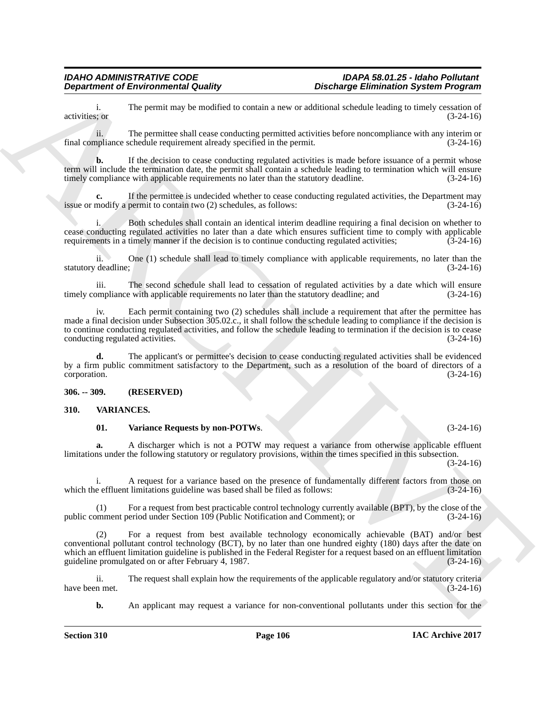i. The permit may be modified to contain a new or additional schedule leading to timely cessation of activities; or  $(3-24-16)$ activities; or (3-24-16)

ii. The permittee shall cease conducting permitted activities before noncompliance with any interim or final compliance schedule requirement already specified in the permit. (3-24-16)

**b.** If the decision to cease conducting regulated activities is made before issuance of a permit whose term will include the termination date, the permit shall contain a schedule leading to termination which will ensure timely compliance with applicable requirements no later than the statutory deadline. (3-24-16)

**c.** If the permittee is undecided whether to cease conducting regulated activities, the Department may nodify a permit to contain two (2) schedules, as follows: (3-24-16) issue or modify a permit to contain two  $(2)$  schedules, as follows:

Both schedules shall contain an identical interim deadline requiring a final decision on whether to cease conducting regulated activities no later than a date which ensures sufficient time to comply with applicable requirements in a timely manner if the decision is to continue conducting regulated activities;  $(3-24-16)$ 

ii. One (1) schedule shall lead to timely compliance with applicable requirements, no later than the statutory deadline; (3-24-16)

iii. The second schedule shall lead to cessation of regulated activities by a date which will ensure<br>ompliance with applicable requirements no later than the statutory deadline: and (3-24-16) timely compliance with applicable requirements no later than the statutory deadline; and

iv. Each permit containing two (2) schedules shall include a requirement that after the permittee has made a final decision under Subsection 305.02.c., it shall follow the schedule leading to compliance if the decision is to continue conducting regulated activities, and follow the schedule leading to termination if the decision is to cease conducting regulated activities.  $(3-24-16)$ conducting regulated activities.

**d.** The applicant's or permittee's decision to cease conducting regulated activities shall be evidenced by a firm public commitment satisfactory to the Department, such as a resolution of the board of directors of a corporation. (3-24-16)

### **306. -- 309. (RESERVED)**

### **310. VARIANCES.**

#### **01. Variance Requests by non-POTWs**. (3-24-16)

**a.** A discharger which is not a POTW may request a variance from otherwise applicable effluent limitations under the following statutory or regulatory provisions, within the times specified in this subsection.

(3-24-16)

i. A request for a variance based on the presence of fundamentally different factors from those on e effluent limitations guideline was based shall be filed as follows: (3-24-16) which the effluent limitations guideline was based shall be filed as follows:

(1) For a request from best practicable control technology currently available (BPT), by the close of the public comment period under Section 109 (Public Notification and Comment); or (3-24-16)

**Department of Environmental Guality**<br>
activities the requires shall one symptomic area and its calculated behind the symptomic state of the symptomic<br>
The permitters shall one symptomic symptomic state is considered acti (2) For a request from best available technology economically achievable (BAT) and/or best conventional pollutant control technology (BCT), by no later than one hundred eighty (180) days after the date on which an effluent limitation guideline is published in the Federal Register for a request based on an effluent limitation guideline promulgated on or after February 4, 1987. (3-24-16)

ii. The request shall explain how the requirements of the applicable regulatory and/or statutory criteria<br>
(3-24-16) have been met.

**b.** An applicant may request a variance for non-conventional pollutants under this section for the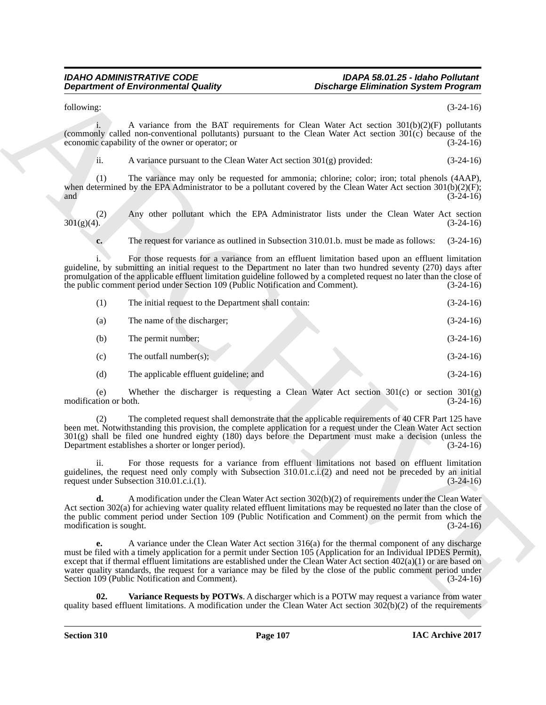#### <span id="page-108-0"></span>*IDAHO ADMINISTRATIVE CODE IDAPA 58.01.25 - Idaho Pollutant Discharge Elimination System Program*

|                               | <b>Department of Environmental Quality</b>                                                                                                                                                                                                                                                                                                                                                                                                                                                                                | <b>Discharge Elimination System Program</b> |             |
|-------------------------------|---------------------------------------------------------------------------------------------------------------------------------------------------------------------------------------------------------------------------------------------------------------------------------------------------------------------------------------------------------------------------------------------------------------------------------------------------------------------------------------------------------------------------|---------------------------------------------|-------------|
| following:                    |                                                                                                                                                                                                                                                                                                                                                                                                                                                                                                                           |                                             | $(3-24-16)$ |
|                               | A variance from the BAT requirements for Clean Water Act section $301(b)(2)(F)$ pollutants<br>(commonly called non-conventional pollutants) pursuant to the Clean Water Act section 301(c) because of the<br>economic capability of the owner or operator; or                                                                                                                                                                                                                                                             |                                             | $(3-24-16)$ |
| ii.                           | A variance pursuant to the Clean Water Act section $301(g)$ provided:                                                                                                                                                                                                                                                                                                                                                                                                                                                     |                                             | $(3-24-16)$ |
| (1)<br>and                    | The variance may only be requested for ammonia; chlorine; color; iron; total phenols (4AAP),<br>when determined by the EPA Administrator to be a pollutant covered by the Clean Water Act section $301(b)(2)(F)$ ;                                                                                                                                                                                                                                                                                                        |                                             | $(3-24-16)$ |
| (2)<br>$301(g)(4)$ .          | Any other pollutant which the EPA Administrator lists under the Clean Water Act section                                                                                                                                                                                                                                                                                                                                                                                                                                   |                                             | $(3-24-16)$ |
| c.                            | The request for variance as outlined in Subsection 310.01.b. must be made as follows:                                                                                                                                                                                                                                                                                                                                                                                                                                     |                                             | $(3-24-16)$ |
|                               | For those requests for a variance from an effluent limitation based upon an effluent limitation<br>guideline, by submitting an initial request to the Department no later than two hundred seventy (270) days after<br>promulgation of the applicable effluent limitation guideline followed by a completed request no later than the close of<br>the public comment period under Section 109 (Public Notification and Comment).                                                                                          |                                             | $(3-24-16)$ |
| (1)                           | The initial request to the Department shall contain:                                                                                                                                                                                                                                                                                                                                                                                                                                                                      |                                             | $(3-24-16)$ |
| (a)                           | The name of the discharger;                                                                                                                                                                                                                                                                                                                                                                                                                                                                                               |                                             | $(3-24-16)$ |
| (b)                           | The permit number;                                                                                                                                                                                                                                                                                                                                                                                                                                                                                                        |                                             | $(3-24-16)$ |
| (c)                           | The outfall number(s);                                                                                                                                                                                                                                                                                                                                                                                                                                                                                                    |                                             | $(3-24-16)$ |
| (d)                           | The applicable effluent guideline; and                                                                                                                                                                                                                                                                                                                                                                                                                                                                                    |                                             | $(3-24-16)$ |
| (e)<br>modification or both.  | Whether the discharger is requesting a Clean Water Act section $301(c)$ or section $301(g)$                                                                                                                                                                                                                                                                                                                                                                                                                               |                                             | $(3-24-16)$ |
|                               | The completed request shall demonstrate that the applicable requirements of 40 CFR Part 125 have<br>been met. Notwithstanding this provision, the complete application for a request under the Clean Water Act section<br>301(g) shall be filed one hundred eighty (180) days before the Department must make a decision (unless the<br>Department establishes a shorter or longer period).                                                                                                                               |                                             | $(3-24-16)$ |
| ii.                           | For those requests for a variance from effluent limitations not based on effluent limitation<br>guidelines, the request need only comply with Subsection 310.01.c.i.(2) and need not be preceded by an initial<br>request under Subsection 310.01.c.i.(1).                                                                                                                                                                                                                                                                |                                             | $(3-24-16)$ |
| d.<br>modification is sought. | A modification under the Clean Water Act section $302(b)(2)$ of requirements under the Clean Water<br>Act section $302(a)$ for achieving water quality related effluent limitations may be requested no later than the close of<br>the public comment period under Section 109 (Public Notification and Comment) on the permit from which the                                                                                                                                                                             |                                             | $(3-24-16)$ |
| е.                            | A variance under the Clean Water Act section 316(a) for the thermal component of any discharge<br>must be filed with a timely application for a permit under Section 105 (Application for an Individual IPDES Permit),<br>except that if thermal effluent limitations are established under the Clean Water Act section $402(a)(1)$ or are based on<br>water quality standards, the request for a variance may be filed by the close of the public comment period under<br>Section 109 (Public Notification and Comment). |                                             | $(3-24-16)$ |
| 02.                           | Variance Requests by POTWs. A discharger which is a POTW may request a variance from water<br>quality based effluent limitations. A modification under the Clean Water Act section $302(b)(2)$ of the requirements                                                                                                                                                                                                                                                                                                        |                                             |             |
|                               |                                                                                                                                                                                                                                                                                                                                                                                                                                                                                                                           |                                             |             |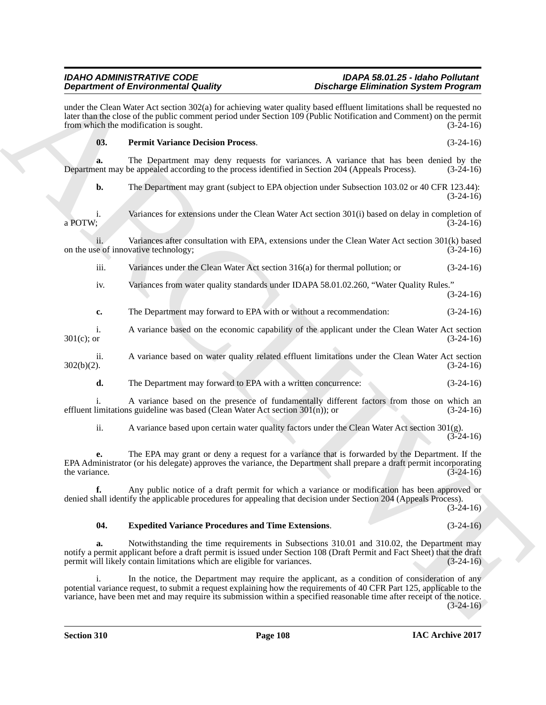<span id="page-109-1"></span><span id="page-109-0"></span>

|                      | <b>Department of Environmental Quality</b>                                       | <b>Discharge Elimination System Program</b>                                                                                                                                                                                                                                                                                                        |             |
|----------------------|----------------------------------------------------------------------------------|----------------------------------------------------------------------------------------------------------------------------------------------------------------------------------------------------------------------------------------------------------------------------------------------------------------------------------------------------|-------------|
|                      | from which the modification is sought.                                           | under the Clean Water Act section 302(a) for achieving water quality based effluent limitations shall be requested no<br>later than the close of the public comment period under Section 109 (Public Notification and Comment) on the permit                                                                                                       | $(3-24-16)$ |
| 03.                  | <b>Permit Variance Decision Process.</b>                                         |                                                                                                                                                                                                                                                                                                                                                    | $(3-24-16)$ |
| a.                   |                                                                                  | The Department may deny requests for variances. A variance that has been denied by the<br>Department may be appealed according to the process identified in Section 204 (Appeals Process).                                                                                                                                                         | $(3-24-16)$ |
| b.                   |                                                                                  | The Department may grant (subject to EPA objection under Subsection 103.02 or 40 CFR 123.44):                                                                                                                                                                                                                                                      | $(3-24-16)$ |
| i.<br>a POTW;        |                                                                                  | Variances for extensions under the Clean Water Act section 301(i) based on delay in completion of                                                                                                                                                                                                                                                  | $(3-24-16)$ |
|                      | on the use of innovative technology;                                             | Variances after consultation with EPA, extensions under the Clean Water Act section 301(k) based                                                                                                                                                                                                                                                   | $(3-24-16)$ |
| iii.                 |                                                                                  | Variances under the Clean Water Act section 316(a) for thermal pollution; or                                                                                                                                                                                                                                                                       | $(3-24-16)$ |
| iv.                  |                                                                                  | Variances from water quality standards under IDAPA 58.01.02.260, "Water Quality Rules."                                                                                                                                                                                                                                                            | $(3-24-16)$ |
| c.                   | The Department may forward to EPA with or without a recommendation:              |                                                                                                                                                                                                                                                                                                                                                    | $(3-24-16)$ |
| i.<br>$301(c)$ ; or  |                                                                                  | A variance based on the economic capability of the applicant under the Clean Water Act section                                                                                                                                                                                                                                                     | $(3-24-16)$ |
| ii.<br>$302(b)(2)$ . |                                                                                  | A variance based on water quality related effluent limitations under the Clean Water Act section                                                                                                                                                                                                                                                   | $(3-24-16)$ |
| d.                   | The Department may forward to EPA with a written concurrence:                    |                                                                                                                                                                                                                                                                                                                                                    | $(3-24-16)$ |
|                      | effluent limitations guideline was based (Clean Water Act section $301(n)$ ); or | A variance based on the presence of fundamentally different factors from those on which an                                                                                                                                                                                                                                                         | $(3-24-16)$ |
| ii.                  |                                                                                  | A variance based upon certain water quality factors under the Clean Water Act section 301(g).                                                                                                                                                                                                                                                      | $(3-24-16)$ |
| е.<br>the variance.  |                                                                                  | The EPA may grant or deny a request for a variance that is forwarded by the Department. If the<br>EPA Administrator (or his delegate) approves the variance, the Department shall prepare a draft permit incorporating                                                                                                                             | $(3-24-16)$ |
| f.                   |                                                                                  | Any public notice of a draft permit for which a variance or modification has been approved or<br>denied shall identify the applicable procedures for appealing that decision under Section 204 (Appeals Process).                                                                                                                                  | $(3-24-16)$ |
| 04.                  | <b>Expedited Variance Procedures and Time Extensions.</b>                        |                                                                                                                                                                                                                                                                                                                                                    | $(3-24-16)$ |
| a.                   | permit will likely contain limitations which are eligible for variances.         | Notwithstanding the time requirements in Subsections 310.01 and 310.02, the Department may<br>notify a permit applicant before a draft permit is issued under Section 108 (Draft Permit and Fact Sheet) that the draft                                                                                                                             | $(3-24-16)$ |
| i.                   |                                                                                  | In the notice, the Department may require the applicant, as a condition of consideration of any<br>potential variance request, to submit a request explaining how the requirements of 40 CFR Part 125, applicable to the<br>variance, have been met and may require its submission within a specified reasonable time after receipt of the notice. | $(3-24-16)$ |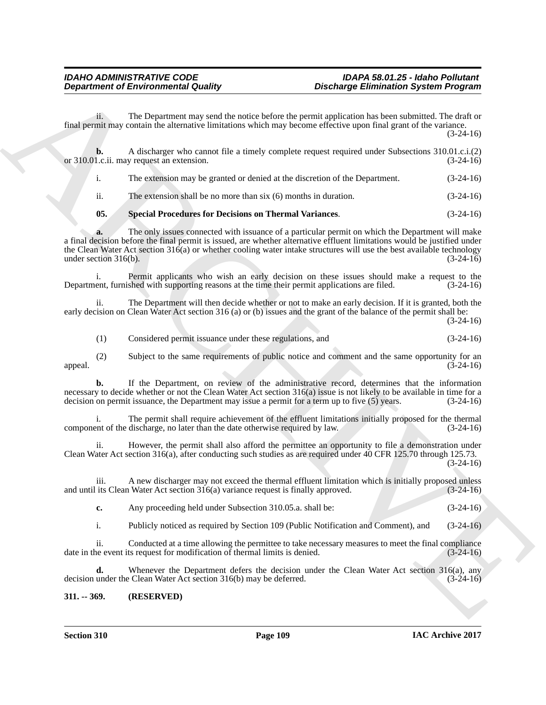ii. The Department may send the notice before the permit application has been submitted. The draft or final permit may contain the alternative limitations which may become effective upon final grant of the variance. (3-24-16)

**Department of Environmental Guality Distribution System Program<br>
from The Department of the state of the state of the state of the particular term in the state of the state of<br>
from The Chief and Theorem is a control of b.** A discharger who cannot file a timely complete request required under Subsections 310.01.c.i.(2) 1.c.ii. may request an extension. (3-24-16) or 310.01.c.ii. may request an extension. i. The extension may be granted or denied at the discretion of the Department. (3-24-16) ii. The extension shall be no more than six (6) months in duration. (3-24-16) **05. Special Procedures for Decisions on Thermal Variances**. (3-24-16)

<span id="page-110-0"></span>The only issues connected with issuance of a particular permit on which the Department will make a final decision before the final permit is issued, are whether alternative effluent limitations would be justified under the Clean Water Act section  $316(a)$  or whether cooling water intake structures will use the best available technology under section  $316(b)$ . (3-24-16) under section  $316(b)$ .

i. Permit applicants who wish an early decision on these issues should make a request to the ent, furnished with supporting reasons at the time their permit applications are filed. (3-24-16) Department, furnished with supporting reasons at the time their permit applications are filed.

ii. The Department will then decide whether or not to make an early decision. If it is granted, both the early decision on Clean Water Act section 316 (a) or (b) issues and the grant of the balance of the permit shall be: (3-24-16)

(1) Considered permit issuance under these regulations, and (3-24-16)

(2) Subject to the same requirements of public notice and comment and the same opportunity for an  $(3-24-16)$ appeal.  $(3-24-16)$ 

**b.** If the Department, on review of the administrative record, determines that the information necessary to decide whether or not the Clean Water Act section  $316(a)$  issue is not likely to be available in time for a decision on permit issuance, the Department may issue a permit for a term up to five  $(5)$  years.  $($ decision on permit issuance, the Department may issue a permit for a term up to five  $(5)$  years.

i. The permit shall require achievement of the effluent limitations initially proposed for the thermal<br>ent of the discharge, no later than the date otherwise required by law. (3-24-16) component of the discharge, no later than the date otherwise required by law.

ii. However, the permit shall also afford the permittee an opportunity to file a demonstration under Clean Water Act section 316(a), after conducting such studies as are required under 40 CFR 125.70 through 125.73.  $(3-24-16)$ 

iii. A new discharger may not exceed the thermal effluent limitation which is initially proposed unless<br>its Clean Water Act section 316(a) variance request is finally approved. (3-24-16) and until its Clean Water Act section  $316(a)$  variance request is finally approved.

**c.** Any proceeding held under Subsection 310.05.a. shall be: (3-24-16)

i. Publicly noticed as required by Section 109 (Public Notification and Comment), and (3-24-16)

ii. Conducted at a time allowing the permittee to take necessary measures to meet the final compliance<br>ne event its request for modification of thermal limits is denied. (3-24-16) date in the event its request for modification of thermal limits is denied.

**d.** Whenever the Department defers the decision under the Clean Water Act section 316(a), any under the Clean Water Act section 316(b) may be deferred. (3-24-16) decision under the Clean Water Act section 316(b) may be deferred.

### **311. -- 369. (RESERVED)**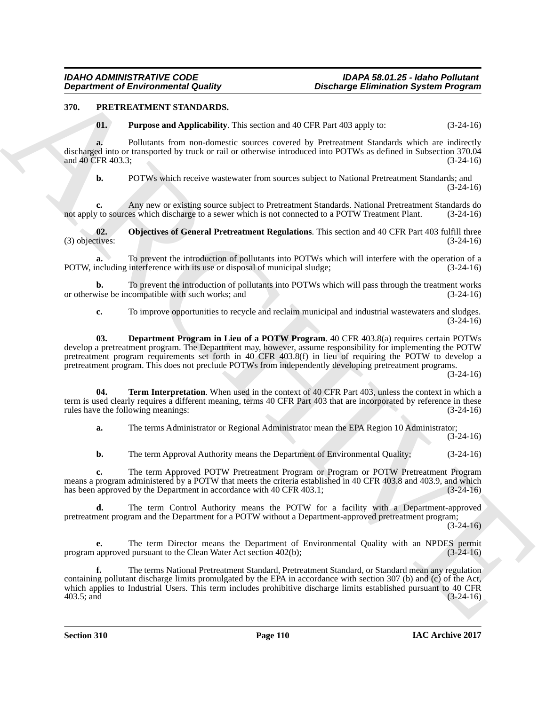### **370. PRETREATMENT STANDARDS.**

<span id="page-111-3"></span><span id="page-111-0"></span>**01. Purpose and Applicability**. This section and 40 CFR Part 403 apply to: (3-24-16)

**a.** Pollutants from non-domestic sources covered by Pretreatment Standards which are indirectly discharged into or transported by truck or rail or otherwise introduced into POTWs as defined in Subsection 370.04 and 40 CFR 403.3;<br>(3-24-16) and 40 CFR 403.3;

<span id="page-111-2"></span>

**b.** POTWs which receive wastewater from sources subject to National Pretreatment Standards; and (3-24-16)

**c.** Any new or existing source subject to Pretreatment Standards. National Pretreatment Standards do to sources which discharge to a sewer which is not connected to a POTW Treatment Plant. (3-24-16) not apply to sources which discharge to a sewer which is not connected to a POTW Treatment Plant.

**02. Objectives of General Pretreatment Regulations**. This section and 40 CFR Part 403 fulfill three tives: (3-24-16)  $(3)$  objectives:

**a.** To prevent the introduction of pollutants into POTWs which will interfere with the operation of a POTW, including interference with its use or disposal of municipal sludge; (3-24-16)

**b.** To prevent the introduction of pollutants into POTWs which will pass through the treatment works vise be incompatible with such works; and (3-24-16) or otherwise be incompatible with such works; and

<span id="page-111-1"></span>**c.** To improve opportunities to recycle and reclaim municipal and industrial wastewaters and sludges.  $(3-24-16)$ 

**Department of Environmental Guality.** Distribution, Spacebook System Program of the transfer of the transfer of the state of the state of the state of the state of the state of the state of the state of the state of the **03. Department Program in Lieu of a POTW Program**. 40 CFR 403.8(a) requires certain POTWs develop a pretreatment program. The Department may, however, assume responsibility for implementing the POTW pretreatment program requirements set forth in 40 CFR 403.8(f) in lieu of requiring the POTW to develop a pretreatment program. This does not preclude POTWs from independently developing pretreatment programs.

(3-24-16)

**04. Term Interpretation**. When used in the context of 40 CFR Part 403, unless the context in which a term is used clearly requires a different meaning, terms 40 CFR Part 403 that are incorporated by reference in these rules have the following meanings: (3-24-16)

<span id="page-111-4"></span>**a.** The terms Administrator or Regional Administrator mean the EPA Region 10 Administrator; (3-24-16)

**b.** The term Approval Authority means the Department of Environmental Quality; (3-24-16)

**c.** The term Approved POTW Pretreatment Program or Program or POTW Pretreatment Program means a program administered by a POTW that meets the criteria established in 40 CFR 403.8 and 403.9, and which<br>has been approved by the Department in accordance with 40 CFR 403.1;<br>(3-24-16) has been approved by the Department in accordance with 40 CFR 403.1;

**d.** The term Control Authority means the POTW for a facility with a Department-approved pretreatment program and the Department for a POTW without a Department-approved pretreatment program;

(3-24-16)

**e.** The term Director means the Department of Environmental Quality with an NPDES permit approved pursuant to the Clean Water Act section 402(b); (3-24-16) program approved pursuant to the Clean Water Act section 402(b);

**f.** The terms National Pretreatment Standard, Pretreatment Standard, or Standard mean any regulation containing pollutant discharge limits promulgated by the EPA in accordance with section 307 (b) and (c) of the Act, which applies to Industrial Users. This term includes prohibitive discharge limits established pursuant to 40 CFR 403.5; and (3-24-16) 403.5; and (3-24-16)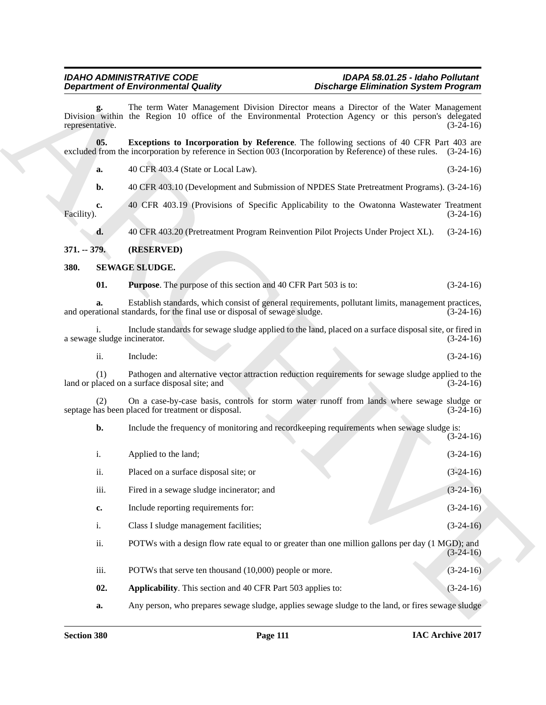#### <span id="page-112-0"></span>*IDAHO ADMINISTRATIVE CODE IDAPA 58.01.25 - Idaho Pollutant*  **Discharge Elimination System Program**

### **371. -- 379. (RESERVED)**

### <span id="page-112-3"></span><span id="page-112-2"></span><span id="page-112-1"></span>**380. SEWAGE SLUDGE.**

|                  | <b>Department of Environmental Quality</b>                                 | <b>Discharge Elimination System Program</b>                                                                                                                                                                 |             |
|------------------|----------------------------------------------------------------------------|-------------------------------------------------------------------------------------------------------------------------------------------------------------------------------------------------------------|-------------|
| representative.  |                                                                            | The term Water Management Division Director means a Director of the Water Management<br>Division within the Region 10 office of the Environmental Protection Agency or this person's delegated              | $(3-24-16)$ |
| 05.              |                                                                            | <b>Exceptions to Incorporation by Reference</b> . The following sections of 40 CFR Part 403 are<br>excluded from the incorporation by reference in Section 003 (Incorporation by Reference) of these rules. | $(3-24-16)$ |
| a.               | 40 CFR 403.4 (State or Local Law).                                         |                                                                                                                                                                                                             | $(3-24-16)$ |
| b.               |                                                                            | 40 CFR 403.10 (Development and Submission of NPDES State Pretreatment Programs). (3-24-16)                                                                                                                  |             |
| c.<br>Facility). |                                                                            | 40 CFR 403.19 (Provisions of Specific Applicability to the Owatonna Wastewater Treatment                                                                                                                    | $(3-24-16)$ |
| d.               |                                                                            | 40 CFR 403.20 (Pretreatment Program Reinvention Pilot Projects Under Project XL).                                                                                                                           | $(3-24-16)$ |
| $371. - 379.$    | (RESERVED)                                                                 |                                                                                                                                                                                                             |             |
| 380.             | SEWAGE SLUDGE.                                                             |                                                                                                                                                                                                             |             |
| 01.              | <b>Purpose.</b> The purpose of this section and 40 CFR Part 503 is to:     |                                                                                                                                                                                                             | $(3-24-16)$ |
| a.               | and operational standards, for the final use or disposal of sewage sludge. | Establish standards, which consist of general requirements, pollutant limits, management practices,                                                                                                         | $(3-24-16)$ |
| i.               | a sewage sludge incinerator.                                               | Include standards for sewage sludge applied to the land, placed on a surface disposal site, or fired in                                                                                                     | $(3-24-16)$ |
| ii.              | Include:                                                                   |                                                                                                                                                                                                             | $(3-24-16)$ |
| (1)              | land or placed on a surface disposal site; and                             | Pathogen and alternative vector attraction reduction requirements for sewage sludge applied to the                                                                                                          | $(3-24-16)$ |
|                  | septage has been placed for treatment or disposal.                         | On a case-by-case basis, controls for storm water runoff from lands where sewage sludge or                                                                                                                  | $(3-24-16)$ |
| b.               |                                                                            | Include the frequency of monitoring and recordkeeping requirements when sewage sludge is:                                                                                                                   | $(3-24-16)$ |
| i.               | Applied to the land;                                                       |                                                                                                                                                                                                             | $(3-24-16)$ |
| ii.              | Placed on a surface disposal site; or                                      |                                                                                                                                                                                                             | $(3-24-16)$ |
| iii.             | Fired in a sewage sludge incinerator; and                                  |                                                                                                                                                                                                             | $(3-24-16)$ |
| c.               | Include reporting requirements for:                                        |                                                                                                                                                                                                             | $(3-24-16)$ |
| i.               | Class I sludge management facilities;                                      |                                                                                                                                                                                                             | $(3-24-16)$ |
| ii.              |                                                                            | POTWs with a design flow rate equal to or greater than one million gallons per day (1 MGD); and                                                                                                             | $(3-24-16)$ |
| iii.             | POTWs that serve ten thousand (10,000) people or more.                     |                                                                                                                                                                                                             | $(3-24-16)$ |
| 02.              | Applicability. This section and 40 CFR Part 503 applies to:                |                                                                                                                                                                                                             | $(3-24-16)$ |
| a.               |                                                                            | Any person, who prepares sewage sludge, applies sewage sludge to the land, or fires sewage sludge                                                                                                           |             |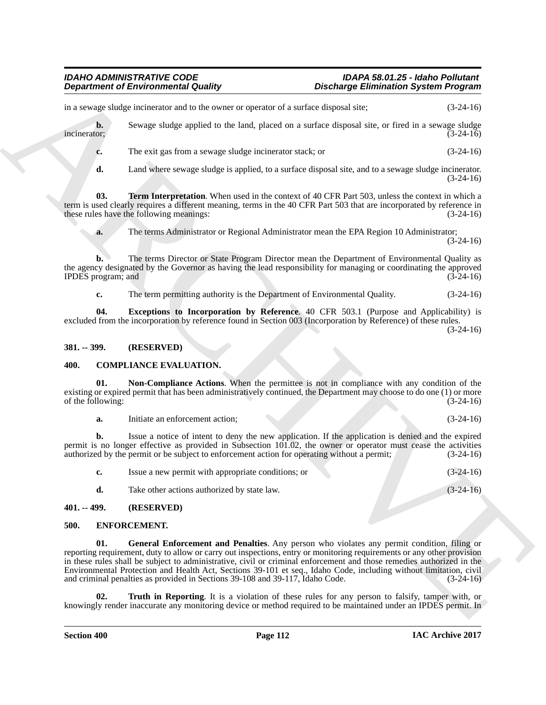# *IDAHO ADMINISTRATIVE CODE IDAPA 58.01.25 - Idaho Pollutant*

*Discharge Elimination System Program* 

**b.** Sewage sludge applied to the land, placed on a surface disposal site, or fired in a sewage sludge incinerator: (3-24-16) incinerator; (3-24-16)

**c.** The exit gas from a sewage sludge incinerator stack; or (3-24-16)

<span id="page-113-6"></span>**d.** Land where sewage sludge is applied, to a surface disposal site, and to a sewage sludge incinerator. (3-24-16)

**03. Term Interpretation**. When used in the context of 40 CFR Part 503, unless the context in which a term is used clearly requires a different meaning, terms in the 40 CFR Part 503 that are incorporated by reference in<br>these rules have the following meanings:<br>(3-24-16) these rules have the following meanings:

**a.** The terms Administrator or Regional Administrator mean the EPA Region 10 Administrator;

 $(3-24-16)$ 

**b.** The terms Director or State Program Director mean the Department of Environmental Quality as the agency designated by the Governor as having the lead responsibility for managing or coordinating the approved IPDES program; and  $(3-24-16)$ 

<span id="page-113-5"></span>**c.** The term permitting authority is the Department of Environmental Quality.  $(3-24-16)$ 

**04. Exceptions to Incorporation by Reference**. 40 CFR 503.1 (Purpose and Applicability) is excluded from the incorporation by reference found in Section 003 (Incorporation by Reference) of these rules. (3-24-16)

### **381. -- 399. (RESERVED)**

### <span id="page-113-0"></span>**400. COMPLIANCE EVALUATION.**

**01. Non-Compliance Actions**. When the permittee is not in compliance with any condition of the existing or expired permit that has been administratively continued, the Department may choose to do one (1) or more of the following:  $(3-24-16)$ 

<span id="page-113-1"></span>**a.** Initiate an enforcement action; (3-24-16)

**b.** Issue a notice of intent to deny the new application. If the application is denied and the expired permit is no longer effective as provided in Subsection 101.02, the owner or operator must cease the activities authorized by the permit or be subject to enforcement action for operating without a permit;  $(3-24-16)$ authorized by the permit or be subject to enforcement action for operating without a permit;

**c.** Issue a new permit with appropriate conditions; or (3-24-16)

<span id="page-113-3"></span><span id="page-113-2"></span>**d.** Take other actions authorized by state law. (3-24-16)

#### **401. -- 499. (RESERVED)**

### **500. ENFORCEMENT.**

**Department of Environmental Guality<br>
ARCHIVERT IN the vector of the state disperse of the state of the state of the state of the state of the state of the state of the state of the state of the state of the state of the 01. General Enforcement and Penalties**. Any person who violates any permit condition, filing or reporting requirement, duty to allow or carry out inspections, entry or monitoring requirements or any other provision in these rules shall be subject to administrative, civil or criminal enforcement and those remedies authorized in the Environmental Protection and Health Act, Sections 39-101 et seq., Idaho Code, including without limitation, civil and criminal penalties as provided in Sections 39-108 and 39-117, Idaho Code. (3-24-16)

<span id="page-113-4"></span>**Truth in Reporting**. It is a violation of these rules for any person to falsify, tamper with, or knowingly render inaccurate any monitoring device or method required to be maintained under an IPDES permit. In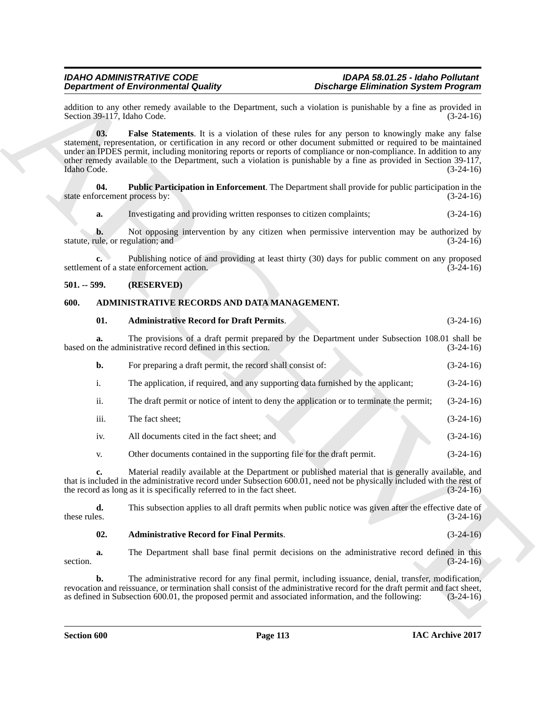### <span id="page-114-4"></span>**501. -- 599. (RESERVED)**

#### <span id="page-114-2"></span><span id="page-114-1"></span><span id="page-114-0"></span>**600. ADMINISTRATIVE RECORDS AND DATA MANAGEMENT.**

<span id="page-114-3"></span>

| addition to any other remedy available to the Department, such a violation is punishable by a fine as provided in<br>Section 39-117, Idaho Code.<br>03.<br>statement, representation, or certification in any record or other document submitted or required to be maintained<br>under an IPDES permit, including monitoring reports or reports of compliance or non-compliance. In addition to any<br>other remedy available to the Department, such a violation is punishable by a fine as provided in Section $39-117$ ,<br>Idaho Code.<br>04.<br>state enforcement process by:<br>Investigating and providing written responses to citizen complaints;<br>a.<br>b.<br>statute, rule, or regulation; and<br>settlement of a state enforcement action.<br>$501. - 599.$<br>(RESERVED)<br>ADMINISTRATIVE RECORDS AND DATA MANAGEMENT.<br>600.<br>01.<br><b>Administrative Record for Draft Permits.</b><br>a.<br>based on the administrative record defined in this section.<br>For preparing a draft permit, the record shall consist of:<br>b.<br>The application, if required, and any supporting data furnished by the applicant;<br>i.<br>ii.<br>The draft permit or notice of intent to deny the application or to terminate the permit;<br>iii.<br>The fact sheet;<br>All documents cited in the fact sheet; and<br>iv.<br>Other documents contained in the supporting file for the draft permit.<br>V.<br>c.<br>that is included in the administrative record under Subsection 600.01, need not be physically included with the rest of<br>the record as long as it is specifically referred to in the fact sheet.<br>d.<br>these rules.<br>02.<br><b>Administrative Record for Final Permits.</b><br>a.<br>section.<br>b.<br>revocation and reissuance, or termination shall consist of the administrative record for the draft permit and fact sheet, | False Statements. It is a violation of these rules for any person to knowingly make any false<br>Public Participation in Enforcement. The Department shall provide for public participation in the<br>Not opposing intervention by any citizen when permissive intervention may be authorized by<br>Publishing notice of and providing at least thirty (30) days for public comment on any proposed<br>The provisions of a draft permit prepared by the Department under Subsection 108.01 shall be<br>Material readily available at the Department or published material that is generally available, and<br>This subsection applies to all draft permits when public notice was given after the effective date of<br>The Department shall base final permit decisions on the administrative record defined in this<br>The administrative record for any final permit, including issuance, denial, transfer, modification,<br>as defined in Subsection 600.01, the proposed permit and associated information, and the following: | <b>Department of Environmental Quality</b> | <b>Discharge Elimination System Program</b> |             |
|------------------------------------------------------------------------------------------------------------------------------------------------------------------------------------------------------------------------------------------------------------------------------------------------------------------------------------------------------------------------------------------------------------------------------------------------------------------------------------------------------------------------------------------------------------------------------------------------------------------------------------------------------------------------------------------------------------------------------------------------------------------------------------------------------------------------------------------------------------------------------------------------------------------------------------------------------------------------------------------------------------------------------------------------------------------------------------------------------------------------------------------------------------------------------------------------------------------------------------------------------------------------------------------------------------------------------------------------------------------------------------------------------------------------------------------------------------------------------------------------------------------------------------------------------------------------------------------------------------------------------------------------------------------------------------------------------------------------------------------------------------------------------------------------------------------------------------------------------------------|------------------------------------------------------------------------------------------------------------------------------------------------------------------------------------------------------------------------------------------------------------------------------------------------------------------------------------------------------------------------------------------------------------------------------------------------------------------------------------------------------------------------------------------------------------------------------------------------------------------------------------------------------------------------------------------------------------------------------------------------------------------------------------------------------------------------------------------------------------------------------------------------------------------------------------------------------------------------------------------------------------------------------------|--------------------------------------------|---------------------------------------------|-------------|
|                                                                                                                                                                                                                                                                                                                                                                                                                                                                                                                                                                                                                                                                                                                                                                                                                                                                                                                                                                                                                                                                                                                                                                                                                                                                                                                                                                                                                                                                                                                                                                                                                                                                                                                                                                                                                                                                  |                                                                                                                                                                                                                                                                                                                                                                                                                                                                                                                                                                                                                                                                                                                                                                                                                                                                                                                                                                                                                                    |                                            |                                             | $(3-24-16)$ |
|                                                                                                                                                                                                                                                                                                                                                                                                                                                                                                                                                                                                                                                                                                                                                                                                                                                                                                                                                                                                                                                                                                                                                                                                                                                                                                                                                                                                                                                                                                                                                                                                                                                                                                                                                                                                                                                                  |                                                                                                                                                                                                                                                                                                                                                                                                                                                                                                                                                                                                                                                                                                                                                                                                                                                                                                                                                                                                                                    |                                            |                                             | $(3-24-16)$ |
|                                                                                                                                                                                                                                                                                                                                                                                                                                                                                                                                                                                                                                                                                                                                                                                                                                                                                                                                                                                                                                                                                                                                                                                                                                                                                                                                                                                                                                                                                                                                                                                                                                                                                                                                                                                                                                                                  |                                                                                                                                                                                                                                                                                                                                                                                                                                                                                                                                                                                                                                                                                                                                                                                                                                                                                                                                                                                                                                    |                                            |                                             | $(3-24-16)$ |
|                                                                                                                                                                                                                                                                                                                                                                                                                                                                                                                                                                                                                                                                                                                                                                                                                                                                                                                                                                                                                                                                                                                                                                                                                                                                                                                                                                                                                                                                                                                                                                                                                                                                                                                                                                                                                                                                  |                                                                                                                                                                                                                                                                                                                                                                                                                                                                                                                                                                                                                                                                                                                                                                                                                                                                                                                                                                                                                                    |                                            |                                             | $(3-24-16)$ |
|                                                                                                                                                                                                                                                                                                                                                                                                                                                                                                                                                                                                                                                                                                                                                                                                                                                                                                                                                                                                                                                                                                                                                                                                                                                                                                                                                                                                                                                                                                                                                                                                                                                                                                                                                                                                                                                                  |                                                                                                                                                                                                                                                                                                                                                                                                                                                                                                                                                                                                                                                                                                                                                                                                                                                                                                                                                                                                                                    |                                            |                                             | $(3-24-16)$ |
|                                                                                                                                                                                                                                                                                                                                                                                                                                                                                                                                                                                                                                                                                                                                                                                                                                                                                                                                                                                                                                                                                                                                                                                                                                                                                                                                                                                                                                                                                                                                                                                                                                                                                                                                                                                                                                                                  |                                                                                                                                                                                                                                                                                                                                                                                                                                                                                                                                                                                                                                                                                                                                                                                                                                                                                                                                                                                                                                    |                                            |                                             | $(3-24-16)$ |
|                                                                                                                                                                                                                                                                                                                                                                                                                                                                                                                                                                                                                                                                                                                                                                                                                                                                                                                                                                                                                                                                                                                                                                                                                                                                                                                                                                                                                                                                                                                                                                                                                                                                                                                                                                                                                                                                  |                                                                                                                                                                                                                                                                                                                                                                                                                                                                                                                                                                                                                                                                                                                                                                                                                                                                                                                                                                                                                                    |                                            |                                             |             |
|                                                                                                                                                                                                                                                                                                                                                                                                                                                                                                                                                                                                                                                                                                                                                                                                                                                                                                                                                                                                                                                                                                                                                                                                                                                                                                                                                                                                                                                                                                                                                                                                                                                                                                                                                                                                                                                                  |                                                                                                                                                                                                                                                                                                                                                                                                                                                                                                                                                                                                                                                                                                                                                                                                                                                                                                                                                                                                                                    |                                            |                                             |             |
|                                                                                                                                                                                                                                                                                                                                                                                                                                                                                                                                                                                                                                                                                                                                                                                                                                                                                                                                                                                                                                                                                                                                                                                                                                                                                                                                                                                                                                                                                                                                                                                                                                                                                                                                                                                                                                                                  |                                                                                                                                                                                                                                                                                                                                                                                                                                                                                                                                                                                                                                                                                                                                                                                                                                                                                                                                                                                                                                    |                                            |                                             | $(3-24-16)$ |
|                                                                                                                                                                                                                                                                                                                                                                                                                                                                                                                                                                                                                                                                                                                                                                                                                                                                                                                                                                                                                                                                                                                                                                                                                                                                                                                                                                                                                                                                                                                                                                                                                                                                                                                                                                                                                                                                  |                                                                                                                                                                                                                                                                                                                                                                                                                                                                                                                                                                                                                                                                                                                                                                                                                                                                                                                                                                                                                                    |                                            |                                             | $(3-24-16)$ |
|                                                                                                                                                                                                                                                                                                                                                                                                                                                                                                                                                                                                                                                                                                                                                                                                                                                                                                                                                                                                                                                                                                                                                                                                                                                                                                                                                                                                                                                                                                                                                                                                                                                                                                                                                                                                                                                                  |                                                                                                                                                                                                                                                                                                                                                                                                                                                                                                                                                                                                                                                                                                                                                                                                                                                                                                                                                                                                                                    |                                            |                                             | $(3-24-16)$ |
|                                                                                                                                                                                                                                                                                                                                                                                                                                                                                                                                                                                                                                                                                                                                                                                                                                                                                                                                                                                                                                                                                                                                                                                                                                                                                                                                                                                                                                                                                                                                                                                                                                                                                                                                                                                                                                                                  |                                                                                                                                                                                                                                                                                                                                                                                                                                                                                                                                                                                                                                                                                                                                                                                                                                                                                                                                                                                                                                    |                                            |                                             | $(3-24-16)$ |
|                                                                                                                                                                                                                                                                                                                                                                                                                                                                                                                                                                                                                                                                                                                                                                                                                                                                                                                                                                                                                                                                                                                                                                                                                                                                                                                                                                                                                                                                                                                                                                                                                                                                                                                                                                                                                                                                  |                                                                                                                                                                                                                                                                                                                                                                                                                                                                                                                                                                                                                                                                                                                                                                                                                                                                                                                                                                                                                                    |                                            |                                             | $(3-24-16)$ |
|                                                                                                                                                                                                                                                                                                                                                                                                                                                                                                                                                                                                                                                                                                                                                                                                                                                                                                                                                                                                                                                                                                                                                                                                                                                                                                                                                                                                                                                                                                                                                                                                                                                                                                                                                                                                                                                                  |                                                                                                                                                                                                                                                                                                                                                                                                                                                                                                                                                                                                                                                                                                                                                                                                                                                                                                                                                                                                                                    |                                            |                                             | $(3-24-16)$ |
|                                                                                                                                                                                                                                                                                                                                                                                                                                                                                                                                                                                                                                                                                                                                                                                                                                                                                                                                                                                                                                                                                                                                                                                                                                                                                                                                                                                                                                                                                                                                                                                                                                                                                                                                                                                                                                                                  |                                                                                                                                                                                                                                                                                                                                                                                                                                                                                                                                                                                                                                                                                                                                                                                                                                                                                                                                                                                                                                    |                                            |                                             | $(3-24-16)$ |
|                                                                                                                                                                                                                                                                                                                                                                                                                                                                                                                                                                                                                                                                                                                                                                                                                                                                                                                                                                                                                                                                                                                                                                                                                                                                                                                                                                                                                                                                                                                                                                                                                                                                                                                                                                                                                                                                  |                                                                                                                                                                                                                                                                                                                                                                                                                                                                                                                                                                                                                                                                                                                                                                                                                                                                                                                                                                                                                                    |                                            |                                             | $(3-24-16)$ |
|                                                                                                                                                                                                                                                                                                                                                                                                                                                                                                                                                                                                                                                                                                                                                                                                                                                                                                                                                                                                                                                                                                                                                                                                                                                                                                                                                                                                                                                                                                                                                                                                                                                                                                                                                                                                                                                                  |                                                                                                                                                                                                                                                                                                                                                                                                                                                                                                                                                                                                                                                                                                                                                                                                                                                                                                                                                                                                                                    |                                            |                                             | $(3-24-16)$ |
|                                                                                                                                                                                                                                                                                                                                                                                                                                                                                                                                                                                                                                                                                                                                                                                                                                                                                                                                                                                                                                                                                                                                                                                                                                                                                                                                                                                                                                                                                                                                                                                                                                                                                                                                                                                                                                                                  |                                                                                                                                                                                                                                                                                                                                                                                                                                                                                                                                                                                                                                                                                                                                                                                                                                                                                                                                                                                                                                    |                                            |                                             | $(3-24-16)$ |
|                                                                                                                                                                                                                                                                                                                                                                                                                                                                                                                                                                                                                                                                                                                                                                                                                                                                                                                                                                                                                                                                                                                                                                                                                                                                                                                                                                                                                                                                                                                                                                                                                                                                                                                                                                                                                                                                  |                                                                                                                                                                                                                                                                                                                                                                                                                                                                                                                                                                                                                                                                                                                                                                                                                                                                                                                                                                                                                                    |                                            |                                             | $(3-24-16)$ |
|                                                                                                                                                                                                                                                                                                                                                                                                                                                                                                                                                                                                                                                                                                                                                                                                                                                                                                                                                                                                                                                                                                                                                                                                                                                                                                                                                                                                                                                                                                                                                                                                                                                                                                                                                                                                                                                                  |                                                                                                                                                                                                                                                                                                                                                                                                                                                                                                                                                                                                                                                                                                                                                                                                                                                                                                                                                                                                                                    |                                            |                                             | $(3-24-16)$ |
|                                                                                                                                                                                                                                                                                                                                                                                                                                                                                                                                                                                                                                                                                                                                                                                                                                                                                                                                                                                                                                                                                                                                                                                                                                                                                                                                                                                                                                                                                                                                                                                                                                                                                                                                                                                                                                                                  |                                                                                                                                                                                                                                                                                                                                                                                                                                                                                                                                                                                                                                                                                                                                                                                                                                                                                                                                                                                                                                    |                                            |                                             | $(3-24-16)$ |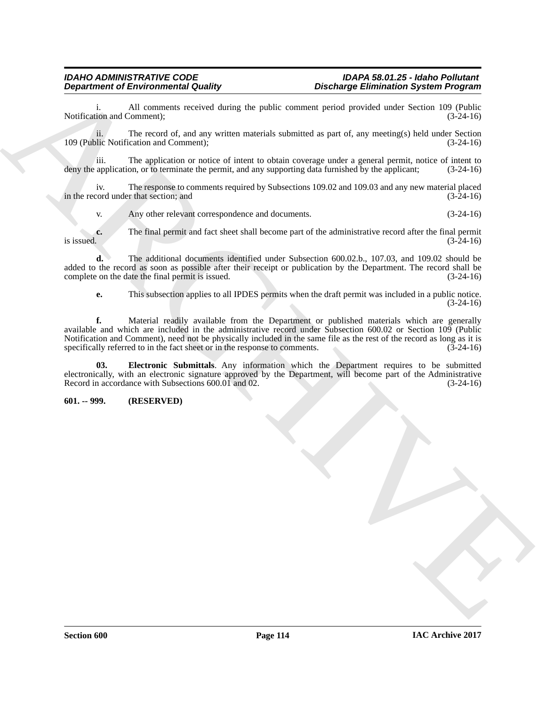i. All comments received during the public comment period provided under Section 109 (Public ion and Comment); (3-24-16) Notification and Comment);

ii. The record of, and any written materials submitted as part of, any meeting(s) held under Section 109 (Public Notification and Comment); (3-24-16)

iii. The application or notice of intent to obtain coverage under a general permit, notice of intent to deny the application, or to terminate the permit, and any supporting data furnished by the applicant;

iv. The response to comments required by Subsections 109.02 and 109.03 and any new material placed cord under that section; and (3-24-16) in the record under that section; and

v. Any other relevant correspondence and documents. (3-24-16)

**c.** The final permit and fact sheet shall become part of the administrative record after the final permit is issued.  $(3-24-16)$ is issued.  $(3-24-16)$ 

**d.** The additional documents identified under Subsection 600.02.b., 107.03, and 109.02 should be added to the record as soon as possible after their receipt or publication by the Department. The record shall be complete on the date the final permit is issued. (3-24-16)

**e.** This subsection applies to all IPDES permits when the draft permit was included in a public notice. (3-24-16)

**Department of Environment Outstand**<br>Systems of European Country China to public consumer provide others the provide summit is a specific consumer that the system of the provide the system of the system of the system of t **f.** Material readily available from the Department or published materials which are generally available and which are included in the administrative record under Subsection 600.02 or Section 109 (Public Notification and Comment), need not be physically included in the same file as the rest of the record as long as it is specifically referred to in the fact sheet or in the response to comments. (3-24-16) specifically referred to in the fact sheet or in the response to comments.

<span id="page-115-0"></span>**03. Electronic Submittals**. Any information which the Department requires to be submitted electronically, with an electronic signature approved by the Department, will become part of the Administrative Record in accordance with Subsections 600.01 and 02. (3-24-16)

### **601. -- 999. (RESERVED)**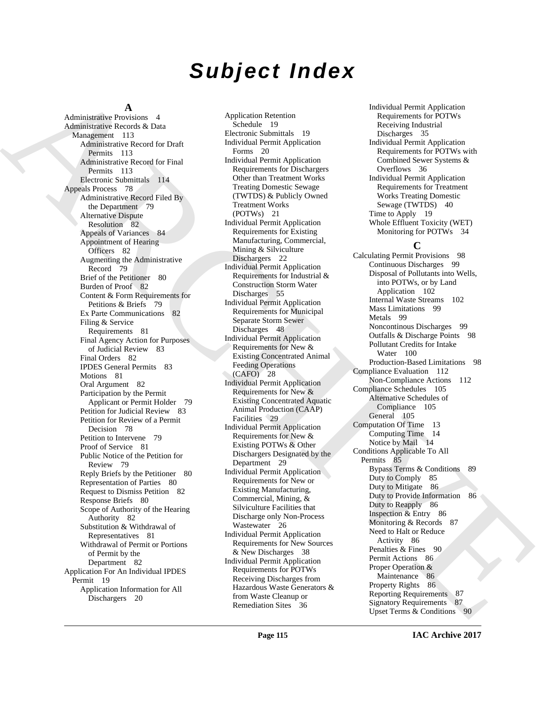# *Subject Index*

### **A**

[A](#page-114-0)dministration and the spin of the spin of the spin of the spin of the spin of the spin of the spin of the spin of the spin of the spin of the spin of the spin of the spin of the spin of the spin of the spin of the spin o Administrative Provisions 4 Administrative Records & Data Management 113 Administrative Record for Draft Permits 113 Administrative Record for Final Permits 113 Electronic Submittals 114 Appeals Process 78 Administrative Record Filed By the Department 79 Alternative Dispute Resolution 82 Appeals of Variances 84 Appointment of Hearing Officers 82 Augmenting the Administrative Record 79 Brief of the Petitioner 80 Burden of Proof 82 Content & Form Requirements for Petitions & Briefs 79 Ex Parte Communications 82 Filing & Service Requirements 81 Final Agency Action for Purposes of Judicial Review 83 Final Orders 82 IPDES General Permits 83 Motions 81 Oral Argument 82 Participation by the Permit Applicant or Permit Holder 79 Petition for Judicial Review 83 Petition for Review of a Permit Decision 78 Petition to Intervene 79 Proof of Service 81 Public Notice of the Petition for Review 79 Reply Briefs by the Petitioner 80 Representation of Parties 80 Request to Dismiss Petition 82 Response Briefs 80 Scope of Authority of the Hearing Authority 82 Substitution & Withdrawal of Representatives 81 Withdrawal of Permit or Portions of Permit by the Department 82 Application For An Individual IPDES Permit 19 Application Information for All Dischargers 20

Application Retention Schedule 19 Electronic Submittals 19 Individual Permit Application Forms 20 Individual Permit Application Requirements for Dischargers Other than Treatment Works Treating Domestic Sewage (TWTDS) & Publicly Owned Treatment Works (POTWs) 21 Individual Permit Application Requirements for Existing Manufacturing, Commercial, Mining & Silviculture Dischargers 22 Individual Permit Application Requirements for Industrial & Construction Storm Water Discharges 55 Individual Permit Application Requirements for Municipal Separate Storm Sewer Discharges 48 Individual Permit Application Requirements for New & Existing Concentrated Animal Feeding Operations (CAFO) 28 Individual Permit Application Requirements for New & Existing Concentrated Aquatic Animal Production (CAAP) Facilities 29 Individual Permit Application Requirements for New & Existing POTWs & Other Dischargers Designated by the Department 29 Individual Permit Application Requirements for New or Existing Manufacturing, Commercial, Mining, & Silviculture Facilities that Discharge only Non-Process Wastewater 26 Individual Permit Application Requirements for New Sources & New Discharges 38 Individual Permit Application Requirements for POTWs Receiving Discharges from Hazardous Waste Generators & from Waste Cleanup or Remediation Sites 36

Individual Permit Application Requirements for POTWs Receiving Industrial Discharges 35 Individual Permit Application Requirements for POTWs with Combined Sewer Systems & Overflows 36 Individual Permit Application Requirements for Treatment Works Treating Domestic Sewage (TWTDS) 40 Time to Apply 19 Whole Effluent Toxicity (WET) Monitoring for POTWs 34

### **C**

Calculating Permit Provisions 98 Continuous Discharges 99 Disposal of Pollutants into Wells, into POTWs, or by Land Application 102 Internal Waste Streams 102 Mass Limitations 99 Metals 99 Noncontinous Discharges 99 Outfalls & Discharge Points 98 Pollutant Credits for Intake Water 100 Production-Based Limitations 98 Compliance Evaluation 112 Non-Compliance Actions 112 Compliance Schedules 105 Alternative Schedules of Compliance 105 General 105 Computation Of Time 13 Computing Time 14 Notice by Mail 14 Conditions Applicable To All Permits 85 Bypass Terms & Conditions 89 Duty to Comply 85 Duty to Mitigate 86 Duty to Provide Information 86 Duty to Reapply 86 Inspection & Entry 86 Monitoring & Records 87 Need to Halt or Reduce Activity 86 Penalties & Fines 90 Permit Actions 86 Proper Operation & Maintenance 86 Property Rights 86 Reporting Requirements 87 Signatory Requirements 87 Upset Terms & Conditions 90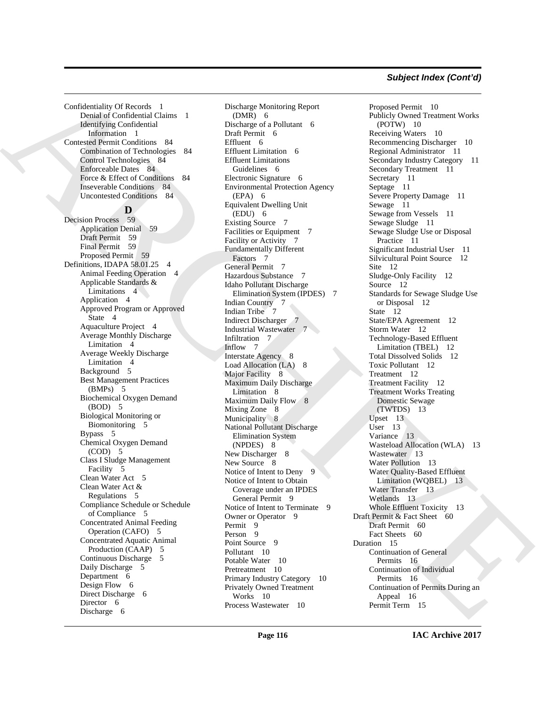Confidentiality Of Records 1 Denial of Confidential Claims 1 Identifying Confidential Information 1 Contested Permit Conditions 84 Combination of Technologies 84 Control Technologies 84 Enforceable Dates 84 Force & Effect of Conditions 84 Inseverable Conditions 84 Uncontested Conditions 84

### **D**

Decision Process 59 Application Denial 59 Draft Permit 59 Final Permit 59 Proposed Permit 59 Definitions, IDAPA 58.01.25 4 Animal Feeding Operation 4 Applicable Standards & Limitations 4 Application 4 Approved Program or Approved State 4 Aquaculture Project 4 Average Monthly Discharge Limitation 4 Average Weekly Discharge Limitation 4 Background 5 Best Management Practices (BMPs) 5 Biochemical Oxygen Demand (BOD) 5 Biological Monitoring or Biomonitoring 5 Bypass 5 Chemical Oxygen Demand (COD) 5 Class I Sludge Management Facility 5 Clean Water Act 5 Clean Water Act & Regulations 5 Compliance Schedule or Schedule of Compliance 5 Concentrated Animal Feeding Operation (CAFO) 5 Concentrated Aquatic Animal Production (CAAP) 5 Continuous Discharge 5 Daily Discharge 5 Department 6 Design Flow 6 Direct Discharge 6 Director 6 Discharge 6

Discharge Monitoring Report (DMR) 6 Discharge of a Pollutant 6 Draft Permit 6 Effluent 6 Effluent Limitation 6 Effluent Limitations Guidelines 6 Electronic Signature 6 Environmental Protection Agency  $(EPA)$  6 Equivalent Dwelling Unit (EDU) 6 Existing Source 7 Facilities or Equipment 7 Facility or Activity 7 Fundamentally Different Factors 7 General Permit 7 Hazardous Substance 7 Idaho Pollutant Discharge Elimination System (IPDES) 7 Indian Country 7 Indian Tribe 7 Indirect Discharger 7 Industrial Wastewater 7 Infiltration 7 Inflow 7 Interstate Agency 8 Load Allocation (LA) 8 Major Facility 8 Maximum Daily Discharge Limitation 8 Maximum Daily Flow 8 Mixing Zone 8 Municipality 8 National Pollutant Discharge Elimination System (NPDES) 8 New Discharger 8 New Source 8 Notice of Intent to Deny 9 Notice of Intent to Obtain Coverage under an IPDES General Permit 9 Notice of Intent to Terminate 9 Owner or Operator 9 Permit 9 Person 9 Point Source 9 Pollutant 10 Potable Water 10 Pretreatment 10 Primary Industry Category 10 Privately Owned Treatment Works 10 Process Wastewater 10

[C](#page-8-3)ontextually Delivery & The Context of the Context of the Context of the Context of the Context of the Context of the Context of the Context of the Context of the Context of the Context of the Context of the Context of th Proposed Permit 10 Publicly Owned Treatment Works (POTW) 10 Receiving Waters 10 Recommencing Discharger 10 Regional Administrator 11 Secondary Industry Category 11 Secondary Treatment 11 Secretary 11 Septage 11 Severe Property Damage 11 Sewage 11 Sewage from Vessels 11 Sewage Sludge 11 Sewage Sludge Use or Disposal Practice 11 Significant Industrial User 11 Silvicultural Point Source 12 Site 12 Sludge-Only Facility 12 Source 12 Standards for Sewage Sludge Use or Disposal 12 State 12 State/EPA Agreement 12 Storm Water 12 Technology-Based Effluent Limitation (TBEL) 12 Total Dissolved Solids 12 Toxic Pollutant 12 Treatment 12 Treatment Facility 12 Treatment Works Treating Domestic Sewage (TWTDS) 13 Upset 13 User 13 Variance 13 Wasteload Allocation (WLA) 13 Wastewater 13 Water Pollution 13 Water Quality-Based Effluent Limitation (WQBEL) 13 Water Transfer 13 Wetlands 13 Whole Effluent Toxicity 13 Draft Permit & Fact Sheet 60 Draft Permit 60 Fact Sheets 60 Duration 15 Continuation of General Permits 16 Continuation of Individual Permits 16 Continuation of Permits During an Appeal 16 Permit Term 15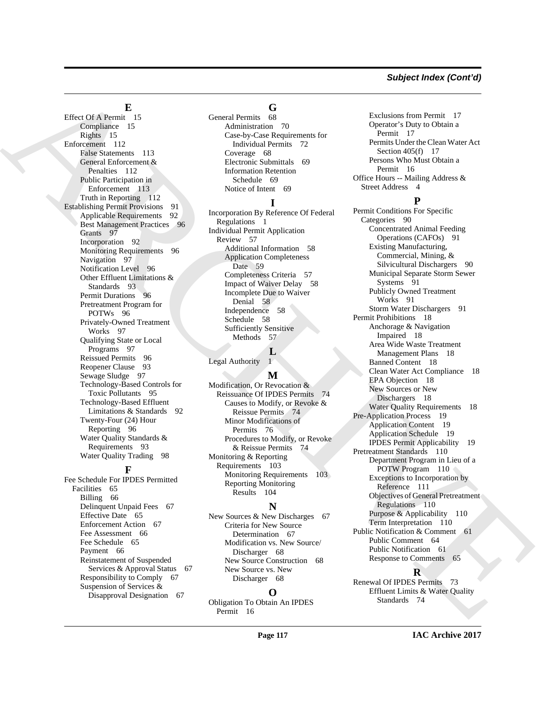#### *Subject Index (Cont'd)*

#### **E**

Effect Of A Permit 15 Compliance 15 Rights 15 Enforcement 112 False Statements 113 General Enforcement & Penalties 112 Public Participation in Enforcement 113 Truth in Reporting 112 Establishing Permit Provisions 91 Applicable Requirements 92 Best Management Practices 96 Grants 97 Incorporation 92 Monitoring Requirements 96 Navigation 97 Notification Level 96 Other Effluent Limitations & Standards 93 Permit Durations 96 Pretreatment Program for POTWs 96 Privately-Owned Treatment Works 97 Qualifying State or Local Programs 97 Reissued Permits 96 Reopener Clause 93 Sewage Sludge 97 Technology-Based Controls for Toxic Pollutants 95 Technology-Based Effluent Limitations & Standards 92 Twenty-Four (24) Hour Reporting 96 Water Quality Standards & Requirements 93 Water Quality Trading 98 **F**

Fee Schedule For IPDES Permitted Facilities 65 Billing 66 Delinquent Unpaid Fees 67 Effective Date 65 Enforcement Action 67 Fee Assessment 66 Fee Schedule 65 Payment 66 Reinstatement of Suspended Services & Approval Status 67 Responsibility to Comply 67 Suspension of Services & Disapproval Designation 67

## G<br>68

General Permits Administration 70 Case-by-Case Requirements for Individual Permits 72 Coverage 68 Electronic Submittals 69 Information Retention Schedule 69 Notice of Intent 69

#### **I**

Incorporation By Reference Of Federal Regulations 1 Individual Permit Application Review 57 Additional Information 58 Application Completeness Date 59 Completeness Criteria 57 Impact of Waiver Delay 58 Incomplete Due to Waiver Denial 58 Independence 58 Schedule 58 Sufficiently Sensitive Methods 57

 $\frac{L}{l}$ Legal Authority

#### **M**

Modification, Or Revocation & Reissuance Of IPDES Permits 74 Causes to Modify, or Revoke & Reissue Permits 74 Minor Modifications of Permits 76 Procedures to Modify, or Revoke & Reissue Permits 74 Monitoring & Reporting Requirements 103 Monitoring Requirements 103 Reporting Monitoring Results 104

#### **N**

New Sources & New Discharges 67 Criteria for New Source Determination 67 Modification vs. New Source/ Discharger 68 New Source Construction 68 New Source vs. New Discharger 68

### **O**

Obligation To Obtain An IPDES Permit 16

Exclusions from Permit 17 Operator's Duty to Obtain a Permit 17 Permits Under the Clean Water Act Section 405(f) 17 Persons Who Must Obtain a Permit 16 Office Hours -- Mailing Address & Street Address 4

#### **P**

[A](#page-113-3)[R](#page-114-4)[C](#page-60-5)[H](#page-58-2)[I](#page-19-6)[V](#page-111-1)[E](#page-111-2) Permit Conditions For Specific Categories 90 Concentrated Animal Feeding Operations (CAFOs) 91 Existing Manufacturing, Commercial, Mining, & Silvicultural Dischargers 90 Municipal Separate Storm Sewer Systems 91 Publicly Owned Treatment Works 91 Storm Water Dischargers 91 Permit Prohibitions 18 Anchorage & Navigation Impaired 18 Area Wide Waste Treatment Management Plans 18 Banned Content 18 Clean Water Act Compliance 18 EPA Objection 18 New Sources or New Dischargers 18 Water Quality Requirements 18 Pre-Application Process 19 Application Content 19 Application Schedule 19 IPDES Permit Applicability 19 Pretreatment Standards 110 Department Program in Lieu of a POTW Program 110 Exceptions to Incorporation by Reference 111 Objectives of General Pretreatment Regulations 110 Purpose & Applicability 110 Term Interpretation 110 Public Notification & Comment 61 Public Comment 64 Public Notification 61 Response to Comments 65

### **R**

Renewal Of IPDES Permits 73 Effluent Limits & Water Quality Standards 74